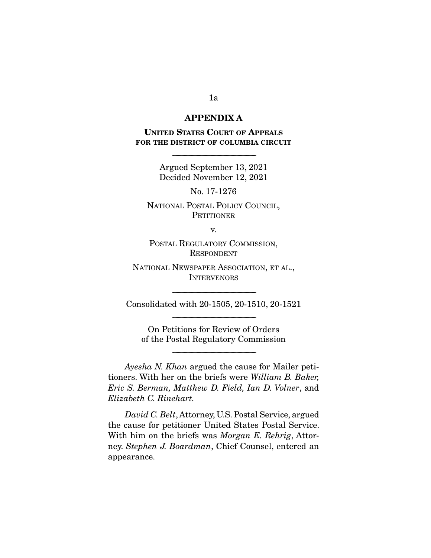### **APPENDIX A**

**UNITED STATES COURT OF APPEALS FOR THE DISTRICT OF COLUMBIA CIRCUIT**

> Argued September 13, 2021 Decided November 12, 2021

-----------------------------------------------------------------------

No. 17-1276

NATIONAL POSTAL POLICY COUNCIL, **PETITIONER** 

v.

POSTAL REGULATORY COMMISSION, **RESPONDENT** 

NATIONAL NEWSPAPER ASSOCIATION, ET AL., **INTERVENORS** 

----------------------------------------------------------------------- Consolidated with 20-1505, 20-1510, 20-1521 -----------------------------------------------------------------------

On Petitions for Review of Orders of the Postal Regulatory Commission

-----------------------------------------------------------------------

Ayesha N. Khan argued the cause for Mailer petitioners. With her on the briefs were William B. Baker, Eric S. Berman, Matthew D. Field, Ian D. Volner, and Elizabeth C. Rinehart.

David C. Belt, Attorney, U.S. Postal Service, argued the cause for petitioner United States Postal Service. With him on the briefs was *Morgan E. Rehrig*, Attorney. Stephen J. Boardman, Chief Counsel, entered an appearance.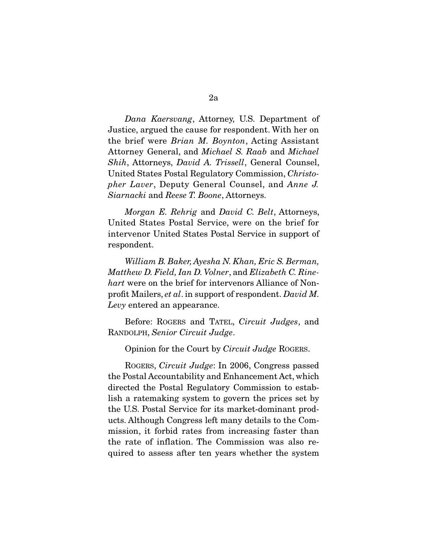Dana Kaersvang, Attorney, U.S. Department of Justice, argued the cause for respondent. With her on the brief were Brian M. Boynton, Acting Assistant Attorney General, and Michael S. Raab and Michael Shih, Attorneys, David A. Trissell, General Counsel, United States Postal Regulatory Commission, Christopher Laver, Deputy General Counsel, and Anne J. Siarnacki and Reese T. Boone, Attorneys.

Morgan E. Rehrig and David C. Belt, Attorneys, United States Postal Service, were on the brief for intervenor United States Postal Service in support of respondent.

William B. Baker, Ayesha N. Khan, Eric S. Berman, Matthew D. Field, Ian D. Volner, and Elizabeth C. Rinehart were on the brief for intervenors Alliance of Nonprofit Mailers, et al. in support of respondent. David M. Levy entered an appearance.

 Before: ROGERS and TATEL, Circuit Judges, and RANDOLPH, Senior Circuit Judge.

Opinion for the Court by Circuit Judge ROGERS.

 ROGERS, Circuit Judge: In 2006, Congress passed the Postal Accountability and Enhancement Act, which directed the Postal Regulatory Commission to establish a ratemaking system to govern the prices set by the U.S. Postal Service for its market-dominant products. Although Congress left many details to the Commission, it forbid rates from increasing faster than the rate of inflation. The Commission was also required to assess after ten years whether the system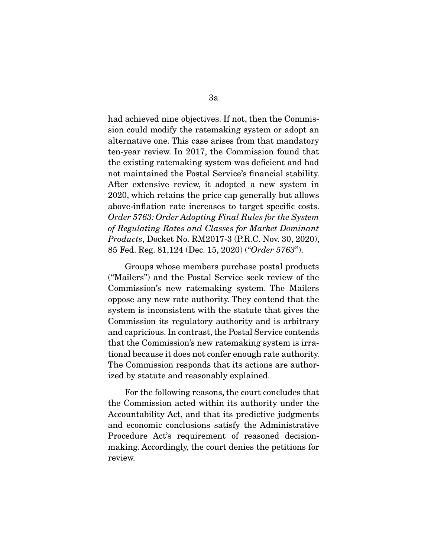had achieved nine objectives. If not, then the Commission could modify the ratemaking system or adopt an alternative one. This case arises from that mandatory ten-year review. In 2017, the Commission found that the existing ratemaking system was deficient and had not maintained the Postal Service's financial stability. After extensive review, it adopted a new system in 2020, which retains the price cap generally but allows above-inflation rate increases to target specific costs. Order 5763: Order Adopting Final Rules for the System of Regulating Rates and Classes for Market Dominant Products, Docket No. RM2017-3 (P.R.C. Nov. 30, 2020), 85 Fed. Reg. 81,124 (Dec. 15, 2020) ("Order 5763").

 Groups whose members purchase postal products ("Mailers") and the Postal Service seek review of the Commission's new ratemaking system. The Mailers oppose any new rate authority. They contend that the system is inconsistent with the statute that gives the Commission its regulatory authority and is arbitrary and capricious. In contrast, the Postal Service contends that the Commission's new ratemaking system is irrational because it does not confer enough rate authority. The Commission responds that its actions are authorized by statute and reasonably explained.

 For the following reasons, the court concludes that the Commission acted within its authority under the Accountability Act, and that its predictive judgments and economic conclusions satisfy the Administrative Procedure Act's requirement of reasoned decisionmaking. Accordingly, the court denies the petitions for review.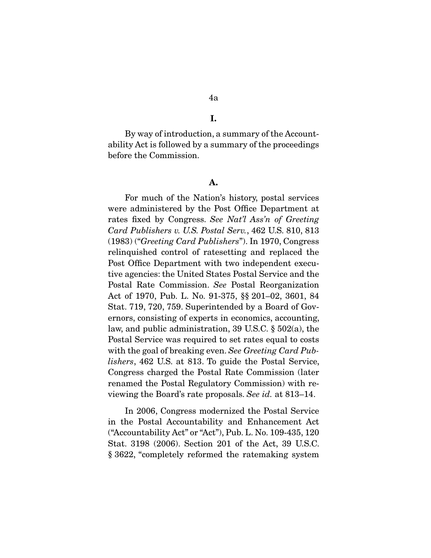#### **I.**

 By way of introduction, a summary of the Accountability Act is followed by a summary of the proceedings before the Commission.

#### **A.**

 For much of the Nation's history, postal services were administered by the Post Office Department at rates fixed by Congress. See Nat'l Ass'n of Greeting Card Publishers v. U.S. Postal Serv., 462 U.S. 810, 813 (1983) ("Greeting Card Publishers"). In 1970, Congress relinquished control of ratesetting and replaced the Post Office Department with two independent executive agencies: the United States Postal Service and the Postal Rate Commission. See Postal Reorganization Act of 1970, Pub. L. No. 91-375, §§ 201–02, 3601, 84 Stat. 719, 720, 759. Superintended by a Board of Governors, consisting of experts in economics, accounting, law, and public administration, 39 U.S.C. § 502(a), the Postal Service was required to set rates equal to costs with the goal of breaking even. See Greeting Card Publishers, 462 U.S. at 813. To guide the Postal Service, Congress charged the Postal Rate Commission (later renamed the Postal Regulatory Commission) with reviewing the Board's rate proposals. See id. at 813–14.

 In 2006, Congress modernized the Postal Service in the Postal Accountability and Enhancement Act ("Accountability Act" or "Act"), Pub. L. No. 109-435, 120 Stat. 3198 (2006). Section 201 of the Act, 39 U.S.C. § 3622, "completely reformed the ratemaking system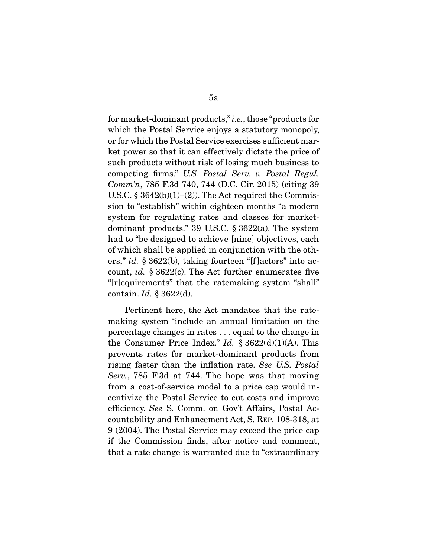for market-dominant products," i.e., those "products for which the Postal Service enjoys a statutory monopoly, or for which the Postal Service exercises sufficient market power so that it can effectively dictate the price of such products without risk of losing much business to competing firms." U.S. Postal Serv. v. Postal Regul. Comm'n, 785 F.3d 740, 744 (D.C. Cir. 2015) (citing 39 U.S.C.  $\S 3642(b)(1)–(2)$ . The Act required the Commission to "establish" within eighteen months "a modern system for regulating rates and classes for marketdominant products." 39 U.S.C. § 3622(a). The system had to "be designed to achieve [nine] objectives, each of which shall be applied in conjunction with the others," id.  $\S 3622(b)$ , taking fourteen "[f] actors" into account, *id.*  $\S 3622(c)$ . The Act further enumerates five "[r]equirements" that the ratemaking system "shall" contain.  $Id. \$  3622(d).

 Pertinent here, the Act mandates that the ratemaking system "include an annual limitation on the percentage changes in rates . . . equal to the change in the Consumer Price Index." Id.  $\S 3622(d)(1)(A)$ . This prevents rates for market-dominant products from rising faster than the inflation rate. See U.S. Postal Serv., 785 F.3d at 744. The hope was that moving from a cost-of-service model to a price cap would incentivize the Postal Service to cut costs and improve efficiency. See S. Comm. on Gov't Affairs, Postal Accountability and Enhancement Act, S. REP. 108-318, at 9 (2004). The Postal Service may exceed the price cap if the Commission finds, after notice and comment, that a rate change is warranted due to "extraordinary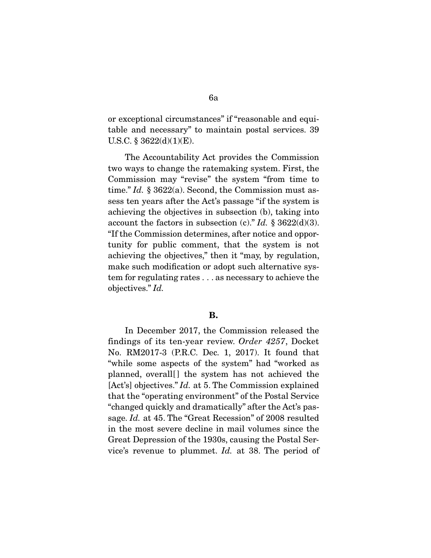or exceptional circumstances" if "reasonable and equitable and necessary" to maintain postal services. 39 U.S.C. §  $3622(d)(1)(E)$ .

 The Accountability Act provides the Commission two ways to change the ratemaking system. First, the Commission may "revise" the system "from time to time." Id.  $\S 3622(a)$ . Second, the Commission must assess ten years after the Act's passage "if the system is achieving the objectives in subsection (b), taking into account the factors in subsection (c)." Id.  $\S 3622(d)(3)$ . "If the Commission determines, after notice and opportunity for public comment, that the system is not achieving the objectives," then it "may, by regulation, make such modification or adopt such alternative system for regulating rates . . . as necessary to achieve the objectives." Id.

### **B.**

 In December 2017, the Commission released the findings of its ten-year review. Order 4257, Docket No. RM2017-3 (P.R.C. Dec. 1, 2017). It found that "while some aspects of the system" had "worked as planned, overall [] the system has not achieved the [Act's] objectives." *Id.* at 5. The Commission explained that the "operating environment" of the Postal Service "changed quickly and dramatically" after the Act's passage. *Id.* at 45. The "Great Recession" of 2008 resulted in the most severe decline in mail volumes since the Great Depression of the 1930s, causing the Postal Service's revenue to plummet. Id. at 38. The period of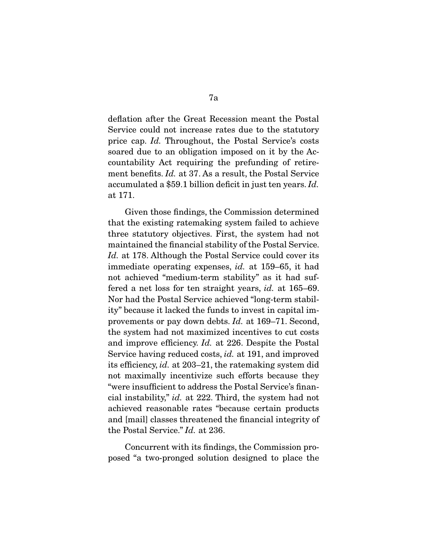deflation after the Great Recession meant the Postal Service could not increase rates due to the statutory price cap. Id. Throughout, the Postal Service's costs soared due to an obligation imposed on it by the Accountability Act requiring the prefunding of retirement benefits. Id. at 37. As a result, the Postal Service accumulated a \$59.1 billion deficit in just ten years. Id. at 171.

 Given those findings, the Commission determined that the existing ratemaking system failed to achieve three statutory objectives. First, the system had not maintained the financial stability of the Postal Service. Id. at 178. Although the Postal Service could cover its immediate operating expenses, id. at 159–65, it had not achieved "medium-term stability" as it had suffered a net loss for ten straight years, id. at 165–69. Nor had the Postal Service achieved "long-term stability" because it lacked the funds to invest in capital improvements or pay down debts. Id. at 169–71. Second, the system had not maximized incentives to cut costs and improve efficiency. Id. at 226. Despite the Postal Service having reduced costs, *id.* at 191, and improved its efficiency, id. at 203–21, the ratemaking system did not maximally incentivize such efforts because they "were insufficient to address the Postal Service's financial instability," id. at 222. Third, the system had not achieved reasonable rates "because certain products and [mail] classes threatened the financial integrity of the Postal Service." Id. at 236.

 Concurrent with its findings, the Commission proposed "a two-pronged solution designed to place the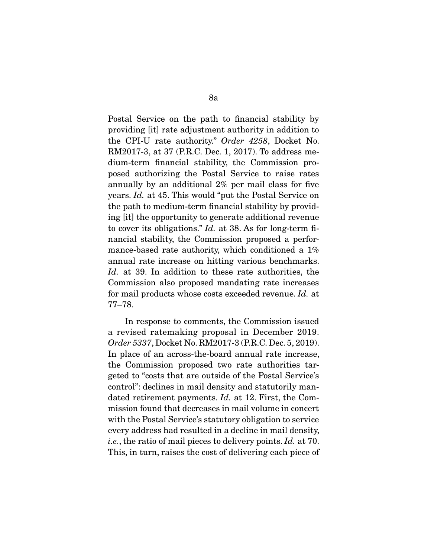Postal Service on the path to financial stability by providing [it] rate adjustment authority in addition to the CPI-U rate authority." Order 4258, Docket No. RM2017-3, at 37 (P.R.C. Dec. 1, 2017). To address medium-term financial stability, the Commission proposed authorizing the Postal Service to raise rates annually by an additional 2% per mail class for five years. Id. at 45. This would "put the Postal Service on the path to medium-term financial stability by providing [it] the opportunity to generate additional revenue to cover its obligations." Id. at 38. As for long-term financial stability, the Commission proposed a performance-based rate authority, which conditioned a 1% annual rate increase on hitting various benchmarks. Id. at 39. In addition to these rate authorities, the Commission also proposed mandating rate increases for mail products whose costs exceeded revenue. Id. at 77–78.

 In response to comments, the Commission issued a revised ratemaking proposal in December 2019. Order 5337, Docket No. RM2017-3 (P.R.C. Dec. 5, 2019). In place of an across-the-board annual rate increase, the Commission proposed two rate authorities targeted to "costs that are outside of the Postal Service's control": declines in mail density and statutorily mandated retirement payments. Id. at 12. First, the Commission found that decreases in mail volume in concert with the Postal Service's statutory obligation to service every address had resulted in a decline in mail density, i.e., the ratio of mail pieces to delivery points. Id. at 70. This, in turn, raises the cost of delivering each piece of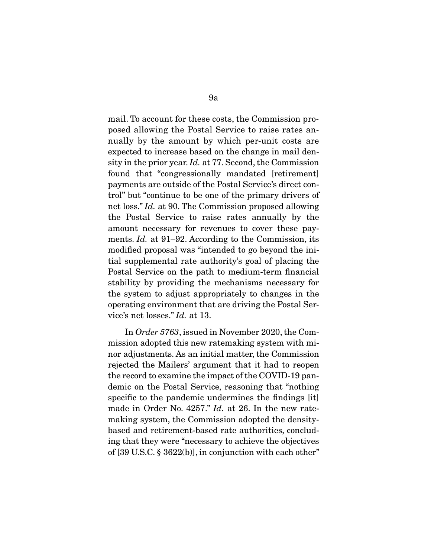mail. To account for these costs, the Commission proposed allowing the Postal Service to raise rates annually by the amount by which per-unit costs are expected to increase based on the change in mail density in the prior year. Id. at 77. Second, the Commission found that "congressionally mandated [retirement] payments are outside of the Postal Service's direct control" but "continue to be one of the primary drivers of net loss." Id. at 90. The Commission proposed allowing the Postal Service to raise rates annually by the amount necessary for revenues to cover these payments. *Id.* at 91–92. According to the Commission, its modified proposal was "intended to go beyond the initial supplemental rate authority's goal of placing the Postal Service on the path to medium-term financial stability by providing the mechanisms necessary for the system to adjust appropriately to changes in the operating environment that are driving the Postal Service's net losses." Id. at 13.

 In Order 5763, issued in November 2020, the Commission adopted this new ratemaking system with minor adjustments. As an initial matter, the Commission rejected the Mailers' argument that it had to reopen the record to examine the impact of the COVID-19 pandemic on the Postal Service, reasoning that "nothing specific to the pandemic undermines the findings [it] made in Order No. 4257." *Id.* at 26. In the new ratemaking system, the Commission adopted the densitybased and retirement-based rate authorities, concluding that they were "necessary to achieve the objectives of [39 U.S.C. § 3622(b)], in conjunction with each other"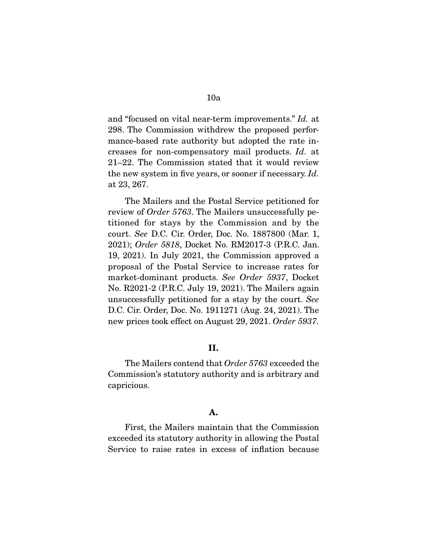and "focused on vital near-term improvements." Id. at

298. The Commission withdrew the proposed performance-based rate authority but adopted the rate increases for non-compensatory mail products. Id. at 21–22. The Commission stated that it would review the new system in five years, or sooner if necessary. Id. at 23, 267.

 The Mailers and the Postal Service petitioned for review of Order 5763. The Mailers unsuccessfully petitioned for stays by the Commission and by the court. See D.C. Cir. Order, Doc. No. 1887800 (Mar. 1, 2021); Order 5818, Docket No. RM2017-3 (P.R.C. Jan. 19, 2021). In July 2021, the Commission approved a proposal of the Postal Service to increase rates for market-dominant products. See Order 5937, Docket No. R2021-2 (P.R.C. July 19, 2021). The Mailers again unsuccessfully petitioned for a stay by the court. See D.C. Cir. Order, Doc. No. 1911271 (Aug. 24, 2021). The new prices took effect on August 29, 2021. Order 5937.

### **II.**

 The Mailers contend that Order 5763 exceeded the Commission's statutory authority and is arbitrary and capricious.

### **A.**

 First, the Mailers maintain that the Commission exceeded its statutory authority in allowing the Postal Service to raise rates in excess of inflation because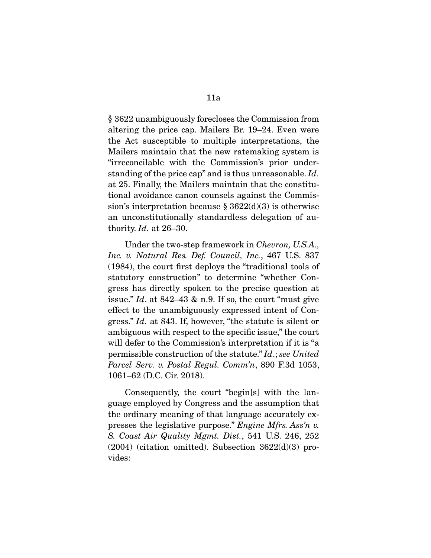§ 3622 unambiguously forecloses the Commission from altering the price cap. Mailers Br. 19–24. Even were the Act susceptible to multiple interpretations, the Mailers maintain that the new ratemaking system is "irreconcilable with the Commission's prior understanding of the price cap" and is thus unreasonable. Id. at 25. Finally, the Mailers maintain that the constitutional avoidance canon counsels against the Commission's interpretation because  $\S 3622(d)(3)$  is otherwise an unconstitutionally standardless delegation of authority. Id. at 26–30.

 Under the two-step framework in Chevron, U.S.A., Inc. v. Natural Res. Def. Council, Inc., 467 U.S. 837 (1984), the court first deploys the "traditional tools of statutory construction" to determine "whether Congress has directly spoken to the precise question at issue." Id. at  $842-43$  & n.9. If so, the court "must give effect to the unambiguously expressed intent of Congress." Id. at 843. If, however, "the statute is silent or ambiguous with respect to the specific issue," the court will defer to the Commission's interpretation if it is "a permissible construction of the statute." Id.; see United Parcel Serv. v. Postal Regul. Comm'n, 890 F.3d 1053, 1061–62 (D.C. Cir. 2018).

 Consequently, the court "begin[s] with the language employed by Congress and the assumption that the ordinary meaning of that language accurately expresses the legislative purpose." Engine Mfrs. Ass'n v. S. Coast Air Quality Mgmt. Dist., 541 U.S. 246, 252  $(2004)$  (citation omitted). Subsection  $3622(d)(3)$  provides: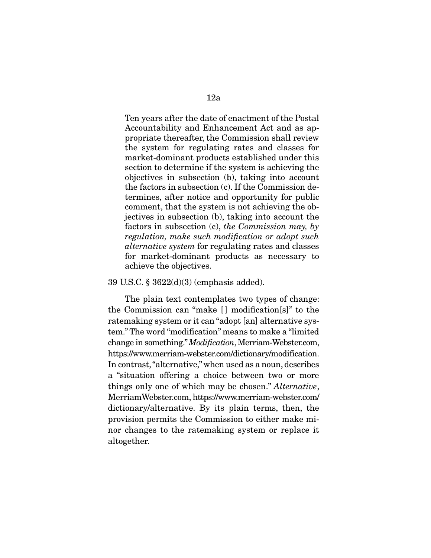Ten years after the date of enactment of the Postal Accountability and Enhancement Act and as appropriate thereafter, the Commission shall review the system for regulating rates and classes for market-dominant products established under this section to determine if the system is achieving the objectives in subsection (b), taking into account the factors in subsection (c). If the Commission determines, after notice and opportunity for public comment, that the system is not achieving the objectives in subsection (b), taking into account the factors in subsection (c), the Commission may, by regulation, make such modification or adopt such alternative system for regulating rates and classes for market-dominant products as necessary to achieve the objectives.

### 39 U.S.C. § 3622(d)(3) (emphasis added).

 The plain text contemplates two types of change: the Commission can "make [ ] modification[s]" to the ratemaking system or it can "adopt [an] alternative system." The word "modification" means to make a "limited change in something." Modification, Merriam-Webster.com, https://www.merriam-webster.com/dictionary/modification. In contrast, "alternative," when used as a noun, describes a "situation offering a choice between two or more things only one of which may be chosen." Alternative, MerriamWebster.com, https://www.merriam-webster.com/ dictionary/alternative. By its plain terms, then, the provision permits the Commission to either make minor changes to the ratemaking system or replace it altogether.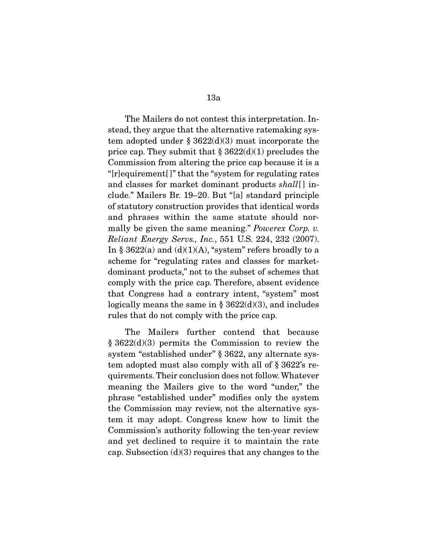The Mailers do not contest this interpretation. Instead, they argue that the alternative ratemaking system adopted under  $\S 3622(d)(3)$  must incorporate the price cap. They submit that  $\S 3622(d)(1)$  precludes the Commission from altering the price cap because it is a "[r]equirement[ ]" that the "system for regulating rates and classes for market dominant products shall [] include." Mailers Br. 19–20. But "[a] standard principle of statutory construction provides that identical words and phrases within the same statute should normally be given the same meaning." Powerex Corp. v. Reliant Energy Servs., Inc., 551 U.S. 224, 232 (2007). In § 3622(a) and  $(d)(1)(A)$ , "system" refers broadly to a scheme for "regulating rates and classes for marketdominant products," not to the subset of schemes that comply with the price cap. Therefore, absent evidence that Congress had a contrary intent, "system" most logically means the same in  $\S 3622(d)(3)$ , and includes rules that do not comply with the price cap.

 The Mailers further contend that because § 3622(d)(3) permits the Commission to review the system "established under" § 3622, any alternate system adopted must also comply with all of § 3622's requirements. Their conclusion does not follow. Whatever meaning the Mailers give to the word "under," the phrase "established under" modifies only the system the Commission may review, not the alternative system it may adopt. Congress knew how to limit the Commission's authority following the ten-year review and yet declined to require it to maintain the rate cap. Subsection  $(d)(3)$  requires that any changes to the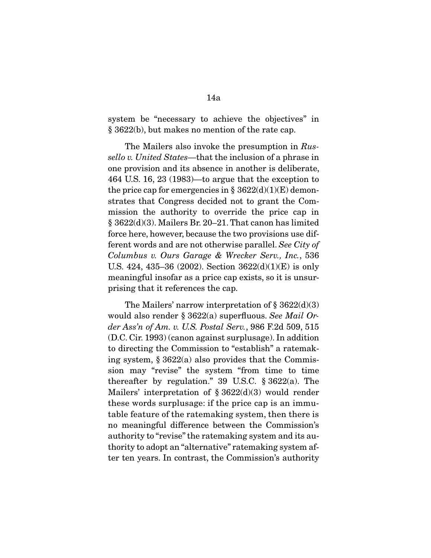system be "necessary to achieve the objectives" in § 3622(b), but makes no mention of the rate cap.

The Mailers also invoke the presumption in Russello v. United States—that the inclusion of a phrase in one provision and its absence in another is deliberate, 464 U.S. 16, 23 (1983)—to argue that the exception to the price cap for emergencies in  $\S 3622(d)(1)(E)$  demonstrates that Congress decided not to grant the Commission the authority to override the price cap in § 3622(d)(3). Mailers Br. 20–21. That canon has limited force here, however, because the two provisions use different words and are not otherwise parallel. See City of Columbus v. Ours Garage & Wrecker Serv., Inc., 536 U.S. 424, 435–36 (2002). Section 3622(d)(1)(E) is only meaningful insofar as a price cap exists, so it is unsurprising that it references the cap.

The Mailers' narrow interpretation of  $\S 3622(d)(3)$ would also render § 3622(a) superfluous. See Mail Order Ass'n of Am. v. U.S. Postal Serv., 986 F.2d 509, 515 (D.C. Cir. 1993) (canon against surplusage). In addition to directing the Commission to "establish" a ratemaking system, § 3622(a) also provides that the Commission may "revise" the system "from time to time thereafter by regulation." 39 U.S.C. § 3622(a). The Mailers' interpretation of  $\S 3622(d)(3)$  would render these words surplusage: if the price cap is an immutable feature of the ratemaking system, then there is no meaningful difference between the Commission's authority to "revise" the ratemaking system and its authority to adopt an "alternative" ratemaking system after ten years. In contrast, the Commission's authority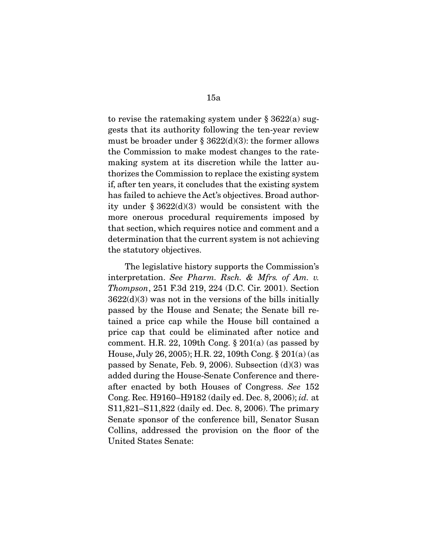to revise the ratemaking system under § 3622(a) suggests that its authority following the ten-year review must be broader under  $\S 3622(d)(3)$ : the former allows the Commission to make modest changes to the ratemaking system at its discretion while the latter authorizes the Commission to replace the existing system if, after ten years, it concludes that the existing system has failed to achieve the Act's objectives. Broad authority under  $\S 3622(d)(3)$  would be consistent with the more onerous procedural requirements imposed by that section, which requires notice and comment and a determination that the current system is not achieving the statutory objectives.

 The legislative history supports the Commission's interpretation. See Pharm. Rsch. & Mfrs. of Am. v. Thompson, 251 F.3d 219, 224 (D.C. Cir. 2001). Section  $3622(d)(3)$  was not in the versions of the bills initially passed by the House and Senate; the Senate bill retained a price cap while the House bill contained a price cap that could be eliminated after notice and comment. H.R. 22, 109th Cong.  $\S 201(a)$  (as passed by House, July 26, 2005); H.R. 22, 109th Cong. § 201(a) (as passed by Senate, Feb. 9, 2006). Subsection (d)(3) was added during the House-Senate Conference and thereafter enacted by both Houses of Congress. See 152 Cong. Rec. H9160–H9182 (daily ed. Dec. 8, 2006); id. at S11,821–S11,822 (daily ed. Dec. 8, 2006). The primary Senate sponsor of the conference bill, Senator Susan Collins, addressed the provision on the floor of the United States Senate: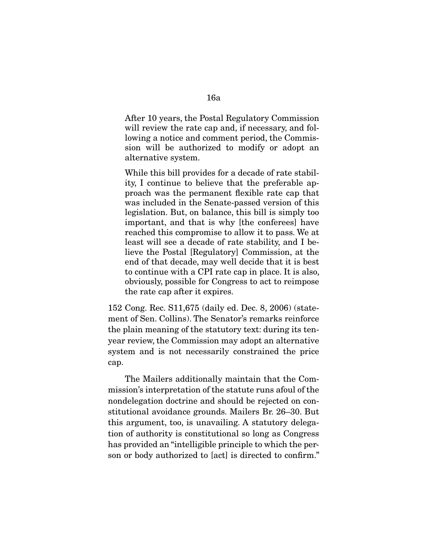After 10 years, the Postal Regulatory Commission will review the rate cap and, if necessary, and following a notice and comment period, the Commission will be authorized to modify or adopt an alternative system.

While this bill provides for a decade of rate stability, I continue to believe that the preferable approach was the permanent flexible rate cap that was included in the Senate-passed version of this legislation. But, on balance, this bill is simply too important, and that is why [the conferees] have reached this compromise to allow it to pass. We at least will see a decade of rate stability, and I believe the Postal [Regulatory] Commission, at the end of that decade, may well decide that it is best to continue with a CPI rate cap in place. It is also, obviously, possible for Congress to act to reimpose the rate cap after it expires.

152 Cong. Rec. S11,675 (daily ed. Dec. 8, 2006) (statement of Sen. Collins). The Senator's remarks reinforce the plain meaning of the statutory text: during its tenyear review, the Commission may adopt an alternative system and is not necessarily constrained the price cap.

 The Mailers additionally maintain that the Commission's interpretation of the statute runs afoul of the nondelegation doctrine and should be rejected on constitutional avoidance grounds. Mailers Br. 26–30. But this argument, too, is unavailing. A statutory delegation of authority is constitutional so long as Congress has provided an "intelligible principle to which the person or body authorized to [act] is directed to confirm."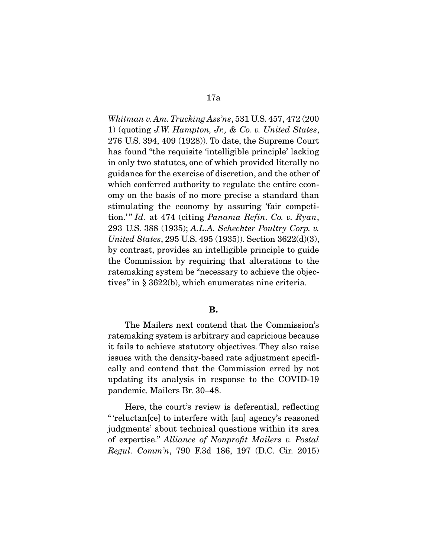Whitman v. Am. Trucking Ass'ns, 531 U.S. 457, 472 (200 1) (quoting J.W. Hampton, Jr., & Co. v. United States, 276 U.S. 394, 409 (1928)). To date, the Supreme Court has found "the requisite 'intelligible principle' lacking in only two statutes, one of which provided literally no guidance for the exercise of discretion, and the other of which conferred authority to regulate the entire economy on the basis of no more precise a standard than stimulating the economy by assuring 'fair competition.'" Id. at 474 (citing Panama Refin. Co. v. Ryan, 293 U.S. 388 (1935); A.L.A. Schechter Poultry Corp. v. United States, 295 U.S. 495 (1935)). Section 3622(d)(3), by contrast, provides an intelligible principle to guide the Commission by requiring that alterations to the ratemaking system be "necessary to achieve the objectives" in § 3622(b), which enumerates nine criteria.

### **B.**

 The Mailers next contend that the Commission's ratemaking system is arbitrary and capricious because it fails to achieve statutory objectives. They also raise issues with the density-based rate adjustment specifically and contend that the Commission erred by not updating its analysis in response to the COVID-19 pandemic. Mailers Br. 30–48.

 Here, the court's review is deferential, reflecting " 'reluctan[ce] to interfere with [an] agency's reasoned judgments' about technical questions within its area of expertise." Alliance of Nonprofit Mailers v. Postal Regul. Comm'n, 790 F.3d 186, 197 (D.C. Cir. 2015)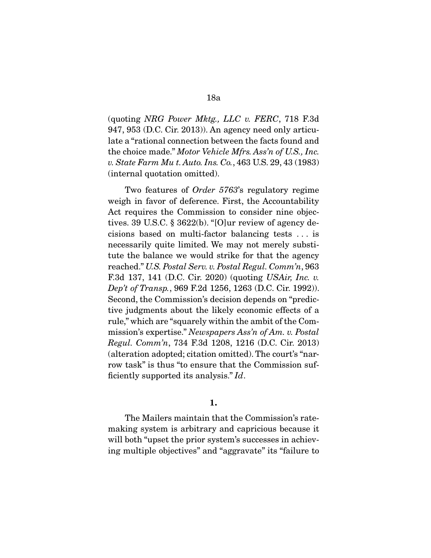(quoting NRG Power Mktg., LLC v. FERC, 718 F.3d 947, 953 (D.C. Cir. 2013)). An agency need only articulate a "rational connection between the facts found and the choice made." Motor Vehicle Mfrs. Ass'n of U.S., Inc. v. State Farm Mu t. Auto. Ins. Co., 463 U.S. 29, 43 (1983) (internal quotation omitted).

 Two features of Order 5763's regulatory regime weigh in favor of deference. First, the Accountability Act requires the Commission to consider nine objectives. 39 U.S.C. § 3622(b). "[O]ur review of agency decisions based on multi-factor balancing tests . . . is necessarily quite limited. We may not merely substitute the balance we would strike for that the agency reached." U.S. Postal Serv. v. Postal Regul. Comm'n, 963 F.3d 137, 141 (D.C. Cir. 2020) (quoting USAir, Inc. v. Dep't of Transp., 969 F.2d 1256, 1263 (D.C. Cir. 1992)). Second, the Commission's decision depends on "predictive judgments about the likely economic effects of a rule," which are "squarely within the ambit of the Commission's expertise." Newspapers Ass'n of Am. v. Postal Regul. Comm'n, 734 F.3d 1208, 1216 (D.C. Cir. 2013) (alteration adopted; citation omitted). The court's "narrow task" is thus "to ensure that the Commission sufficiently supported its analysis." Id.

### **1.**

 The Mailers maintain that the Commission's ratemaking system is arbitrary and capricious because it will both "upset the prior system's successes in achieving multiple objectives" and "aggravate" its "failure to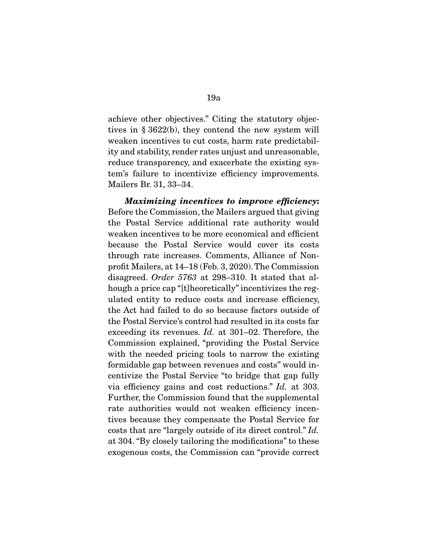achieve other objectives." Citing the statutory objectives in § 3622(b), they contend the new system will weaken incentives to cut costs, harm rate predictability and stability, render rates unjust and unreasonable, reduce transparency, and exacerbate the existing system's failure to incentivize efficiency improvements. Mailers Br. 31, 33–34.

*Maximizing incentives to improve efficiency***:**  Before the Commission, the Mailers argued that giving the Postal Service additional rate authority would weaken incentives to be more economical and efficient because the Postal Service would cover its costs through rate increases. Comments, Alliance of Nonprofit Mailers, at 14–18 (Feb. 3, 2020). The Commission disagreed. Order 5763 at 298–310. It stated that alhough a price cap "[t]heoretically" incentivizes the regulated entity to reduce costs and increase efficiency, the Act had failed to do so because factors outside of the Postal Service's control had resulted in its costs far exceeding its revenues. Id. at 301–02. Therefore, the Commission explained, "providing the Postal Service with the needed pricing tools to narrow the existing formidable gap between revenues and costs" would incentivize the Postal Service "to bridge that gap fully via efficiency gains and cost reductions." Id. at 303. Further, the Commission found that the supplemental rate authorities would not weaken efficiency incentives because they compensate the Postal Service for costs that are "largely outside of its direct control." Id. at 304. "By closely tailoring the modifications" to these exogenous costs, the Commission can "provide correct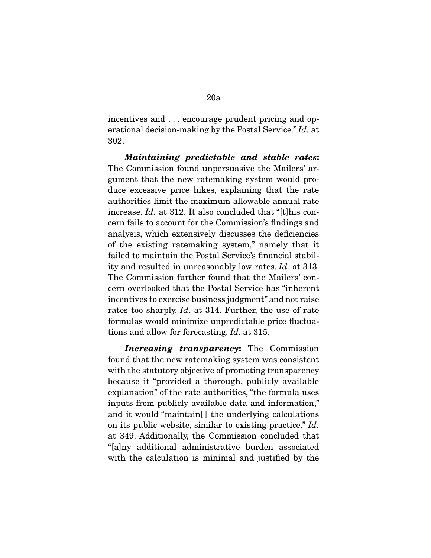incentives and . . . encourage prudent pricing and operational decision-making by the Postal Service." Id. at 302.

*Maintaining predictable and stable rates***:**  The Commission found unpersuasive the Mailers' argument that the new ratemaking system would produce excessive price hikes, explaining that the rate authorities limit the maximum allowable annual rate increase. Id. at 312. It also concluded that "[t]his concern fails to account for the Commission's findings and analysis, which extensively discusses the deficiencies of the existing ratemaking system," namely that it failed to maintain the Postal Service's financial stability and resulted in unreasonably low rates. Id. at 313. The Commission further found that the Mailers' concern overlooked that the Postal Service has "inherent incentives to exercise business judgment" and not raise rates too sharply. Id. at 314. Further, the use of rate formulas would minimize unpredictable price fluctuations and allow for forecasting. Id. at 315.

*Increasing transparency***:** The Commission found that the new ratemaking system was consistent with the statutory objective of promoting transparency because it "provided a thorough, publicly available explanation" of the rate authorities, "the formula uses inputs from publicly available data and information," and it would "maintain<sup>[]</sup> the underlying calculations on its public website, similar to existing practice." Id. at 349. Additionally, the Commission concluded that "[a]ny additional administrative burden associated with the calculation is minimal and justified by the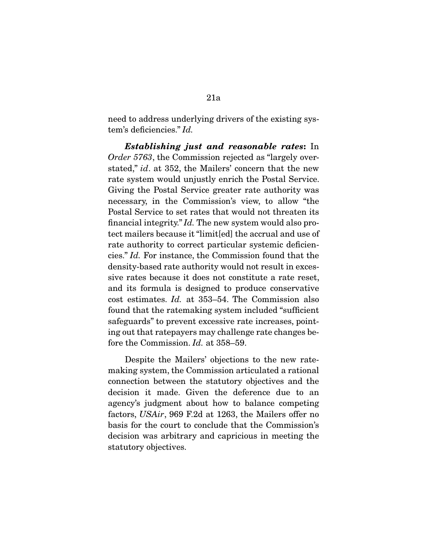need to address underlying drivers of the existing system's deficiencies." Id.

*Establishing just and reasonable rates***:** In Order 5763, the Commission rejected as "largely overstated," id. at 352, the Mailers' concern that the new rate system would unjustly enrich the Postal Service. Giving the Postal Service greater rate authority was necessary, in the Commission's view, to allow "the Postal Service to set rates that would not threaten its financial integrity." Id. The new system would also protect mailers because it "limit[ed] the accrual and use of rate authority to correct particular systemic deficiencies." Id. For instance, the Commission found that the density-based rate authority would not result in excessive rates because it does not constitute a rate reset, and its formula is designed to produce conservative cost estimates. Id. at 353–54. The Commission also found that the ratemaking system included "sufficient safeguards" to prevent excessive rate increases, pointing out that ratepayers may challenge rate changes before the Commission. *Id.* at 358–59.

 Despite the Mailers' objections to the new ratemaking system, the Commission articulated a rational connection between the statutory objectives and the decision it made. Given the deference due to an agency's judgment about how to balance competing factors, USAir, 969 F.2d at 1263, the Mailers offer no basis for the court to conclude that the Commission's decision was arbitrary and capricious in meeting the statutory objectives.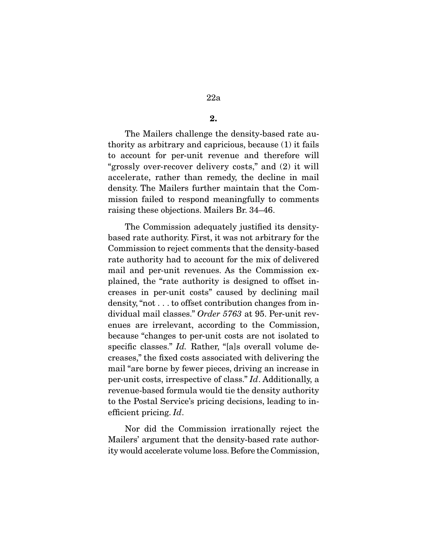**2.** 

 The Mailers challenge the density-based rate authority as arbitrary and capricious, because (1) it fails to account for per-unit revenue and therefore will "grossly over-recover delivery costs," and (2) it will accelerate, rather than remedy, the decline in mail density. The Mailers further maintain that the Commission failed to respond meaningfully to comments raising these objections. Mailers Br. 34–46.

 The Commission adequately justified its densitybased rate authority. First, it was not arbitrary for the Commission to reject comments that the density-based rate authority had to account for the mix of delivered mail and per-unit revenues. As the Commission explained, the "rate authority is designed to offset increases in per-unit costs" caused by declining mail density, "not . . . to offset contribution changes from individual mail classes." Order 5763 at 95. Per-unit revenues are irrelevant, according to the Commission, because "changes to per-unit costs are not isolated to specific classes." Id. Rather, "[a]s overall volume decreases," the fixed costs associated with delivering the mail "are borne by fewer pieces, driving an increase in per-unit costs, irrespective of class." Id. Additionally, a revenue-based formula would tie the density authority to the Postal Service's pricing decisions, leading to inefficient pricing. Id.

 Nor did the Commission irrationally reject the Mailers' argument that the density-based rate authority would accelerate volume loss. Before the Commission,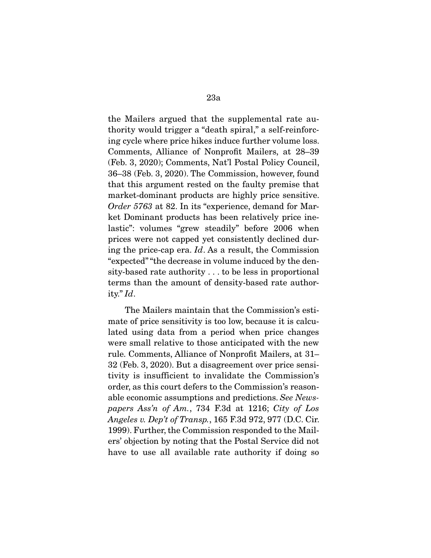the Mailers argued that the supplemental rate authority would trigger a "death spiral," a self-reinforcing cycle where price hikes induce further volume loss. Comments, Alliance of Nonprofit Mailers, at 28–39 (Feb. 3, 2020); Comments, Nat'l Postal Policy Council, 36–38 (Feb. 3, 2020). The Commission, however, found that this argument rested on the faulty premise that market-dominant products are highly price sensitive. Order 5763 at 82. In its "experience, demand for Market Dominant products has been relatively price inelastic": volumes "grew steadily" before 2006 when prices were not capped yet consistently declined during the price-cap era. Id. As a result, the Commission "expected" "the decrease in volume induced by the density-based rate authority . . . to be less in proportional terms than the amount of density-based rate authority." Id.

 The Mailers maintain that the Commission's estimate of price sensitivity is too low, because it is calculated using data from a period when price changes were small relative to those anticipated with the new rule. Comments, Alliance of Nonprofit Mailers, at 31– 32 (Feb. 3, 2020). But a disagreement over price sensitivity is insufficient to invalidate the Commission's order, as this court defers to the Commission's reasonable economic assumptions and predictions. See Newspapers Ass'n of Am., 734 F.3d at 1216; City of Los Angeles v. Dep't of Transp., 165 F.3d 972, 977 (D.C. Cir. 1999). Further, the Commission responded to the Mailers' objection by noting that the Postal Service did not have to use all available rate authority if doing so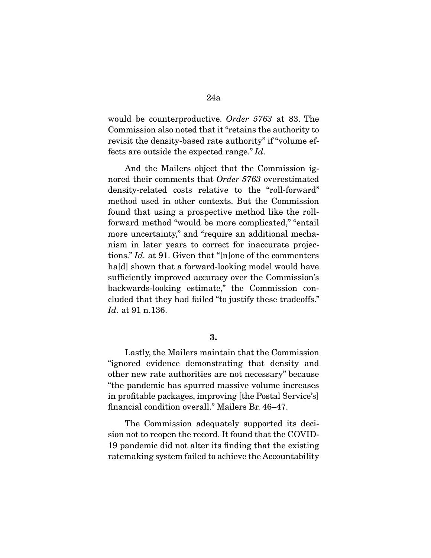would be counterproductive. Order 5763 at 83. The Commission also noted that it "retains the authority to revisit the density-based rate authority" if "volume effects are outside the expected range." Id.

 And the Mailers object that the Commission ignored their comments that Order 5763 overestimated density-related costs relative to the "roll-forward" method used in other contexts. But the Commission found that using a prospective method like the rollforward method "would be more complicated," "entail more uncertainty," and "require an additional mechanism in later years to correct for inaccurate projections." Id. at 91. Given that "[n]one of the commenters ha[d] shown that a forward-looking model would have sufficiently improved accuracy over the Commission's backwards-looking estimate," the Commission concluded that they had failed "to justify these tradeoffs." Id. at 91 n.136.

**3.** 

 Lastly, the Mailers maintain that the Commission "ignored evidence demonstrating that density and other new rate authorities are not necessary" because "the pandemic has spurred massive volume increases in profitable packages, improving [the Postal Service's] financial condition overall." Mailers Br. 46–47.

 The Commission adequately supported its decision not to reopen the record. It found that the COVID-19 pandemic did not alter its finding that the existing ratemaking system failed to achieve the Accountability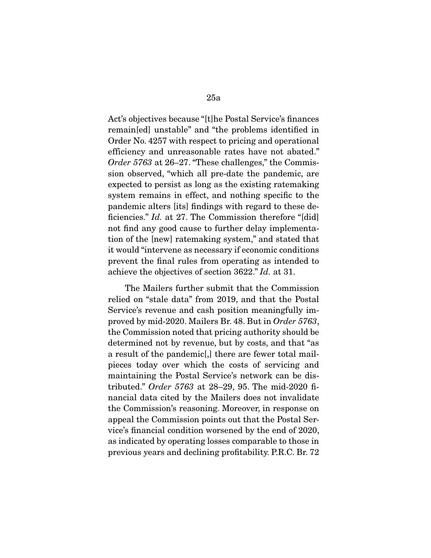Act's objectives because "[t]he Postal Service's finances remain[ed] unstable" and "the problems identified in Order No. 4257 with respect to pricing and operational efficiency and unreasonable rates have not abated." Order 5763 at 26–27. "These challenges," the Commission observed, "which all pre-date the pandemic, are expected to persist as long as the existing ratemaking system remains in effect, and nothing specific to the pandemic alters [its] findings with regard to these deficiencies." *Id.* at 27. The Commission therefore "[did] not find any good cause to further delay implementation of the [new] ratemaking system," and stated that it would "intervene as necessary if economic conditions prevent the final rules from operating as intended to achieve the objectives of section 3622." Id. at 31.

 The Mailers further submit that the Commission relied on "stale data" from 2019, and that the Postal Service's revenue and cash position meaningfully improved by mid-2020. Mailers Br. 48. But in Order 5763, the Commission noted that pricing authority should be determined not by revenue, but by costs, and that "as a result of the pandemic[,] there are fewer total mailpieces today over which the costs of servicing and maintaining the Postal Service's network can be distributed." Order 5763 at 28–29, 95. The mid-2020 financial data cited by the Mailers does not invalidate the Commission's reasoning. Moreover, in response on appeal the Commission points out that the Postal Service's financial condition worsened by the end of 2020, as indicated by operating losses comparable to those in previous years and declining profitability. P.R.C. Br. 72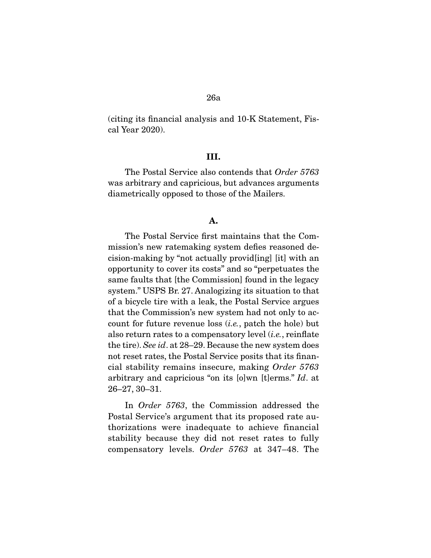(citing its financial analysis and 10-K Statement, Fiscal Year 2020).

### **III.**

 The Postal Service also contends that Order 5763 was arbitrary and capricious, but advances arguments diametrically opposed to those of the Mailers.

### **A.**

 The Postal Service first maintains that the Commission's new ratemaking system defies reasoned decision-making by "not actually provid[ing] [it] with an opportunity to cover its costs" and so "perpetuates the same faults that [the Commission] found in the legacy system." USPS Br. 27. Analogizing its situation to that of a bicycle tire with a leak, the Postal Service argues that the Commission's new system had not only to account for future revenue loss  $(i.e.,$  patch the hole) but also return rates to a compensatory level  $(i.e.,$  reinflate the tire). See id. at 28–29. Because the new system does not reset rates, the Postal Service posits that its financial stability remains insecure, making Order 5763 arbitrary and capricious "on its [o]wn [t]erms." Id. at 26–27, 30–31.

 In Order 5763, the Commission addressed the Postal Service's argument that its proposed rate authorizations were inadequate to achieve financial stability because they did not reset rates to fully compensatory levels. Order 5763 at 347–48. The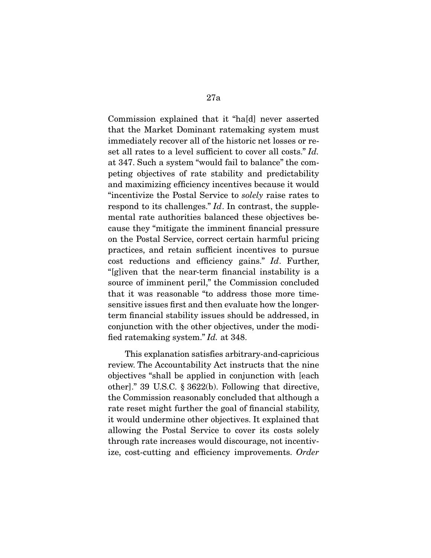Commission explained that it "ha[d] never asserted that the Market Dominant ratemaking system must immediately recover all of the historic net losses or reset all rates to a level sufficient to cover all costs." Id. at 347. Such a system "would fail to balance" the competing objectives of rate stability and predictability and maximizing efficiency incentives because it would "incentivize the Postal Service to solely raise rates to respond to its challenges." Id. In contrast, the supplemental rate authorities balanced these objectives because they "mitigate the imminent financial pressure on the Postal Service, correct certain harmful pricing practices, and retain sufficient incentives to pursue cost reductions and efficiency gains." Id. Further, "[g]iven that the near-term financial instability is a source of imminent peril," the Commission concluded that it was reasonable "to address those more timesensitive issues first and then evaluate how the longerterm financial stability issues should be addressed, in conjunction with the other objectives, under the modified ratemaking system." Id. at 348.

 This explanation satisfies arbitrary-and-capricious review. The Accountability Act instructs that the nine objectives "shall be applied in conjunction with [each other]." 39 U.S.C. § 3622(b). Following that directive, the Commission reasonably concluded that although a rate reset might further the goal of financial stability, it would undermine other objectives. It explained that allowing the Postal Service to cover its costs solely through rate increases would discourage, not incentivize, cost-cutting and efficiency improvements. Order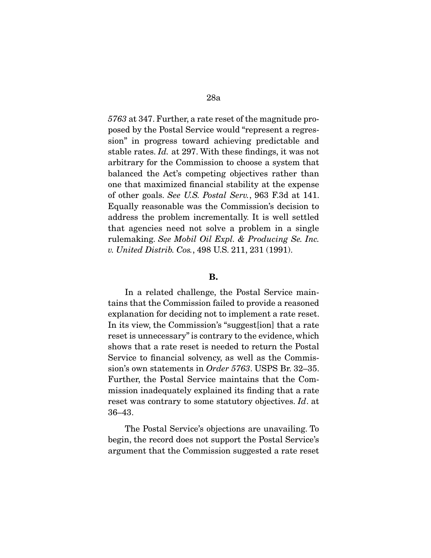5763 at 347. Further, a rate reset of the magnitude proposed by the Postal Service would "represent a regression" in progress toward achieving predictable and stable rates. Id. at 297. With these findings, it was not arbitrary for the Commission to choose a system that balanced the Act's competing objectives rather than one that maximized financial stability at the expense of other goals. See U.S. Postal Serv., 963 F.3d at 141. Equally reasonable was the Commission's decision to address the problem incrementally. It is well settled that agencies need not solve a problem in a single rulemaking. See Mobil Oil Expl. & Producing Se. Inc. v. United Distrib. Cos., 498 U.S. 211, 231 (1991).

#### **B.**

 In a related challenge, the Postal Service maintains that the Commission failed to provide a reasoned explanation for deciding not to implement a rate reset. In its view, the Commission's "suggest[ion] that a rate reset is unnecessary" is contrary to the evidence, which shows that a rate reset is needed to return the Postal Service to financial solvency, as well as the Commission's own statements in Order 5763. USPS Br. 32–35. Further, the Postal Service maintains that the Commission inadequately explained its finding that a rate reset was contrary to some statutory objectives. Id. at 36–43.

 The Postal Service's objections are unavailing. To begin, the record does not support the Postal Service's argument that the Commission suggested a rate reset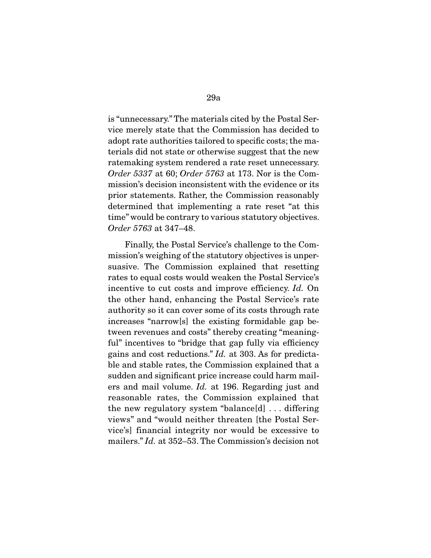is "unnecessary." The materials cited by the Postal Service merely state that the Commission has decided to adopt rate authorities tailored to specific costs; the materials did not state or otherwise suggest that the new ratemaking system rendered a rate reset unnecessary. Order 5337 at 60; Order 5763 at 173. Nor is the Commission's decision inconsistent with the evidence or its prior statements. Rather, the Commission reasonably determined that implementing a rate reset "at this time" would be contrary to various statutory objectives. Order 5763 at 347–48.

 Finally, the Postal Service's challenge to the Commission's weighing of the statutory objectives is unpersuasive. The Commission explained that resetting rates to equal costs would weaken the Postal Service's incentive to cut costs and improve efficiency. Id. On the other hand, enhancing the Postal Service's rate authority so it can cover some of its costs through rate increases "narrow[s] the existing formidable gap between revenues and costs" thereby creating "meaningful" incentives to "bridge that gap fully via efficiency gains and cost reductions." Id. at 303. As for predictable and stable rates, the Commission explained that a sudden and significant price increase could harm mailers and mail volume. Id. at 196. Regarding just and reasonable rates, the Commission explained that the new regulatory system "balance[d] . . . differing views" and "would neither threaten [the Postal Service's] financial integrity nor would be excessive to mailers." Id. at 352–53. The Commission's decision not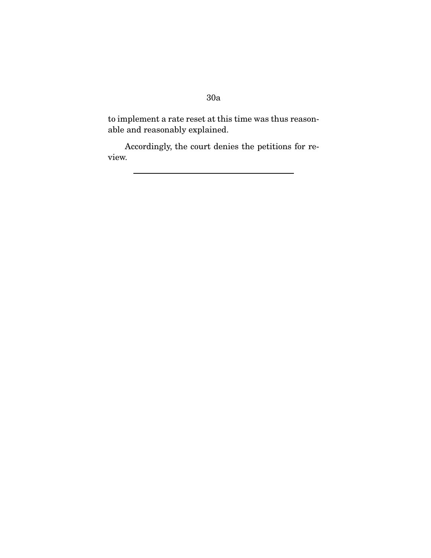to implement a rate reset at this time was thus reasonable and reasonably explained.

 Accordingly, the court denies the petitions for review.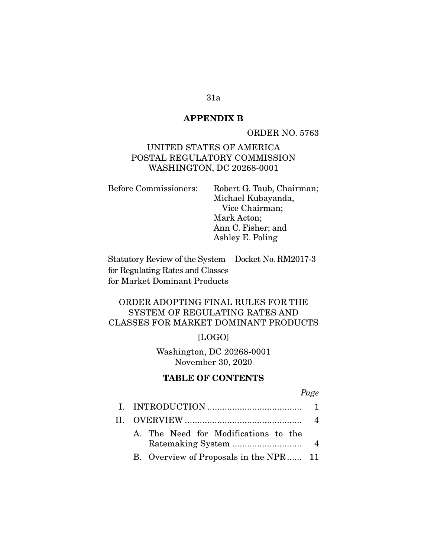## **APPENDIX B**

ORDER NO. 5763

## UNITED STATES OF AMERICA POSTAL REGULATORY COMMISSION WASHINGTON, DC 20268-0001

| <b>Before Commissioners:</b> | Robert G. Taub, Chairman; |
|------------------------------|---------------------------|
|                              | Michael Kubayanda,        |
|                              | Vice Chairman;            |
|                              | Mark Acton;               |
|                              | Ann C. Fisher; and        |
|                              | Ashley E. Poling          |
|                              |                           |

Statutory Review of the System Docket No. RM2017-3 for Regulating Rates and Classes for Market Dominant Products

## ORDER ADOPTING FINAL RULES FOR THE SYSTEM OF REGULATING RATES AND CLASSES FOR MARKET DOMINANT PRODUCTS

[LOGO]

Washington, DC 20268-0001 November 30, 2020

### **TABLE OF CONTENTS**

Page

|                                        | 4 |
|----------------------------------------|---|
| A. The Need for Modifications to the   |   |
| B. Overview of Proposals in the NPR 11 |   |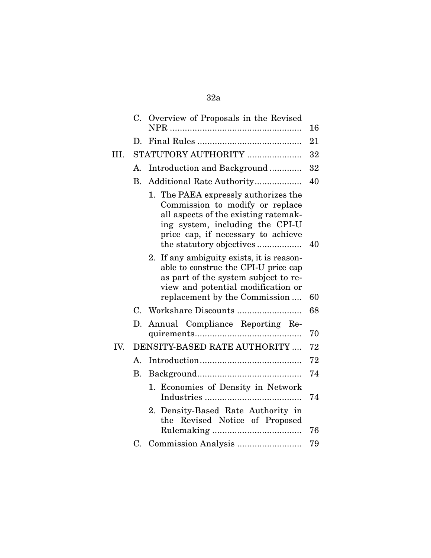|      | C.                   | Overview of Proposals in the Revised                                                                                                                                                                                 | 16 |
|------|----------------------|----------------------------------------------------------------------------------------------------------------------------------------------------------------------------------------------------------------------|----|
|      | D.                   |                                                                                                                                                                                                                      | 21 |
| III. |                      | STATUTORY AUTHORITY                                                                                                                                                                                                  | 32 |
|      | А.                   | Introduction and Background                                                                                                                                                                                          | 32 |
|      | <b>B.</b>            |                                                                                                                                                                                                                      | 40 |
|      |                      | 1. The PAEA expressly authorizes the<br>Commission to modify or replace<br>all aspects of the existing ratemak-<br>ing system, including the CPI-U<br>price cap, if necessary to achieve<br>the statutory objectives | 40 |
|      |                      | 2. If any ambiguity exists, it is reason-<br>able to construe the CPI-U price cap<br>as part of the system subject to re-<br>view and potential modification or<br>replacement by the Commission                     | 60 |
|      |                      |                                                                                                                                                                                                                      | 68 |
|      | D.                   | Annual Compliance Reporting Re-                                                                                                                                                                                      | 70 |
| IV.  |                      | DENSITY-BASED RATE AUTHORITY                                                                                                                                                                                         | 72 |
|      | $\mathbf{A}_{\cdot}$ |                                                                                                                                                                                                                      | 72 |
|      | B.                   |                                                                                                                                                                                                                      | 74 |
|      |                      | 1. Economies of Density in Network                                                                                                                                                                                   | 74 |
|      |                      | 2. Density-Based Rate Authority in<br>the Revised Notice of Proposed                                                                                                                                                 | 76 |
|      |                      |                                                                                                                                                                                                                      | 79 |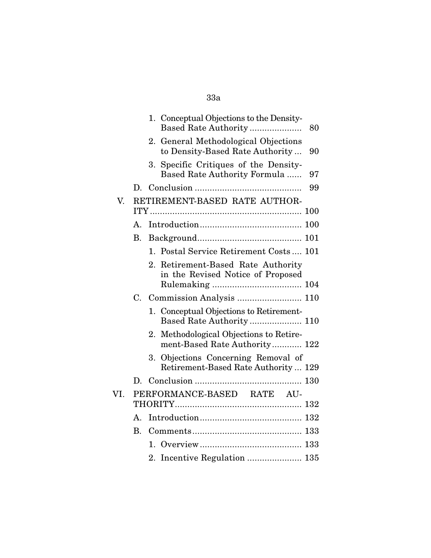| 1. Conceptual Objections to the Density-<br>Based Rate Authority<br>80      |
|-----------------------------------------------------------------------------|
| General Methodological Objections<br>to Density-Based Rate Authority<br>90  |
| Specific Critiques of the Density-<br>Based Rate Authority Formula<br>97    |
| 99                                                                          |
| RETIREMENT-BASED RATE AUTHOR-                                               |
|                                                                             |
|                                                                             |
| 1. Postal Service Retirement Costs 101                                      |
| 2. Retirement-Based Rate Authority                                          |
| in the Revised Notice of Proposed                                           |
|                                                                             |
|                                                                             |
| 1. Conceptual Objections to Retirement-<br>Based Rate Authority 110         |
| Methodological Objections to Retire-<br>ment-Based Rate Authority 122       |
| 3. Objections Concerning Removal of<br>Retirement-Based Rate Authority  129 |
|                                                                             |
| PERFORMANCE-BASED RATE AU-                                                  |
|                                                                             |
|                                                                             |
|                                                                             |
|                                                                             |
|                                                                             |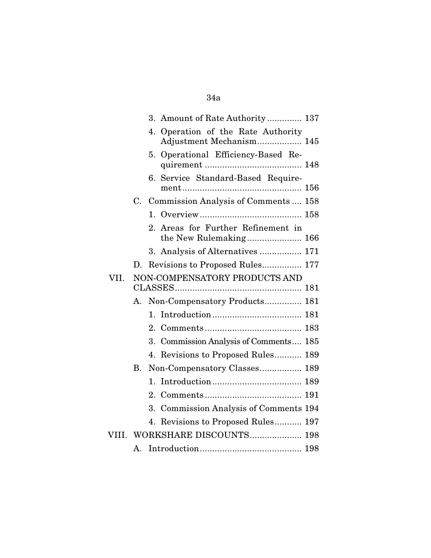|       |             | 3. Amount of Rate Authority 137                                   |
|-------|-------------|-------------------------------------------------------------------|
|       |             | Operation of the Rate Authority<br>4.<br>Adjustment Mechanism 145 |
|       |             | Operational Efficiency-Based Re-<br>5.                            |
|       |             | 6. Service Standard-Based Require-                                |
|       | C.          | Commission Analysis of Comments  158                              |
|       |             |                                                                   |
|       |             | Areas for Further Refinement in<br>2.<br>the New Rulemaking 166   |
|       |             | 3. Analysis of Alternatives  171                                  |
|       | $D_{\rm c}$ | Revisions to Proposed Rules 177                                   |
| VII.  |             | NON-COMPENSATORY PRODUCTS AND                                     |
|       |             |                                                                   |
|       | А.          | Non-Compensatory Products 181                                     |
|       |             | 1.                                                                |
|       |             | 2.                                                                |
|       |             | 3. Commission Analysis of Comments 185                            |
|       |             | Revisions to Proposed Rules 189<br>4.                             |
|       | <b>B.</b>   | Non-Compensatory Classes 189                                      |
|       |             | 1.                                                                |
|       |             |                                                                   |
|       |             | <b>Commission Analysis of Comments 194</b><br>3.                  |
|       |             | 4. Revisions to Proposed Rules 197                                |
| VIII. |             | WORKSHARE DISCOUNTS 198                                           |
|       | Α.          |                                                                   |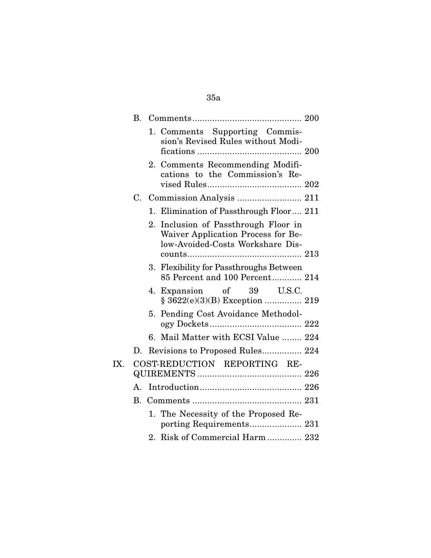|     | В.          |                                                                                                                   |
|-----|-------------|-------------------------------------------------------------------------------------------------------------------|
|     |             | 1. Comments Supporting Commis-<br>sion's Revised Rules without Modi-                                              |
|     |             | 2. Comments Recommending Modifi-<br>cations to the Commission's Re-                                               |
|     |             | C. Commission Analysis  211                                                                                       |
|     |             | 1. Elimination of Passthrough Floor 211                                                                           |
|     |             | Inclusion of Passthrough Floor in<br>2.<br>Waiver Application Process for Be-<br>low-Avoided-Costs Workshare Dis- |
|     |             | <b>Flexibility for Passthroughs Between</b><br>3.<br>85 Percent and 100 Percent 214                               |
|     |             | 4. Expansion of 39 U.S.C.                                                                                         |
|     |             | Pending Cost Avoidance Methodol-<br>5.                                                                            |
|     |             | 6. Mail Matter with ECSI Value  224                                                                               |
|     | D.          | Revisions to Proposed Rules 224                                                                                   |
| IX. |             | COST-REDUCTION REPORTING RE-                                                                                      |
|     | $A_{\cdot}$ |                                                                                                                   |
|     | B.          |                                                                                                                   |
|     |             | 1. The Necessity of the Proposed Re-<br>porting Requirements 231                                                  |
|     |             | 2. Risk of Commercial Harm 232                                                                                    |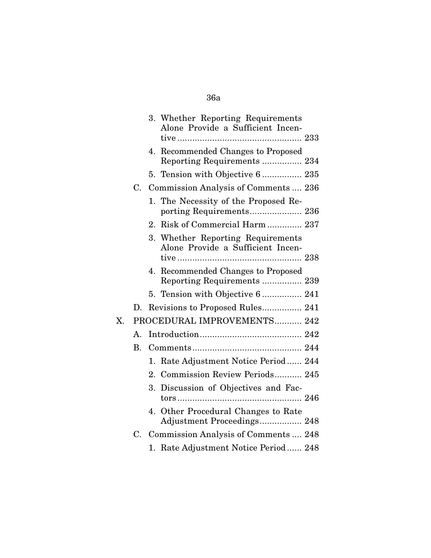|             |             | 3. Whether Reporting Requirements<br>Alone Provide a Sufficient Incen-    |
|-------------|-------------|---------------------------------------------------------------------------|
|             |             | 4. Recommended Changes to Proposed<br>Reporting Requirements  234         |
|             |             | 5. Tension with Objective 6  235                                          |
|             | C.          | Commission Analysis of Comments  236                                      |
|             |             | 1. The Necessity of the Proposed Re-                                      |
|             |             | Risk of Commercial Harm  237<br>2.                                        |
|             |             | Whether Reporting Requirements<br>3.<br>Alone Provide a Sufficient Incen- |
|             |             | 4. Recommended Changes to Proposed<br>Reporting Requirements  239         |
|             |             | 5. Tension with Objective 6  241                                          |
|             | D.          | Revisions to Proposed Rules 241                                           |
| $X_{\cdot}$ |             | PROCEDURAL IMPROVEMENTS 242                                               |
|             | $A_{\cdot}$ |                                                                           |
|             | $\rm B$ .   |                                                                           |
|             |             | 1. Rate Adjustment Notice Period 244                                      |
|             |             | 2. Commission Review Periods 245                                          |
|             |             | Discussion of Objectives and Fac-<br>3.                                   |
|             |             | 4. Other Procedural Changes to Rate<br>Adjustment Proceedings 248         |
|             | $C_{\cdot}$ | Commission Analysis of Comments  248                                      |
|             |             | 1. Rate Adjustment Notice Period 248                                      |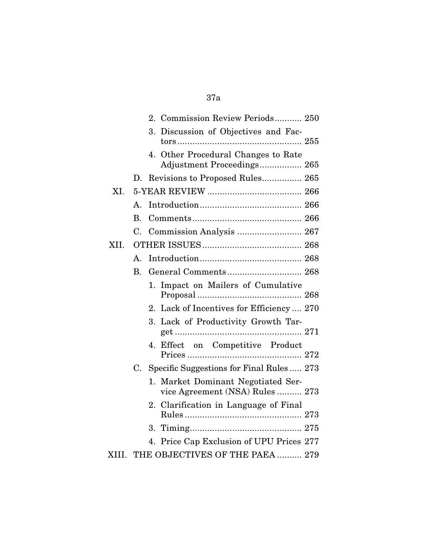## 37a

|       |                      | 2. Commission Review Periods 250                                      |
|-------|----------------------|-----------------------------------------------------------------------|
|       |                      | Discussion of Objectives and Fac-<br>3.                               |
|       |                      | 4. Other Procedural Changes to Rate<br>Adjustment Proceedings 265     |
|       | D.                   |                                                                       |
| XI.   |                      |                                                                       |
|       | $\mathbf{A}_{\cdot}$ |                                                                       |
|       | <b>B.</b>            |                                                                       |
|       | C.                   | Commission Analysis  267                                              |
| XII.  |                      |                                                                       |
|       | A.                   |                                                                       |
|       | B <sub>r</sub>       |                                                                       |
|       |                      | Impact on Mailers of Cumulative<br>1.                                 |
|       |                      | 2. Lack of Incentives for Efficiency  270                             |
|       |                      | $3_{-}$<br>Lack of Productivity Growth Tar-                           |
|       |                      | 4. Effect on Competitive Product                                      |
|       | C.                   | Specific Suggestions for Final Rules 273                              |
|       |                      | 1. Market Dominant Negotiated Ser-<br>vice Agreement (NSA) Rules  273 |
|       |                      | Clarification in Language of Final<br>$2_{-}$                         |
|       |                      |                                                                       |
|       |                      | 4. Price Cap Exclusion of UPU Prices 277                              |
| XIII. |                      | THE OBJECTIVES OF THE PAEA  279                                       |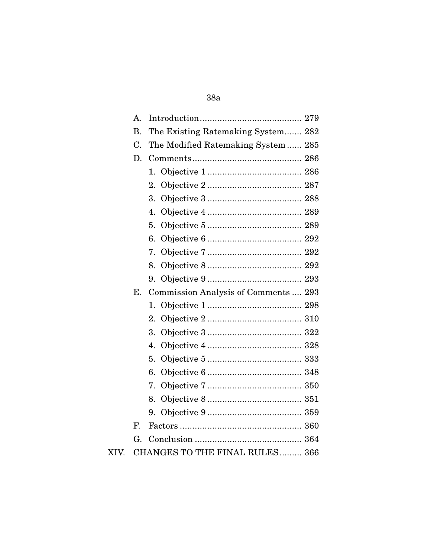### 38a

|      | $A_{\cdot}$ |                                      |
|------|-------------|--------------------------------------|
|      | <b>B.</b>   | The Existing Ratemaking System 282   |
|      | C.          | The Modified Ratemaking System 285   |
|      | D.          |                                      |
|      |             | 1.                                   |
|      |             | 2.                                   |
|      |             | 3.                                   |
|      |             | 4.                                   |
|      |             | 5.                                   |
|      |             | 6.                                   |
|      |             | 7.                                   |
|      |             | 8.                                   |
|      |             |                                      |
|      | Ε.          | Commission Analysis of Comments  293 |
|      |             | 1.                                   |
|      |             | 2.                                   |
|      |             | 3.                                   |
|      |             | 4.                                   |
|      |             | 5.                                   |
|      |             | 6.                                   |
|      |             | 7.                                   |
|      |             | 8.                                   |
|      |             | 9.                                   |
|      | F.          |                                      |
|      | G.          |                                      |
| XIV. |             | CHANGES TO THE FINAL RULES 366       |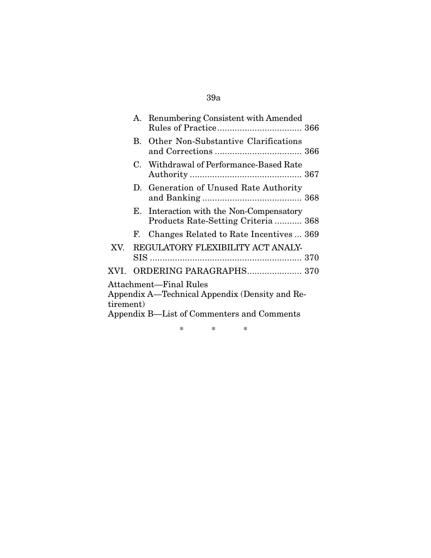# 39a

|                                                |  | A. Renumbering Consistent with Amended                                          |  |  |  |  |  |
|------------------------------------------------|--|---------------------------------------------------------------------------------|--|--|--|--|--|
|                                                |  | <b>B.</b> Other Non-Substantive Clarifications                                  |  |  |  |  |  |
|                                                |  | C. Withdrawal of Performance-Based Rate                                         |  |  |  |  |  |
|                                                |  | D. Generation of Unused Rate Authority                                          |  |  |  |  |  |
|                                                |  | E. Interaction with the Non-Compensatory<br>Products Rate-Setting Criteria  368 |  |  |  |  |  |
|                                                |  | F. Changes Related to Rate Incentives  369                                      |  |  |  |  |  |
| XV.                                            |  | REGULATORY FLEXIBILITY ACT ANALY-                                               |  |  |  |  |  |
|                                                |  |                                                                                 |  |  |  |  |  |
|                                                |  |                                                                                 |  |  |  |  |  |
| Attachment—Final Rules                         |  |                                                                                 |  |  |  |  |  |
| Appendix A—Technical Appendix (Density and Re- |  |                                                                                 |  |  |  |  |  |
| tirement)                                      |  |                                                                                 |  |  |  |  |  |
| Appendix B—List of Commenters and Comments     |  |                                                                                 |  |  |  |  |  |

\* \* \*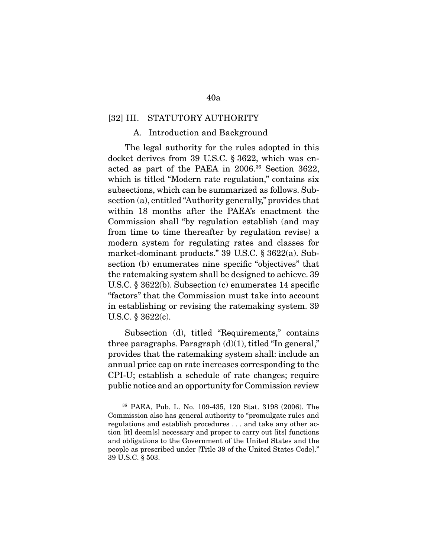#### [32] III. STATUTORY AUTHORITY

#### A. Introduction and Background

 The legal authority for the rules adopted in this docket derives from 39 U.S.C. § 3622, which was enacted as part of the PAEA in 2006.36 Section 3622, which is titled "Modern rate regulation," contains six subsections, which can be summarized as follows. Subsection (a), entitled "Authority generally," provides that within 18 months after the PAEA's enactment the Commission shall "by regulation establish (and may from time to time thereafter by regulation revise) a modern system for regulating rates and classes for market-dominant products." 39 U.S.C. § 3622(a). Subsection (b) enumerates nine specific "objectives" that the ratemaking system shall be designed to achieve. 39 U.S.C. § 3622(b). Subsection (c) enumerates 14 specific "factors" that the Commission must take into account in establishing or revising the ratemaking system. 39 U.S.C. § 3622(c).

 Subsection (d), titled "Requirements," contains three paragraphs. Paragraph  $(d)(1)$ , titled "In general," provides that the ratemaking system shall: include an annual price cap on rate increases corresponding to the CPI-U; establish a schedule of rate changes; require public notice and an opportunity for Commission review

<sup>36</sup> PAEA, Pub. L. No. 109-435, 120 Stat. 3198 (2006). The Commission also has general authority to "promulgate rules and regulations and establish procedures . . . and take any other action [it] deem[s] necessary and proper to carry out [its] functions and obligations to the Government of the United States and the people as prescribed under [Title 39 of the United States Code]." 39 U.S.C. § 503.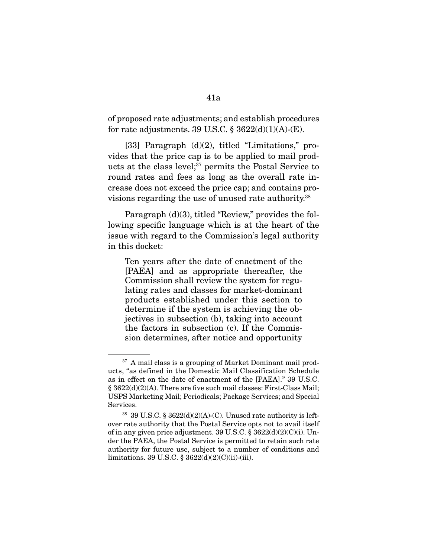of proposed rate adjustments; and establish procedures for rate adjustments. 39 U.S.C.  $\S 3622(d)(1)(A)$ -(E).

 [33] Paragraph (d)(2), titled "Limitations," provides that the price cap is to be applied to mail products at the class level;<sup>37</sup> permits the Postal Service to round rates and fees as long as the overall rate increase does not exceed the price cap; and contains provisions regarding the use of unused rate authority.38

 Paragraph (d)(3), titled "Review," provides the following specific language which is at the heart of the issue with regard to the Commission's legal authority in this docket:

Ten years after the date of enactment of the [PAEA] and as appropriate thereafter, the Commission shall review the system for regulating rates and classes for market-dominant products established under this section to determine if the system is achieving the objectives in subsection (b), taking into account the factors in subsection (c). If the Commission determines, after notice and opportunity

<sup>&</sup>lt;sup>37</sup> A mail class is a grouping of Market Dominant mail products, "as defined in the Domestic Mail Classification Schedule as in effect on the date of enactment of the [PAEA]." 39 U.S.C. § 3622(d)(2)(A). There are five such mail classes: First-Class Mail; USPS Marketing Mail; Periodicals; Package Services; and Special Services.

<sup>38</sup> 39 U.S.C. § 3622(d)(2)(A)-(C). Unused rate authority is leftover rate authority that the Postal Service opts not to avail itself of in any given price adjustment. 39 U.S.C. § 3622(d)(2)(C)(i). Under the PAEA, the Postal Service is permitted to retain such rate authority for future use, subject to a number of conditions and limitations. 39 U.S.C. § 3622(d)(2)(C)(ii)-(iii).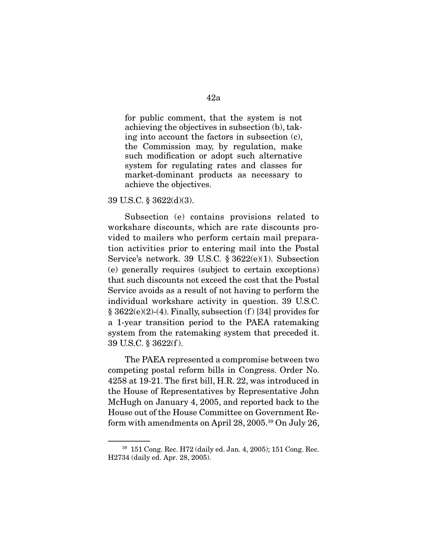for public comment, that the system is not achieving the objectives in subsection (b), taking into account the factors in subsection (c), the Commission may, by regulation, make such modification or adopt such alternative system for regulating rates and classes for market-dominant products as necessary to achieve the objectives.

39 U.S.C. § 3622(d)(3).

 Subsection (e) contains provisions related to workshare discounts, which are rate discounts provided to mailers who perform certain mail preparation activities prior to entering mail into the Postal Service's network. 39 U.S.C. § 3622(e)(1). Subsection (e) generally requires (subject to certain exceptions) that such discounts not exceed the cost that the Postal Service avoids as a result of not having to perform the individual workshare activity in question. 39 U.S.C.  $§ 3622(e)(2)-(4)$ . Finally, subsection (f) [34] provides for a 1-year transition period to the PAEA ratemaking system from the ratemaking system that preceded it. 39 U.S.C. § 3622(f ).

 The PAEA represented a compromise between two competing postal reform bills in Congress. Order No. 4258 at 19-21. The first bill, H.R. 22, was introduced in the House of Representatives by Representative John McHugh on January 4, 2005, and reported back to the House out of the House Committee on Government Reform with amendments on April 28, 2005.39 On July 26,

<sup>39</sup> 151 Cong. Rec. H72 (daily ed. Jan. 4, 2005); 151 Cong. Rec. H2734 (daily ed. Apr. 28, 2005).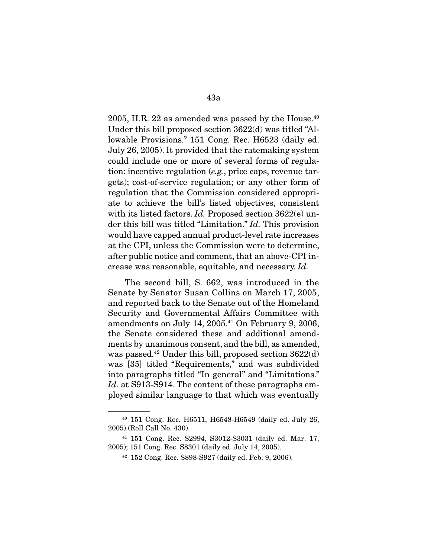$2005$ , H.R. 22 as amended was passed by the House.<sup>40</sup> Under this bill proposed section 3622(d) was titled "Allowable Provisions." 151 Cong. Rec. H6523 (daily ed. July 26, 2005). It provided that the ratemaking system could include one or more of several forms of regulation: incentive regulation (e.g., price caps, revenue targets); cost-of-service regulation; or any other form of regulation that the Commission considered appropriate to achieve the bill's listed objectives, consistent with its listed factors. Id. Proposed section 3622(e) under this bill was titled "Limitation." Id. This provision would have capped annual product-level rate increases at the CPI, unless the Commission were to determine, after public notice and comment, that an above-CPI increase was reasonable, equitable, and necessary. Id.

 The second bill, S. 662, was introduced in the Senate by Senator Susan Collins on March 17, 2005, and reported back to the Senate out of the Homeland Security and Governmental Affairs Committee with amendments on July 14,  $2005.<sup>41</sup>$  On February 9, 2006, the Senate considered these and additional amendments by unanimous consent, and the bill, as amended, was passed.<sup>42</sup> Under this bill, proposed section  $3622(d)$ was [35] titled "Requirements," and was subdivided into paragraphs titled "In general" and "Limitations." Id. at S913-S914. The content of these paragraphs employed similar language to that which was eventually

<sup>40</sup> 151 Cong. Rec. H6511, H6548-H6549 (daily ed. July 26, 2005) (Roll Call No. 430).

<sup>41</sup> 151 Cong. Rec. S2994, S3012-S3031 (daily ed. Mar. 17, 2005); 151 Cong. Rec. S8301 (daily ed. July 14, 2005).

<sup>42</sup> 152 Cong. Rec. S898-S927 (daily ed. Feb. 9, 2006).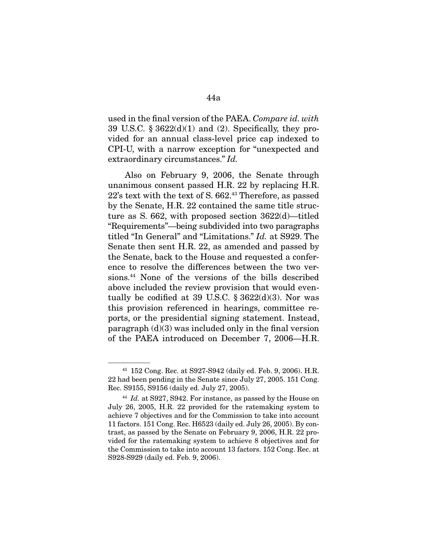used in the final version of the PAEA. Compare id. with 39 U.S.C.  $\S 3622(d)(1)$  and (2). Specifically, they provided for an annual class-level price cap indexed to CPI-U, with a narrow exception for "unexpected and extraordinary circumstances." Id.

 Also on February 9, 2006, the Senate through unanimous consent passed H.R. 22 by replacing H.R. 22's text with the text of S. 662.43 Therefore, as passed by the Senate, H.R. 22 contained the same title structure as S. 662, with proposed section 3622(d)—titled "Requirements"—being subdivided into two paragraphs titled "In General" and "Limitations." Id. at S929. The Senate then sent H.R. 22, as amended and passed by the Senate, back to the House and requested a conference to resolve the differences between the two versions.44 None of the versions of the bills described above included the review provision that would eventually be codified at 39 U.S.C.  $\S 3622(d)(3)$ . Nor was this provision referenced in hearings, committee reports, or the presidential signing statement. Instead, paragraph  $(d)(3)$  was included only in the final version of the PAEA introduced on December 7, 2006—H.R.

<sup>43</sup> 152 Cong. Rec. at S927-S942 (daily ed. Feb. 9, 2006). H.R. 22 had been pending in the Senate since July 27, 2005. 151 Cong. Rec. S9155, S9156 (daily ed. July 27, 2005).

 $44$  Id. at S927, S942. For instance, as passed by the House on July 26, 2005, H.R. 22 provided for the ratemaking system to achieve 7 objectives and for the Commission to take into account 11 factors. 151 Cong. Rec. H6523 (daily ed. July 26, 2005). By contrast, as passed by the Senate on February 9, 2006, H.R. 22 provided for the ratemaking system to achieve 8 objectives and for the Commission to take into account 13 factors. 152 Cong. Rec. at S928-S929 (daily ed. Feb. 9, 2006).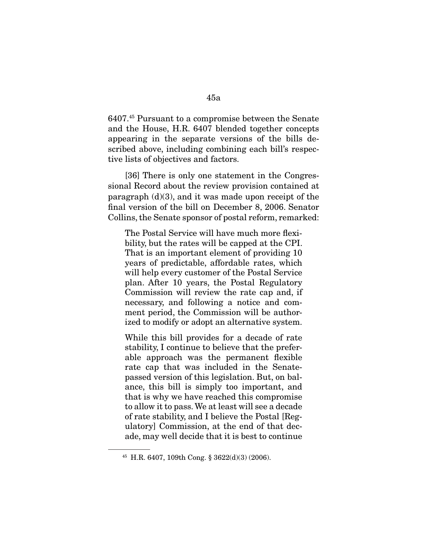6407.45 Pursuant to a compromise between the Senate and the House, H.R. 6407 blended together concepts appearing in the separate versions of the bills described above, including combining each bill's respective lists of objectives and factors.

 [36] There is only one statement in the Congressional Record about the review provision contained at paragraph  $(d)(3)$ , and it was made upon receipt of the final version of the bill on December 8, 2006. Senator Collins, the Senate sponsor of postal reform, remarked:

The Postal Service will have much more flexibility, but the rates will be capped at the CPI. That is an important element of providing 10 years of predictable, affordable rates, which will help every customer of the Postal Service plan. After 10 years, the Postal Regulatory Commission will review the rate cap and, if necessary, and following a notice and comment period, the Commission will be authorized to modify or adopt an alternative system.

While this bill provides for a decade of rate stability, I continue to believe that the preferable approach was the permanent flexible rate cap that was included in the Senatepassed version of this legislation. But, on balance, this bill is simply too important, and that is why we have reached this compromise to allow it to pass. We at least will see a decade of rate stability, and I believe the Postal [Regulatory] Commission, at the end of that decade, may well decide that it is best to continue

<sup>45</sup> H.R. 6407, 109th Cong. § 3622(d)(3) (2006).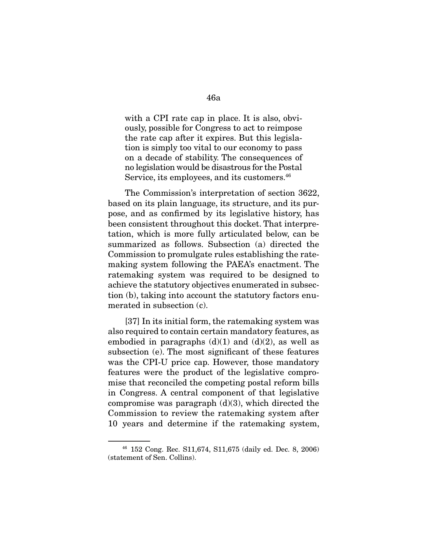with a CPI rate cap in place. It is also, obviously, possible for Congress to act to reimpose the rate cap after it expires. But this legislation is simply too vital to our economy to pass on a decade of stability. The consequences of no legislation would be disastrous for the Postal Service, its employees, and its customers.<sup>46</sup>

 The Commission's interpretation of section 3622, based on its plain language, its structure, and its purpose, and as confirmed by its legislative history, has been consistent throughout this docket. That interpretation, which is more fully articulated below, can be summarized as follows. Subsection (a) directed the Commission to promulgate rules establishing the ratemaking system following the PAEA's enactment. The ratemaking system was required to be designed to achieve the statutory objectives enumerated in subsection (b), taking into account the statutory factors enumerated in subsection (c).

 [37] In its initial form, the ratemaking system was also required to contain certain mandatory features, as embodied in paragraphs  $(d)(1)$  and  $(d)(2)$ , as well as subsection (e). The most significant of these features was the CPI-U price cap. However, those mandatory features were the product of the legislative compromise that reconciled the competing postal reform bills in Congress. A central component of that legislative compromise was paragraph  $(d)(3)$ , which directed the Commission to review the ratemaking system after 10 years and determine if the ratemaking system,

<sup>46</sup> 152 Cong. Rec. S11,674, S11,675 (daily ed. Dec. 8, 2006) (statement of Sen. Collins).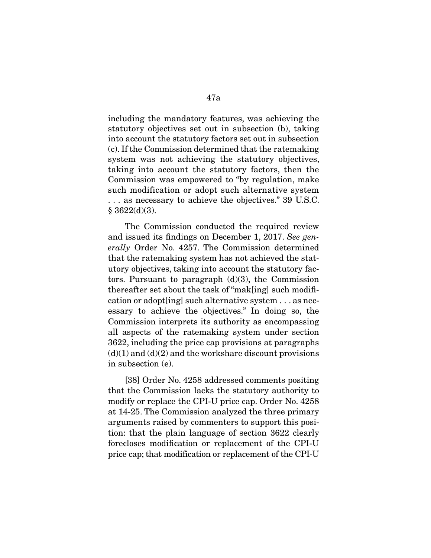including the mandatory features, was achieving the statutory objectives set out in subsection (b), taking into account the statutory factors set out in subsection (c). If the Commission determined that the ratemaking system was not achieving the statutory objectives, taking into account the statutory factors, then the Commission was empowered to "by regulation, make such modification or adopt such alternative system . . . as necessary to achieve the objectives." 39 U.S.C.  $§ 3622(d)(3).$ 

 The Commission conducted the required review and issued its findings on December 1, 2017. See generally Order No. 4257. The Commission determined that the ratemaking system has not achieved the statutory objectives, taking into account the statutory factors. Pursuant to paragraph  $(d)(3)$ , the Commission thereafter set about the task of "mak[ing] such modification or adopt[ing] such alternative system . . . as necessary to achieve the objectives." In doing so, the Commission interprets its authority as encompassing all aspects of the ratemaking system under section 3622, including the price cap provisions at paragraphs  $(d)(1)$  and  $(d)(2)$  and the workshare discount provisions in subsection (e).

 [38] Order No. 4258 addressed comments positing that the Commission lacks the statutory authority to modify or replace the CPI-U price cap. Order No. 4258 at 14-25. The Commission analyzed the three primary arguments raised by commenters to support this position: that the plain language of section 3622 clearly forecloses modification or replacement of the CPI-U price cap; that modification or replacement of the CPI-U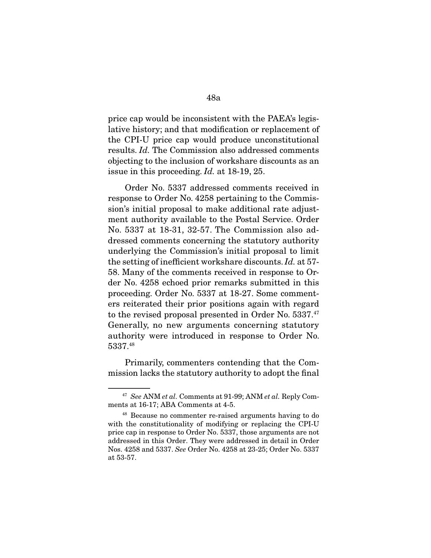price cap would be inconsistent with the PAEA's legislative history; and that modification or replacement of the CPI-U price cap would produce unconstitutional results. Id. The Commission also addressed comments objecting to the inclusion of workshare discounts as an issue in this proceeding. Id. at 18-19, 25.

 Order No. 5337 addressed comments received in response to Order No. 4258 pertaining to the Commission's initial proposal to make additional rate adjustment authority available to the Postal Service. Order No. 5337 at 18-31, 32-57. The Commission also addressed comments concerning the statutory authority underlying the Commission's initial proposal to limit the setting of inefficient workshare discounts. Id. at 57- 58. Many of the comments received in response to Order No. 4258 echoed prior remarks submitted in this proceeding. Order No. 5337 at 18-27. Some commenters reiterated their prior positions again with regard to the revised proposal presented in Order No. 5337.47 Generally, no new arguments concerning statutory authority were introduced in response to Order No. 5337.48

 Primarily, commenters contending that the Commission lacks the statutory authority to adopt the final

 $47$  See ANM et al. Comments at 91-99; ANM et al. Reply Comments at 16-17; ABA Comments at 4-5.

<sup>48</sup> Because no commenter re-raised arguments having to do with the constitutionality of modifying or replacing the CPI-U price cap in response to Order No. 5337, those arguments are not addressed in this Order. They were addressed in detail in Order Nos. 4258 and 5337. See Order No. 4258 at 23-25; Order No. 5337 at 53-57.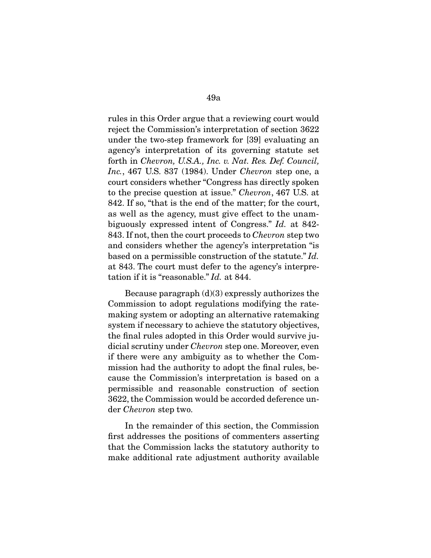rules in this Order argue that a reviewing court would reject the Commission's interpretation of section 3622 under the two-step framework for [39] evaluating an agency's interpretation of its governing statute set forth in Chevron, U.S.A., Inc. v. Nat. Res. Def. Council, Inc., 467 U.S. 837 (1984). Under Chevron step one, a court considers whether "Congress has directly spoken to the precise question at issue." Chevron, 467 U.S. at 842. If so, "that is the end of the matter; for the court, as well as the agency, must give effect to the unambiguously expressed intent of Congress." Id. at 842- 843. If not, then the court proceeds to Chevron step two and considers whether the agency's interpretation "is based on a permissible construction of the statute." Id. at 843. The court must defer to the agency's interpretation if it is "reasonable." Id. at 844.

 Because paragraph (d)(3) expressly authorizes the Commission to adopt regulations modifying the ratemaking system or adopting an alternative ratemaking system if necessary to achieve the statutory objectives, the final rules adopted in this Order would survive judicial scrutiny under Chevron step one. Moreover, even if there were any ambiguity as to whether the Commission had the authority to adopt the final rules, because the Commission's interpretation is based on a permissible and reasonable construction of section 3622, the Commission would be accorded deference under Chevron step two.

 In the remainder of this section, the Commission first addresses the positions of commenters asserting that the Commission lacks the statutory authority to make additional rate adjustment authority available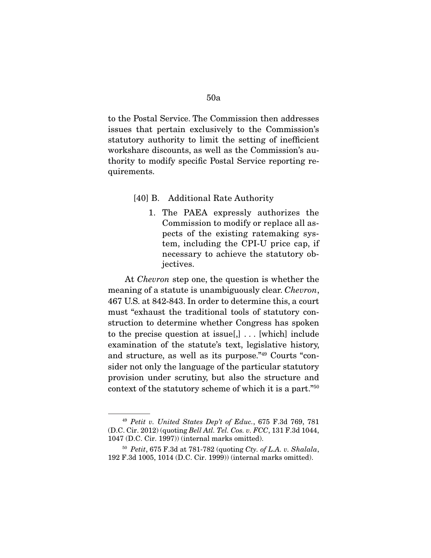to the Postal Service. The Commission then addresses issues that pertain exclusively to the Commission's statutory authority to limit the setting of inefficient workshare discounts, as well as the Commission's authority to modify specific Postal Service reporting requirements.

#### [40] B. Additional Rate Authority

1. The PAEA expressly authorizes the Commission to modify or replace all aspects of the existing ratemaking system, including the CPI-U price cap, if necessary to achieve the statutory objectives.

 At Chevron step one, the question is whether the meaning of a statute is unambiguously clear. Chevron, 467 U.S. at 842-843. In order to determine this, a court must "exhaust the traditional tools of statutory construction to determine whether Congress has spoken to the precise question at issue[,]  $\ldots$  [which] include examination of the statute's text, legislative history, and structure, as well as its purpose."49 Courts "consider not only the language of the particular statutory provision under scrutiny, but also the structure and context of the statutory scheme of which it is a part."50

 $49$  Petit v. United States Dep't of Educ., 675 F.3d 769, 781 (D.C. Cir. 2012) (quoting Bell Atl. Tel. Cos. v. FCC, 131 F.3d 1044, 1047 (D.C. Cir. 1997)) (internal marks omitted).

 $50$  Petit, 675 F.3d at 781-782 (quoting Cty. of L.A. v. Shalala, 192 F.3d 1005, 1014 (D.C. Cir. 1999)) (internal marks omitted).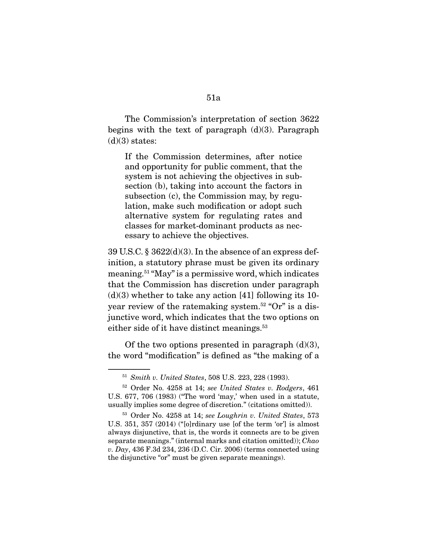The Commission's interpretation of section 3622 begins with the text of paragraph  $(d)(3)$ . Paragraph  $(d)(3)$  states:

If the Commission determines, after notice and opportunity for public comment, that the system is not achieving the objectives in subsection (b), taking into account the factors in subsection (c), the Commission may, by regulation, make such modification or adopt such alternative system for regulating rates and classes for market-dominant products as necessary to achieve the objectives.

39 U.S.C.  $\S 3622(d)(3)$ . In the absence of an express definition, a statutory phrase must be given its ordinary meaning.51 "May" is a permissive word, which indicates that the Commission has discretion under paragraph  $(d)(3)$  whether to take any action [41] following its 10year review of the ratemaking system.52 "Or" is a disjunctive word, which indicates that the two options on either side of it have distinct meanings.<sup>53</sup>

Of the two options presented in paragraph  $(d)(3)$ , the word "modification" is defined as "the making of a

<sup>51</sup> Smith v. United States, 508 U.S. 223, 228 (1993).

<sup>52</sup> Order No. 4258 at 14; see United States v. Rodgers, 461 U.S. 677, 706 (1983) ("The word 'may,' when used in a statute, usually implies some degree of discretion." (citations omitted)).

<sup>53</sup> Order No. 4258 at 14; see Loughrin v. United States, 573 U.S. 351, 357 (2014) ("[o]rdinary use [of the term 'or'] is almost always disjunctive, that is, the words it connects are to be given separate meanings." (internal marks and citation omitted)); Chao v. Day, 436 F.3d 234, 236 (D.C. Cir. 2006) (terms connected using the disjunctive "or" must be given separate meanings).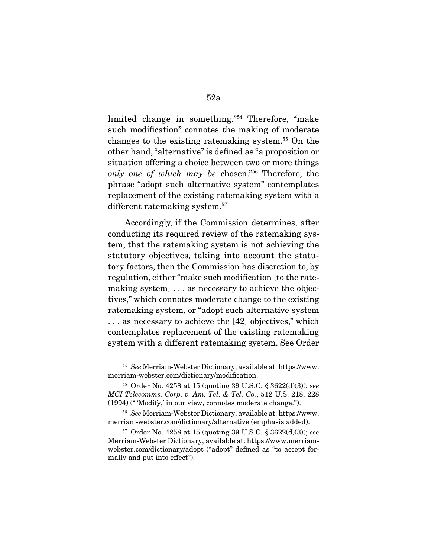limited change in something."54 Therefore, "make such modification" connotes the making of moderate changes to the existing ratemaking system.55 On the other hand, "alternative" is defined as "a proposition or situation offering a choice between two or more things only one of which may be chosen."56 Therefore, the phrase "adopt such alternative system" contemplates replacement of the existing ratemaking system with a different ratemaking system.<sup>57</sup>

 Accordingly, if the Commission determines, after conducting its required review of the ratemaking system, that the ratemaking system is not achieving the statutory objectives, taking into account the statutory factors, then the Commission has discretion to, by regulation, either "make such modification [to the ratemaking system] . . . as necessary to achieve the objectives," which connotes moderate change to the existing ratemaking system, or "adopt such alternative system . . . as necessary to achieve the [42] objectives," which contemplates replacement of the existing ratemaking system with a different ratemaking system. See Order

<sup>54</sup> See Merriam-Webster Dictionary, available at: https://www. merriam-webster.com/dictionary/modification.

 $55$  Order No. 4258 at 15 (quoting 39 U.S.C. § 3622(d)(3)); see MCI Telecomms. Corp. v. Am. Tel. & Tel. Co., 512 U.S. 218, 228 (1994) (" 'Modify,' in our view, connotes moderate change.").

<sup>56</sup> See Merriam-Webster Dictionary, available at: https://www. merriam-webster.com/dictionary/alternative (emphasis added).

 $57$  Order No. 4258 at 15 (quoting 39 U.S.C. § 3622(d)(3)); see Merriam-Webster Dictionary, available at: https://www.merriamwebster.com/dictionary/adopt ("adopt" defined as "to accept formally and put into effect").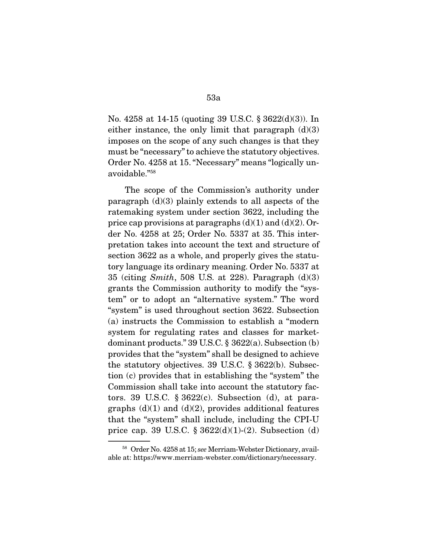No. 4258 at 14-15 (quoting 39 U.S.C. § 3622(d)(3)). In either instance, the only limit that paragraph  $(d)(3)$ imposes on the scope of any such changes is that they must be "necessary" to achieve the statutory objectives. Order No. 4258 at 15. "Necessary" means "logically unavoidable."58

 The scope of the Commission's authority under paragraph (d)(3) plainly extends to all aspects of the ratemaking system under section 3622, including the price cap provisions at paragraphs  $(d)(1)$  and  $(d)(2)$ . Order No. 4258 at 25; Order No. 5337 at 35. This interpretation takes into account the text and structure of section 3622 as a whole, and properly gives the statutory language its ordinary meaning. Order No. 5337 at 35 (citing Smith, 508 U.S. at 228). Paragraph  $(d)(3)$ grants the Commission authority to modify the "system" or to adopt an "alternative system." The word "system" is used throughout section 3622. Subsection (a) instructs the Commission to establish a "modern system for regulating rates and classes for marketdominant products." 39 U.S.C. § 3622(a). Subsection (b) provides that the "system" shall be designed to achieve the statutory objectives. 39 U.S.C. § 3622(b). Subsection (c) provides that in establishing the "system" the Commission shall take into account the statutory factors. 39 U.S.C.  $\S 3622(c)$ . Subsection (d), at paragraphs  $(d)(1)$  and  $(d)(2)$ , provides additional features that the "system" shall include, including the CPI-U price cap. 39 U.S.C.  $\S 3622(d)(1)-(2)$ . Subsection (d)

<sup>58</sup> Order No. 4258 at 15; see Merriam-Webster Dictionary, available at: https://www.merriam-webster.com/dictionary/necessary.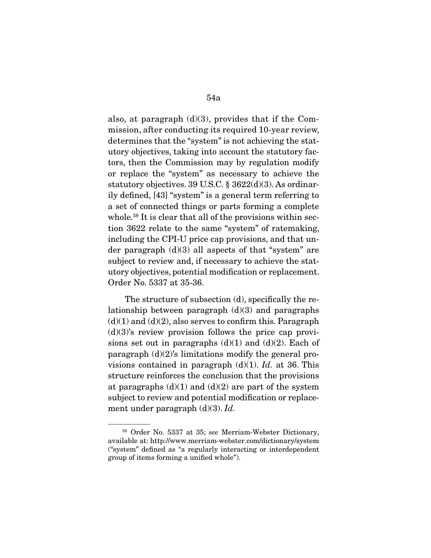also, at paragraph  $(d)(3)$ , provides that if the Commission, after conducting its required 10-year review, determines that the "system" is not achieving the statutory objectives, taking into account the statutory factors, then the Commission may by regulation modify or replace the "system" as necessary to achieve the statutory objectives. 39 U.S.C. § 3622(d)(3). As ordinarily defined, [43] "system" is a general term referring to a set of connected things or parts forming a complete whole.<sup>59</sup> It is clear that all of the provisions within section 3622 relate to the same "system" of ratemaking, including the CPI-U price cap provisions, and that under paragraph  $(d)(3)$  all aspects of that "system" are subject to review and, if necessary to achieve the statutory objectives, potential modification or replacement. Order No. 5337 at 35-36.

 The structure of subsection (d), specifically the relationship between paragraph  $(d)(3)$  and paragraphs  $(d)(1)$  and  $(d)(2)$ , also serves to confirm this. Paragraph  $(d)(3)$ 's review provision follows the price cap provisions set out in paragraphs  $(d)(1)$  and  $(d)(2)$ . Each of paragraph  $(d)(2)$ 's limitations modify the general provisions contained in paragraph  $(d)(1)$ . Id. at 36. This structure reinforces the conclusion that the provisions at paragraphs  $(d)(1)$  and  $(d)(2)$  are part of the system subject to review and potential modification or replacement under paragraph  $(d)(3)$ . Id.

<sup>59</sup> Order No. 5337 at 35; see Merriam-Webster Dictionary, available at: http://www.merriam-webster.com/dictionary/system ("system" defined as "a regularly interacting or interdependent group of items forming a unified whole").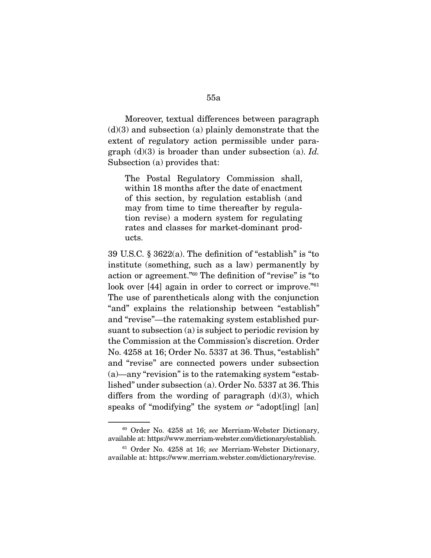Moreover, textual differences between paragraph  $(d)(3)$  and subsection (a) plainly demonstrate that the extent of regulatory action permissible under paragraph  $(d)(3)$  is broader than under subsection (a). Id. Subsection (a) provides that:

The Postal Regulatory Commission shall, within 18 months after the date of enactment of this section, by regulation establish (and may from time to time thereafter by regulation revise) a modern system for regulating rates and classes for market-dominant products.

39 U.S.C. § 3622(a). The definition of "establish" is "to institute (something, such as a law) permanently by action or agreement."60 The definition of "revise" is "to look over [44] again in order to correct or improve."<sup>61</sup> The use of parentheticals along with the conjunction "and" explains the relationship between "establish" and "revise"—the ratemaking system established pursuant to subsection (a) is subject to periodic revision by the Commission at the Commission's discretion. Order No. 4258 at 16; Order No. 5337 at 36. Thus, "establish" and "revise" are connected powers under subsection (a)—any "revision" is to the ratemaking system "established" under subsection (a). Order No. 5337 at 36. This differs from the wording of paragraph  $(d)(3)$ , which speaks of "modifying" the system or "adopt[ing] [an]

<sup>60</sup> Order No. 4258 at 16; see Merriam-Webster Dictionary, available at: https://www.merriam-webster.com/dictionary/establish.

<sup>&</sup>lt;sup>61</sup> Order No. 4258 at 16; see Merriam-Webster Dictionary, available at: https://www.merriam.webster.com/dictionary/revise.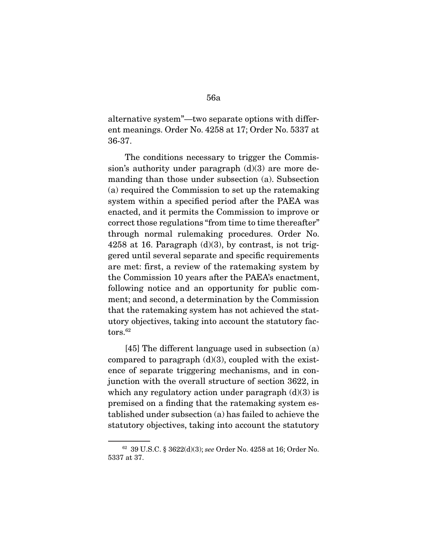alternative system"—two separate options with different meanings. Order No. 4258 at 17; Order No. 5337 at 36-37.

 The conditions necessary to trigger the Commission's authority under paragraph  $(d)(3)$  are more demanding than those under subsection (a). Subsection (a) required the Commission to set up the ratemaking system within a specified period after the PAEA was enacted, and it permits the Commission to improve or correct those regulations "from time to time thereafter" through normal rulemaking procedures. Order No. 4258 at 16. Paragraph  $(d)(3)$ , by contrast, is not triggered until several separate and specific requirements are met: first, a review of the ratemaking system by the Commission 10 years after the PAEA's enactment, following notice and an opportunity for public comment; and second, a determination by the Commission that the ratemaking system has not achieved the statutory objectives, taking into account the statutory factors.<sup>62</sup>

 [45] The different language used in subsection (a) compared to paragraph  $(d)(3)$ , coupled with the existence of separate triggering mechanisms, and in conjunction with the overall structure of section 3622, in which any regulatory action under paragraph  $(d)(3)$  is premised on a finding that the ratemaking system established under subsection (a) has failed to achieve the statutory objectives, taking into account the statutory

<sup>62</sup> 39 U.S.C. § 3622(d)(3); see Order No. 4258 at 16; Order No. 5337 at 37.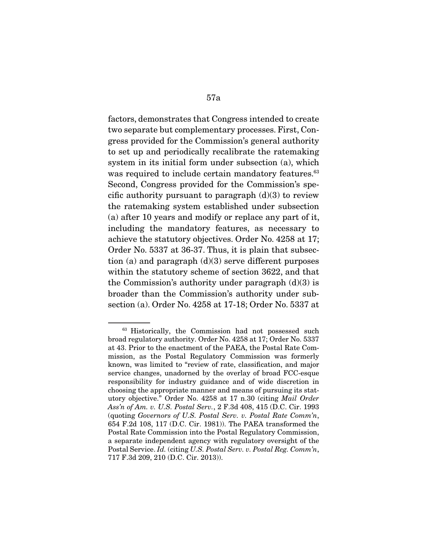factors, demonstrates that Congress intended to create two separate but complementary processes. First, Congress provided for the Commission's general authority to set up and periodically recalibrate the ratemaking system in its initial form under subsection (a), which was required to include certain mandatory features.<sup>63</sup> Second, Congress provided for the Commission's specific authority pursuant to paragraph  $(d)(3)$  to review the ratemaking system established under subsection (a) after 10 years and modify or replace any part of it, including the mandatory features, as necessary to achieve the statutory objectives. Order No. 4258 at 17; Order No. 5337 at 36-37. Thus, it is plain that subsection (a) and paragraph  $(d)(3)$  serve different purposes within the statutory scheme of section 3622, and that the Commission's authority under paragraph  $(d)(3)$  is broader than the Commission's authority under subsection (a). Order No. 4258 at 17-18; Order No. 5337 at

<sup>&</sup>lt;sup>63</sup> Historically, the Commission had not possessed such broad regulatory authority. Order No. 4258 at 17; Order No. 5337 at 43. Prior to the enactment of the PAEA, the Postal Rate Commission, as the Postal Regulatory Commission was formerly known, was limited to "review of rate, classification, and major service changes, unadorned by the overlay of broad FCC-esque responsibility for industry guidance and of wide discretion in choosing the appropriate manner and means of pursuing its statutory objective." Order No. 4258 at 17 n.30 (citing Mail Order Ass'n of Am. v. U.S. Postal Serv., 2 F.3d 408, 415 (D.C. Cir. 1993 (quoting Governors of U.S. Postal Serv. v. Postal Rate Comm'n, 654 F.2d 108, 117 (D.C. Cir. 1981)). The PAEA transformed the Postal Rate Commission into the Postal Regulatory Commission, a separate independent agency with regulatory oversight of the Postal Service. Id. (citing U.S. Postal Serv. v. Postal Reg. Comm'n, 717 F.3d 209, 210 (D.C. Cir. 2013)).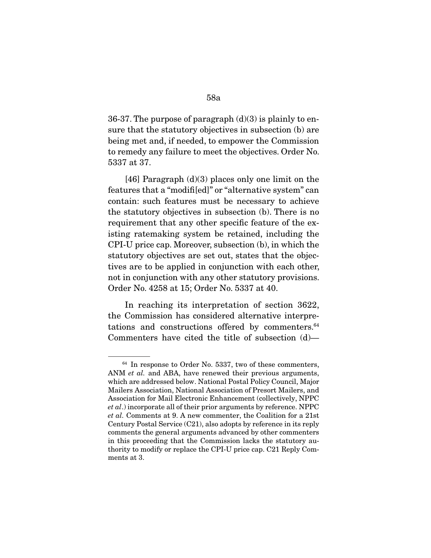36-37. The purpose of paragraph  $(d)(3)$  is plainly to ensure that the statutory objectives in subsection (b) are being met and, if needed, to empower the Commission to remedy any failure to meet the objectives. Order No. 5337 at 37.

 [46] Paragraph (d)(3) places only one limit on the features that a "modifi[ed]" or "alternative system" can contain: such features must be necessary to achieve the statutory objectives in subsection (b). There is no requirement that any other specific feature of the existing ratemaking system be retained, including the CPI-U price cap. Moreover, subsection (b), in which the statutory objectives are set out, states that the objectives are to be applied in conjunction with each other, not in conjunction with any other statutory provisions. Order No. 4258 at 15; Order No. 5337 at 40.

 In reaching its interpretation of section 3622, the Commission has considered alternative interpretations and constructions offered by commenters.<sup>64</sup> Commenters have cited the title of subsection (d)—

<sup>64</sup> In response to Order No. 5337, two of these commenters, ANM *et al.* and ABA, have renewed their previous arguments, which are addressed below. National Postal Policy Council, Major Mailers Association, National Association of Presort Mailers, and Association for Mail Electronic Enhancement (collectively, NPPC et al.) incorporate all of their prior arguments by reference. NPPC et al. Comments at 9. A new commenter, the Coalition for a 21st Century Postal Service (C21), also adopts by reference in its reply comments the general arguments advanced by other commenters in this proceeding that the Commission lacks the statutory authority to modify or replace the CPI-U price cap. C21 Reply Comments at 3.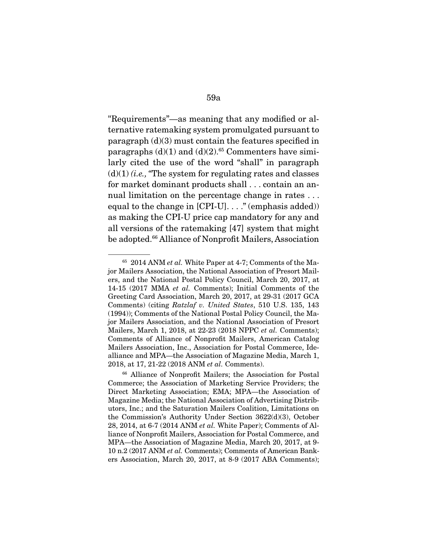"Requirements"—as meaning that any modified or alternative ratemaking system promulgated pursuant to paragraph (d)(3) must contain the features specified in paragraphs  $(d)(1)$  and  $(d)(2)$ .<sup>65</sup> Commenters have similarly cited the use of the word "shall" in paragraph  $(d)(1)$  (*i.e.*, "The system for regulating rates and classes") for market dominant products shall . . . contain an annual limitation on the percentage change in rates ... equal to the change in  $[CPI-U]$ ...." (emphasis added)) as making the CPI-U price cap mandatory for any and all versions of the ratemaking [47] system that might be adopted.<sup>66</sup> Alliance of Nonprofit Mailers, Association

 $65$  2014 ANM *et al.* White Paper at 4-7; Comments of the Major Mailers Association, the National Association of Presort Mailers, and the National Postal Policy Council, March 20, 2017, at 14-15 (2017 MMA et al. Comments); Initial Comments of the Greeting Card Association, March 20, 2017, at 29-31 (2017 GCA Comments) (citing Ratzlaf v. United States, 510 U.S. 135, 143 (1994)); Comments of the National Postal Policy Council, the Major Mailers Association, and the National Association of Presort Mailers, March 1, 2018, at 22-23 (2018 NPPC et al. Comments); Comments of Alliance of Nonprofit Mailers, American Catalog Mailers Association, Inc., Association for Postal Commerce, Idealliance and MPA—the Association of Magazine Media, March 1, 2018, at 17, 21-22 (2018 ANM et al. Comments).

<sup>66</sup> Alliance of Nonprofit Mailers; the Association for Postal Commerce; the Association of Marketing Service Providers; the Direct Marketing Association; EMA; MPA—the Association of Magazine Media; the National Association of Advertising Distributors, Inc.; and the Saturation Mailers Coalition, Limitations on the Commission's Authority Under Section 3622(d)(3), October 28, 2014, at 6-7 (2014 ANM et al. White Paper); Comments of Alliance of Nonprofit Mailers, Association for Postal Commerce, and MPA—the Association of Magazine Media, March 20, 2017, at 9- 10 n.2 (2017 ANM et al. Comments); Comments of American Bankers Association, March 20, 2017, at 8-9 (2017 ABA Comments);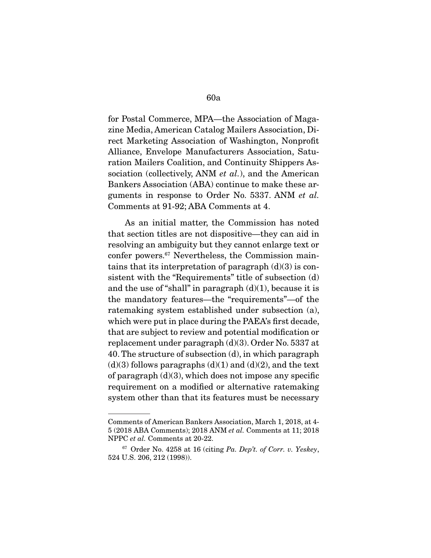for Postal Commerce, MPA—the Association of Magazine Media, American Catalog Mailers Association, Direct Marketing Association of Washington, Nonprofit Alliance, Envelope Manufacturers Association, Saturation Mailers Coalition, and Continuity Shippers Association (collectively, ANM *et al.*), and the American Bankers Association (ABA) continue to make these arguments in response to Order No. 5337. ANM et al. Comments at 91-92; ABA Comments at 4.

 As an initial matter, the Commission has noted that section titles are not dispositive—they can aid in resolving an ambiguity but they cannot enlarge text or confer powers.67 Nevertheless, the Commission maintains that its interpretation of paragraph  $(d)(3)$  is consistent with the "Requirements" title of subsection (d) and the use of "shall" in paragraph  $(d)(1)$ , because it is the mandatory features—the "requirements"—of the ratemaking system established under subsection (a), which were put in place during the PAEA's first decade, that are subject to review and potential modification or replacement under paragraph (d)(3). Order No. 5337 at 40. The structure of subsection (d), in which paragraph  $(d)(3)$  follows paragraphs  $(d)(1)$  and  $(d)(2)$ , and the text of paragraph  $(d)(3)$ , which does not impose any specific requirement on a modified or alternative ratemaking system other than that its features must be necessary

Comments of American Bankers Association, March 1, 2018, at 4- 5 (2018 ABA Comments); 2018 ANM et al. Comments at 11; 2018 NPPC et al. Comments at 20-22.

 $67$  Order No. 4258 at 16 (citing Pa. Dep't. of Corr. v. Yeskey, 524 U.S. 206, 212 (1998)).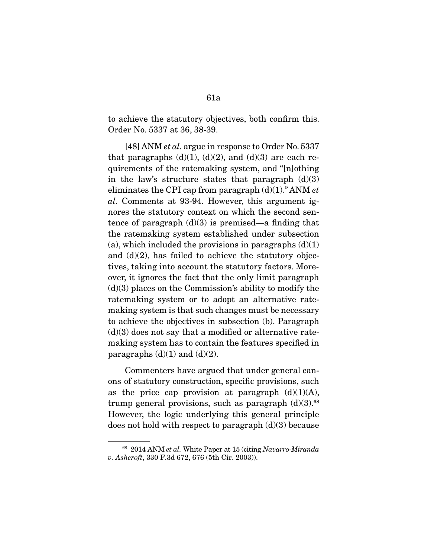to achieve the statutory objectives, both confirm this. Order No. 5337 at 36, 38-39.

[48] ANM *et al.* argue in response to Order No. 5337 that paragraphs  $(d)(1)$ ,  $(d)(2)$ , and  $(d)(3)$  are each requirements of the ratemaking system, and "[n]othing in the law's structure states that paragraph  $(d)(3)$ eliminates the CPI cap from paragraph  $(d)(1)$ ." ANM et al. Comments at 93-94. However, this argument ignores the statutory context on which the second sentence of paragraph  $(d)(3)$  is premised—a finding that the ratemaking system established under subsection (a), which included the provisions in paragraphs  $(d)(1)$ and (d)(2), has failed to achieve the statutory objectives, taking into account the statutory factors. Moreover, it ignores the fact that the only limit paragraph  $(d)(3)$  places on the Commission's ability to modify the ratemaking system or to adopt an alternative ratemaking system is that such changes must be necessary to achieve the objectives in subsection (b). Paragraph  $(d)(3)$  does not say that a modified or alternative ratemaking system has to contain the features specified in paragraphs  $(d)(1)$  and  $(d)(2)$ .

 Commenters have argued that under general canons of statutory construction, specific provisions, such as the price cap provision at paragraph  $(d)(1)(A)$ , trump general provisions, such as paragraph  $(d)(3)$ .<sup>68</sup> However, the logic underlying this general principle does not hold with respect to paragraph  $(d)(3)$  because

<sup>&</sup>lt;sup>68</sup> 2014 ANM et al. White Paper at 15 (citing Navarro-Miranda v. Ashcroft, 330 F.3d 672, 676 (5th Cir. 2003)).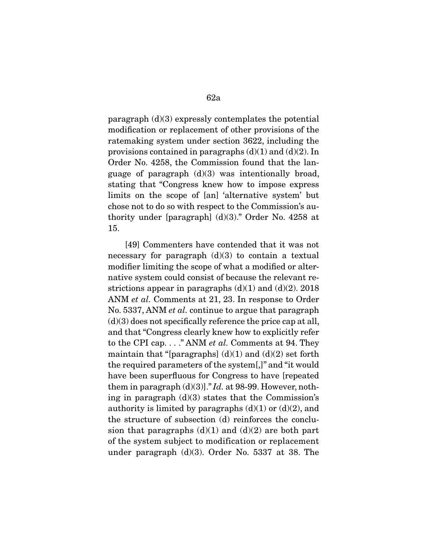paragraph  $(d)(3)$  expressly contemplates the potential modification or replacement of other provisions of the ratemaking system under section 3622, including the provisions contained in paragraphs  $(d)(1)$  and  $(d)(2)$ . In Order No. 4258, the Commission found that the language of paragraph  $(d)(3)$  was intentionally broad, stating that "Congress knew how to impose express limits on the scope of [an] 'alternative system' but chose not to do so with respect to the Commission's authority under [paragraph]  $(d)(3)$ ." Order No. 4258 at 15.

 [49] Commenters have contended that it was not necessary for paragraph  $(d)(3)$  to contain a textual modifier limiting the scope of what a modified or alternative system could consist of because the relevant restrictions appear in paragraphs  $(d)(1)$  and  $(d)(2)$ . 2018 ANM et al. Comments at 21, 23. In response to Order No. 5337, ANM et al. continue to argue that paragraph  $(d)(3)$  does not specifically reference the price cap at all, and that "Congress clearly knew how to explicitly refer to the CPI cap.  $\ldots$  " ANM *et al.* Comments at 94. They maintain that "[paragraphs]  $(d)(1)$  and  $(d)(2)$  set forth the required parameters of the system[,]" and "it would have been superfluous for Congress to have [repeated them in paragraph  $(d)(3)$ ]." Id. at 98-99. However, nothing in paragraph (d)(3) states that the Commission's authority is limited by paragraphs  $(d)(1)$  or  $(d)(2)$ , and the structure of subsection (d) reinforces the conclusion that paragraphs  $(d)(1)$  and  $(d)(2)$  are both part of the system subject to modification or replacement under paragraph (d)(3). Order No. 5337 at 38. The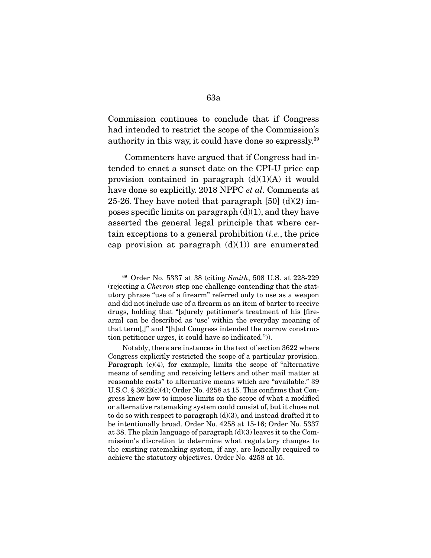Commission continues to conclude that if Congress had intended to restrict the scope of the Commission's authority in this way, it could have done so expressly.69

 Commenters have argued that if Congress had intended to enact a sunset date on the CPI-U price cap provision contained in paragraph  $(d)(1)(A)$  it would have done so explicitly. 2018 NPPC *et al.* Comments at 25-26. They have noted that paragraph  $[50]$  (d)(2) imposes specific limits on paragraph  $(d)(1)$ , and they have asserted the general legal principle that where certain exceptions to a general prohibition  $(i.e.,$  the price cap provision at paragraph  $(d)(1)$  are enumerated

<sup>69</sup> Order No. 5337 at 38 (citing Smith, 508 U.S. at 228-229 (rejecting a Chevron step one challenge contending that the statutory phrase "use of a firearm" referred only to use as a weapon and did not include use of a firearm as an item of barter to receive drugs, holding that "[s]urely petitioner's treatment of his [firearm] can be described as 'use' within the everyday meaning of that term[,]" and "[h]ad Congress intended the narrow construction petitioner urges, it could have so indicated.")).

Notably, there are instances in the text of section 3622 where Congress explicitly restricted the scope of a particular provision. Paragraph (c)(4), for example, limits the scope of "alternative means of sending and receiving letters and other mail matter at reasonable costs" to alternative means which are "available." 39 U.S.C. § 3622(c)(4); Order No. 4258 at 15. This confirms that Congress knew how to impose limits on the scope of what a modified or alternative ratemaking system could consist of, but it chose not to do so with respect to paragraph (d)(3), and instead drafted it to be intentionally broad. Order No. 4258 at 15-16; Order No. 5337 at 38. The plain language of paragraph (d)(3) leaves it to the Commission's discretion to determine what regulatory changes to the existing ratemaking system, if any, are logically required to achieve the statutory objectives. Order No. 4258 at 15.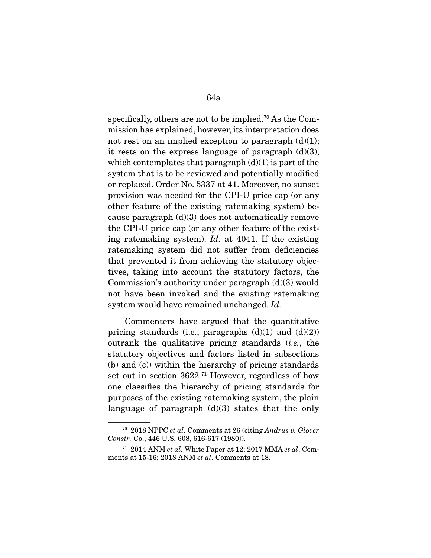specifically, others are not to be implied.<sup>70</sup> As the Commission has explained, however, its interpretation does not rest on an implied exception to paragraph  $(d)(1)$ ; it rests on the express language of paragraph  $(d)(3)$ , which contemplates that paragraph  $(d)(1)$  is part of the system that is to be reviewed and potentially modified or replaced. Order No. 5337 at 41. Moreover, no sunset provision was needed for the CPI-U price cap (or any other feature of the existing ratemaking system) because paragraph  $(d)(3)$  does not automatically remove the CPI-U price cap (or any other feature of the existing ratemaking system). Id. at 4041. If the existing ratemaking system did not suffer from deficiencies that prevented it from achieving the statutory objectives, taking into account the statutory factors, the Commission's authority under paragraph (d)(3) would not have been invoked and the existing ratemaking system would have remained unchanged. Id.

 Commenters have argued that the quantitative pricing standards (i.e., paragraphs  $(d)(1)$  and  $(d)(2)$ ) outrank the qualitative pricing standards (i.e., the statutory objectives and factors listed in subsections (b) and (c)) within the hierarchy of pricing standards set out in section 3622.71 However, regardless of how one classifies the hierarchy of pricing standards for purposes of the existing ratemaking system, the plain language of paragraph  $(d)(3)$  states that the only

<sup>70</sup> 2018 NPPC et al. Comments at 26 (citing Andrus v. Glover Constr. Co., 446 U.S. 608, 616-617 (1980)).

 $71$  2014 ANM et al. White Paper at 12; 2017 MMA et al. Comments at 15-16; 2018 ANM et al. Comments at 18.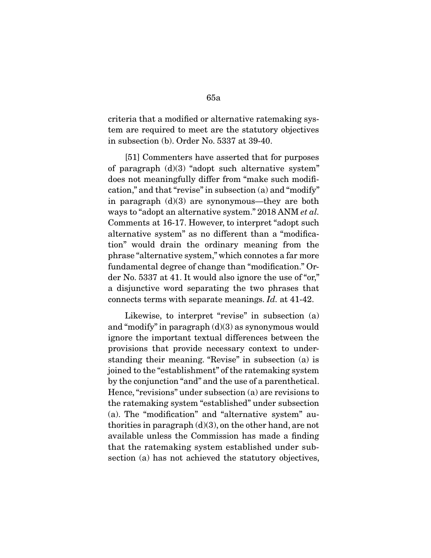criteria that a modified or alternative ratemaking system are required to meet are the statutory objectives in subsection (b). Order No. 5337 at 39-40.

 [51] Commenters have asserted that for purposes of paragraph (d)(3) "adopt such alternative system" does not meaningfully differ from "make such modification," and that "revise" in subsection (a) and "modify" in paragraph (d)(3) are synonymous—they are both ways to "adopt an alternative system." 2018 ANM *et al.* Comments at 16-17. However, to interpret "adopt such alternative system" as no different than a "modification" would drain the ordinary meaning from the phrase "alternative system," which connotes a far more fundamental degree of change than "modification." Order No. 5337 at 41. It would also ignore the use of "or," a disjunctive word separating the two phrases that connects terms with separate meanings. Id. at 41-42.

 Likewise, to interpret "revise" in subsection (a) and "modify" in paragraph  $(d)(3)$  as synonymous would ignore the important textual differences between the provisions that provide necessary context to understanding their meaning. "Revise" in subsection (a) is joined to the "establishment" of the ratemaking system by the conjunction "and" and the use of a parenthetical. Hence, "revisions" under subsection (a) are revisions to the ratemaking system "established" under subsection (a). The "modification" and "alternative system" authorities in paragraph  $(d)(3)$ , on the other hand, are not available unless the Commission has made a finding that the ratemaking system established under subsection (a) has not achieved the statutory objectives,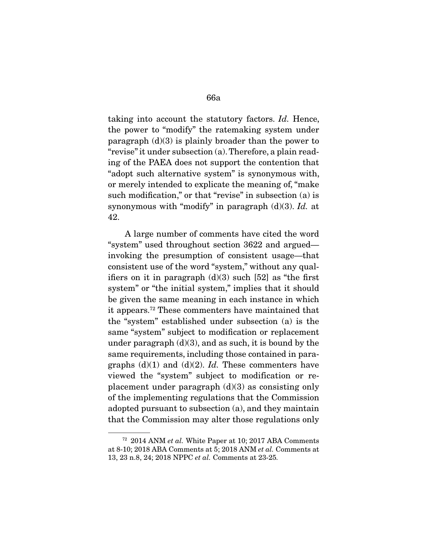taking into account the statutory factors. Id. Hence, the power to "modify" the ratemaking system under paragraph  $(d)(3)$  is plainly broader than the power to "revise" it under subsection (a). Therefore, a plain reading of the PAEA does not support the contention that "adopt such alternative system" is synonymous with, or merely intended to explicate the meaning of, "make such modification," or that "revise" in subsection (a) is synonymous with "modify" in paragraph  $(d)(3)$ . Id. at 42.

 A large number of comments have cited the word "system" used throughout section 3622 and argued invoking the presumption of consistent usage—that consistent use of the word "system," without any qualifiers on it in paragraph  $(d)(3)$  such [52] as "the first system" or "the initial system," implies that it should be given the same meaning in each instance in which it appears.72 These commenters have maintained that the "system" established under subsection (a) is the same "system" subject to modification or replacement under paragraph  $(d)(3)$ , and as such, it is bound by the same requirements, including those contained in paragraphs  $(d)(1)$  and  $(d)(2)$ . Id. These commenters have viewed the "system" subject to modification or replacement under paragraph  $(d)(3)$  as consisting only of the implementing regulations that the Commission adopted pursuant to subsection (a), and they maintain that the Commission may alter those regulations only

 $72$  2014 ANM *et al.* White Paper at 10; 2017 ABA Comments at 8-10; 2018 ABA Comments at 5; 2018 ANM et al. Comments at 13, 23 n.8, 24; 2018 NPPC et al. Comments at 23-25.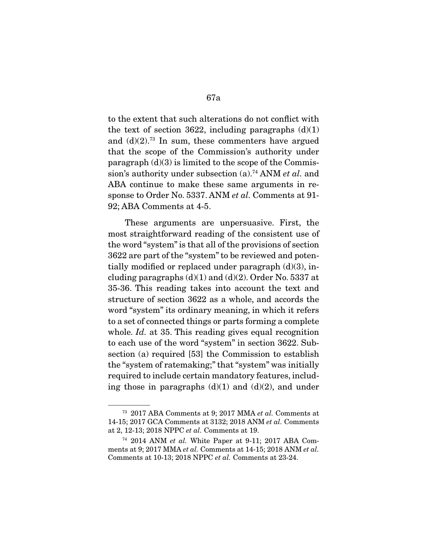to the extent that such alterations do not conflict with the text of section 3622, including paragraphs  $(d)(1)$ and  $(d)(2)$ .<sup>73</sup> In sum, these commenters have argued that the scope of the Commission's authority under paragraph  $(d)(3)$  is limited to the scope of the Commission's authority under subsection  $(a)$ .<sup>74</sup> ANM *et al.* and ABA continue to make these same arguments in response to Order No. 5337. ANM et al. Comments at 91- 92; ABA Comments at 4-5.

 These arguments are unpersuasive. First, the most straightforward reading of the consistent use of the word "system" is that all of the provisions of section 3622 are part of the "system" to be reviewed and potentially modified or replaced under paragraph  $(d)(3)$ , including paragraphs  $(d)(1)$  and  $(d)(2)$ . Order No. 5337 at 35-36. This reading takes into account the text and structure of section 3622 as a whole, and accords the word "system" its ordinary meaning, in which it refers to a set of connected things or parts forming a complete whole. Id. at 35. This reading gives equal recognition to each use of the word "system" in section 3622. Subsection (a) required [53] the Commission to establish the "system of ratemaking;" that "system" was initially required to include certain mandatory features, including those in paragraphs  $(d)(1)$  and  $(d)(2)$ , and under

<sup>73</sup> 2017 ABA Comments at 9; 2017 MMA et al. Comments at 14-15; 2017 GCA Comments at 3132; 2018 ANM et al. Comments at 2, 12-13; 2018 NPPC et al. Comments at 19.

 $74$  2014 ANM *et al.* White Paper at 9-11; 2017 ABA Comments at 9; 2017 MMA et al. Comments at 14-15; 2018 ANM et al. Comments at 10-13; 2018 NPPC et al. Comments at 23-24.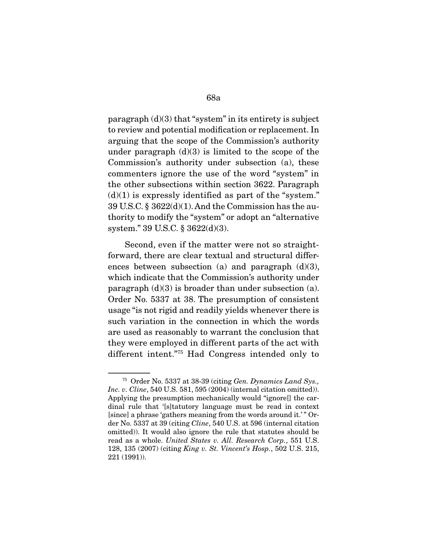paragraph  $(d)(3)$  that "system" in its entirety is subject to review and potential modification or replacement. In arguing that the scope of the Commission's authority under paragraph  $(d)(3)$  is limited to the scope of the Commission's authority under subsection (a), these commenters ignore the use of the word "system" in the other subsections within section 3622. Paragraph  $(d)(1)$  is expressly identified as part of the "system." 39 U.S.C. § 3622(d)(1). And the Commission has the authority to modify the "system" or adopt an "alternative system." 39 U.S.C. § 3622(d)(3).

 Second, even if the matter were not so straightforward, there are clear textual and structural differences between subsection (a) and paragraph  $(d)(3)$ , which indicate that the Commission's authority under paragraph  $(d)(3)$  is broader than under subsection  $(a)$ . Order No. 5337 at 38. The presumption of consistent usage "is not rigid and readily yields whenever there is such variation in the connection in which the words are used as reasonably to warrant the conclusion that they were employed in different parts of the act with different intent."75 Had Congress intended only to

<sup>75</sup> Order No. 5337 at 38-39 (citing Gen. Dynamics Land Sys., Inc. v. Cline, 540 U.S. 581, 595 (2004) (internal citation omitted)). Applying the presumption mechanically would "ignore[] the cardinal rule that '[s]tatutory language must be read in context [since] a phrase 'gathers meaning from the words around it.' " Order No. 5337 at 39 (citing Cline, 540 U.S. at 596 (internal citation omitted)). It would also ignore the rule that statutes should be read as a whole. United States v. All. Research Corp., 551 U.S. 128, 135 (2007) (citing King v. St. Vincent's Hosp., 502 U.S. 215, 221 (1991)).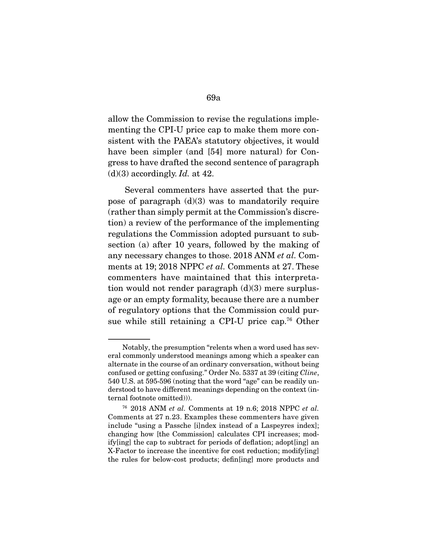allow the Commission to revise the regulations implementing the CPI-U price cap to make them more consistent with the PAEA's statutory objectives, it would have been simpler (and [54] more natural) for Congress to have drafted the second sentence of paragraph  $(d)(3)$  accordingly. *Id.* at 42.

 Several commenters have asserted that the purpose of paragraph  $(d)(3)$  was to mandatorily require (rather than simply permit at the Commission's discretion) a review of the performance of the implementing regulations the Commission adopted pursuant to subsection (a) after 10 years, followed by the making of any necessary changes to those. 2018 ANM et al. Comments at 19; 2018 NPPC *et al.* Comments at 27. These commenters have maintained that this interpretation would not render paragraph  $(d)(3)$  mere surplusage or an empty formality, because there are a number of regulatory options that the Commission could pursue while still retaining a CPI-U price cap.<sup>76</sup> Other

Notably, the presumption "relents when a word used has several commonly understood meanings among which a speaker can alternate in the course of an ordinary conversation, without being confused or getting confusing." Order No. 5337 at 39 (citing Cline, 540 U.S. at 595-596 (noting that the word "age" can be readily understood to have different meanings depending on the context (internal footnote omitted))).

 $76$  2018 ANM et al. Comments at 19 n.6; 2018 NPPC et al. Comments at 27 n.23. Examples these commenters have given include "using a Passche [i]ndex instead of a Laspeyres index]; changing how [the Commission] calculates CPI increases; modify[ing] the cap to subtract for periods of deflation; adopt[ing] an X-Factor to increase the incentive for cost reduction; modify[ing] the rules for below-cost products; defin[ing] more products and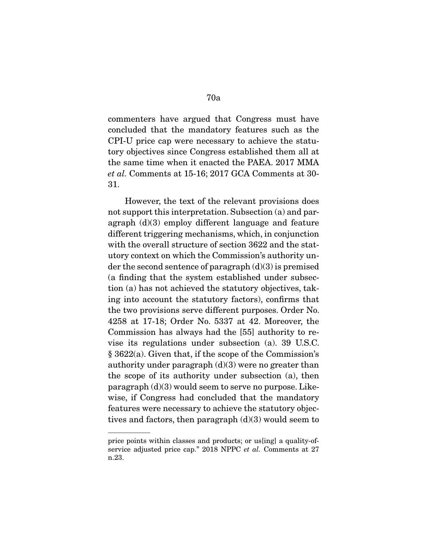commenters have argued that Congress must have concluded that the mandatory features such as the CPI-U price cap were necessary to achieve the statutory objectives since Congress established them all at the same time when it enacted the PAEA. 2017 MMA et al. Comments at 15-16; 2017 GCA Comments at 30- 31.

 However, the text of the relevant provisions does not support this interpretation. Subsection (a) and paragraph (d)(3) employ different language and feature different triggering mechanisms, which, in conjunction with the overall structure of section 3622 and the statutory context on which the Commission's authority under the second sentence of paragraph  $(d)(3)$  is premised (a finding that the system established under subsection (a) has not achieved the statutory objectives, taking into account the statutory factors), confirms that the two provisions serve different purposes. Order No. 4258 at 17-18; Order No. 5337 at 42. Moreover, the Commission has always had the [55] authority to revise its regulations under subsection (a). 39 U.S.C. § 3622(a). Given that, if the scope of the Commission's authority under paragraph  $(d)(3)$  were no greater than the scope of its authority under subsection (a), then paragraph (d)(3) would seem to serve no purpose. Likewise, if Congress had concluded that the mandatory features were necessary to achieve the statutory objectives and factors, then paragraph  $(d)(3)$  would seem to

price points within classes and products; or us[ing] a quality-ofservice adjusted price cap." 2018 NPPC et al. Comments at 27 n.23.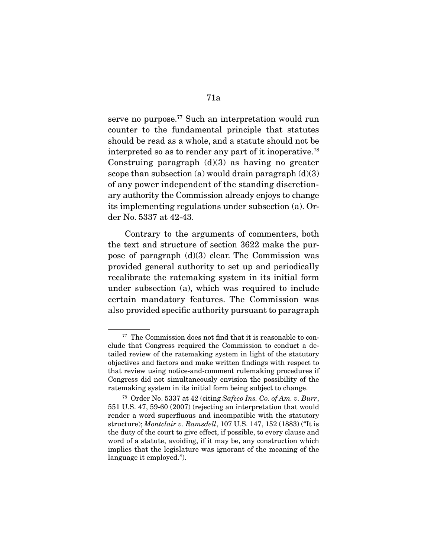serve no purpose.<sup>77</sup> Such an interpretation would run counter to the fundamental principle that statutes should be read as a whole, and a statute should not be interpreted so as to render any part of it inoperative.<sup>78</sup> Construing paragraph  $(d)(3)$  as having no greater scope than subsection (a) would drain paragraph  $(d)(3)$ of any power independent of the standing discretionary authority the Commission already enjoys to change its implementing regulations under subsection (a). Order No. 5337 at 42-43.

 Contrary to the arguments of commenters, both the text and structure of section 3622 make the purpose of paragraph  $(d)(3)$  clear. The Commission was provided general authority to set up and periodically recalibrate the ratemaking system in its initial form under subsection (a), which was required to include certain mandatory features. The Commission was also provided specific authority pursuant to paragraph

<sup>&</sup>lt;sup>77</sup> The Commission does not find that it is reasonable to conclude that Congress required the Commission to conduct a detailed review of the ratemaking system in light of the statutory objectives and factors and make written findings with respect to that review using notice-and-comment rulemaking procedures if Congress did not simultaneously envision the possibility of the ratemaking system in its initial form being subject to change.

<sup>78</sup> Order No. 5337 at 42 (citing Safeco Ins. Co. of Am. v. Burr, 551 U.S. 47, 59-60 (2007) (rejecting an interpretation that would render a word superfluous and incompatible with the statutory structure); Montclair v. Ramsdell, 107 U.S. 147, 152 (1883) ("It is the duty of the court to give effect, if possible, to every clause and word of a statute, avoiding, if it may be, any construction which implies that the legislature was ignorant of the meaning of the language it employed.").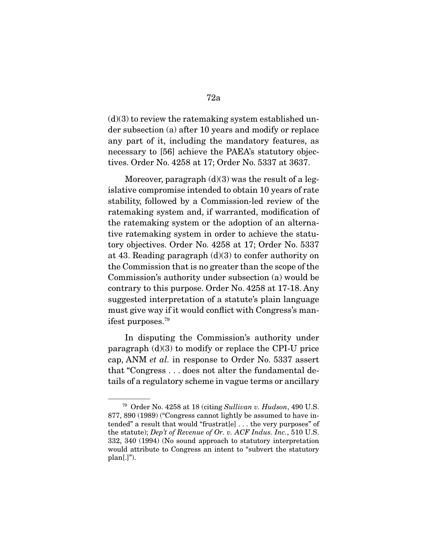$(d)(3)$  to review the ratemaking system established under subsection (a) after 10 years and modify or replace any part of it, including the mandatory features, as necessary to [56] achieve the PAEA's statutory objectives. Order No. 4258 at 17; Order No. 5337 at 3637.

Moreover, paragraph  $(d)(3)$  was the result of a legislative compromise intended to obtain 10 years of rate stability, followed by a Commission-led review of the ratemaking system and, if warranted, modification of the ratemaking system or the adoption of an alternative ratemaking system in order to achieve the statutory objectives. Order No. 4258 at 17; Order No. 5337 at 43. Reading paragraph (d)(3) to confer authority on the Commission that is no greater than the scope of the Commission's authority under subsection (a) would be contrary to this purpose. Order No. 4258 at 17-18. Any suggested interpretation of a statute's plain language must give way if it would conflict with Congress's manifest purposes.79

 In disputing the Commission's authority under paragraph (d)(3) to modify or replace the CPI-U price cap, ANM et al. in response to Order No. 5337 assert that "Congress . . . does not alter the fundamental details of a regulatory scheme in vague terms or ancillary

<sup>79</sup> Order No. 4258 at 18 (citing Sullivan v. Hudson, 490 U.S. 877, 890 (1989) ("Congress cannot lightly be assumed to have intended" a result that would "frustrat[e] . . . the very purposes" of the statute); Dep't of Revenue of Or. v. ACF Indus. Inc., 510 U.S. 332, 340 (1994) (No sound approach to statutory interpretation would attribute to Congress an intent to "subvert the statutory  $plan[.]$ ").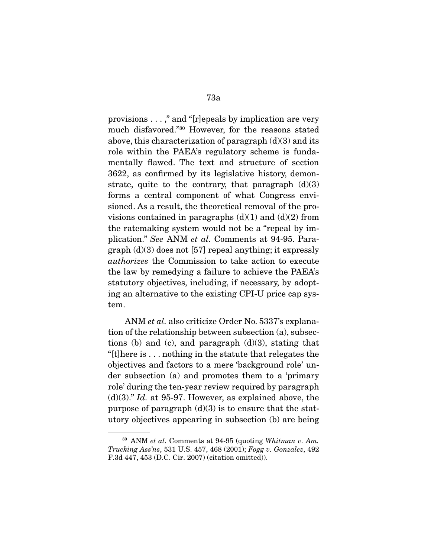provisions . . . ," and "[r]epeals by implication are very much disfavored."80 However, for the reasons stated above, this characterization of paragraph  $(d)(3)$  and its role within the PAEA's regulatory scheme is fundamentally flawed. The text and structure of section 3622, as confirmed by its legislative history, demonstrate, quite to the contrary, that paragraph  $(d)(3)$ forms a central component of what Congress envisioned. As a result, the theoretical removal of the provisions contained in paragraphs  $(d)(1)$  and  $(d)(2)$  from the ratemaking system would not be a "repeal by implication." See ANM et al. Comments at 94-95. Paragraph (d)(3) does not [57] repeal anything; it expressly authorizes the Commission to take action to execute the law by remedying a failure to achieve the PAEA's statutory objectives, including, if necessary, by adopting an alternative to the existing CPI-U price cap system.

 ANM et al. also criticize Order No. 5337's explanation of the relationship between subsection (a), subsections (b) and (c), and paragraph  $(d)(3)$ , stating that "[t]here is . . . nothing in the statute that relegates the objectives and factors to a mere 'background role' under subsection (a) and promotes them to a 'primary role' during the ten-year review required by paragraph  $(d)(3)$ ." Id. at 95-97. However, as explained above, the purpose of paragraph  $(d)(3)$  is to ensure that the statutory objectives appearing in subsection (b) are being

 $80$  ANM et al. Comments at 94-95 (quoting Whitman v. Am. Trucking Ass'ns, 531 U.S. 457, 468 (2001); Fogg v. Gonzalez, 492 F.3d 447, 453 (D.C. Cir. 2007) (citation omitted)).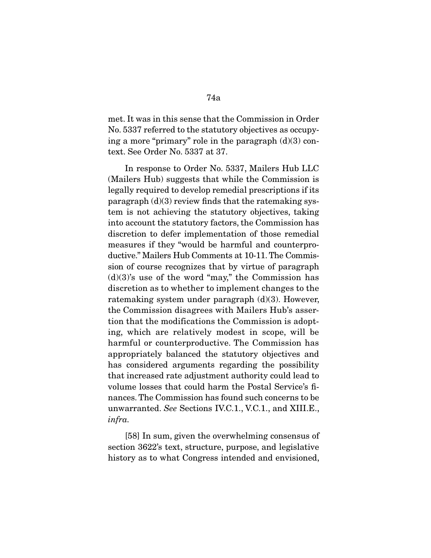met. It was in this sense that the Commission in Order No. 5337 referred to the statutory objectives as occupying a more "primary" role in the paragraph  $(d)(3)$  context. See Order No. 5337 at 37.

 In response to Order No. 5337, Mailers Hub LLC (Mailers Hub) suggests that while the Commission is legally required to develop remedial prescriptions if its paragraph  $(d)(3)$  review finds that the ratemaking system is not achieving the statutory objectives, taking into account the statutory factors, the Commission has discretion to defer implementation of those remedial measures if they "would be harmful and counterproductive." Mailers Hub Comments at 10-11. The Commission of course recognizes that by virtue of paragraph  $(d)(3)$ 's use of the word "may," the Commission has discretion as to whether to implement changes to the ratemaking system under paragraph (d)(3). However, the Commission disagrees with Mailers Hub's assertion that the modifications the Commission is adopting, which are relatively modest in scope, will be harmful or counterproductive. The Commission has appropriately balanced the statutory objectives and has considered arguments regarding the possibility that increased rate adjustment authority could lead to volume losses that could harm the Postal Service's finances. The Commission has found such concerns to be unwarranted. See Sections IV.C.1., V.C.1., and XIII.E., infra.

 [58] In sum, given the overwhelming consensus of section 3622's text, structure, purpose, and legislative history as to what Congress intended and envisioned,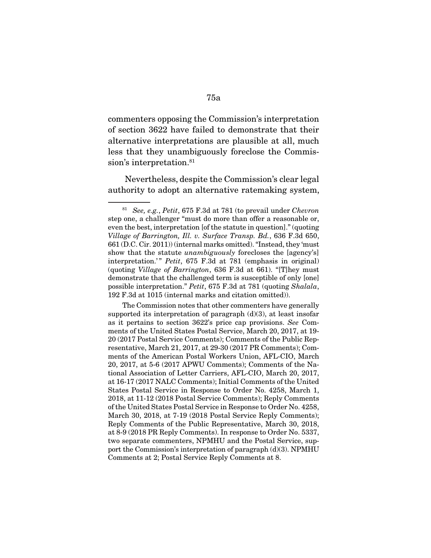commenters opposing the Commission's interpretation of section 3622 have failed to demonstrate that their alternative interpretations are plausible at all, much less that they unambiguously foreclose the Commission's interpretation.<sup>81</sup>

 Nevertheless, despite the Commission's clear legal authority to adopt an alternative ratemaking system,

 The Commission notes that other commenters have generally supported its interpretation of paragraph  $(d)(3)$ , at least insofar as it pertains to section 3622's price cap provisions. See Comments of the United States Postal Service, March 20, 2017, at 19- 20 (2017 Postal Service Comments); Comments of the Public Representative, March 21, 2017, at 29-30 (2017 PR Comments); Comments of the American Postal Workers Union, AFL-CIO, March 20, 2017, at 5-6 (2017 APWU Comments); Comments of the National Association of Letter Carriers, AFL-CIO, March 20, 2017, at 16-17 (2017 NALC Comments); Initial Comments of the United States Postal Service in Response to Order No. 4258, March 1, 2018, at 11-12 (2018 Postal Service Comments); Reply Comments of the United States Postal Service in Response to Order No. 4258, March 30, 2018, at 7-19 (2018 Postal Service Reply Comments); Reply Comments of the Public Representative, March 30, 2018, at 8-9 (2018 PR Reply Comments). In response to Order No. 5337, two separate commenters, NPMHU and the Postal Service, support the Commission's interpretation of paragraph (d)(3). NPMHU Comments at 2; Postal Service Reply Comments at 8.

 $81$  See, e.g., Petit, 675 F.3d at 781 (to prevail under Chevron step one, a challenger "must do more than offer a reasonable or, even the best, interpretation [of the statute in question]." (quoting Village of Barrington, Ill. v. Surface Transp. Bd., 636 F.3d 650, 661 (D.C. Cir. 2011)) (internal marks omitted). "Instead, they 'must show that the statute *unambiguously* forecloses the [agency's] interpretation.'" Petit, 675 F.3d at 781 (emphasis in original) (quoting Village of Barrington, 636 F.3d at 661). "[T]hey must demonstrate that the challenged term is susceptible of only [one] possible interpretation." Petit, 675 F.3d at 781 (quoting Shalala, 192 F.3d at 1015 (internal marks and citation omitted)).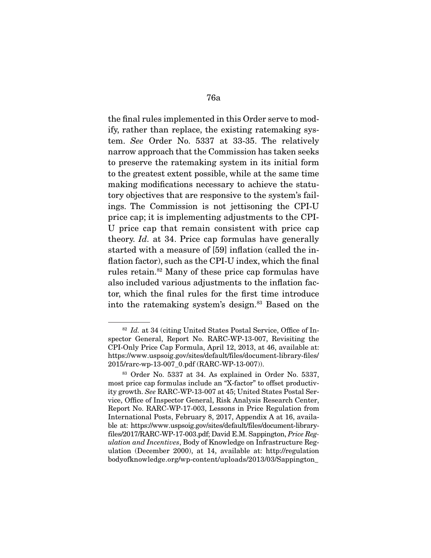the final rules implemented in this Order serve to modify, rather than replace, the existing ratemaking system. See Order No. 5337 at 33-35. The relatively narrow approach that the Commission has taken seeks to preserve the ratemaking system in its initial form to the greatest extent possible, while at the same time making modifications necessary to achieve the statutory objectives that are responsive to the system's failings. The Commission is not jettisoning the CPI-U price cap; it is implementing adjustments to the CPI-U price cap that remain consistent with price cap theory. Id. at 34. Price cap formulas have generally started with a measure of [59] inflation (called the inflation factor), such as the CPI-U index, which the final rules retain.82 Many of these price cap formulas have also included various adjustments to the inflation factor, which the final rules for the first time introduce into the ratemaking system's design.<sup>83</sup> Based on the

 $82$  *Id.* at 34 (citing United States Postal Service, Office of Inspector General, Report No. RARC-WP-13-007, Revisiting the CPI-Only Price Cap Formula, April 12, 2013, at 46, available at: https://www.uspsoig.gov/sites/default/files/document-library-files/ 2015/rarc-wp-13-007\_0.pdf (RARC-WP-13-007)).

<sup>83</sup> Order No. 5337 at 34. As explained in Order No. 5337, most price cap formulas include an "X-factor" to offset productivity growth. See RARC-WP-13-007 at 45; United States Postal Service, Office of Inspector General, Risk Analysis Research Center, Report No. RARC-WP-17-003, Lessons in Price Regulation from International Posts, February 8, 2017, Appendix A at 16, available at: https://www.uspsoig.gov/sites/default/files/document-libraryfiles/2017/RARC-WP-17-003.pdf; David E.M. Sappington, Price Regulation and Incentives, Body of Knowledge on Infrastructure Regulation (December 2000), at 14, available at: http://regulation bodyofknowledge.org/wp-content/uploads/2013/03/Sappington\_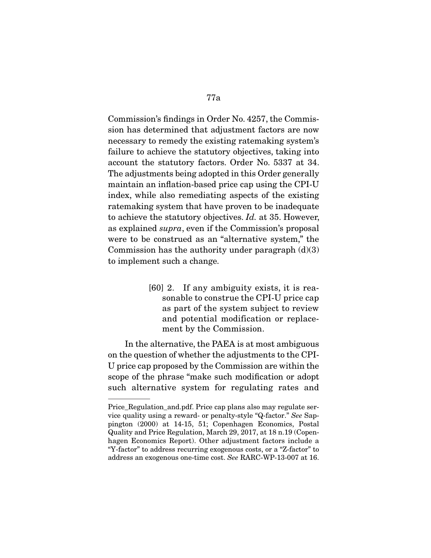Commission's findings in Order No. 4257, the Commission has determined that adjustment factors are now necessary to remedy the existing ratemaking system's failure to achieve the statutory objectives, taking into account the statutory factors. Order No. 5337 at 34. The adjustments being adopted in this Order generally maintain an inflation-based price cap using the CPI-U index, while also remediating aspects of the existing ratemaking system that have proven to be inadequate to achieve the statutory objectives. Id. at 35. However, as explained supra, even if the Commission's proposal were to be construed as an "alternative system," the Commission has the authority under paragraph  $(d)(3)$ to implement such a change.

> [60] 2. If any ambiguity exists, it is reasonable to construe the CPI-U price cap as part of the system subject to review and potential modification or replacement by the Commission.

 In the alternative, the PAEA is at most ambiguous on the question of whether the adjustments to the CPI-U price cap proposed by the Commission are within the scope of the phrase "make such modification or adopt such alternative system for regulating rates and

Price Regulation and.pdf. Price cap plans also may regulate service quality using a reward- or penalty-style "Q-factor." See Sappington (2000) at 14-15, 51; Copenhagen Economics, Postal Quality and Price Regulation, March 29, 2017, at 18 n.19 (Copenhagen Economics Report). Other adjustment factors include a "Y-factor" to address recurring exogenous costs, or a "Z-factor" to address an exogenous one-time cost. See RARC-WP-13-007 at 16.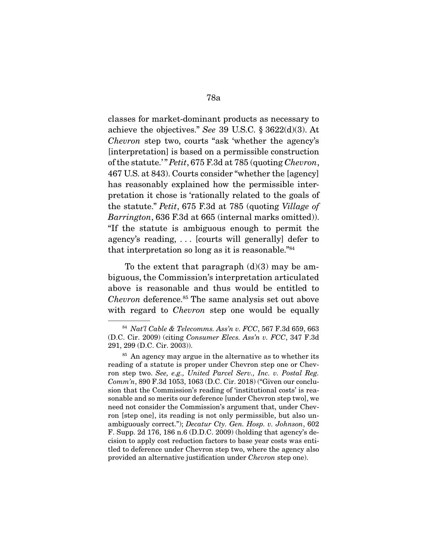classes for market-dominant products as necessary to achieve the objectives." See 39 U.S.C. § 3622(d)(3). At Chevron step two, courts "ask 'whether the agency's [interpretation] is based on a permissible construction of the statute.'" Petit, 675 F.3d at 785 (quoting Chevron, 467 U.S. at 843). Courts consider "whether the [agency] has reasonably explained how the permissible interpretation it chose is 'rationally related to the goals of the statute." Petit, 675 F.3d at 785 (quoting Village of Barrington, 636 F.3d at 665 (internal marks omitted)). "If the statute is ambiguous enough to permit the agency's reading, . . . [courts will generally] defer to that interpretation so long as it is reasonable."84

To the extent that paragraph  $(d)(3)$  may be ambiguous, the Commission's interpretation articulated above is reasonable and thus would be entitled to Chevron deference.85 The same analysis set out above with regard to *Chevron* step one would be equally

<sup>84</sup> Nat'l Cable & Telecomms. Ass'n v. FCC, 567 F.3d 659, 663 (D.C. Cir. 2009) (citing Consumer Elecs. Ass'n v. FCC, 347 F.3d 291, 299 (D.C. Cir. 2003)).

<sup>&</sup>lt;sup>85</sup> An agency may argue in the alternative as to whether its reading of a statute is proper under Chevron step one or Chevron step two. See, e.g., United Parcel Serv., Inc. v. Postal Reg. Comm'n, 890 F.3d 1053, 1063 (D.C. Cir. 2018) ("Given our conclusion that the Commission's reading of 'institutional costs' is reasonable and so merits our deference [under Chevron step two], we need not consider the Commission's argument that, under Chevron [step one], its reading is not only permissible, but also unambiguously correct."); Decatur Cty. Gen. Hosp. v. Johnson, 602 F. Supp. 2d 176, 186 n.6 (D.D.C. 2009) (holding that agency's decision to apply cost reduction factors to base year costs was entitled to deference under Chevron step two, where the agency also provided an alternative justification under Chevron step one).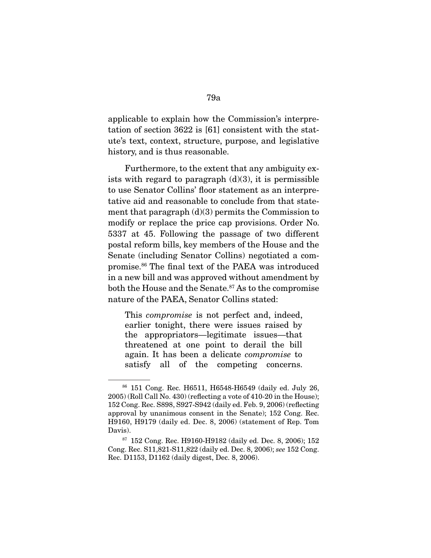applicable to explain how the Commission's interpretation of section 3622 is [61] consistent with the statute's text, context, structure, purpose, and legislative history, and is thus reasonable.

 Furthermore, to the extent that any ambiguity exists with regard to paragraph  $(d)(3)$ , it is permissible to use Senator Collins' floor statement as an interpretative aid and reasonable to conclude from that statement that paragraph  $(d)(3)$  permits the Commission to modify or replace the price cap provisions. Order No. 5337 at 45. Following the passage of two different postal reform bills, key members of the House and the Senate (including Senator Collins) negotiated a compromise.86 The final text of the PAEA was introduced in a new bill and was approved without amendment by both the House and the Senate.<sup>87</sup> As to the compromise nature of the PAEA, Senator Collins stated:

This *compromise* is not perfect and, indeed, earlier tonight, there were issues raised by the appropriators—legitimate issues—that threatened at one point to derail the bill again. It has been a delicate compromise to satisfy all of the competing concerns.

<sup>86</sup> 151 Cong. Rec. H6511, H6548-H6549 (daily ed. July 26, 2005) (Roll Call No. 430) (reflecting a vote of 410-20 in the House); 152 Cong. Rec. S898, S927-S942 (daily ed. Feb. 9, 2006) (reflecting approval by unanimous consent in the Senate); 152 Cong. Rec. H9160, H9179 (daily ed. Dec. 8, 2006) (statement of Rep. Tom Davis).

<sup>87</sup> 152 Cong. Rec. H9160-H9182 (daily ed. Dec. 8, 2006); 152 Cong. Rec. S11,821-S11,822 (daily ed. Dec. 8, 2006); see 152 Cong. Rec. D1153, D1162 (daily digest, Dec. 8, 2006).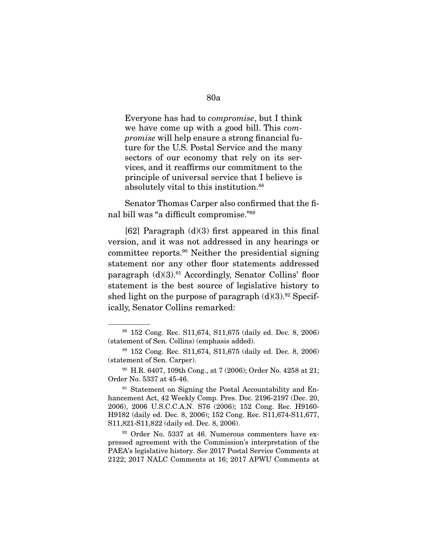Everyone has had to compromise, but I think we have come up with a good bill. This compromise will help ensure a strong financial future for the U.S. Postal Service and the many sectors of our economy that rely on its services, and it reaffirms our commitment to the principle of universal service that I believe is absolutely vital to this institution.<sup>88</sup>

 Senator Thomas Carper also confirmed that the final bill was "a difficult compromise."89

[62] Paragraph  $(d)(3)$  first appeared in this final version, and it was not addressed in any hearings or committee reports.90 Neither the presidential signing statement nor any other floor statements addressed paragraph  $(d)(3)$ .<sup>91</sup> Accordingly, Senator Collins' floor statement is the best source of legislative history to shed light on the purpose of paragraph  $(d)(3)$ .<sup>92</sup> Specifically, Senator Collins remarked:

<sup>88</sup> 152 Cong. Rec. S11,674, S11,675 (daily ed. Dec. 8, 2006) (statement of Sen. Collins) (emphasis added).

<sup>89</sup> 152 Cong. Rec. S11,674, S11,675 (daily ed. Dec. 8, 2006) (statement of Sen. Carper).

<sup>90</sup> H.R. 6407, 109th Cong., at 7 (2006); Order No. 4258 at 21; Order No. 5337 at 45-46.

<sup>&</sup>lt;sup>91</sup> Statement on Signing the Postal Accountability and Enhancement Act, 42 Weekly Comp. Pres. Doc. 2196-2197 (Dec. 20, 2006), 2006 U.S.C.C.A.N. S76 (2006); 152 Cong. Rec. H9160- H9182 (daily ed. Dec. 8, 2006); 152 Cong. Rec. S11,674-S11,677, S11,821-S11,822 (daily ed. Dec. 8, 2006).

<sup>92</sup> Order No. 5337 at 46. Numerous commenters have expressed agreement with the Commission's interpretation of the PAEA's legislative history. See 2017 Postal Service Comments at 2122; 2017 NALC Comments at 16; 2017 APWU Comments at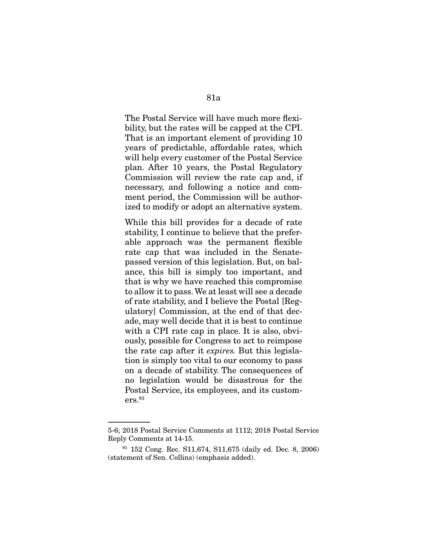The Postal Service will have much more flexibility, but the rates will be capped at the CPI. That is an important element of providing 10 years of predictable, affordable rates, which will help every customer of the Postal Service plan. After 10 years, the Postal Regulatory Commission will review the rate cap and, if

necessary, and following a notice and comment period, the Commission will be authorized to modify or adopt an alternative system.

While this bill provides for a decade of rate stability, I continue to believe that the preferable approach was the permanent flexible rate cap that was included in the Senatepassed version of this legislation. But, on balance, this bill is simply too important, and that is why we have reached this compromise to allow it to pass. We at least will see a decade of rate stability, and I believe the Postal [Regulatory] Commission, at the end of that decade, may well decide that it is best to continue with a CPI rate cap in place. It is also, obviously, possible for Congress to act to reimpose the rate cap after it expires. But this legislation is simply too vital to our economy to pass on a decade of stability. The consequences of no legislation would be disastrous for the Postal Service, its employees, and its custom $ers.<sup>93</sup>$ 

<sup>5-6; 2018</sup> Postal Service Comments at 1112; 2018 Postal Service Reply Comments at 14-15.

<sup>93</sup> 152 Cong. Rec. S11,674, S11,675 (daily ed. Dec. 8, 2006) (statement of Sen. Collins) (emphasis added).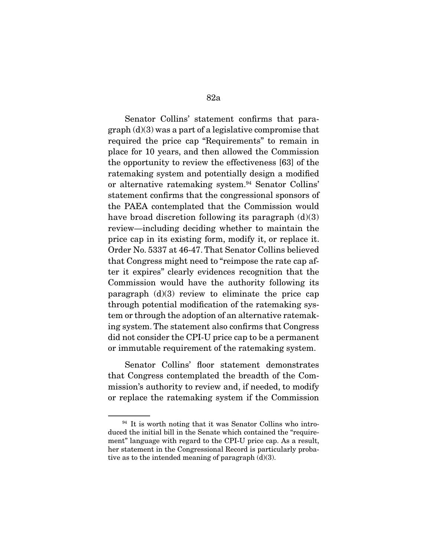Senator Collins' statement confirms that paragraph (d)(3) was a part of a legislative compromise that required the price cap "Requirements" to remain in place for 10 years, and then allowed the Commission the opportunity to review the effectiveness [63] of the ratemaking system and potentially design a modified or alternative ratemaking system.<sup>94</sup> Senator Collins' statement confirms that the congressional sponsors of the PAEA contemplated that the Commission would have broad discretion following its paragraph  $(d)(3)$ review—including deciding whether to maintain the price cap in its existing form, modify it, or replace it. Order No. 5337 at 46-47. That Senator Collins believed that Congress might need to "reimpose the rate cap after it expires" clearly evidences recognition that the Commission would have the authority following its paragraph  $(d)(3)$  review to eliminate the price cap through potential modification of the ratemaking system or through the adoption of an alternative ratemaking system. The statement also confirms that Congress did not consider the CPI-U price cap to be a permanent or immutable requirement of the ratemaking system.

 Senator Collins' floor statement demonstrates that Congress contemplated the breadth of the Commission's authority to review and, if needed, to modify or replace the ratemaking system if the Commission

 $94$  It is worth noting that it was Senator Collins who introduced the initial bill in the Senate which contained the "requirement" language with regard to the CPI-U price cap. As a result, her statement in the Congressional Record is particularly probative as to the intended meaning of paragraph (d)(3).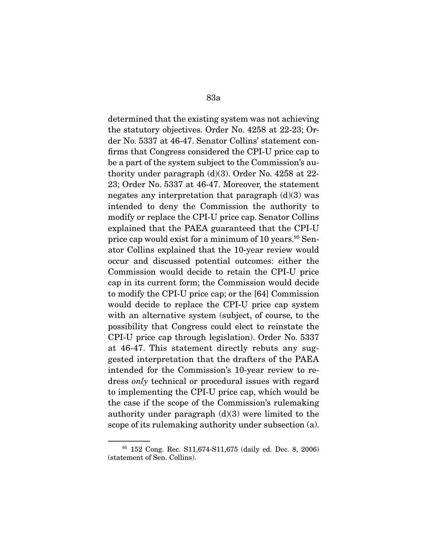determined that the existing system was not achieving the statutory objectives. Order No. 4258 at 22-23; Order No. 5337 at 46-47. Senator Collins' statement confirms that Congress considered the CPI-U price cap to be a part of the system subject to the Commission's authority under paragraph (d)(3). Order No. 4258 at 22- 23; Order No. 5337 at 46-47. Moreover, the statement negates any interpretation that paragraph  $(d)(3)$  was intended to deny the Commission the authority to modify or replace the CPI-U price cap. Senator Collins explained that the PAEA guaranteed that the CPI-U price cap would exist for a minimum of 10 years.<sup>95</sup> Senator Collins explained that the 10-year review would occur and discussed potential outcomes: either the Commission would decide to retain the CPI-U price cap in its current form; the Commission would decide to modify the CPI-U price cap; or the [64] Commission would decide to replace the CPI-U price cap system with an alternative system (subject, of course, to the possibility that Congress could elect to reinstate the CPI-U price cap through legislation). Order No. 5337 at 46-47. This statement directly rebuts any suggested interpretation that the drafters of the PAEA intended for the Commission's 10-year review to redress only technical or procedural issues with regard to implementing the CPI-U price cap, which would be the case if the scope of the Commission's rulemaking authority under paragraph  $(d)(3)$  were limited to the scope of its rulemaking authority under subsection (a).

<sup>95</sup> 152 Cong. Rec. S11,674-S11,675 (daily ed. Dec. 8, 2006) (statement of Sen. Collins).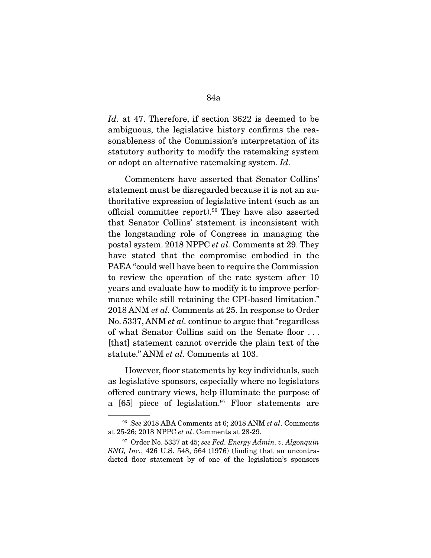Id. at 47. Therefore, if section 3622 is deemed to be ambiguous, the legislative history confirms the reasonableness of the Commission's interpretation of its statutory authority to modify the ratemaking system or adopt an alternative ratemaking system. Id.

 Commenters have asserted that Senator Collins' statement must be disregarded because it is not an authoritative expression of legislative intent (such as an official committee report).96 They have also asserted that Senator Collins' statement is inconsistent with the longstanding role of Congress in managing the postal system. 2018 NPPC et al. Comments at 29. They have stated that the compromise embodied in the PAEA "could well have been to require the Commission to review the operation of the rate system after 10 years and evaluate how to modify it to improve performance while still retaining the CPI-based limitation." 2018 ANM et al. Comments at 25. In response to Order No. 5337, ANM *et al.* continue to argue that "regardless" of what Senator Collins said on the Senate floor . . . [that] statement cannot override the plain text of the statute." ANM et al. Comments at 103.

 However, floor statements by key individuals, such as legislative sponsors, especially where no legislators offered contrary views, help illuminate the purpose of a  $[65]$  piece of legislation.<sup>97</sup> Floor statements are

<sup>&</sup>lt;sup>96</sup> See 2018 ABA Comments at 6; 2018 ANM et al. Comments at 25-26; 2018 NPPC et al. Comments at 28-29.

 $97$  Order No. 5337 at 45; see Fed. Energy Admin. v. Algonquin SNG, Inc., 426 U.S. 548, 564 (1976) (finding that an uncontradicted floor statement by of one of the legislation's sponsors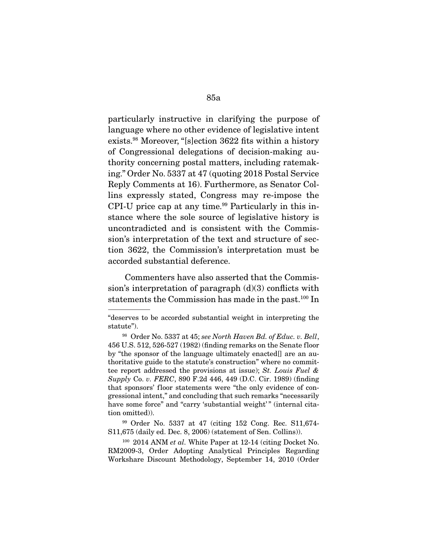particularly instructive in clarifying the purpose of language where no other evidence of legislative intent exists.98 Moreover, "[s]ection 3622 fits within a history of Congressional delegations of decision-making authority concerning postal matters, including ratemaking." Order No. 5337 at 47 (quoting 2018 Postal Service Reply Comments at 16). Furthermore, as Senator Collins expressly stated, Congress may re-impose the CPI-U price cap at any time.<sup>99</sup> Particularly in this instance where the sole source of legislative history is uncontradicted and is consistent with the Commission's interpretation of the text and structure of section 3622, the Commission's interpretation must be accorded substantial deference.

 Commenters have also asserted that the Commission's interpretation of paragraph  $(d)(3)$  conflicts with statements the Commission has made in the past.<sup>100</sup> In

<sup>&</sup>quot;deserves to be accorded substantial weight in interpreting the statute").

<sup>98</sup> Order No. 5337 at 45; see North Haven Bd. of Educ. v. Bell, 456 U.S. 512, 526-527 (1982) (finding remarks on the Senate floor by "the sponsor of the language ultimately enacted[] are an authoritative guide to the statute's construction" where no committee report addressed the provisions at issue); St. Louis Fuel & Supply Co. v. FERC, 890 F.2d 446, 449 (D.C. Cir. 1989) (finding that sponsors' floor statements were "the only evidence of congressional intent," and concluding that such remarks "necessarily have some force" and "carry 'substantial weight'" (internal citation omitted)).

<sup>99</sup> Order No. 5337 at 47 (citing 152 Cong. Rec. S11,674- S11,675 (daily ed. Dec. 8, 2006) (statement of Sen. Collins)).

 $100\,$  2014 ANM *et al.* White Paper at 12-14 (citing Docket No. RM2009-3, Order Adopting Analytical Principles Regarding Workshare Discount Methodology, September 14, 2010 (Order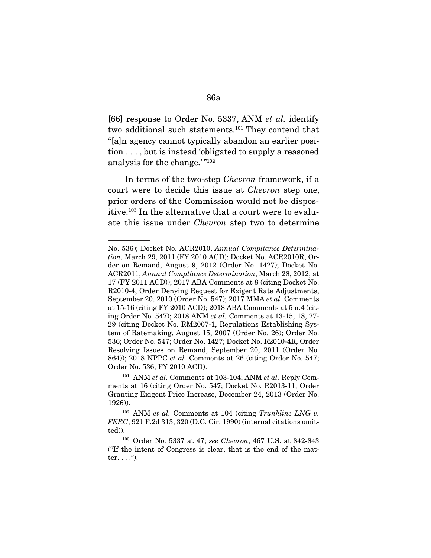[66] response to Order No. 5337, ANM *et al.* identify two additional such statements.101 They contend that "[a]n agency cannot typically abandon an earlier position . . . , but is instead 'obligated to supply a reasoned analysis for the change.'"<sup>102</sup>

 In terms of the two-step Chevron framework, if a court were to decide this issue at Chevron step one, prior orders of the Commission would not be dispositive.103 In the alternative that a court were to evaluate this issue under Chevron step two to determine

No. 536); Docket No. ACR2010, Annual Compliance Determination, March 29, 2011 (FY 2010 ACD); Docket No. ACR2010R, Order on Remand, August 9, 2012 (Order No. 1427); Docket No. ACR2011, Annual Compliance Determination, March 28, 2012, at 17 (FY 2011 ACD)); 2017 ABA Comments at 8 (citing Docket No. R2010-4, Order Denying Request for Exigent Rate Adjustments, September 20, 2010 (Order No. 547); 2017 MMA et al. Comments at 15-16 (citing FY 2010 ACD); 2018 ABA Comments at 5 n.4 (citing Order No. 547); 2018 ANM et al. Comments at 13-15, 18, 27- 29 (citing Docket No. RM2007-1, Regulations Establishing System of Ratemaking, August 15, 2007 (Order No. 26); Order No. 536; Order No. 547; Order No. 1427; Docket No. R2010-4R, Order Resolving Issues on Remand, September 20, 2011 (Order No. 864)); 2018 NPPC *et al.* Comments at 26 (citing Order No. 547; Order No. 536; FY 2010 ACD).

<sup>&</sup>lt;sup>101</sup> ANM et al. Comments at 103-104; ANM et al. Reply Comments at 16 (citing Order No. 547; Docket No. R2013-11, Order Granting Exigent Price Increase, December 24, 2013 (Order No. 1926)).

 $102$  ANM et al. Comments at 104 (citing Trunkline LNG v. FERC, 921 F.2d 313, 320 (D.C. Cir. 1990) (internal citations omitted)).

<sup>103</sup> Order No. 5337 at 47; see Chevron, 467 U.S. at 842-843 ("If the intent of Congress is clear, that is the end of the matter.  $\ldots$ .").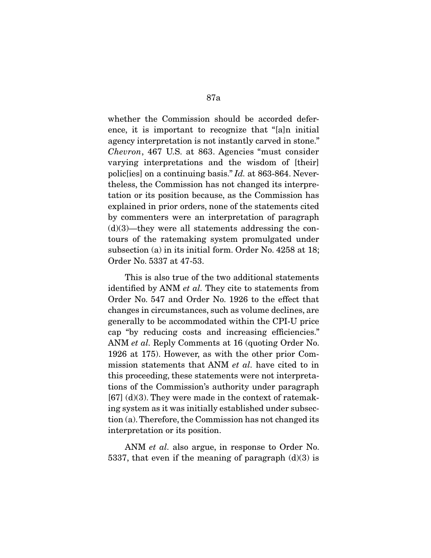whether the Commission should be accorded deference, it is important to recognize that "[a]n initial agency interpretation is not instantly carved in stone." Chevron, 467 U.S. at 863. Agencies "must consider varying interpretations and the wisdom of [their] polic[ies] on a continuing basis." Id. at 863-864. Nevertheless, the Commission has not changed its interpretation or its position because, as the Commission has explained in prior orders, none of the statements cited by commenters were an interpretation of paragraph  $(d)(3)$ —they were all statements addressing the contours of the ratemaking system promulgated under subsection (a) in its initial form. Order No. 4258 at 18; Order No. 5337 at 47-53.

 This is also true of the two additional statements identified by ANM et al. They cite to statements from Order No. 547 and Order No. 1926 to the effect that changes in circumstances, such as volume declines, are generally to be accommodated within the CPI-U price cap "by reducing costs and increasing efficiencies." ANM et al. Reply Comments at 16 (quoting Order No. 1926 at 175). However, as with the other prior Commission statements that ANM et al. have cited to in this proceeding, these statements were not interpretations of the Commission's authority under paragraph  $[67]$  (d)(3). They were made in the context of ratemaking system as it was initially established under subsection (a). Therefore, the Commission has not changed its interpretation or its position.

ANM *et al.* also argue, in response to Order No. 5337, that even if the meaning of paragraph  $(d)(3)$  is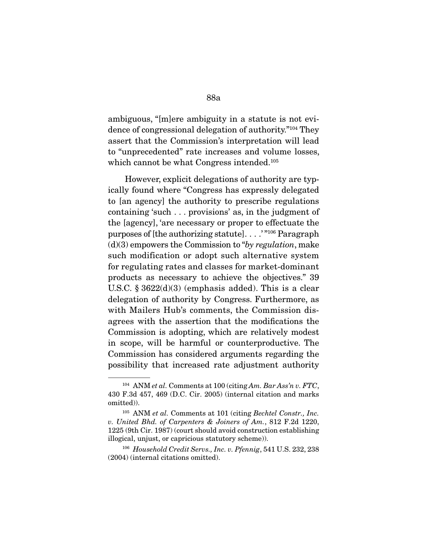ambiguous, "[m]ere ambiguity in a statute is not evidence of congressional delegation of authority."104 They assert that the Commission's interpretation will lead to "unprecedented" rate increases and volume losses, which cannot be what Congress intended.<sup>105</sup>

 However, explicit delegations of authority are typically found where "Congress has expressly delegated to [an agency] the authority to prescribe regulations containing 'such . . . provisions' as, in the judgment of the [agency], 'are necessary or proper to effectuate the purposes of [the authorizing statute]. . . .' "106 Paragraph  $(d)(3)$  empowers the Commission to "by regulation, make such modification or adopt such alternative system for regulating rates and classes for market-dominant products as necessary to achieve the objectives." 39 U.S.C.  $\S 3622(d)(3)$  (emphasis added). This is a clear delegation of authority by Congress. Furthermore, as with Mailers Hub's comments, the Commission disagrees with the assertion that the modifications the Commission is adopting, which are relatively modest in scope, will be harmful or counterproductive. The Commission has considered arguments regarding the possibility that increased rate adjustment authority

<sup>106</sup> Household Credit Servs., Inc. v. Pfennig, 541 U.S. 232, 238 (2004) (internal citations omitted).

<sup>&</sup>lt;sup>104</sup> ANM *et al.* Comments at 100 (citing Am. Bar Ass'n v. FTC, 430 F.3d 457, 469 (D.C. Cir. 2005) (internal citation and marks omitted)).

<sup>&</sup>lt;sup>105</sup> ANM et al. Comments at 101 (citing Bechtel Constr., Inc. v. United Bhd. of Carpenters & Joiners of Am., 812 F.2d 1220, 1225 (9th Cir. 1987) (court should avoid construction establishing illogical, unjust, or capricious statutory scheme)).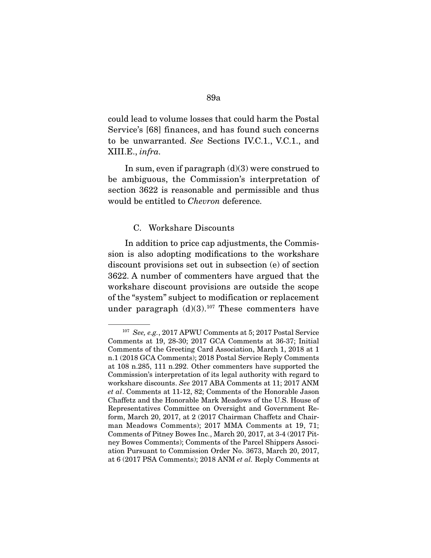could lead to volume losses that could harm the Postal Service's [68] finances, and has found such concerns to be unwarranted. See Sections IV.C.1., V.C.1., and XIII.E., infra.

In sum, even if paragraph  $(d)(3)$  were construed to be ambiguous, the Commission's interpretation of section 3622 is reasonable and permissible and thus would be entitled to Chevron deference.

#### C. Workshare Discounts

 In addition to price cap adjustments, the Commission is also adopting modifications to the workshare discount provisions set out in subsection (e) of section 3622. A number of commenters have argued that the workshare discount provisions are outside the scope of the "system" subject to modification or replacement under paragraph  $(d)(3).^{107}$  These commenters have

<sup>&</sup>lt;sup>107</sup> See, e.g., 2017 APWU Comments at 5; 2017 Postal Service Comments at 19, 28-30; 2017 GCA Comments at 36-37; Initial Comments of the Greeting Card Association, March 1, 2018 at 1 n.1 (2018 GCA Comments); 2018 Postal Service Reply Comments at 108 n.285, 111 n.292. Other commenters have supported the Commission's interpretation of its legal authority with regard to workshare discounts. See 2017 ABA Comments at 11; 2017 ANM et al. Comments at 11-12, 82; Comments of the Honorable Jason Chaffetz and the Honorable Mark Meadows of the U.S. House of Representatives Committee on Oversight and Government Reform, March 20, 2017, at 2 (2017 Chairman Chaffetz and Chairman Meadows Comments); 2017 MMA Comments at 19, 71; Comments of Pitney Bowes Inc., March 20, 2017, at 3-4 (2017 Pitney Bowes Comments); Comments of the Parcel Shippers Association Pursuant to Commission Order No. 3673, March 20, 2017, at 6 (2017 PSA Comments); 2018 ANM et al. Reply Comments at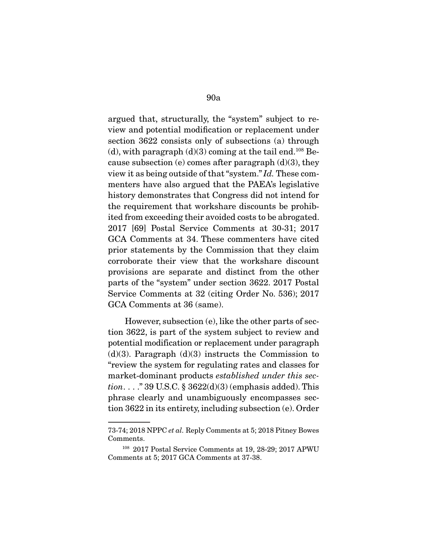argued that, structurally, the "system" subject to review and potential modification or replacement under section 3622 consists only of subsections (a) through (d), with paragraph  $(d)(3)$  coming at the tail end.<sup>108</sup> Because subsection (e) comes after paragraph  $(d)(3)$ , they view it as being outside of that "system." Id. These commenters have also argued that the PAEA's legislative history demonstrates that Congress did not intend for the requirement that workshare discounts be prohibited from exceeding their avoided costs to be abrogated. 2017 [69] Postal Service Comments at 30-31; 2017 GCA Comments at 34. These commenters have cited prior statements by the Commission that they claim corroborate their view that the workshare discount provisions are separate and distinct from the other parts of the "system" under section 3622. 2017 Postal Service Comments at 32 (citing Order No. 536); 2017 GCA Comments at 36 (same).

 However, subsection (e), like the other parts of section 3622, is part of the system subject to review and potential modification or replacement under paragraph  $(d)(3)$ . Paragraph  $(d)(3)$  instructs the Commission to "review the system for regulating rates and classes for market-dominant products established under this sec*tion.*  $\ldots$  ." 39 U.S.C. § 3622(d)(3) (emphasis added). This phrase clearly and unambiguously encompasses section 3622 in its entirety, including subsection (e). Order

<sup>73-74; 2018</sup> NPPC et al. Reply Comments at 5; 2018 Pitney Bowes Comments.

<sup>108</sup> 2017 Postal Service Comments at 19, 28-29; 2017 APWU Comments at 5; 2017 GCA Comments at 37-38.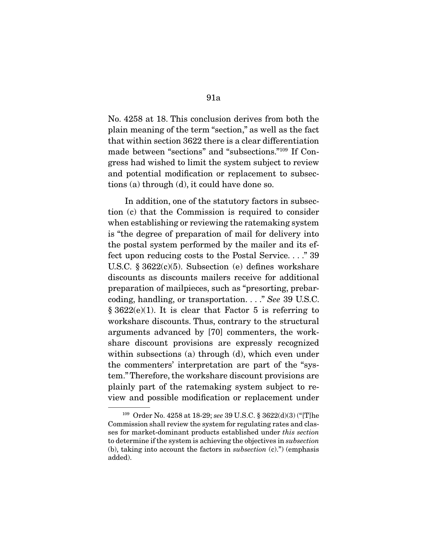No. 4258 at 18. This conclusion derives from both the plain meaning of the term "section," as well as the fact that within section 3622 there is a clear differentiation made between "sections" and "subsections."109 If Congress had wished to limit the system subject to review and potential modification or replacement to subsec-

tions (a) through (d), it could have done so.

 In addition, one of the statutory factors in subsection (c) that the Commission is required to consider when establishing or reviewing the ratemaking system is "the degree of preparation of mail for delivery into the postal system performed by the mailer and its effect upon reducing costs to the Postal Service. . . ." 39 U.S.C. § 3622(c)(5). Subsection (e) defines workshare discounts as discounts mailers receive for additional preparation of mailpieces, such as "presorting, prebarcoding, handling, or transportation. . . ." See 39 U.S.C.  $§ 3622(e)(1)$ . It is clear that Factor 5 is referring to workshare discounts. Thus, contrary to the structural arguments advanced by [70] commenters, the workshare discount provisions are expressly recognized within subsections (a) through (d), which even under the commenters' interpretation are part of the "system." Therefore, the workshare discount provisions are plainly part of the ratemaking system subject to review and possible modification or replacement under

<sup>109</sup> Order No. 4258 at 18-29; see 39 U.S.C. § 3622(d)(3) ("[T]he Commission shall review the system for regulating rates and classes for market-dominant products established under this section to determine if the system is achieving the objectives in subsection (b), taking into account the factors in subsection (c).") (emphasis added).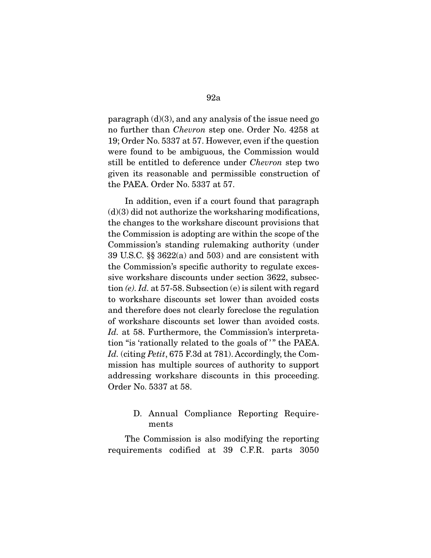paragraph (d)(3), and any analysis of the issue need go no further than Chevron step one. Order No. 4258 at 19; Order No. 5337 at 57. However, even if the question were found to be ambiguous, the Commission would still be entitled to deference under Chevron step two given its reasonable and permissible construction of the PAEA. Order No. 5337 at 57.

 In addition, even if a court found that paragraph  $(d)(3)$  did not authorize the worksharing modifications, the changes to the workshare discount provisions that the Commission is adopting are within the scope of the Commission's standing rulemaking authority (under 39 U.S.C. §§ 3622(a) and 503) and are consistent with the Commission's specific authority to regulate excessive workshare discounts under section 3622, subsection  $(e)$ . Id. at 57-58. Subsection  $(e)$  is silent with regard to workshare discounts set lower than avoided costs and therefore does not clearly foreclose the regulation of workshare discounts set lower than avoided costs. Id. at 58. Furthermore, the Commission's interpretation "is 'rationally related to the goals of '" the PAEA. Id. (citing Petit, 675 F.3d at 781). Accordingly, the Commission has multiple sources of authority to support addressing workshare discounts in this proceeding. Order No. 5337 at 58.

## D. Annual Compliance Reporting Requirements

 The Commission is also modifying the reporting requirements codified at 39 C.F.R. parts 3050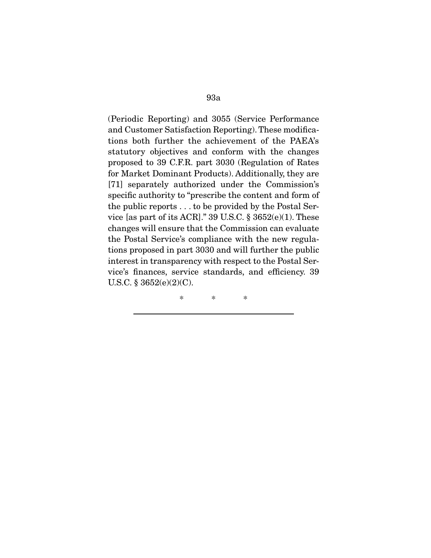(Periodic Reporting) and 3055 (Service Performance and Customer Satisfaction Reporting). These modifications both further the achievement of the PAEA's statutory objectives and conform with the changes proposed to 39 C.F.R. part 3030 (Regulation of Rates for Market Dominant Products). Additionally, they are [71] separately authorized under the Commission's specific authority to "prescribe the content and form of the public reports . . . to be provided by the Postal Service [as part of its ACR]." 39 U.S.C.  $\S 3652(e)(1)$ . These changes will ensure that the Commission can evaluate the Postal Service's compliance with the new regulations proposed in part 3030 and will further the public interest in transparency with respect to the Postal Service's finances, service standards, and efficiency. 39 U.S.C. § 3652(e)(2)(C).

\* \* \*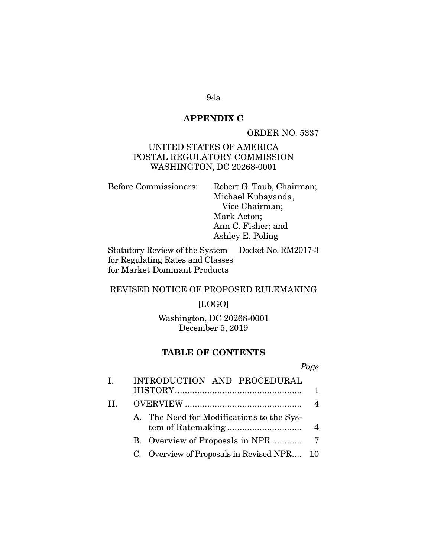## **APPENDIX C**

ORDER NO. 5337

UNITED STATES OF AMERICA POSTAL REGULATORY COMMISSION WASHINGTON, DC 20268-0001

Before Commissioners: Robert G. Taub, Chairman; Michael Kubayanda, Vice Chairman; Mark Acton; Ann C. Fisher; and Ashley E. Poling

Statutory Review of the System for Regulating Rates and Classes for Market Dominant Products Docket No. RM2017-3

### REVISED NOTICE OF PROPOSED RULEMAKING

#### [LOGO]

Washington, DC 20268-0001 December 5, 2019

### **TABLE OF CONTENTS**

| Ι. | INTRODUCTION AND PROCEDURAL                |                |
|----|--------------------------------------------|----------------|
|    |                                            |                |
| H. |                                            |                |
|    | A. The Need for Modifications to the Sys-  |                |
|    |                                            | $\overline{4}$ |
|    |                                            |                |
|    | C. Overview of Proposals in Revised NPR 10 |                |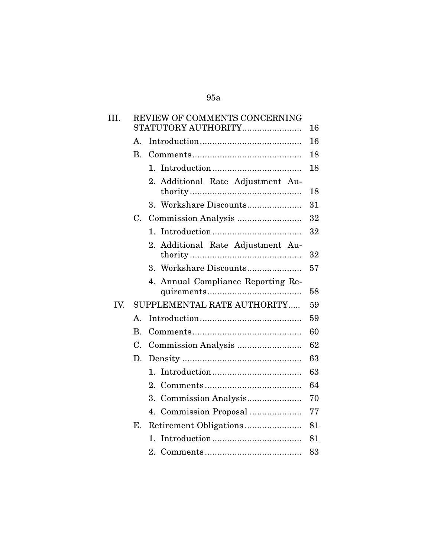| III. |                | REVIEW OF COMMENTS CONCERNING<br>STATUTORY AUTHORITY | 16 |
|------|----------------|------------------------------------------------------|----|
|      | $\mathbf{A}$ . |                                                      | 16 |
|      | <b>B.</b>      |                                                      | 18 |
|      |                | $\mathbf{1}_{\cdot}$                                 | 18 |
|      |                | Additional Rate Adjustment Au-<br>2.                 | 18 |
|      |                | 3. Workshare Discounts                               | 31 |
|      | C.             |                                                      | 32 |
|      |                | $\mathbf{1}_{\cdot}$                                 | 32 |
|      |                | Additional Rate Adjustment Au-<br>2.                 | 32 |
|      |                | 3.                                                   | 57 |
|      |                | Annual Compliance Reporting Re-<br>4.                | 58 |
| IV.  |                | SUPPLEMENTAL RATE AUTHORITY                          | 59 |
|      | Α.             |                                                      | 59 |
|      | <b>B.</b>      |                                                      | 60 |
|      | C.             |                                                      | 62 |
|      | D.             |                                                      | 63 |
|      |                | 1.                                                   | 63 |
|      |                | $2_{-}$                                              | 64 |
|      |                |                                                      | 70 |
|      |                | 4. Commission Proposal                               | 77 |
|      | $\mathbf{E}$ . |                                                      | 81 |
|      |                | 1.                                                   | 81 |
|      |                |                                                      | 83 |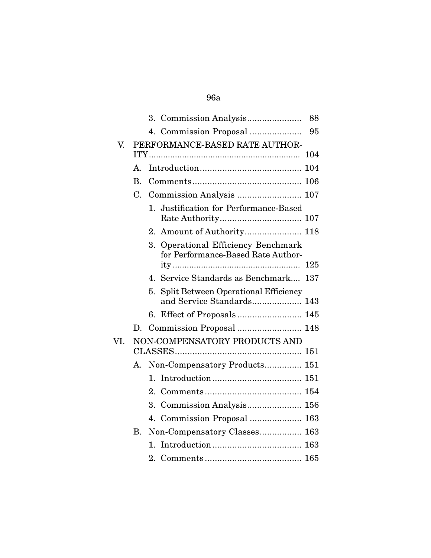|     |                | 88                                                                                  |
|-----|----------------|-------------------------------------------------------------------------------------|
|     |                | 4. Commission Proposal<br>95                                                        |
| V.  |                | PERFORMANCE-BASED RATE AUTHOR-                                                      |
|     |                | 104                                                                                 |
|     | $\mathbf{A}$ . |                                                                                     |
|     | $\mathbf{B}$ . |                                                                                     |
|     | C.             | Commission Analysis  107                                                            |
|     |                | 1. Justification for Performance-Based                                              |
|     |                | 2. Amount of Authority 118                                                          |
|     |                | <b>Operational Efficiency Benchmark</b><br>3.<br>for Performance-Based Rate Author- |
|     |                | 125                                                                                 |
|     |                | 4. Service Standards as Benchmark 137                                               |
|     |                | Split Between Operational Efficiency<br>5.<br>and Service Standards 143             |
|     |                |                                                                                     |
|     | D.             |                                                                                     |
| VI. |                | NON-COMPENSATORY PRODUCTS AND                                                       |
|     |                |                                                                                     |
|     | А.             | Non-Compensatory Products 151                                                       |
|     |                | $\mathbf{1}_{\cdot}$                                                                |
|     |                | 2.                                                                                  |
|     |                | 3.                                                                                  |
|     |                | 4.                                                                                  |
|     | <b>B.</b>      | Non-Compensatory Classes 163                                                        |
|     |                | $\mathbf{1}_{\cdot}$                                                                |
|     |                |                                                                                     |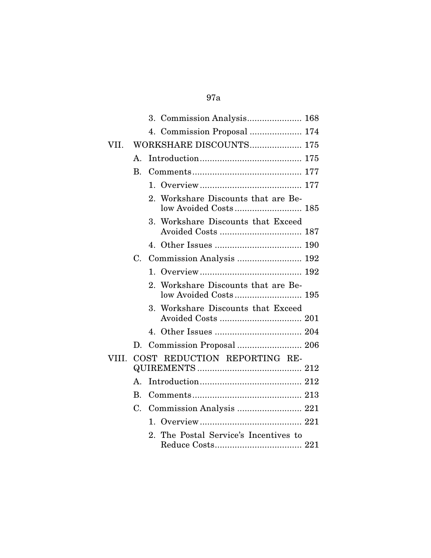|       |    | 4. Commission Proposal  174                                  |
|-------|----|--------------------------------------------------------------|
| VII.  |    | WORKSHARE DISCOUNTS 175                                      |
|       | A. |                                                              |
|       | В. |                                                              |
|       |    |                                                              |
|       |    | 2. Workshare Discounts that are Be-<br>low Avoided Costs 185 |
|       |    | 3. Workshare Discounts that Exceed                           |
|       |    |                                                              |
|       |    | C. Commission Analysis  192                                  |
|       |    |                                                              |
|       |    | 2. Workshare Discounts that are Be-                          |
|       |    | 3. Workshare Discounts that Exceed                           |
|       |    |                                                              |
|       | D. |                                                              |
| VIII. |    | COST REDUCTION REPORTING RE-                                 |
|       | A. |                                                              |
|       | В. |                                                              |
|       | C. | Commission Analysis  221                                     |
|       |    |                                                              |
|       |    | The Postal Service's Incentives to<br>$2 -$                  |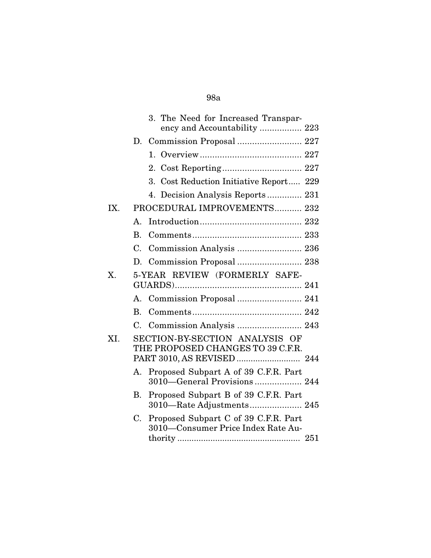|     | 3. The Need for Increased Transpar-<br>ency and Accountability  223              |
|-----|----------------------------------------------------------------------------------|
|     | Commission Proposal  227<br>D.                                                   |
|     |                                                                                  |
|     |                                                                                  |
|     | 3. Cost Reduction Initiative Report 229                                          |
|     | 4. Decision Analysis Reports 231                                                 |
| IX. | PROCEDURAL IMPROVEMENTS 232                                                      |
|     | $\mathbf{A}_{\cdot}$                                                             |
|     | B.                                                                               |
|     | Commission Analysis  236<br>$C_{\cdot}$                                          |
|     | D.                                                                               |
| X.  | 5-YEAR REVIEW (FORMERLY SAFE-                                                    |
|     | A. Commission Proposal  241                                                      |
|     | В.                                                                               |
|     | C.                                                                               |
| XI. | SECTION-BY-SECTION ANALYSIS OF<br>THE PROPOSED CHANGES TO 39 C.F.R.              |
|     | Proposed Subpart A of 39 C.F.R. Part<br>A.<br>3010–General Provisions 244        |
|     | Proposed Subpart B of 39 C.F.R. Part<br>В.<br>3010—Rate Adjustments 245          |
|     | Proposed Subpart C of 39 C.F.R. Part<br>C.<br>3010-Consumer Price Index Rate Au- |
|     |                                                                                  |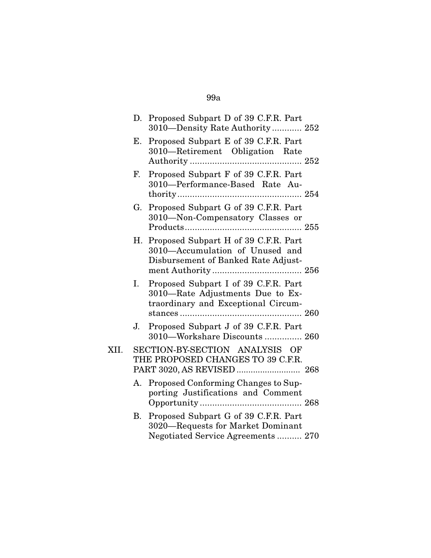|      |    | D. Proposed Subpart D of 39 C.F.R. Part<br>3010—Density Rate Authority 252                                        |  |
|------|----|-------------------------------------------------------------------------------------------------------------------|--|
|      | Е. | Proposed Subpart E of 39 C.F.R. Part<br>3010-Retirement Obligation Rate                                           |  |
|      | F. | Proposed Subpart F of 39 C.F.R. Part<br>3010-Performance-Based Rate Au-                                           |  |
|      | G. | Proposed Subpart G of 39 C.F.R. Part<br>3010-Non-Compensatory Classes or                                          |  |
|      |    | H. Proposed Subpart H of 39 C.F.R. Part<br>3010-Accumulation of Unused and<br>Disbursement of Banked Rate Adjust- |  |
|      | Ι. | Proposed Subpart I of 39 C.F.R. Part<br>3010-Rate Adjustments Due to Ex-<br>traordinary and Exceptional Circum-   |  |
|      | J. | Proposed Subpart J of 39 C.F.R. Part<br>3010-Workshare Discounts  260                                             |  |
| XII. |    | SECTION-BY-SECTION ANALYSIS OF<br>THE PROPOSED CHANGES TO 39 C.F.R.                                               |  |
|      | А. | Proposed Conforming Changes to Sup-<br>porting Justifications and Comment                                         |  |
|      | В. | Proposed Subpart G of 39 C.F.R. Part<br>3020—Requests for Market Dominant<br>Negotiated Service Agreements  270   |  |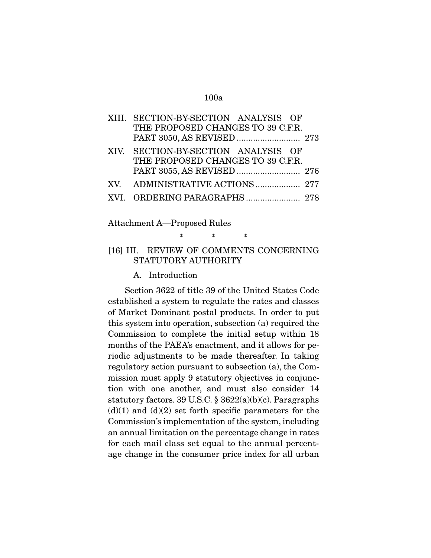| XIII. SECTION-BY-SECTION ANALYSIS OF |  |
|--------------------------------------|--|
| THE PROPOSED CHANGES TO 39 C.F.R.    |  |
|                                      |  |
| XIV. SECTION-BY-SECTION ANALYSIS OF  |  |
| THE PROPOSED CHANGES TO 39 C.F.R.    |  |
|                                      |  |
| XV. ADMINISTRATIVE ACTIONS  277      |  |
|                                      |  |
|                                      |  |

Attachment A—Proposed Rules

### [16] III. REVIEW OF COMMENTS CONCERNING STATUTORY AUTHORITY

\* \* \*

A. Introduction

 Section 3622 of title 39 of the United States Code established a system to regulate the rates and classes of Market Dominant postal products. In order to put this system into operation, subsection (a) required the Commission to complete the initial setup within 18 months of the PAEA's enactment, and it allows for periodic adjustments to be made thereafter. In taking regulatory action pursuant to subsection (a), the Commission must apply 9 statutory objectives in conjunction with one another, and must also consider 14 statutory factors. 39 U.S.C. § 3622(a)(b)(c). Paragraphs  $(d)(1)$  and  $(d)(2)$  set forth specific parameters for the Commission's implementation of the system, including an annual limitation on the percentage change in rates for each mail class set equal to the annual percentage change in the consumer price index for all urban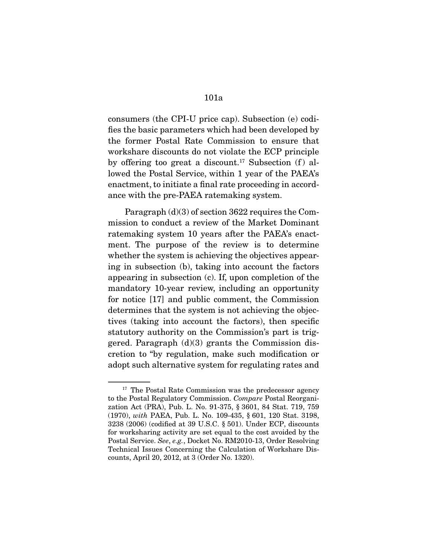consumers (the CPI-U price cap). Subsection (e) codifies the basic parameters which had been developed by the former Postal Rate Commission to ensure that workshare discounts do not violate the ECP principle by offering too great a discount.<sup>17</sup> Subsection  $(f)$  allowed the Postal Service, within 1 year of the PAEA's enactment, to initiate a final rate proceeding in accordance with the pre-PAEA ratemaking system.

 Paragraph (d)(3) of section 3622 requires the Commission to conduct a review of the Market Dominant ratemaking system 10 years after the PAEA's enactment. The purpose of the review is to determine whether the system is achieving the objectives appearing in subsection (b), taking into account the factors appearing in subsection (c). If, upon completion of the mandatory 10-year review, including an opportunity for notice [17] and public comment, the Commission determines that the system is not achieving the objectives (taking into account the factors), then specific statutory authority on the Commission's part is triggered. Paragraph  $(d)(3)$  grants the Commission discretion to "by regulation, make such modification or adopt such alternative system for regulating rates and

<sup>&</sup>lt;sup>17</sup> The Postal Rate Commission was the predecessor agency to the Postal Regulatory Commission. Compare Postal Reorganization Act (PRA), Pub. L. No. 91-375, § 3601, 84 Stat. 719, 759 (1970), with PAEA, Pub. L. No. 109-435, § 601, 120 Stat. 3198, 3238 (2006) (codified at 39 U.S.C. § 501). Under ECP, discounts for worksharing activity are set equal to the cost avoided by the Postal Service. See, e.g., Docket No. RM2010-13, Order Resolving Technical Issues Concerning the Calculation of Workshare Discounts, April 20, 2012, at 3 (Order No. 1320).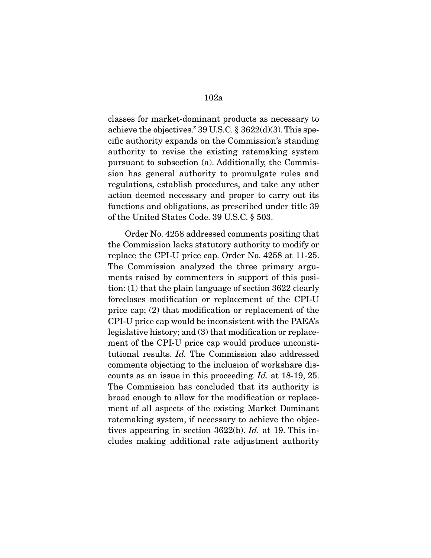classes for market-dominant products as necessary to achieve the objectives." 39 U.S.C. § 3622(d)(3). This specific authority expands on the Commission's standing authority to revise the existing ratemaking system pursuant to subsection (a). Additionally, the Commission has general authority to promulgate rules and regulations, establish procedures, and take any other action deemed necessary and proper to carry out its functions and obligations, as prescribed under title 39 of the United States Code. 39 U.S.C. § 503.

 Order No. 4258 addressed comments positing that the Commission lacks statutory authority to modify or replace the CPI-U price cap. Order No. 4258 at 11-25. The Commission analyzed the three primary arguments raised by commenters in support of this position: (1) that the plain language of section 3622 clearly forecloses modification or replacement of the CPI-U price cap; (2) that modification or replacement of the CPI-U price cap would be inconsistent with the PAEA's legislative history; and (3) that modification or replacement of the CPI-U price cap would produce unconstitutional results. Id. The Commission also addressed comments objecting to the inclusion of workshare discounts as an issue in this proceeding. Id. at 18-19, 25. The Commission has concluded that its authority is broad enough to allow for the modification or replacement of all aspects of the existing Market Dominant ratemaking system, if necessary to achieve the objectives appearing in section 3622(b). Id. at 19. This includes making additional rate adjustment authority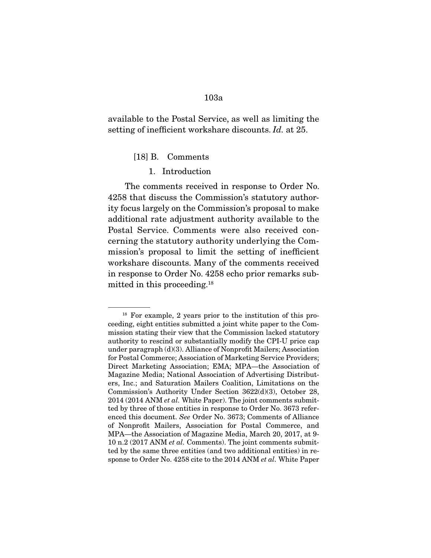available to the Postal Service, as well as limiting the setting of inefficient workshare discounts. Id. at 25.

[18] B. Comments

#### 1. Introduction

 The comments received in response to Order No. 4258 that discuss the Commission's statutory authority focus largely on the Commission's proposal to make additional rate adjustment authority available to the Postal Service. Comments were also received concerning the statutory authority underlying the Commission's proposal to limit the setting of inefficient workshare discounts. Many of the comments received in response to Order No. 4258 echo prior remarks submitted in this proceeding.18

<sup>18</sup> For example, 2 years prior to the institution of this proceeding, eight entities submitted a joint white paper to the Commission stating their view that the Commission lacked statutory authority to rescind or substantially modify the CPI-U price cap under paragraph (d)(3). Alliance of Nonprofit Mailers; Association for Postal Commerce; Association of Marketing Service Providers; Direct Marketing Association; EMA; MPA—the Association of Magazine Media; National Association of Advertising Distributers, Inc.; and Saturation Mailers Coalition, Limitations on the Commission's Authority Under Section 3622(d)(3), October 28,  $2014$  (2014 ANM *et al.* White Paper). The joint comments submitted by three of those entities in response to Order No. 3673 referenced this document. See Order No. 3673; Comments of Alliance of Nonprofit Mailers, Association for Postal Commerce, and MPA—the Association of Magazine Media, March 20, 2017, at 9- 10 n.2 (2017 ANM et al. Comments). The joint comments submitted by the same three entities (and two additional entities) in response to Order No. 4258 cite to the 2014 ANM et al. White Paper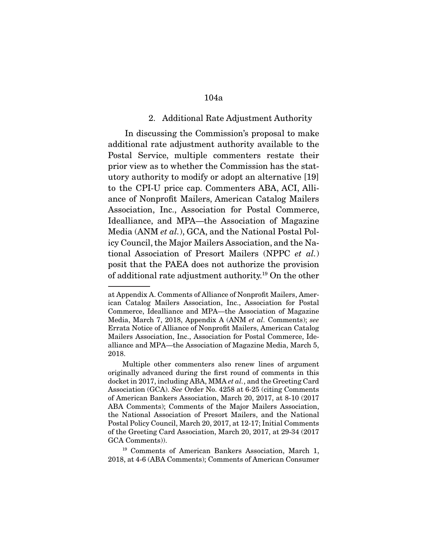#### 2. Additional Rate Adjustment Authority

 In discussing the Commission's proposal to make additional rate adjustment authority available to the Postal Service, multiple commenters restate their prior view as to whether the Commission has the statutory authority to modify or adopt an alternative [19] to the CPI-U price cap. Commenters ABA, ACI, Alliance of Nonprofit Mailers, American Catalog Mailers Association, Inc., Association for Postal Commerce, Idealliance, and MPA—the Association of Magazine Media (ANM et al.), GCA, and the National Postal Policy Council, the Major Mailers Association, and the National Association of Presort Mailers (NPPC et al.) posit that the PAEA does not authorize the provision of additional rate adjustment authority.19 On the other

at Appendix A. Comments of Alliance of Nonprofit Mailers, American Catalog Mailers Association, Inc., Association for Postal Commerce, Idealliance and MPA—the Association of Magazine Media, March 7, 2018, Appendix A (ANM et al. Comments); see Errata Notice of Alliance of Nonprofit Mailers, American Catalog Mailers Association, Inc., Association for Postal Commerce, Idealliance and MPA—the Association of Magazine Media, March 5, 2018.

Multiple other commenters also renew lines of argument originally advanced during the first round of comments in this docket in 2017, including ABA, MMA et al., and the Greeting Card Association (GCA). See Order No. 4258 at 6-25 (citing Comments of American Bankers Association, March 20, 2017, at 8-10 (2017 ABA Comments); Comments of the Major Mailers Association, the National Association of Presort Mailers, and the National Postal Policy Council, March 20, 2017, at 12-17; Initial Comments of the Greeting Card Association, March 20, 2017, at 29-34 (2017 GCA Comments)).

<sup>19</sup> Comments of American Bankers Association, March 1, 2018, at 4-6 (ABA Comments); Comments of American Consumer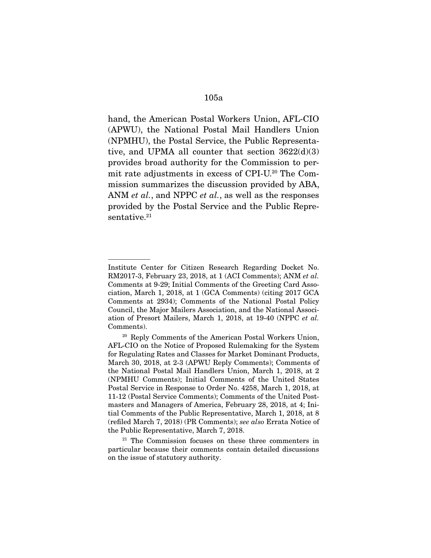hand, the American Postal Workers Union, AFL-CIO (APWU), the National Postal Mail Handlers Union (NPMHU), the Postal Service, the Public Representative, and UPMA all counter that section  $3622(d)(3)$ provides broad authority for the Commission to permit rate adjustments in excess of CPI-U.20 The Commission summarizes the discussion provided by ABA, ANM *et al.*, and NPPC *et al.*, as well as the responses provided by the Postal Service and the Public Representative.<sup>21</sup>

Institute Center for Citizen Research Regarding Docket No. RM2017-3, February 23, 2018, at 1 (ACI Comments); ANM et al. Comments at 9-29; Initial Comments of the Greeting Card Association, March 1, 2018, at 1 (GCA Comments) (citing 2017 GCA Comments at 2934); Comments of the National Postal Policy Council, the Major Mailers Association, and the National Association of Presort Mailers, March 1, 2018, at 19-40 (NPPC et al. Comments).

<sup>20</sup> Reply Comments of the American Postal Workers Union, AFL-CIO on the Notice of Proposed Rulemaking for the System for Regulating Rates and Classes for Market Dominant Products, March 30, 2018, at 2-3 (APWU Reply Comments); Comments of the National Postal Mail Handlers Union, March 1, 2018, at 2 (NPMHU Comments); Initial Comments of the United States Postal Service in Response to Order No. 4258, March 1, 2018, at 11-12 (Postal Service Comments); Comments of the United Postmasters and Managers of America, February 28, 2018, at 4; Initial Comments of the Public Representative, March 1, 2018, at 8 (refiled March 7, 2018) (PR Comments); see also Errata Notice of the Public Representative, March 7, 2018.

<sup>&</sup>lt;sup>21</sup> The Commission focuses on these three commenters in particular because their comments contain detailed discussions on the issue of statutory authority.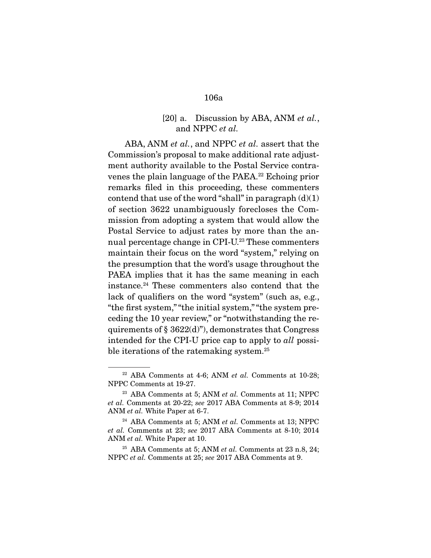## [20] a. Discussion by ABA, ANM et al., and NPPC et al.

ABA, ANM et al., and NPPC et al. assert that the Commission's proposal to make additional rate adjustment authority available to the Postal Service contravenes the plain language of the PAEA.<sup>22</sup> Echoing prior remarks filed in this proceeding, these commenters contend that use of the word "shall" in paragraph  $(d)(1)$ of section 3622 unambiguously forecloses the Commission from adopting a system that would allow the Postal Service to adjust rates by more than the annual percentage change in CPI-U.<sup>23</sup> These commenters maintain their focus on the word "system," relying on the presumption that the word's usage throughout the PAEA implies that it has the same meaning in each instance.24 These commenters also contend that the lack of qualifiers on the word "system" (such as, e.g., "the first system," "the initial system," "the system preceding the 10 year review," or "notwithstanding the requirements of  $\S$  3622(d)"), demonstrates that Congress intended for the CPI-U price cap to apply to all possible iterations of the ratemaking system.<sup>25</sup>

 $22$  ABA Comments at 4-6; ANM *et al.* Comments at 10-28; NPPC Comments at 19-27.

<sup>&</sup>lt;sup>23</sup> ABA Comments at 5; ANM et al. Comments at 11; NPPC et al. Comments at 20-22; see 2017 ABA Comments at 8-9; 2014 ANM et al. White Paper at 6-7.

 $24$  ABA Comments at 5; ANM *et al.* Comments at 13; NPPC et al. Comments at 23; see 2017 ABA Comments at 8-10; 2014 ANM et al. White Paper at 10.

 $25$  ABA Comments at 5; ANM *et al.* Comments at 23 n.8, 24; NPPC et al. Comments at 25; see 2017 ABA Comments at 9.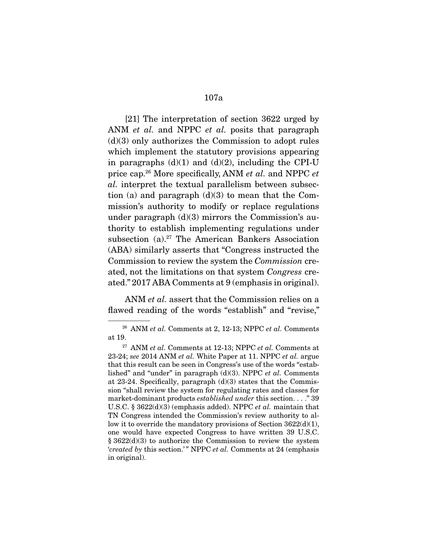[21] The interpretation of section 3622 urged by ANM *et al.* and NPPC *et al.* posits that paragraph  $(d)(3)$  only authorizes the Commission to adopt rules which implement the statutory provisions appearing in paragraphs  $(d)(1)$  and  $(d)(2)$ , including the CPI-U price cap.<sup>26</sup> More specifically, ANM *et al.* and NPPC *et* al. interpret the textual parallelism between subsection (a) and paragraph  $(d)(3)$  to mean that the Commission's authority to modify or replace regulations under paragraph  $(d)(3)$  mirrors the Commission's authority to establish implementing regulations under subsection (a).<sup>27</sup> The American Bankers Association (ABA) similarly asserts that "Congress instructed the Commission to review the system the Commission created, not the limitations on that system Congress created." 2017 ABA Comments at 9 (emphasis in original).

ANM *et al.* assert that the Commission relies on a flawed reading of the words "establish" and "revise,"

 $26$  ANM et al. Comments at 2, 12-13; NPPC et al. Comments at 19.

 $27$  ANM et al. Comments at 12-13; NPPC et al. Comments at 23-24; see 2014 ANM et al. White Paper at 11. NPPC et al. argue that this result can be seen in Congress's use of the words "established" and "under" in paragraph  $(d)(3)$ . NPPC *et al.* Comments at 23-24. Specifically, paragraph (d)(3) states that the Commission "shall review the system for regulating rates and classes for market-dominant products established under this section. . . ." 39 U.S.C. § 3622(d)(3) (emphasis added). NPPC et al. maintain that TN Congress intended the Commission's review authority to allow it to override the mandatory provisions of Section  $3622\mathrm{d}(1)$ , one would have expected Congress to have written 39 U.S.C. § 3622(d)(3) to authorize the Commission to review the system 'created by this section.'" NPPC et al. Comments at 24 (emphasis in original).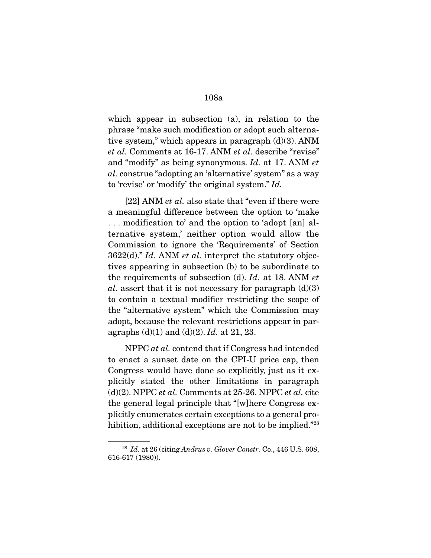which appear in subsection (a), in relation to the phrase "make such modification or adopt such alternative system," which appears in paragraph  $(d)(3)$ . ANM et al. Comments at 16-17. ANM et al. describe "revise" and "modify" as being synonymous. Id. at 17. ANM et al. construe "adopting an 'alternative' system" as a way to 'revise' or 'modify' the original system." Id.

[22] ANM *et al.* also state that "even if there were a meaningful difference between the option to 'make . . . modification to' and the option to 'adopt [an] alternative system,' neither option would allow the Commission to ignore the 'Requirements' of Section  $3622(d)$ ." Id. ANM et al. interpret the statutory objectives appearing in subsection (b) to be subordinate to the requirements of subsection (d). Id. at 18. ANM et al. assert that it is not necessary for paragraph  $(d)(3)$ to contain a textual modifier restricting the scope of the "alternative system" which the Commission may adopt, because the relevant restrictions appear in paragraphs  $(d)(1)$  and  $(d)(2)$ . *Id.* at 21, 23.

NPPC *at al.* contend that if Congress had intended to enact a sunset date on the CPI-U price cap, then Congress would have done so explicitly, just as it explicitly stated the other limitations in paragraph  $(d)(2)$ . NPPC *et al.* Comments at 25-26. NPPC *et al.* cite the general legal principle that "[w]here Congress explicitly enumerates certain exceptions to a general prohibition, additional exceptions are not to be implied."<sup>28</sup>

 $28$  Id. at 26 (citing Andrus v. Glover Constr. Co., 446 U.S. 608, 616-617 (1980)).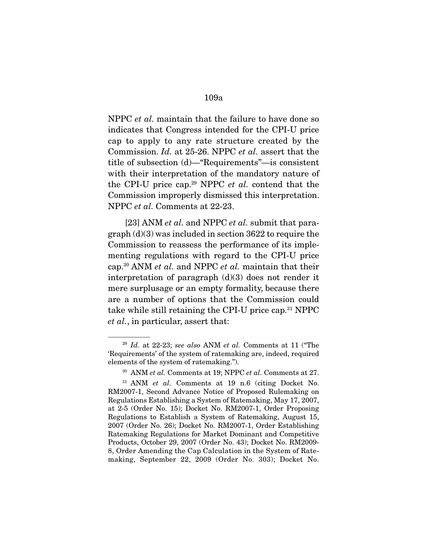NPPC et al. maintain that the failure to have done so indicates that Congress intended for the CPI-U price cap to apply to any rate structure created by the Commission. Id. at 25-26. NPPC et al. assert that the title of subsection (d)—"Requirements"—is consistent with their interpretation of the mandatory nature of the CPI-U price cap.<sup>29</sup> NPPC *et al.* contend that the Commission improperly dismissed this interpretation. NPPC et al. Comments at 22-23.

[23] ANM *et al.* and NPPC *et al.* submit that paragraph (d)(3) was included in section 3622 to require the Commission to reassess the performance of its implementing regulations with regard to the CPI-U price cap.<sup>30</sup> ANM *et al.* and NPPC *et al.* maintain that their interpretation of paragraph  $(d)(3)$  does not render it mere surplusage or an empty formality, because there are a number of options that the Commission could take while still retaining the CPI-U price cap.31 NPPC et al., in particular, assert that:

 $29$  Id. at 22-23; see also ANM et al. Comments at 11 ("The 'Requirements' of the system of ratemaking are, indeed, required elements of the system of ratemaking.").

 $30$  ANM et al. Comments at 19; NPPC et al. Comments at 27.

 $31$  ANM *et al.* Comments at 19 n.6 (citing Docket No. RM2007-1, Second Advance Notice of Proposed Rulemaking on Regulations Establishing a System of Ratemaking, May 17, 2007, at 2-5 (Order No. 15); Docket No. RM2007-1, Order Proposing Regulations to Establish a System of Ratemaking, August 15, 2007 (Order No. 26); Docket No. RM2007-1, Order Establishing Ratemaking Regulations for Market Dominant and Competitive Products, October 29, 2007 (Order No. 43); Docket No. RM2009- 8, Order Amending the Cap Calculation in the System of Ratemaking, September 22, 2009 (Order No. 303); Docket No.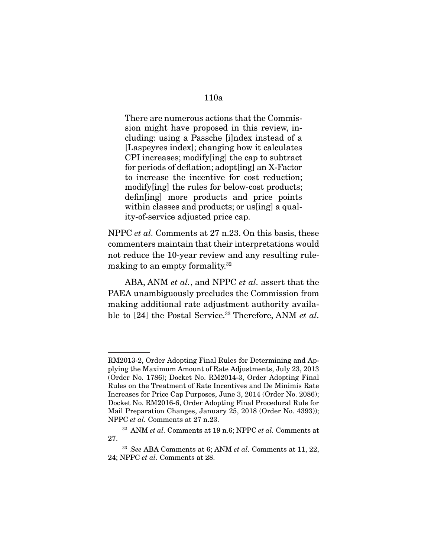There are numerous actions that the Commission might have proposed in this review, including: using a Passche [i]ndex instead of a [Laspeyres index]; changing how it calculates CPI increases; modify[ing] the cap to subtract for periods of deflation; adopt[ing] an X-Factor to increase the incentive for cost reduction; modify[ing] the rules for below-cost products; defin[ing] more products and price points within classes and products; or us [ing] a quality-of-service adjusted price cap.

NPPC et al. Comments at 27 n.23. On this basis, these commenters maintain that their interpretations would not reduce the 10-year review and any resulting rulemaking to an empty formality.32

ABA, ANM *et al.*, and NPPC *et al.* assert that the PAEA unambiguously precludes the Commission from making additional rate adjustment authority available to [24] the Postal Service.<sup>33</sup> Therefore, ANM et al.

RM2013-2, Order Adopting Final Rules for Determining and Applying the Maximum Amount of Rate Adjustments, July 23, 2013 (Order No. 1786); Docket No. RM2014-3, Order Adopting Final Rules on the Treatment of Rate Incentives and De Minimis Rate Increases for Price Cap Purposes, June 3, 2014 (Order No. 2086); Docket No. RM2016-6, Order Adopting Final Procedural Rule for Mail Preparation Changes, January 25, 2018 (Order No. 4393)); NPPC et al. Comments at 27 n.23.

 $32$  ANM et al. Comments at 19 n.6; NPPC et al. Comments at 27.

 $33$  See ABA Comments at 6; ANM et al. Comments at 11, 22, 24; NPPC et al. Comments at 28.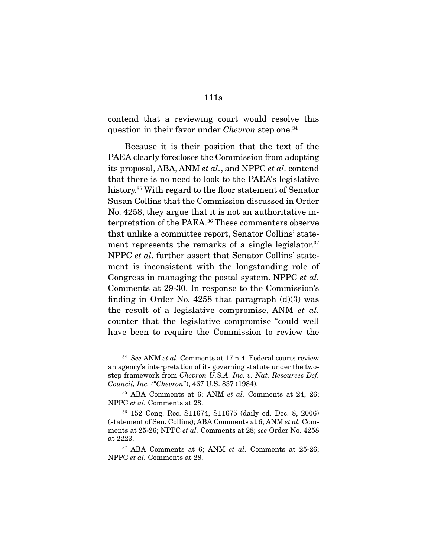contend that a reviewing court would resolve this question in their favor under *Chevron* step one.<sup>34</sup>

 Because it is their position that the text of the PAEA clearly forecloses the Commission from adopting its proposal, ABA, ANM et al., and NPPC et al. contend that there is no need to look to the PAEA's legislative history.35 With regard to the floor statement of Senator Susan Collins that the Commission discussed in Order No. 4258, they argue that it is not an authoritative interpretation of the PAEA.36 These commenters observe that unlike a committee report, Senator Collins' statement represents the remarks of a single legislator.<sup>37</sup> NPPC et al. further assert that Senator Collins' statement is inconsistent with the longstanding role of Congress in managing the postal system. NPPC et al. Comments at 29-30. In response to the Commission's finding in Order No. 4258 that paragraph  $(d)(3)$  was the result of a legislative compromise, ANM et al. counter that the legislative compromise "could well have been to require the Commission to review the

 $34$  See ANM et al. Comments at 17 n.4. Federal courts review an agency's interpretation of its governing statute under the twostep framework from Chevron U.S.A. Inc. v. Nat. Resources Def. Council, Inc. ("Chevron"), 467 U.S. 837 (1984).

 $35$  ABA Comments at 6; ANM *et al.* Comments at 24, 26; NPPC et al. Comments at 28.

<sup>36</sup> 152 Cong. Rec. S11674, S11675 (daily ed. Dec. 8, 2006) (statement of Sen. Collins); ABA Comments at 6; ANM et al. Comments at 25-26; NPPC et al. Comments at 28; see Order No. 4258 at 2223.

 $37$  ABA Comments at 6; ANM *et al.* Comments at 25-26; NPPC et al. Comments at 28.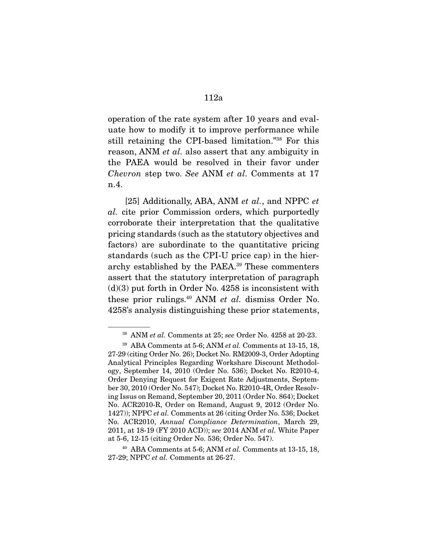operation of the rate system after 10 years and evaluate how to modify it to improve performance while still retaining the CPI-based limitation."38 For this reason, ANM et al. also assert that any ambiguity in the PAEA would be resolved in their favor under Chevron step two. See ANM et al. Comments at 17 n.4.

[25] Additionally, ABA, ANM et al., and NPPC et al. cite prior Commission orders, which purportedly corroborate their interpretation that the qualitative pricing standards (such as the statutory objectives and factors) are subordinate to the quantitative pricing standards (such as the CPI-U price cap) in the hierarchy established by the PAEA.39 These commenters assert that the statutory interpretation of paragraph  $(d)(3)$  put forth in Order No. 4258 is inconsistent with these prior rulings.<sup>40</sup> ANM *et al.* dismiss Order No. 4258's analysis distinguishing these prior statements,

 $38$  ANM et al. Comments at 25; see Order No. 4258 at 20-23.

 $39$  ABA Comments at 5-6; ANM *et al.* Comments at 13-15, 18, 27-29 (citing Order No. 26); Docket No. RM2009-3, Order Adopting Analytical Principles Regarding Workshare Discount Methodology, September 14, 2010 (Order No. 536); Docket No. R2010-4, Order Denying Request for Exigent Rate Adjustments, September 30, 2010 (Order No. 547); Docket No. R2010-4R, Order Resolving Issus on Remand, September 20, 2011 (Order No. 864); Docket No. ACR2010-R, Order on Remand, August 9, 2012 (Order No. 1427)); NPPC et al. Comments at 26 (citing Order No. 536; Docket No. ACR2010, Annual Compliance Determination, March 29, 2011, at 18-19 (FY 2010 ACD)); see 2014 ANM et al. White Paper at 5-6, 12-15 (citing Order No. 536; Order No. 547).

 $40$  ABA Comments at 5-6; ANM et al. Comments at 13-15, 18, 27-29; NPPC et al. Comments at 26-27.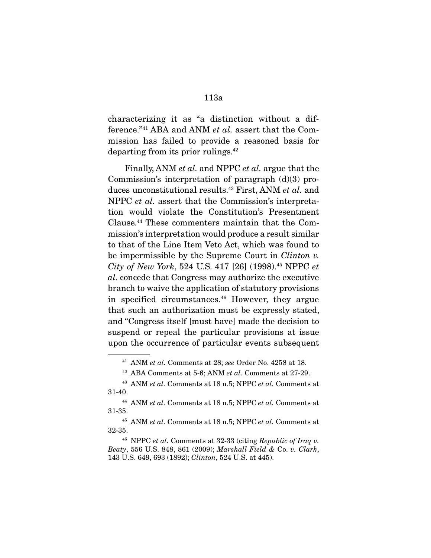characterizing it as "a distinction without a difference."41 ABA and ANM et al. assert that the Commission has failed to provide a reasoned basis for departing from its prior rulings.42

 Finally, ANM et al. and NPPC et al. argue that the Commission's interpretation of paragraph (d)(3) produces unconstitutional results.<sup>43</sup> First, ANM et al. and NPPC et al. assert that the Commission's interpretation would violate the Constitution's Presentment Clause.44 These commenters maintain that the Commission's interpretation would produce a result similar to that of the Line Item Veto Act, which was found to be impermissible by the Supreme Court in *Clinton v*. City of New York, 524 U.S. 417 [26] (1998).<sup>45</sup> NPPC et al. concede that Congress may authorize the executive branch to waive the application of statutory provisions in specified circumstances.<sup>46</sup> However, they argue that such an authorization must be expressly stated, and "Congress itself [must have] made the decision to suspend or repeal the particular provisions at issue upon the occurrence of particular events subsequent

 $41$  ANM et al. Comments at 28; see Order No. 4258 at 18.

 $42$  ABA Comments at 5-6; ANM *et al.* Comments at 27-29.

 $43$  ANM et al. Comments at 18 n.5; NPPC et al. Comments at 31-40.

<sup>&</sup>lt;sup>44</sup> ANM et al. Comments at 18 n.5; NPPC et al. Comments at 31-35.

 $45$  ANM et al. Comments at 18 n.5; NPPC et al. Comments at 32-35.

 $46$  NPPC et al. Comments at 32-33 (citing Republic of Iraq v. Beaty, 556 U.S. 848, 861 (2009); Marshall Field & Co. v. Clark, 143 U.S. 649, 693 (1892); Clinton, 524 U.S. at 445).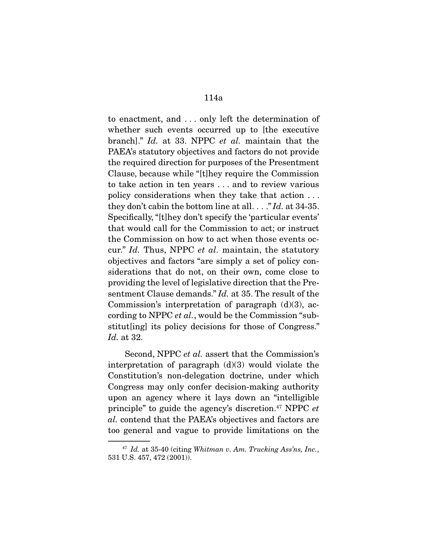to enactment, and . . . only left the determination of whether such events occurred up to [the executive branch]." Id. at 33. NPPC et al. maintain that the PAEA's statutory objectives and factors do not provide the required direction for purposes of the Presentment Clause, because while "[t]hey require the Commission to take action in ten years . . . and to review various policy considerations when they take that action . . . they don't cabin the bottom line at all. . . ." Id. at 34-35. Specifically, "[t]hey don't specify the 'particular events' that would call for the Commission to act; or instruct the Commission on how to act when those events occur." Id. Thus, NPPC et al. maintain, the statutory objectives and factors "are simply a set of policy considerations that do not, on their own, come close to providing the level of legislative direction that the Presentment Clause demands." Id. at 35. The result of the Commission's interpretation of paragraph  $(d)(3)$ , according to NPPC et al., would be the Commission "substitut[ing] its policy decisions for those of Congress." Id. at 32.

 Second, NPPC et al. assert that the Commission's interpretation of paragraph  $(d)(3)$  would violate the Constitution's non-delegation doctrine, under which Congress may only confer decision-making authority upon an agency where it lays down an "intelligible principle" to guide the agency's discretion.47 NPPC et al. contend that the PAEA's objectives and factors are too general and vague to provide limitations on the

 $47$  Id. at 35-40 (citing Whitman v. Am. Trucking Ass'ns, Inc., 531 U.S. 457, 472 (2001)).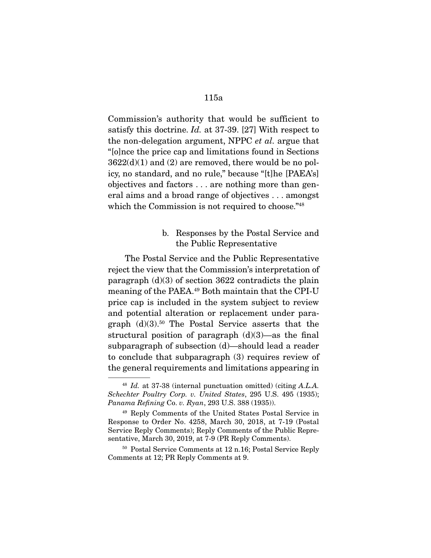Commission's authority that would be sufficient to satisfy this doctrine. Id. at 37-39. [27] With respect to the non-delegation argument, NPPC et al. argue that "[o]nce the price cap and limitations found in Sections  $3622(d)(1)$  and  $(2)$  are removed, there would be no policy, no standard, and no rule," because "[t]he [PAEA's] objectives and factors . . . are nothing more than general aims and a broad range of objectives . . . amongst which the Commission is not required to choose."<sup>48</sup>

# b. Responses by the Postal Service and the Public Representative

 The Postal Service and the Public Representative reject the view that the Commission's interpretation of paragraph  $(d)(3)$  of section 3622 contradicts the plain meaning of the PAEA.49 Both maintain that the CPI-U price cap is included in the system subject to review and potential alteration or replacement under paragraph  $(d)(3)$ <sup>50</sup> The Postal Service asserts that the structural position of paragraph  $(d)(3)$ —as the final subparagraph of subsection (d)—should lead a reader to conclude that subparagraph (3) requires review of the general requirements and limitations appearing in

 $^{48}$  Id. at 37-38 (internal punctuation omitted) (citing A.L.A. Schechter Poultry Corp. v. United States, 295 U.S. 495 (1935); Panama Refining Co. v. Ryan, 293 U.S. 388 (1935)).

<sup>49</sup> Reply Comments of the United States Postal Service in Response to Order No. 4258, March 30, 2018, at 7-19 (Postal Service Reply Comments); Reply Comments of the Public Representative, March 30, 2019, at 7-9 (PR Reply Comments).

<sup>50</sup> Postal Service Comments at 12 n.16; Postal Service Reply Comments at 12; PR Reply Comments at 9.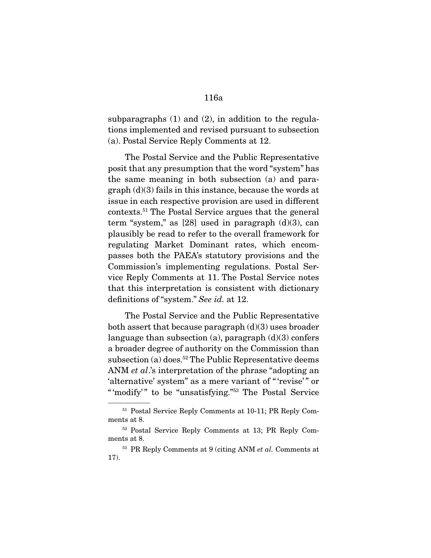subparagraphs (1) and (2), in addition to the regulations implemented and revised pursuant to subsection (a). Postal Service Reply Comments at 12.

 The Postal Service and the Public Representative posit that any presumption that the word "system" has the same meaning in both subsection (a) and para $graph$  (d)(3) fails in this instance, because the words at issue in each respective provision are used in different contexts.51 The Postal Service argues that the general term "system," as  $[28]$  used in paragraph  $(d)(3)$ , can plausibly be read to refer to the overall framework for regulating Market Dominant rates, which encompasses both the PAEA's statutory provisions and the Commission's implementing regulations. Postal Service Reply Comments at 11. The Postal Service notes that this interpretation is consistent with dictionary definitions of "system." See id. at 12.

 The Postal Service and the Public Representative both assert that because paragraph  $(d)(3)$  uses broader language than subsection (a), paragraph  $(d)(3)$  confers a broader degree of authority on the Commission than subsection (a) does.<sup>52</sup> The Public Representative deems ANM *et al*.'s interpretation of the phrase "adopting an 'alternative' system" as a mere variant of "'revise'" or " 'modify'" to be "unsatisfying."<sup>53</sup> The Postal Service

<sup>51</sup> Postal Service Reply Comments at 10-11; PR Reply Comments at 8.

<sup>52</sup> Postal Service Reply Comments at 13; PR Reply Comments at 8.

 $53$  PR Reply Comments at 9 (citing ANM *et al.* Comments at 17).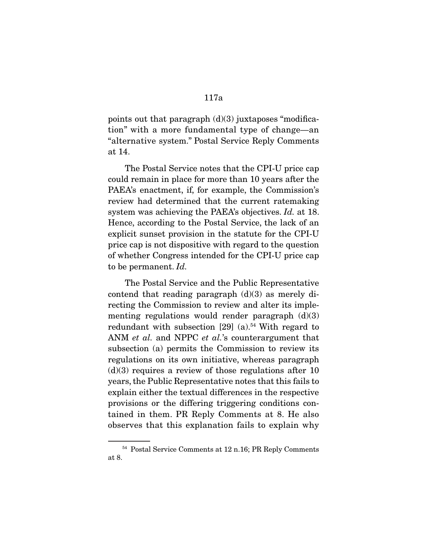points out that paragraph  $(d)(3)$  juxtaposes "modification" with a more fundamental type of change—an "alternative system." Postal Service Reply Comments at 14.

 The Postal Service notes that the CPI-U price cap could remain in place for more than 10 years after the PAEA's enactment, if, for example, the Commission's review had determined that the current ratemaking system was achieving the PAEA's objectives. Id. at 18. Hence, according to the Postal Service, the lack of an explicit sunset provision in the statute for the CPI-U price cap is not dispositive with regard to the question of whether Congress intended for the CPI-U price cap to be permanent. Id.

 The Postal Service and the Public Representative contend that reading paragraph  $(d)(3)$  as merely directing the Commission to review and alter its implementing regulations would render paragraph  $(d)(3)$ redundant with subsection  $[29]$  (a).<sup>54</sup> With regard to ANM *et al.* and NPPC *et al.*'s counterargument that subsection (a) permits the Commission to review its regulations on its own initiative, whereas paragraph  $(d)(3)$  requires a review of those regulations after 10 years, the Public Representative notes that this fails to explain either the textual differences in the respective provisions or the differing triggering conditions contained in them. PR Reply Comments at 8. He also observes that this explanation fails to explain why

<sup>54</sup> Postal Service Comments at 12 n.16; PR Reply Comments at 8.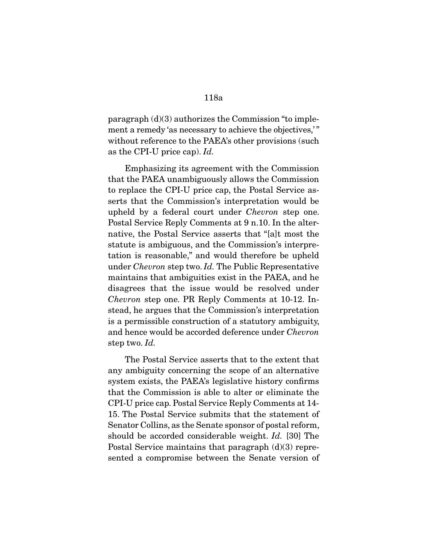paragraph (d)(3) authorizes the Commission "to implement a remedy 'as necessary to achieve the objectives,'" without reference to the PAEA's other provisions (such as the CPI-U price cap). Id.

 Emphasizing its agreement with the Commission that the PAEA unambiguously allows the Commission to replace the CPI-U price cap, the Postal Service asserts that the Commission's interpretation would be upheld by a federal court under Chevron step one. Postal Service Reply Comments at 9 n.10. In the alternative, the Postal Service asserts that "[a]t most the statute is ambiguous, and the Commission's interpretation is reasonable," and would therefore be upheld under Chevron step two. Id. The Public Representative maintains that ambiguities exist in the PAEA, and he disagrees that the issue would be resolved under Chevron step one. PR Reply Comments at 10-12. Instead, he argues that the Commission's interpretation is a permissible construction of a statutory ambiguity, and hence would be accorded deference under Chevron step two. Id.

 The Postal Service asserts that to the extent that any ambiguity concerning the scope of an alternative system exists, the PAEA's legislative history confirms that the Commission is able to alter or eliminate the CPI-U price cap. Postal Service Reply Comments at 14- 15. The Postal Service submits that the statement of Senator Collins, as the Senate sponsor of postal reform, should be accorded considerable weight. Id. [30] The Postal Service maintains that paragraph (d)(3) represented a compromise between the Senate version of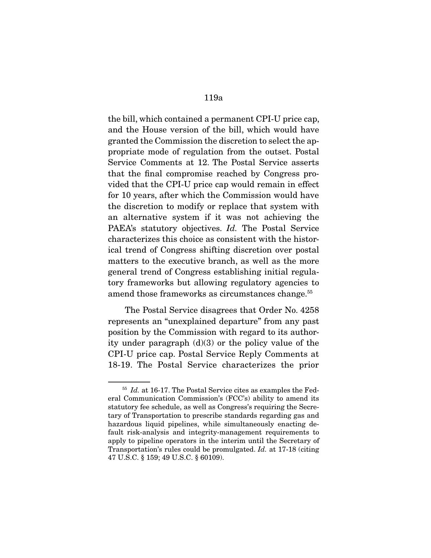the bill, which contained a permanent CPI-U price cap, and the House version of the bill, which would have granted the Commission the discretion to select the appropriate mode of regulation from the outset. Postal Service Comments at 12. The Postal Service asserts that the final compromise reached by Congress provided that the CPI-U price cap would remain in effect for 10 years, after which the Commission would have the discretion to modify or replace that system with an alternative system if it was not achieving the PAEA's statutory objectives. Id. The Postal Service characterizes this choice as consistent with the historical trend of Congress shifting discretion over postal matters to the executive branch, as well as the more general trend of Congress establishing initial regulatory frameworks but allowing regulatory agencies to amend those frameworks as circumstances change.<sup>55</sup>

 The Postal Service disagrees that Order No. 4258 represents an "unexplained departure" from any past position by the Commission with regard to its authority under paragraph  $(d)(3)$  or the policy value of the CPI-U price cap. Postal Service Reply Comments at 18-19. The Postal Service characterizes the prior

<sup>55</sup> Id. at 16-17. The Postal Service cites as examples the Federal Communication Commission's (FCC's) ability to amend its statutory fee schedule, as well as Congress's requiring the Secretary of Transportation to prescribe standards regarding gas and hazardous liquid pipelines, while simultaneously enacting default risk-analysis and integrity-management requirements to apply to pipeline operators in the interim until the Secretary of Transportation's rules could be promulgated. Id. at 17-18 (citing 47 U.S.C. § 159; 49 U.S.C. § 60109).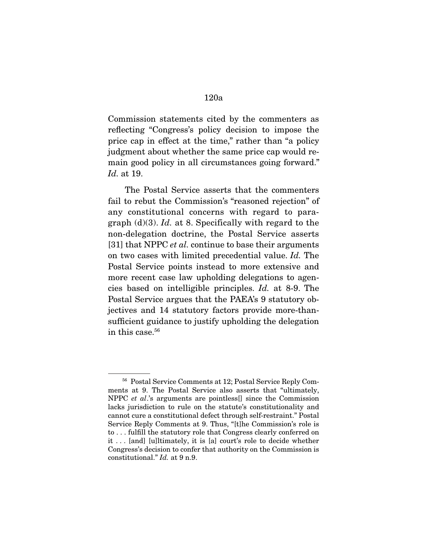Commission statements cited by the commenters as reflecting "Congress's policy decision to impose the price cap in effect at the time," rather than "a policy judgment about whether the same price cap would remain good policy in all circumstances going forward." Id. at 19.

 The Postal Service asserts that the commenters fail to rebut the Commission's "reasoned rejection" of any constitutional concerns with regard to paragraph  $(d)(3)$ . Id. at 8. Specifically with regard to the non-delegation doctrine, the Postal Service asserts [31] that NPPC *et al.* continue to base their arguments on two cases with limited precedential value. Id. The Postal Service points instead to more extensive and more recent case law upholding delegations to agencies based on intelligible principles. Id. at 8-9. The Postal Service argues that the PAEA's 9 statutory objectives and 14 statutory factors provide more-thansufficient guidance to justify upholding the delegation in this case.<sup>56</sup>

<sup>56</sup> Postal Service Comments at 12; Postal Service Reply Comments at 9. The Postal Service also asserts that "ultimately, NPPC et al.'s arguments are pointless[] since the Commission lacks jurisdiction to rule on the statute's constitutionality and cannot cure a constitutional defect through self-restraint." Postal Service Reply Comments at 9. Thus, "[t]he Commission's role is to . . . fulfill the statutory role that Congress clearly conferred on it . . . [and] [u]ltimately, it is [a] court's role to decide whether Congress's decision to confer that authority on the Commission is constitutional." Id. at 9 n.9.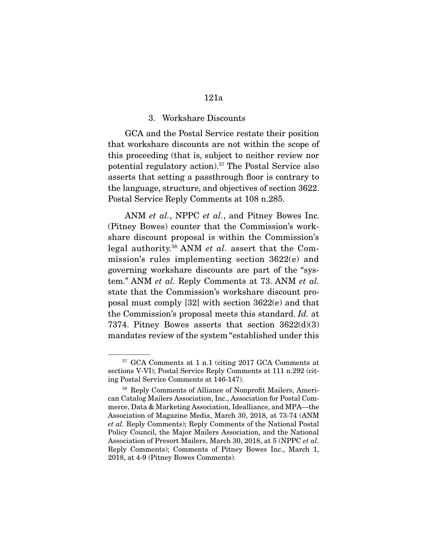#### 3. Workshare Discounts

 GCA and the Postal Service restate their position that workshare discounts are not within the scope of this proceeding (that is, subject to neither review nor potential regulatory action).57 The Postal Service also asserts that setting a passthrough floor is contrary to the language, structure, and objectives of section 3622. Postal Service Reply Comments at 108 n.285.

ANM et al., NPPC et al., and Pitney Bowes Inc. (Pitney Bowes) counter that the Commission's workshare discount proposal is within the Commission's legal authority.58 ANM et al. assert that the Commission's rules implementing section 3622(e) and governing workshare discounts are part of the "system." ANM et al. Reply Comments at 73. ANM et al. state that the Commission's workshare discount proposal must comply [32] with section 3622(e) and that the Commission's proposal meets this standard. Id. at 7374. Pitney Bowes asserts that section 3622(d)(3) mandates review of the system "established under this

<sup>57</sup> GCA Comments at 1 n.1 (citing 2017 GCA Comments at sections V-VI); Postal Service Reply Comments at 111 n.292 (citing Postal Service Comments at 146-147).

<sup>58</sup> Reply Comments of Alliance of Nonprofit Mailers, American Catalog Mailers Association, Inc., Association for Postal Commerce, Data & Marketing Association, Idealliance, and MPA—the Association of Magazine Media, March 30, 2018, at 73-74 (ANM et al. Reply Comments); Reply Comments of the National Postal Policy Council, the Major Mailers Association, and the National Association of Presort Mailers, March 30, 2018, at 5 (NPPC et al. Reply Comments); Comments of Pitney Bowes Inc., March 1, 2018, at 4-9 (Pitney Bowes Comments).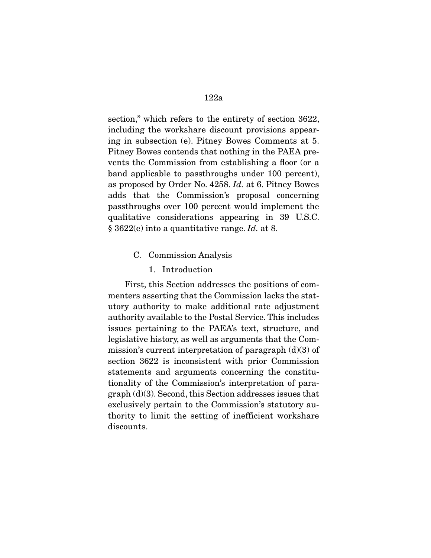section," which refers to the entirety of section 3622, including the workshare discount provisions appearing in subsection (e). Pitney Bowes Comments at 5. Pitney Bowes contends that nothing in the PAEA prevents the Commission from establishing a floor (or a band applicable to passthroughs under 100 percent), as proposed by Order No. 4258. Id. at 6. Pitney Bowes adds that the Commission's proposal concerning passthroughs over 100 percent would implement the qualitative considerations appearing in 39 U.S.C. § 3622(e) into a quantitative range. Id. at 8.

- C. Commission Analysis
	- 1. Introduction

 First, this Section addresses the positions of commenters asserting that the Commission lacks the statutory authority to make additional rate adjustment authority available to the Postal Service. This includes issues pertaining to the PAEA's text, structure, and legislative history, as well as arguments that the Commission's current interpretation of paragraph  $(d)(3)$  of section 3622 is inconsistent with prior Commission statements and arguments concerning the constitutionality of the Commission's interpretation of paragraph (d)(3). Second, this Section addresses issues that exclusively pertain to the Commission's statutory authority to limit the setting of inefficient workshare discounts.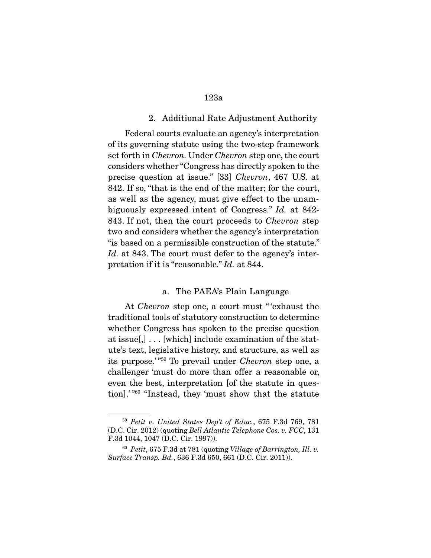#### 2. Additional Rate Adjustment Authority

 Federal courts evaluate an agency's interpretation of its governing statute using the two-step framework set forth in Chevron. Under Chevron step one, the court considers whether "Congress has directly spoken to the precise question at issue." [33] Chevron, 467 U.S. at 842. If so, "that is the end of the matter; for the court, as well as the agency, must give effect to the unambiguously expressed intent of Congress." Id. at 842- 843. If not, then the court proceeds to Chevron step two and considers whether the agency's interpretation "is based on a permissible construction of the statute." Id. at 843. The court must defer to the agency's interpretation if it is "reasonable." Id. at 844.

# a. The PAEA's Plain Language

 At Chevron step one, a court must " 'exhaust the traditional tools of statutory construction to determine whether Congress has spoken to the precise question at issue[,] . . . [which] include examination of the statute's text, legislative history, and structure, as well as its purpose.' "59 To prevail under Chevron step one, a challenger 'must do more than offer a reasonable or, even the best, interpretation [of the statute in question].' "60 "Instead, they 'must show that the statute

<sup>59</sup> Petit v. United States Dep't of Educ., 675 F.3d 769, 781 (D.C. Cir. 2012) (quoting Bell Atlantic Telephone Cos. v. FCC, 131 F.3d 1044, 1047 (D.C. Cir. 1997)).

<sup>60</sup> Petit, 675 F.3d at 781 (quoting Village of Barrington, Ill. v. Surface Transp. Bd., 636 F.3d 650, 661 (D.C. Cir. 2011)).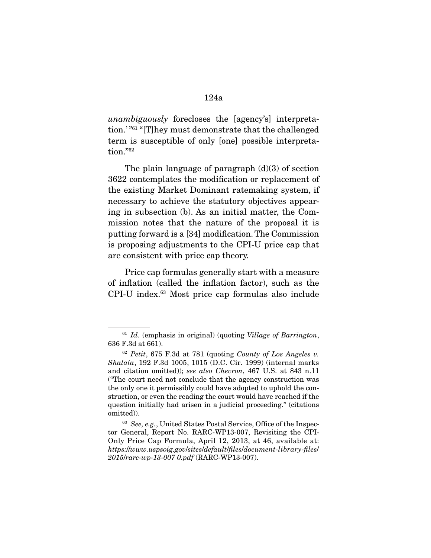unambiguously forecloses the [agency's] interpretation.' "61 "[T]hey must demonstrate that the challenged term is susceptible of only [one] possible interpretation."62

The plain language of paragraph  $(d)(3)$  of section 3622 contemplates the modification or replacement of the existing Market Dominant ratemaking system, if necessary to achieve the statutory objectives appearing in subsection (b). As an initial matter, the Commission notes that the nature of the proposal it is putting forward is a [34] modification. The Commission is proposing adjustments to the CPI-U price cap that are consistent with price cap theory.

 Price cap formulas generally start with a measure of inflation (called the inflation factor), such as the CPI-U index.63 Most price cap formulas also include

 $61$  Id. (emphasis in original) (quoting Village of Barrington, 636 F.3d at 661).

 $62$  Petit, 675 F.3d at 781 (quoting County of Los Angeles v. Shalala, 192 F.3d 1005, 1015 (D.C. Cir. 1999) (internal marks and citation omitted)); see also Chevron, 467 U.S. at 843 n.11 ("The court need not conclude that the agency construction was the only one it permissibly could have adopted to uphold the construction, or even the reading the court would have reached if the question initially had arisen in a judicial proceeding." (citations omitted)).

<sup>63</sup> See, e.g., United States Postal Service, Office of the Inspector General, Report No. RARC-WP13-007, Revisiting the CPI-Only Price Cap Formula, April 12, 2013, at 46, available at: https://www.uspsoig.gov/sites/default/files/document-library-files/ 2015/rarc-wp-13-007 0.pdf (RARC-WP13-007).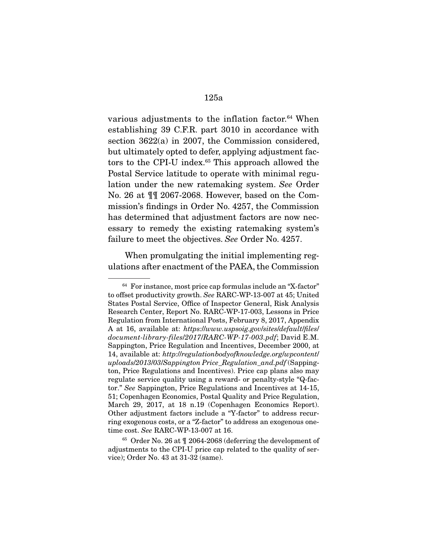various adjustments to the inflation factor.<sup>64</sup> When establishing 39 C.F.R. part 3010 in accordance with section 3622(a) in 2007, the Commission considered, but ultimately opted to defer, applying adjustment factors to the CPI-U index.<sup>65</sup> This approach allowed the Postal Service latitude to operate with minimal regulation under the new ratemaking system. See Order No. 26 at ¶¶ 2067-2068. However, based on the Commission's findings in Order No. 4257, the Commission has determined that adjustment factors are now necessary to remedy the existing ratemaking system's failure to meet the objectives. See Order No. 4257.

 When promulgating the initial implementing regulations after enactment of the PAEA, the Commission

<sup>64</sup> For instance, most price cap formulas include an "X-factor" to offset productivity growth. See RARC-WP-13-007 at 45; United States Postal Service, Office of Inspector General, Risk Analysis Research Center, Report No. RARC-WP-17-003, Lessons in Price Regulation from International Posts, February 8, 2017, Appendix A at 16, available at: https://www.uspsoig.gov/sites/default/files/ document-library-files/2017/RARC-WP-17-003.pdf; David E.M. Sappington, Price Regulation and Incentives, December 2000, at 14, available at: http://regulationbodyofknowledge.org/wpcontent/ uploads/2013/03/Sappington Price Regulation and.pdf (Sappington, Price Regulations and Incentives). Price cap plans also may regulate service quality using a reward- or penalty-style "Q-factor." See Sappington, Price Regulations and Incentives at 14-15, 51; Copenhagen Economics, Postal Quality and Price Regulation, March 29, 2017, at 18 n.19 (Copenhagen Economics Report). Other adjustment factors include a "Y-factor" to address recurring exogenous costs, or a "Z-factor" to address an exogenous onetime cost. See RARC-WP-13-007 at 16.

<sup>65</sup> Order No. 26 at ¶ 2064-2068 (deferring the development of adjustments to the CPI-U price cap related to the quality of service); Order No. 43 at 31-32 (same).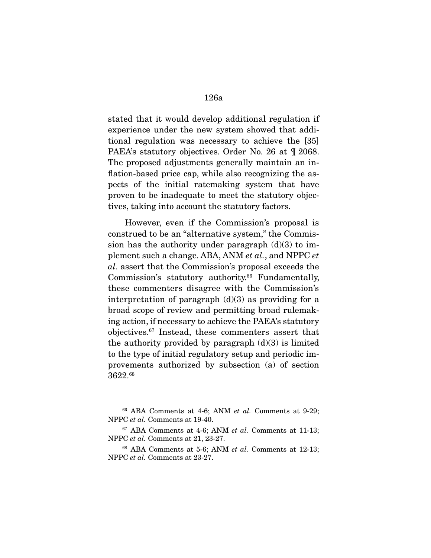stated that it would develop additional regulation if experience under the new system showed that additional regulation was necessary to achieve the [35] PAEA's statutory objectives. Order No. 26 at ¶ 2068. The proposed adjustments generally maintain an inflation-based price cap, while also recognizing the aspects of the initial ratemaking system that have proven to be inadequate to meet the statutory objectives, taking into account the statutory factors.

 However, even if the Commission's proposal is construed to be an "alternative system," the Commission has the authority under paragraph  $(d)(3)$  to implement such a change. ABA, ANM et al., and NPPC et al. assert that the Commission's proposal exceeds the Commission's statutory authority.<sup>66</sup> Fundamentally, these commenters disagree with the Commission's interpretation of paragraph  $(d)(3)$  as providing for a broad scope of review and permitting broad rulemaking action, if necessary to achieve the PAEA's statutory objectives.67 Instead, these commenters assert that the authority provided by paragraph  $(d)(3)$  is limited to the type of initial regulatory setup and periodic improvements authorized by subsection (a) of section 3622.68

 $66$  ABA Comments at 4-6; ANM *et al.* Comments at 9-29; NPPC et al. Comments at 19-40.

 $67$  ABA Comments at 4-6; ANM *et al.* Comments at 11-13; NPPC et al. Comments at 21, 23-27.

 $68$  ABA Comments at 5-6; ANM *et al.* Comments at 12-13; NPPC et al. Comments at 23-27.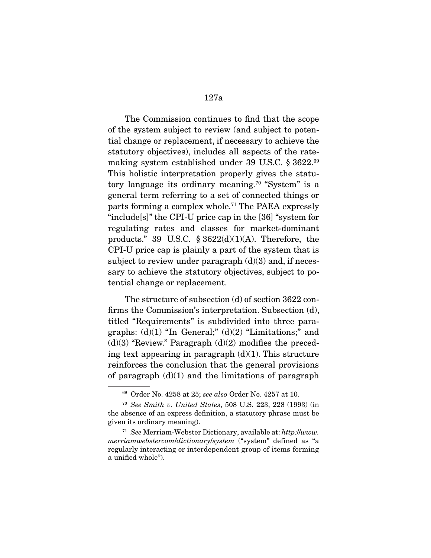The Commission continues to find that the scope of the system subject to review (and subject to potential change or replacement, if necessary to achieve the statutory objectives), includes all aspects of the ratemaking system established under 39 U.S.C. § 3622.69 This holistic interpretation properly gives the statutory language its ordinary meaning.<sup>70</sup> "System" is a general term referring to a set of connected things or parts forming a complex whole.<sup>71</sup> The PAEA expressly "include[s]" the CPI-U price cap in the [36] "system for regulating rates and classes for market-dominant products." 39 U.S.C.  $\S 3622(d)(1)(A)$ . Therefore, the CPI-U price cap is plainly a part of the system that is subject to review under paragraph  $(d)(3)$  and, if necessary to achieve the statutory objectives, subject to potential change or replacement.

 The structure of subsection (d) of section 3622 confirms the Commission's interpretation. Subsection (d), titled "Requirements" is subdivided into three paragraphs:  $(d)(1)$  "In General;"  $(d)(2)$  "Limitations;" and  $(d)(3)$  "Review." Paragraph  $(d)(2)$  modifies the preceding text appearing in paragraph  $(d)(1)$ . This structure reinforces the conclusion that the general provisions of paragraph  $(d)(1)$  and the limitations of paragraph

<sup>69</sup> Order No. 4258 at 25; see also Order No. 4257 at 10.

<sup>70</sup> See Smith v. United States, 508 U.S. 223, 228 (1993) (in the absence of an express definition, a statutory phrase must be given its ordinary meaning).

 $71$  See Merriam-Webster Dictionary, available at: http://www. merriamwebstercom/dictionary/system ("system" defined as "a regularly interacting or interdependent group of items forming a unified whole").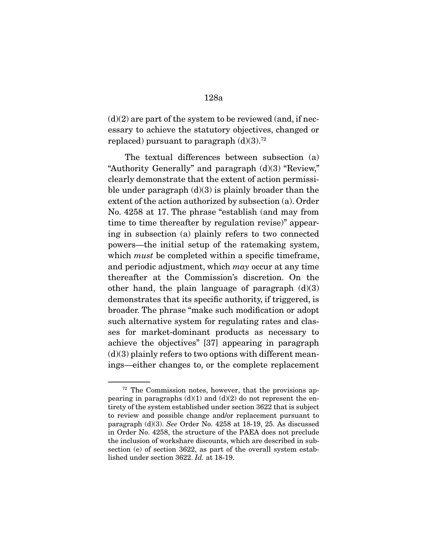$(d)(2)$  are part of the system to be reviewed (and, if necessary to achieve the statutory objectives, changed or replaced) pursuant to paragraph  $(d)(3)$ .<sup>72</sup>

 The textual differences between subsection (a) "Authority Generally" and paragraph (d)(3) "Review," clearly demonstrate that the extent of action permissible under paragraph  $(d)(3)$  is plainly broader than the extent of the action authorized by subsection (a). Order No. 4258 at 17. The phrase "establish (and may from time to time thereafter by regulation revise)" appearing in subsection (a) plainly refers to two connected powers—the initial setup of the ratemaking system, which *must* be completed within a specific timeframe, and periodic adjustment, which  $may$  occur at any time thereafter at the Commission's discretion. On the other hand, the plain language of paragraph  $(d)(3)$ demonstrates that its specific authority, if triggered, is broader. The phrase "make such modification or adopt such alternative system for regulating rates and classes for market-dominant products as necessary to achieve the objectives" [37] appearing in paragraph  $(d)(3)$  plainly refers to two options with different meanings—either changes to, or the complete replacement

<sup>72</sup> The Commission notes, however, that the provisions appearing in paragraphs  $(d)(1)$  and  $(d)(2)$  do not represent the entirety of the system established under section 3622 that is subject to review and possible change and/or replacement pursuant to paragraph (d)(3). See Order No. 4258 at 18-19, 25. As discussed in Order No. 4258, the structure of the PAEA does not preclude the inclusion of workshare discounts, which are described in subsection (e) of section 3622, as part of the overall system established under section 3622. Id. at 18-19.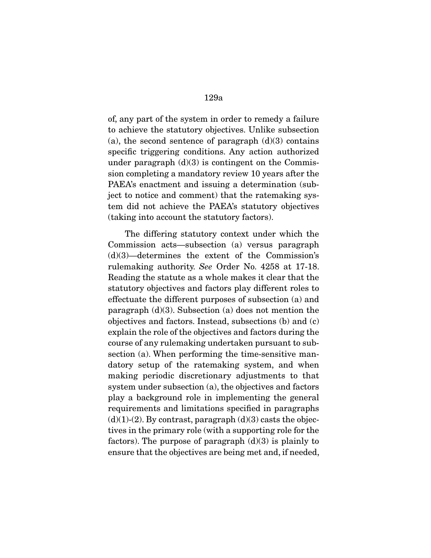of, any part of the system in order to remedy a failure to achieve the statutory objectives. Unlike subsection (a), the second sentence of paragraph  $(d)(3)$  contains specific triggering conditions. Any action authorized under paragraph  $(d)(3)$  is contingent on the Commission completing a mandatory review 10 years after the PAEA's enactment and issuing a determination (subject to notice and comment) that the ratemaking system did not achieve the PAEA's statutory objectives (taking into account the statutory factors).

 The differing statutory context under which the Commission acts—subsection (a) versus paragraph (d)(3)—determines the extent of the Commission's rulemaking authority. See Order No. 4258 at 17-18. Reading the statute as a whole makes it clear that the statutory objectives and factors play different roles to effectuate the different purposes of subsection (a) and paragraph  $(d)(3)$ . Subsection (a) does not mention the objectives and factors. Instead, subsections (b) and (c) explain the role of the objectives and factors during the course of any rulemaking undertaken pursuant to subsection (a). When performing the time-sensitive mandatory setup of the ratemaking system, and when making periodic discretionary adjustments to that system under subsection (a), the objectives and factors play a background role in implementing the general requirements and limitations specified in paragraphs  $(d)(1)-(2)$ . By contrast, paragraph  $(d)(3)$  casts the objectives in the primary role (with a supporting role for the factors). The purpose of paragraph  $(d)(3)$  is plainly to ensure that the objectives are being met and, if needed,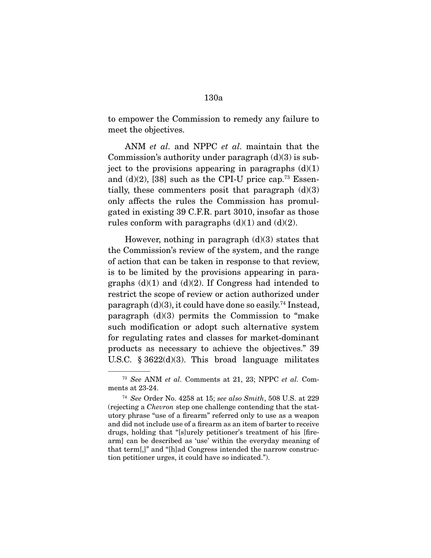to empower the Commission to remedy any failure to meet the objectives.

ANM *et al.* and NPPC *et al.* maintain that the Commission's authority under paragraph  $(d)(3)$  is subject to the provisions appearing in paragraphs  $(d)(1)$ and  $(d)(2)$ , [38] such as the CPI-U price cap.<sup>73</sup> Essentially, these commenters posit that paragraph  $(d)(3)$ only affects the rules the Commission has promulgated in existing 39 C.F.R. part 3010, insofar as those rules conform with paragraphs  $(d)(1)$  and  $(d)(2)$ .

However, nothing in paragraph  $(d)(3)$  states that the Commission's review of the system, and the range of action that can be taken in response to that review, is to be limited by the provisions appearing in paragraphs  $(d)(1)$  and  $(d)(2)$ . If Congress had intended to restrict the scope of review or action authorized under paragraph  $(d)(3)$ , it could have done so easily.<sup>74</sup> Instead, paragraph (d)(3) permits the Commission to "make such modification or adopt such alternative system for regulating rates and classes for market-dominant products as necessary to achieve the objectives." 39 U.S.C.  $\S 3622(d)(3)$ . This broad language militates

<sup>73</sup> See ANM et al. Comments at 21, 23; NPPC et al. Comments at 23-24.

<sup>74</sup> See Order No. 4258 at 15; see also Smith, 508 U.S. at 229 (rejecting a Chevron step one challenge contending that the statutory phrase "use of a firearm" referred only to use as a weapon and did not include use of a firearm as an item of barter to receive drugs, holding that "[s]urely petitioner's treatment of his [firearm] can be described as 'use' within the everyday meaning of that term[,]" and "[h]ad Congress intended the narrow construction petitioner urges, it could have so indicated.").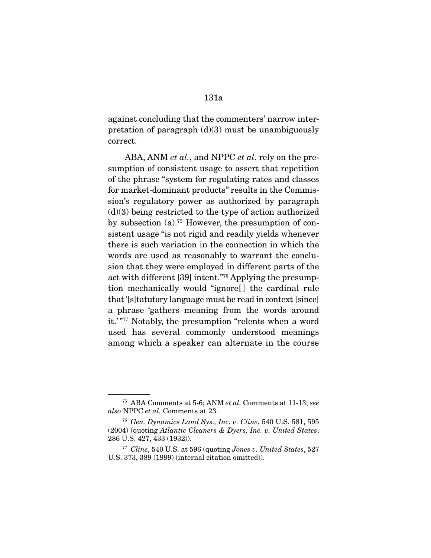against concluding that the commenters' narrow interpretation of paragraph  $(d)(3)$  must be unambiguously

correct.

ABA, ANM *et al.*, and NPPC *et al.* rely on the presumption of consistent usage to assert that repetition of the phrase "system for regulating rates and classes for market-dominant products" results in the Commission's regulatory power as authorized by paragraph  $(d)(3)$  being restricted to the type of action authorized by subsection (a).75 However, the presumption of consistent usage "is not rigid and readily yields whenever there is such variation in the connection in which the words are used as reasonably to warrant the conclusion that they were employed in different parts of the act with different [39] intent."76 Applying the presumption mechanically would "ignore[ ] the cardinal rule that '[s]tatutory language must be read in context [since] a phrase 'gathers meaning from the words around it.' "77 Notably, the presumption "relents when a word used has several commonly understood meanings among which a speaker can alternate in the course

<sup>75</sup> ABA Comments at 5-6; ANM et al. Comments at 11-13; see also NPPC et al. Comments at 23.

<sup>76</sup> Gen. Dynamics Land Sys., Inc. v. Cline, 540 U.S. 581, 595 (2004) (quoting Atlantic Cleaners & Dyers, Inc. v. United States, 286 U.S. 427, 433 (1932)).

<sup>&</sup>lt;sup>77</sup> Cline, 540 U.S. at 596 (quoting Jones v. United States, 527 U.S. 373, 389 (1999) (internal citation omitted)).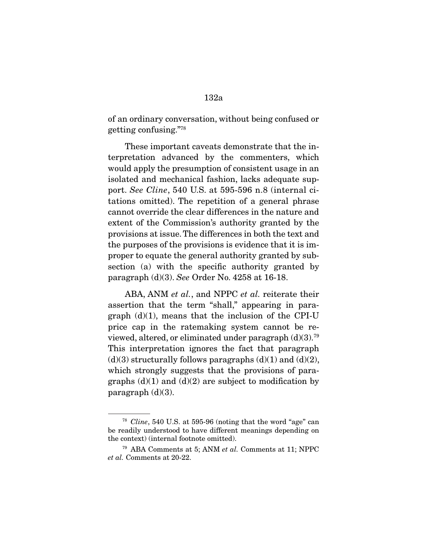of an ordinary conversation, without being confused or getting confusing."78

 These important caveats demonstrate that the interpretation advanced by the commenters, which would apply the presumption of consistent usage in an isolated and mechanical fashion, lacks adequate support. See Cline, 540 U.S. at 595-596 n.8 (internal citations omitted). The repetition of a general phrase cannot override the clear differences in the nature and extent of the Commission's authority granted by the provisions at issue. The differences in both the text and the purposes of the provisions is evidence that it is improper to equate the general authority granted by subsection (a) with the specific authority granted by paragraph (d)(3). See Order No. 4258 at 16-18.

ABA, ANM *et al.*, and NPPC *et al.* reiterate their assertion that the term "shall," appearing in paragraph  $(d)(1)$ , means that the inclusion of the CPI-U price cap in the ratemaking system cannot be reviewed, altered, or eliminated under paragraph  $(d)(3)$ .<sup>79</sup> This interpretation ignores the fact that paragraph  $(d)(3)$  structurally follows paragraphs  $(d)(1)$  and  $(d)(2)$ , which strongly suggests that the provisions of paragraphs  $(d)(1)$  and  $(d)(2)$  are subject to modification by paragraph  $(d)(3)$ .

<sup>78</sup> Cline, 540 U.S. at 595-96 (noting that the word "age" can be readily understood to have different meanings depending on the context) (internal footnote omitted).

<sup>79</sup> ABA Comments at 5; ANM et al. Comments at 11; NPPC et al. Comments at 20-22.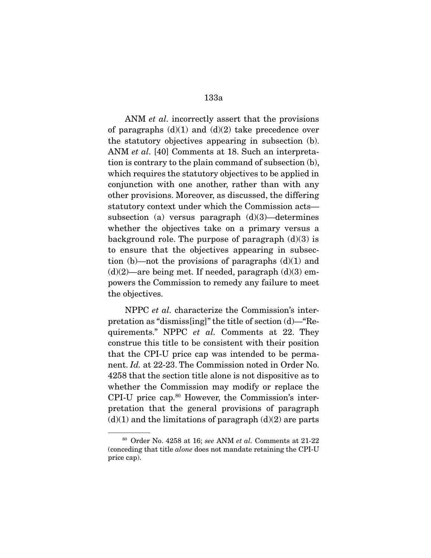ANM *et al.* incorrectly assert that the provisions of paragraphs  $(d)(1)$  and  $(d)(2)$  take precedence over the statutory objectives appearing in subsection (b). ANM et al. [40] Comments at 18. Such an interpretation is contrary to the plain command of subsection (b), which requires the statutory objectives to be applied in conjunction with one another, rather than with any other provisions. Moreover, as discussed, the differing statutory context under which the Commission acts subsection (a) versus paragraph  $(d)(3)$ —determines whether the objectives take on a primary versus a background role. The purpose of paragraph  $(d)(3)$  is to ensure that the objectives appearing in subsection (b)—not the provisions of paragraphs  $(d)(1)$  and  $(d)(2)$ —are being met. If needed, paragraph  $(d)(3)$  empowers the Commission to remedy any failure to meet the objectives.

 NPPC et al. characterize the Commission's interpretation as "dismiss[ing]" the title of section (d)—"Requirements." NPPC et al. Comments at 22. They construe this title to be consistent with their position that the CPI-U price cap was intended to be permanent. Id. at 22-23. The Commission noted in Order No. 4258 that the section title alone is not dispositive as to whether the Commission may modify or replace the CPI-U price cap.<sup>80</sup> However, the Commission's interpretation that the general provisions of paragraph  $(d)(1)$  and the limitations of paragraph  $(d)(2)$  are parts

 $80$  Order No. 4258 at 16; see ANM et al. Comments at 21-22 (conceding that title alone does not mandate retaining the CPI-U price cap).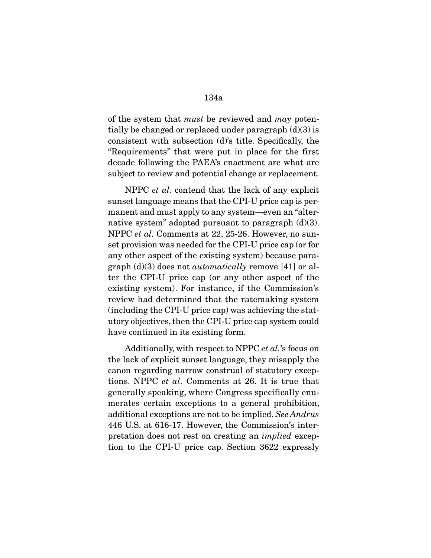of the system that *must* be reviewed and *may* potentially be changed or replaced under paragraph (d)(3) is consistent with subsection (d)'s title. Specifically, the "Requirements" that were put in place for the first decade following the PAEA's enactment are what are subject to review and potential change or replacement.

 NPPC et al. contend that the lack of any explicit sunset language means that the CPI-U price cap is permanent and must apply to any system—even an "alternative system" adopted pursuant to paragraph  $(d)(3)$ . NPPC et al. Comments at 22, 25-26. However, no sunset provision was needed for the CPI-U price cap (or for any other aspect of the existing system) because paragraph  $(d)(3)$  does not *automatically* remove [41] or alter the CPI-U price cap (or any other aspect of the existing system). For instance, if the Commission's review had determined that the ratemaking system (including the CPI-U price cap) was achieving the statutory objectives, then the CPI-U price cap system could have continued in its existing form.

 Additionally, with respect to NPPC et al.'s focus on the lack of explicit sunset language, they misapply the canon regarding narrow construal of statutory exceptions. NPPC et al. Comments at 26. It is true that generally speaking, where Congress specifically enumerates certain exceptions to a general prohibition, additional exceptions are not to be implied. See Andrus 446 U.S. at 616-17. However, the Commission's interpretation does not rest on creating an implied exception to the CPI-U price cap. Section 3622 expressly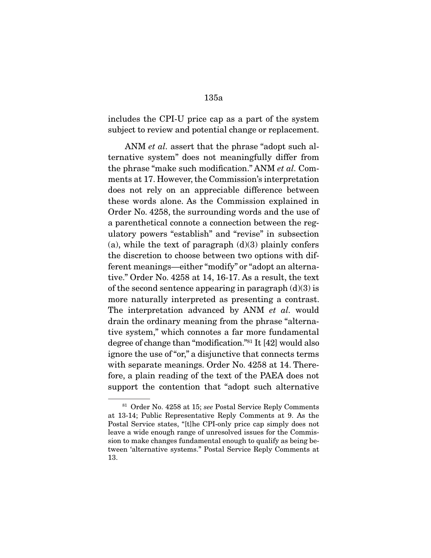includes the CPI-U price cap as a part of the system subject to review and potential change or replacement.

ANM et al. assert that the phrase "adopt such alternative system" does not meaningfully differ from the phrase "make such modification." ANM et al. Comments at 17. However, the Commission's interpretation does not rely on an appreciable difference between these words alone. As the Commission explained in Order No. 4258, the surrounding words and the use of a parenthetical connote a connection between the regulatory powers "establish" and "revise" in subsection (a), while the text of paragraph  $(d)(3)$  plainly confers the discretion to choose between two options with different meanings—either "modify" or "adopt an alternative." Order No. 4258 at 14, 16-17. As a result, the text of the second sentence appearing in paragraph  $(d)(3)$  is more naturally interpreted as presenting a contrast. The interpretation advanced by ANM et al. would drain the ordinary meaning from the phrase "alternative system," which connotes a far more fundamental degree of change than "modification."81 It [42] would also ignore the use of "or," a disjunctive that connects terms with separate meanings. Order No. 4258 at 14. Therefore, a plain reading of the text of the PAEA does not support the contention that "adopt such alternative

<sup>81</sup> Order No. 4258 at 15; see Postal Service Reply Comments at 13-14; Public Representative Reply Comments at 9. As the Postal Service states, "[t]he CPI-only price cap simply does not leave a wide enough range of unresolved issues for the Commission to make changes fundamental enough to qualify as being between 'alternative systems." Postal Service Reply Comments at 13.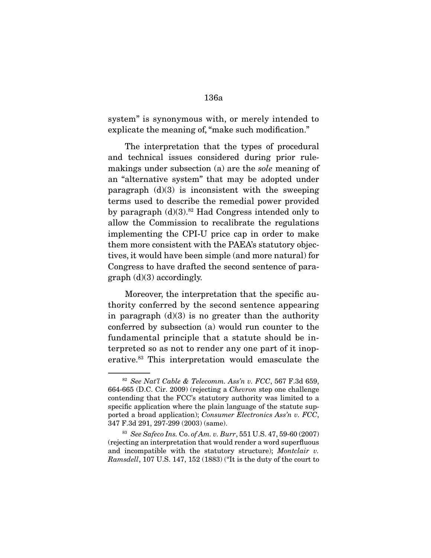system" is synonymous with, or merely intended to explicate the meaning of, "make such modification."

 The interpretation that the types of procedural and technical issues considered during prior rulemakings under subsection (a) are the sole meaning of an "alternative system" that may be adopted under paragraph  $(d)(3)$  is inconsistent with the sweeping terms used to describe the remedial power provided by paragraph  $(d)(3)$ .<sup>82</sup> Had Congress intended only to allow the Commission to recalibrate the regulations implementing the CPI-U price cap in order to make them more consistent with the PAEA's statutory objectives, it would have been simple (and more natural) for Congress to have drafted the second sentence of para $graph$  (d)(3) accordingly.

 Moreover, the interpretation that the specific authority conferred by the second sentence appearing in paragraph  $(d)(3)$  is no greater than the authority conferred by subsection (a) would run counter to the fundamental principle that a statute should be interpreted so as not to render any one part of it inoperative.83 This interpretation would emasculate the

 $82$  See Nat'l Cable & Telecomm. Ass'n v. FCC, 567 F.3d 659, 664-665 (D.C. Cir. 2009) (rejecting a Chevron step one challenge contending that the FCC's statutory authority was limited to a specific application where the plain language of the statute supported a broad application); Consumer Electronics Ass'n v. FCC, 347 F.3d 291, 297-299 (2003) (same).

<sup>83</sup> See Safeco Ins. Co. of Am. v. Burr, 551 U.S. 47, 59-60 (2007) (rejecting an interpretation that would render a word superfluous and incompatible with the statutory structure); Montclair v. Ramsdell, 107 U.S. 147, 152 (1883) ("It is the duty of the court to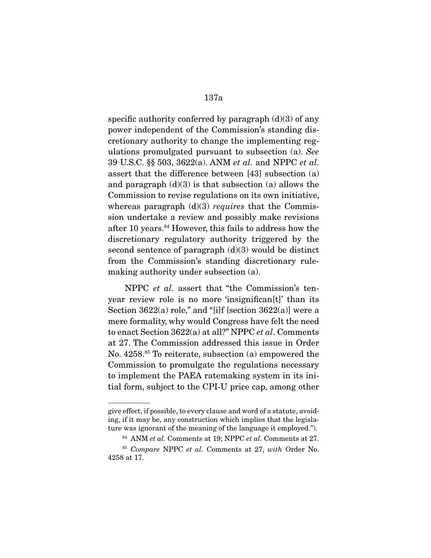specific authority conferred by paragraph  $(d)(3)$  of any power independent of the Commission's standing discretionary authority to change the implementing regulations promulgated pursuant to subsection (a). See 39 U.S.C. §§ 503, 3622(a). ANM et al. and NPPC et al. assert that the difference between [43] subsection (a) and paragraph  $(d)(3)$  is that subsection (a) allows the Commission to revise regulations on its own initiative, whereas paragraph  $(d)(3)$  requires that the Commission undertake a review and possibly make revisions after 10 years.84 However, this fails to address how the discretionary regulatory authority triggered by the second sentence of paragraph  $(d)(3)$  would be distinct from the Commission's standing discretionary rulemaking authority under subsection (a).

 NPPC et al. assert that "the Commission's tenyear review role is no more 'insignifican[t]' than its Section  $3622(a)$  role," and "[i]f [section  $3622(a)$ ] were a mere formality, why would Congress have felt the need to enact Section 3622(a) at all?" NPPC et al. Comments at 27. The Commission addressed this issue in Order No. 4258.85 To reiterate, subsection (a) empowered the Commission to promulgate the regulations necessary to implement the PAEA ratemaking system in its initial form, subject to the CPI-U price cap, among other

give effect, if possible, to every clause and word of a statute, avoiding, if it may be, any construction which implies that the legislature was ignorant of the meaning of the language it employed.").

<sup>84</sup> ANM et al. Comments at 19; NPPC et al. Comments at 27.

<sup>&</sup>lt;sup>85</sup> Compare NPPC et al. Comments at 27, with Order No. 4258 at 17.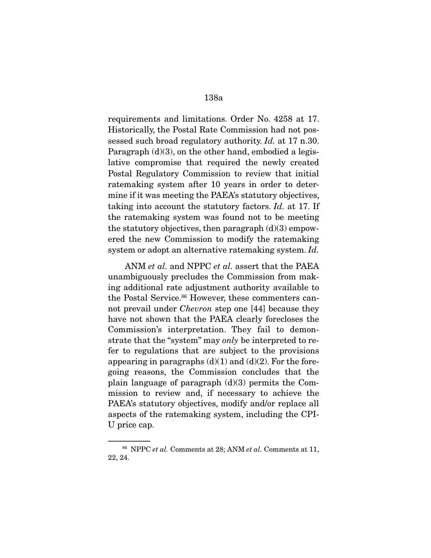requirements and limitations. Order No. 4258 at 17. Historically, the Postal Rate Commission had not possessed such broad regulatory authority. Id. at 17 n.30. Paragraph (d)(3), on the other hand, embodied a legislative compromise that required the newly created Postal Regulatory Commission to review that initial ratemaking system after 10 years in order to determine if it was meeting the PAEA's statutory objectives, taking into account the statutory factors. Id. at 17. If the ratemaking system was found not to be meeting the statutory objectives, then paragraph  $(d)(3)$  empowered the new Commission to modify the ratemaking system or adopt an alternative ratemaking system. Id.

 ANM et al. and NPPC et al. assert that the PAEA unambiguously precludes the Commission from making additional rate adjustment authority available to the Postal Service.<sup>86</sup> However, these commenters cannot prevail under Chevron step one [44] because they have not shown that the PAEA clearly forecloses the Commission's interpretation. They fail to demonstrate that the "system" may only be interpreted to refer to regulations that are subject to the provisions appearing in paragraphs  $(d)(1)$  and  $(d)(2)$ . For the foregoing reasons, the Commission concludes that the plain language of paragraph  $(d)(3)$  permits the Commission to review and, if necessary to achieve the PAEA's statutory objectives, modify and/or replace all aspects of the ratemaking system, including the CPI-U price cap.

<sup>86</sup> NPPC et al. Comments at 28; ANM et al. Comments at 11, 22, 24.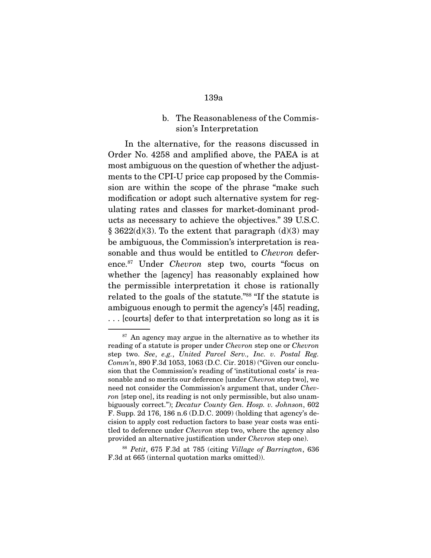b. The Reasonableness of the Commission's Interpretation

 In the alternative, for the reasons discussed in Order No. 4258 and amplified above, the PAEA is at most ambiguous on the question of whether the adjustments to the CPI-U price cap proposed by the Commission are within the scope of the phrase "make such modification or adopt such alternative system for regulating rates and classes for market-dominant products as necessary to achieve the objectives." 39 U.S.C.  $\S$  3622(d)(3). To the extent that paragraph (d)(3) may be ambiguous, the Commission's interpretation is reasonable and thus would be entitled to *Chevron* deference.87 Under Chevron step two, courts "focus on whether the [agency] has reasonably explained how the permissible interpretation it chose is rationally related to the goals of the statute."88 "If the statute is ambiguous enough to permit the agency's [45] reading, . . . [courts] defer to that interpretation so long as it is

 $87$  An agency may argue in the alternative as to whether its reading of a statute is proper under Chevron step one or Chevron step two. See, e.g., United Parcel Serv., Inc. v. Postal Reg. Comm'n, 890 F.3d 1053, 1063 (D.C. Cir. 2018) ("Given our conclusion that the Commission's reading of 'institutional costs' is reasonable and so merits our deference [under Chevron step two], we need not consider the Commission's argument that, under *Chev*ron [step one], its reading is not only permissible, but also unambiguously correct."); Decatur County Gen. Hosp. v. Johnson, 602 F. Supp. 2d 176, 186 n.6 (D.D.C. 2009) (holding that agency's decision to apply cost reduction factors to base year costs was entitled to deference under Chevron step two, where the agency also provided an alternative justification under Chevron step one).

<sup>&</sup>lt;sup>88</sup> Petit, 675 F.3d at 785 (citing Village of Barrington, 636 F.3d at 665 (internal quotation marks omitted)).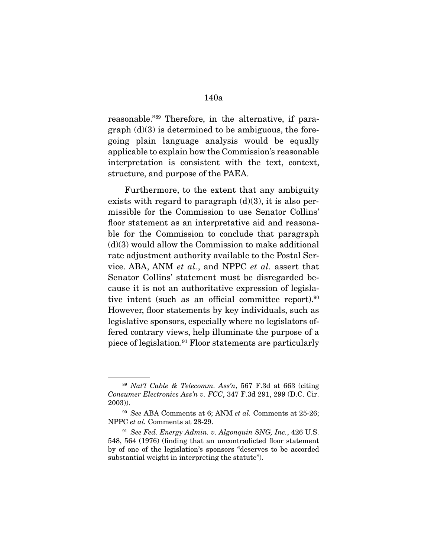reasonable."89 Therefore, in the alternative, if paragraph  $(d)(3)$  is determined to be ambiguous, the foregoing plain language analysis would be equally applicable to explain how the Commission's reasonable interpretation is consistent with the text, context, structure, and purpose of the PAEA.

 Furthermore, to the extent that any ambiguity exists with regard to paragraph  $(d)(3)$ , it is also permissible for the Commission to use Senator Collins' floor statement as an interpretative aid and reasonable for the Commission to conclude that paragraph  $(d)(3)$  would allow the Commission to make additional rate adjustment authority available to the Postal Service. ABA, ANM et al., and NPPC et al. assert that Senator Collins' statement must be disregarded because it is not an authoritative expression of legislative intent (such as an official committee report).<sup>90</sup> However, floor statements by key individuals, such as legislative sponsors, especially where no legislators offered contrary views, help illuminate the purpose of a piece of legislation.<sup>91</sup> Floor statements are particularly

 $89$  Nat'l Cable & Telecomm. Ass'n, 567 F.3d at 663 (citing Consumer Electronics Ass'n v. FCC, 347 F.3d 291, 299 (D.C. Cir. 2003)).

 $90$  See ABA Comments at 6; ANM et al. Comments at 25-26; NPPC et al. Comments at 28-29.

 $91$  See Fed. Energy Admin. v. Algonquin SNG, Inc., 426 U.S. 548, 564 (1976) (finding that an uncontradicted floor statement by of one of the legislation's sponsors "deserves to be accorded substantial weight in interpreting the statute").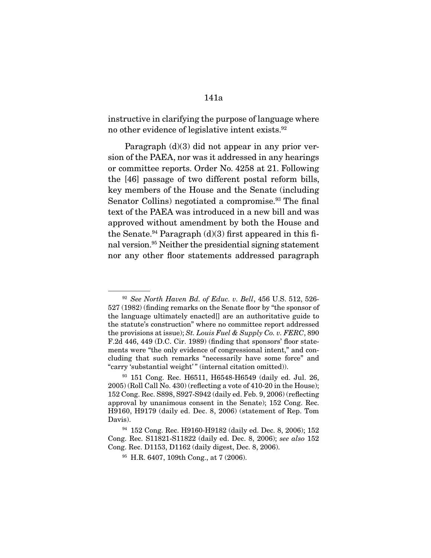instructive in clarifying the purpose of language where no other evidence of legislative intent exists.92

 Paragraph (d)(3) did not appear in any prior version of the PAEA, nor was it addressed in any hearings or committee reports. Order No. 4258 at 21. Following the [46] passage of two different postal reform bills, key members of the House and the Senate (including Senator Collins) negotiated a compromise.<sup>93</sup> The final text of the PAEA was introduced in a new bill and was approved without amendment by both the House and the Senate.<sup>94</sup> Paragraph  $(d)(3)$  first appeared in this final version.95 Neither the presidential signing statement nor any other floor statements addressed paragraph

 $92$  See North Haven Bd. of Educ. v. Bell, 456 U.S. 512, 526-527 (1982) (finding remarks on the Senate floor by "the sponsor of the language ultimately enacted[] are an authoritative guide to the statute's construction" where no committee report addressed the provisions at issue); St. Louis Fuel & Supply Co. v. FERC, 890 F.2d 446, 449 (D.C. Cir. 1989) (finding that sponsors' floor statements were "the only evidence of congressional intent," and concluding that such remarks "necessarily have some force" and "carry 'substantial weight'" (internal citation omitted)).

<sup>93</sup> 151 Cong. Rec. H6511, H6548-H6549 (daily ed. Jul. 26, 2005) (Roll Call No. 430) (reflecting a vote of 410-20 in the House); 152 Cong. Rec. S898, S927-S942 (daily ed. Feb. 9, 2006) (reflecting approval by unanimous consent in the Senate); 152 Cong. Rec. H9160, H9179 (daily ed. Dec. 8, 2006) (statement of Rep. Tom Davis).

<sup>94</sup> 152 Cong. Rec. H9160-H9182 (daily ed. Dec. 8, 2006); 152 Cong. Rec. S11821-S11822 (daily ed. Dec. 8, 2006); see also 152 Cong. Rec. D1153, D1162 (daily digest, Dec. 8, 2006).

<sup>95</sup> H.R. 6407, 109th Cong., at 7 (2006).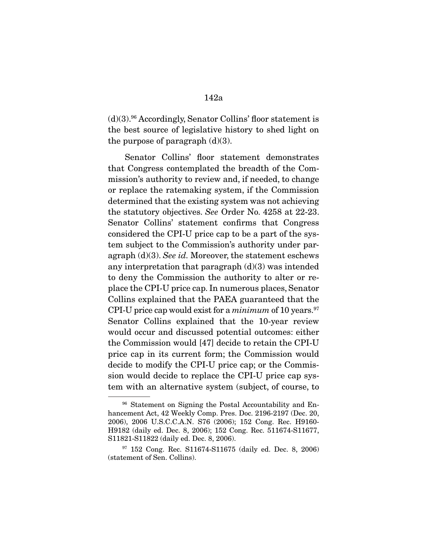$(d)(3).$ <sup>96</sup> Accordingly, Senator Collins' floor statement is the best source of legislative history to shed light on the purpose of paragraph  $(d)(3)$ .

 Senator Collins' floor statement demonstrates that Congress contemplated the breadth of the Commission's authority to review and, if needed, to change or replace the ratemaking system, if the Commission determined that the existing system was not achieving the statutory objectives. See Order No. 4258 at 22-23. Senator Collins' statement confirms that Congress considered the CPI-U price cap to be a part of the system subject to the Commission's authority under paragraph  $(d)(3)$ . See id. Moreover, the statement eschews any interpretation that paragraph  $(d)(3)$  was intended to deny the Commission the authority to alter or replace the CPI-U price cap. In numerous places, Senator Collins explained that the PAEA guaranteed that the CPI-U price cap would exist for a *minimum* of 10 years.<sup>97</sup> Senator Collins explained that the 10-year review would occur and discussed potential outcomes: either the Commission would [47] decide to retain the CPI-U price cap in its current form; the Commission would decide to modify the CPI-U price cap; or the Commission would decide to replace the CPI-U price cap system with an alternative system (subject, of course, to

<sup>&</sup>lt;sup>96</sup> Statement on Signing the Postal Accountability and Enhancement Act, 42 Weekly Comp. Pres. Doc. 2196-2197 (Dec. 20, 2006), 2006 U.S.C.C.A.N. S76 (2006); 152 Cong. Rec. H9160- H9182 (daily ed. Dec. 8, 2006); 152 Cong. Rec. 511674-S11677, S11821-S11822 (daily ed. Dec. 8, 2006).

<sup>97</sup> 152 Cong. Rec. S11674-S11675 (daily ed. Dec. 8, 2006) (statement of Sen. Collins).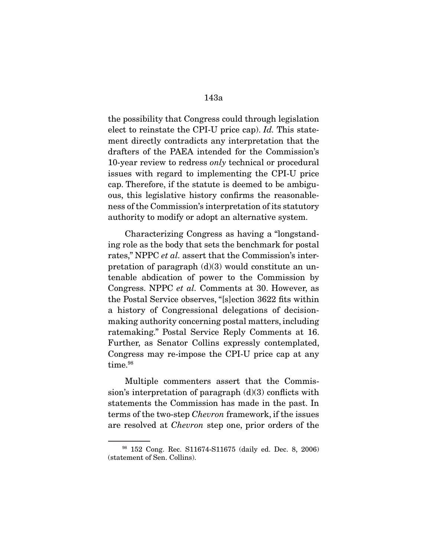the possibility that Congress could through legislation elect to reinstate the CPI-U price cap). Id. This statement directly contradicts any interpretation that the drafters of the PAEA intended for the Commission's 10-year review to redress only technical or procedural issues with regard to implementing the CPI-U price cap. Therefore, if the statute is deemed to be ambiguous, this legislative history confirms the reasonableness of the Commission's interpretation of its statutory authority to modify or adopt an alternative system.

 Characterizing Congress as having a "longstanding role as the body that sets the benchmark for postal rates," NPPC *et al.* assert that the Commission's interpretation of paragraph  $(d)(3)$  would constitute an untenable abdication of power to the Commission by Congress. NPPC et al. Comments at 30. However, as the Postal Service observes, "[s]ection 3622 fits within a history of Congressional delegations of decisionmaking authority concerning postal matters, including ratemaking." Postal Service Reply Comments at 16. Further, as Senator Collins expressly contemplated, Congress may re-impose the CPI-U price cap at any time.<sup>98</sup>

 Multiple commenters assert that the Commission's interpretation of paragraph  $(d)(3)$  conflicts with statements the Commission has made in the past. In terms of the two-step Chevron framework, if the issues are resolved at Chevron step one, prior orders of the

<sup>98</sup> 152 Cong. Rec. S11674-S11675 (daily ed. Dec. 8, 2006) (statement of Sen. Collins).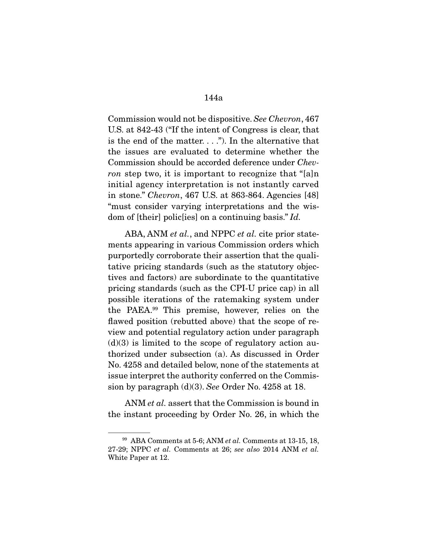Commission would not be dispositive. See Chevron, 467 U.S. at 842-43 ("If the intent of Congress is clear, that is the end of the matter.  $\dots$ "). In the alternative that the issues are evaluated to determine whether the Commission should be accorded deference under Chevron step two, it is important to recognize that "[a]n initial agency interpretation is not instantly carved in stone." Chevron, 467 U.S. at 863-864. Agencies [48] "must consider varying interpretations and the wisdom of [their] polic[ies] on a continuing basis." Id.

ABA, ANM et al., and NPPC et al. cite prior statements appearing in various Commission orders which purportedly corroborate their assertion that the qualitative pricing standards (such as the statutory objectives and factors) are subordinate to the quantitative pricing standards (such as the CPI-U price cap) in all possible iterations of the ratemaking system under the PAEA.99 This premise, however, relies on the flawed position (rebutted above) that the scope of review and potential regulatory action under paragraph  $(d)(3)$  is limited to the scope of regulatory action authorized under subsection (a). As discussed in Order No. 4258 and detailed below, none of the statements at issue interpret the authority conferred on the Commission by paragraph (d)(3). See Order No. 4258 at 18.

ANM *et al.* assert that the Commission is bound in the instant proceeding by Order No. 26, in which the

 $99$  ABA Comments at 5-6; ANM *et al.* Comments at 13-15, 18, 27-29; NPPC et al. Comments at 26; see also 2014 ANM et al. White Paper at 12.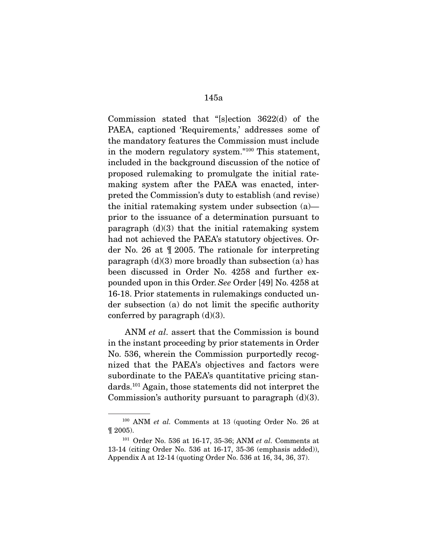Commission stated that "[s]ection 3622(d) of the PAEA, captioned 'Requirements,' addresses some of the mandatory features the Commission must include in the modern regulatory system."100 This statement, included in the background discussion of the notice of proposed rulemaking to promulgate the initial ratemaking system after the PAEA was enacted, interpreted the Commission's duty to establish (and revise) the initial ratemaking system under subsection (a) prior to the issuance of a determination pursuant to paragraph  $(d)(3)$  that the initial ratemaking system had not achieved the PAEA's statutory objectives. Order No. 26 at ¶ 2005. The rationale for interpreting paragraph  $(d)(3)$  more broadly than subsection  $(a)$  has been discussed in Order No. 4258 and further expounded upon in this Order. See Order [49] No. 4258 at 16-18. Prior statements in rulemakings conducted under subsection (a) do not limit the specific authority conferred by paragraph  $(d)(3)$ .

ANM *et al.* assert that the Commission is bound in the instant proceeding by prior statements in Order No. 536, wherein the Commission purportedly recognized that the PAEA's objectives and factors were subordinate to the PAEA's quantitative pricing standards.101 Again, those statements did not interpret the Commission's authority pursuant to paragraph  $(d)(3)$ .

<sup>100</sup> ANM et al. Comments at 13 (quoting Order No. 26 at ¶ 2005).

 $101$  Order No. 536 at 16-17, 35-36; ANM  $et\; al.$  Comments at 13-14 (citing Order No. 536 at 16-17, 35-36 (emphasis added)), Appendix A at 12-14 (quoting Order No. 536 at 16, 34, 36, 37).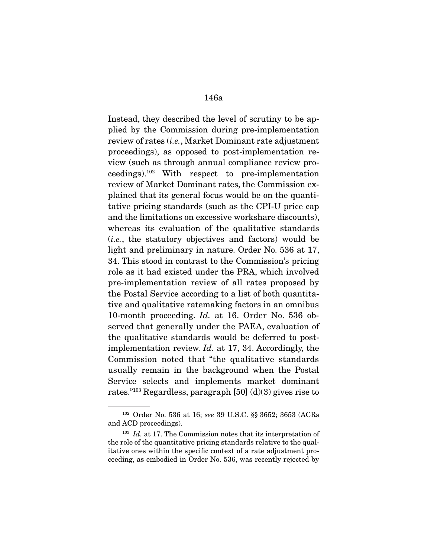Instead, they described the level of scrutiny to be applied by the Commission during pre-implementation review of rates (i.e., Market Dominant rate adjustment proceedings), as opposed to post-implementation review (such as through annual compliance review proceedings).102 With respect to pre-implementation review of Market Dominant rates, the Commission explained that its general focus would be on the quantitative pricing standards (such as the CPI-U price cap and the limitations on excessive workshare discounts), whereas its evaluation of the qualitative standards (i.e., the statutory objectives and factors) would be light and preliminary in nature. Order No. 536 at 17, 34. This stood in contrast to the Commission's pricing role as it had existed under the PRA, which involved pre-implementation review of all rates proposed by the Postal Service according to a list of both quantitative and qualitative ratemaking factors in an omnibus 10-month proceeding. Id. at 16. Order No. 536 observed that generally under the PAEA, evaluation of the qualitative standards would be deferred to postimplementation review. Id. at 17, 34. Accordingly, the Commission noted that "the qualitative standards usually remain in the background when the Postal Service selects and implements market dominant rates."<sup>103</sup> Regardless, paragraph [50] (d)(3) gives rise to

<sup>102</sup> Order No. 536 at 16; see 39 U.S.C. §§ 3652; 3653 (ACRs and ACD proceedings).

 $103$  *Id.* at 17. The Commission notes that its interpretation of the role of the quantitative pricing standards relative to the qualitative ones within the specific context of a rate adjustment proceeding, as embodied in Order No. 536, was recently rejected by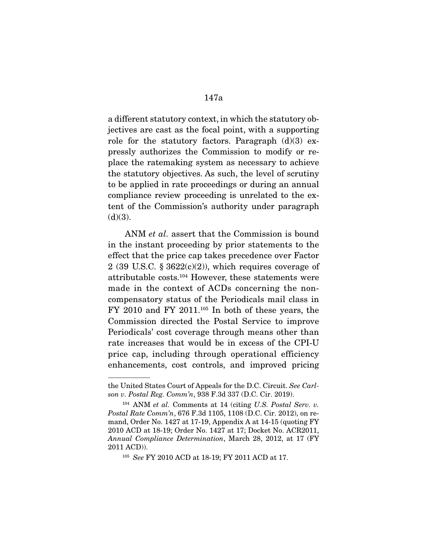a different statutory context, in which the statutory objectives are cast as the focal point, with a supporting role for the statutory factors. Paragraph  $(d)(3)$  expressly authorizes the Commission to modify or replace the ratemaking system as necessary to achieve the statutory objectives. As such, the level of scrutiny to be applied in rate proceedings or during an annual compliance review proceeding is unrelated to the extent of the Commission's authority under paragraph  $(d)(3)$ .

ANM *et al.* assert that the Commission is bound in the instant proceeding by prior statements to the effect that the price cap takes precedence over Factor 2 (39 U.S.C.  $\S 3622(c)(2)$ ), which requires coverage of attributable costs.104 However, these statements were made in the context of ACDs concerning the noncompensatory status of the Periodicals mail class in  $FY$  2010 and  $FY$  2011.<sup>105</sup> In both of these years, the Commission directed the Postal Service to improve Periodicals' cost coverage through means other than rate increases that would be in excess of the CPI-U price cap, including through operational efficiency enhancements, cost controls, and improved pricing

the United States Court of Appeals for the D.C. Circuit. See Carlson v. Postal Reg. Comm'n, 938 F.3d 337 (D.C. Cir. 2019).

 $104$  ANM et al. Comments at 14 (citing U.S. Postal Serv. v. Postal Rate Comm'n, 676 F.3d 1105, 1108 (D.C. Cir. 2012), on remand, Order No. 1427 at 17-19, Appendix A at 14-15 (quoting FY 2010 ACD at 18-19; Order No. 1427 at 17; Docket No. ACR2011, Annual Compliance Determination, March 28, 2012, at 17 (FY 2011 ACD)).

<sup>105</sup> See FY 2010 ACD at 18-19; FY 2011 ACD at 17.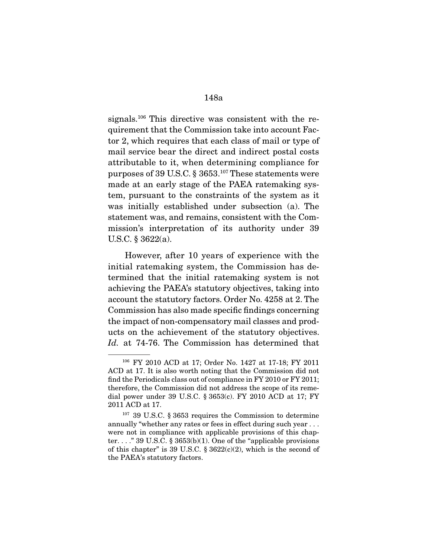signals.106 This directive was consistent with the requirement that the Commission take into account Factor 2, which requires that each class of mail or type of mail service bear the direct and indirect postal costs attributable to it, when determining compliance for purposes of 39 U.S.C. § 3653.107 These statements were made at an early stage of the PAEA ratemaking system, pursuant to the constraints of the system as it was initially established under subsection (a). The statement was, and remains, consistent with the Commission's interpretation of its authority under 39 U.S.C. § 3622(a).

 However, after 10 years of experience with the initial ratemaking system, the Commission has determined that the initial ratemaking system is not achieving the PAEA's statutory objectives, taking into account the statutory factors. Order No. 4258 at 2. The Commission has also made specific findings concerning the impact of non-compensatory mail classes and products on the achievement of the statutory objectives. Id. at 74-76. The Commission has determined that

<sup>106</sup> FY 2010 ACD at 17; Order No. 1427 at 17-18; FY 2011 ACD at 17. It is also worth noting that the Commission did not find the Periodicals class out of compliance in FY 2010 or FY 2011; therefore, the Commission did not address the scope of its remedial power under 39 U.S.C. § 3653(c). FY 2010 ACD at 17; FY 2011 ACD at 17.

<sup>107</sup> 39 U.S.C. § 3653 requires the Commission to determine annually "whether any rates or fees in effect during such year . . . were not in compliance with applicable provisions of this chapter.  $\ldots$  " 39 U.S.C. § 3653(b)(1). One of the "applicable provisions of this chapter" is 39 U.S.C.  $\S 3622(c)(2)$ , which is the second of the PAEA's statutory factors.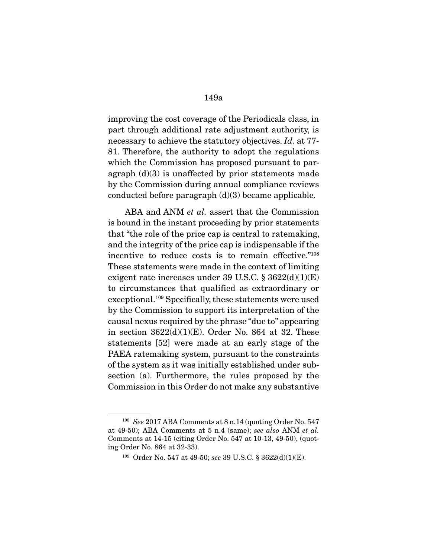improving the cost coverage of the Periodicals class, in part through additional rate adjustment authority, is necessary to achieve the statutory objectives. Id. at 77- 81. Therefore, the authority to adopt the regulations which the Commission has proposed pursuant to paragraph  $(d)(3)$  is unaffected by prior statements made by the Commission during annual compliance reviews conducted before paragraph  $(d)(3)$  became applicable.

ABA and ANM *et al.* assert that the Commission is bound in the instant proceeding by prior statements that "the role of the price cap is central to ratemaking, and the integrity of the price cap is indispensable if the incentive to reduce costs is to remain effective."108 These statements were made in the context of limiting exigent rate increases under 39 U.S.C.  $\S 3622(d)(1)(E)$ to circumstances that qualified as extraordinary or exceptional.<sup>109</sup> Specifically, these statements were used by the Commission to support its interpretation of the causal nexus required by the phrase "due to" appearing in section  $3622(d)(1)(E)$ . Order No. 864 at 32. These statements [52] were made at an early stage of the PAEA ratemaking system, pursuant to the constraints of the system as it was initially established under subsection (a). Furthermore, the rules proposed by the Commission in this Order do not make any substantive

<sup>&</sup>lt;sup>108</sup> See 2017 ABA Comments at 8 n.14 (quoting Order No. 547) at 49-50); ABA Comments at 5 n.4 (same); see also ANM et al. Comments at 14-15 (citing Order No. 547 at 10-13, 49-50), (quoting Order No. 864 at 32-33).

<sup>109</sup> Order No. 547 at 49-50; see 39 U.S.C. § 3622(d)(1)(E).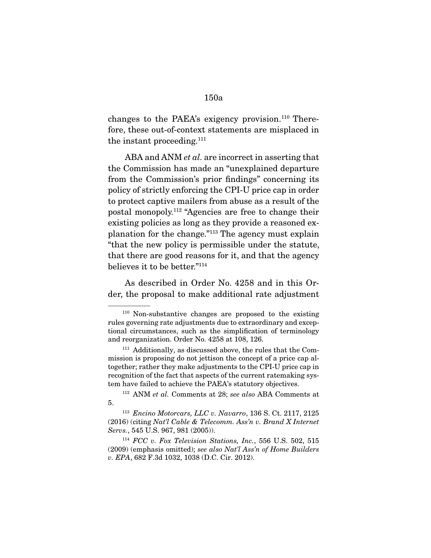changes to the PAEA's exigency provision.<sup>110</sup> Therefore, these out-of-context statements are misplaced in the instant proceeding.<sup>111</sup>

ABA and ANM *et al.* are incorrect in asserting that the Commission has made an "unexplained departure from the Commission's prior findings" concerning its policy of strictly enforcing the CPI-U price cap in order to protect captive mailers from abuse as a result of the postal monopoly.112 "Agencies are free to change their existing policies as long as they provide a reasoned explanation for the change."113 The agency must explain "that the new policy is permissible under the statute, that there are good reasons for it, and that the agency believes it to be better."114

 As described in Order No. 4258 and in this Order, the proposal to make additional rate adjustment

<sup>110</sup> Non-substantive changes are proposed to the existing rules governing rate adjustments due to extraordinary and exceptional circumstances, such as the simplification of terminology and reorganization. Order No. 4258 at 108, 126.

<sup>&</sup>lt;sup>111</sup> Additionally, as discussed above, the rules that the Commission is proposing do not jettison the concept of a price cap altogether; rather they make adjustments to the CPI-U price cap in recognition of the fact that aspects of the current ratemaking system have failed to achieve the PAEA's statutory objectives.

<sup>112</sup> ANM et al. Comments at 28; see also ABA Comments at 5.

<sup>113</sup> Encino Motorcars, LLC v. Navarro, 136 S. Ct. 2117, 2125 (2016) (citing Nat'l Cable & Telecomm. Ass'n v. Brand X Internet Servs., 545 U.S. 967, 981 (2005)).

 $114$  FCC v. Fox Television Stations, Inc., 556 U.S. 502, 515 (2009) (emphasis omitted); see also Nat'l Ass'n of Home Builders v. EPA, 682 F.3d 1032, 1038 (D.C. Cir. 2012).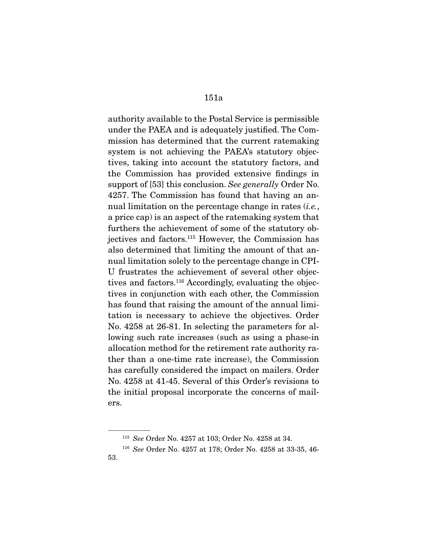authority available to the Postal Service is permissible under the PAEA and is adequately justified. The Commission has determined that the current ratemaking system is not achieving the PAEA's statutory objectives, taking into account the statutory factors, and the Commission has provided extensive findings in support of [53] this conclusion. See generally Order No. 4257. The Commission has found that having an annual limitation on the percentage change in rates *(i.e.*, a price cap) is an aspect of the ratemaking system that furthers the achievement of some of the statutory objectives and factors.115 However, the Commission has also determined that limiting the amount of that annual limitation solely to the percentage change in CPI-U frustrates the achievement of several other objectives and factors.<sup>116</sup> Accordingly, evaluating the objectives in conjunction with each other, the Commission has found that raising the amount of the annual limitation is necessary to achieve the objectives. Order No. 4258 at 26-81. In selecting the parameters for allowing such rate increases (such as using a phase-in allocation method for the retirement rate authority rather than a one-time rate increase), the Commission has carefully considered the impact on mailers. Order No. 4258 at 41-45. Several of this Order's revisions to the initial proposal incorporate the concerns of mailers.

<sup>115</sup> See Order No. 4257 at 103; Order No. 4258 at 34.

<sup>116</sup> See Order No. 4257 at 178; Order No. 4258 at 33-35, 46- 53.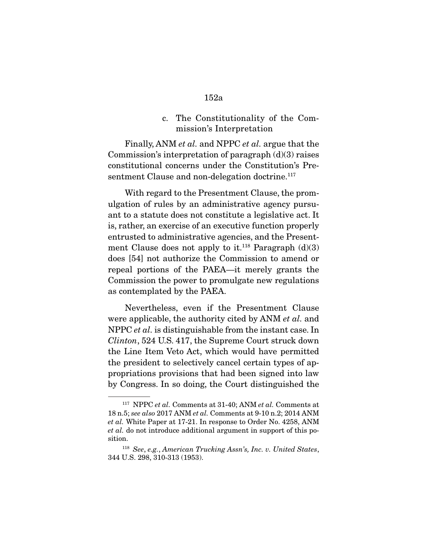c. The Constitutionality of the Commission's Interpretation

 Finally, ANM et al. and NPPC et al. argue that the Commission's interpretation of paragraph (d)(3) raises constitutional concerns under the Constitution's Presentment Clause and non-delegation doctrine.<sup>117</sup>

 With regard to the Presentment Clause, the promulgation of rules by an administrative agency pursuant to a statute does not constitute a legislative act. It is, rather, an exercise of an executive function properly entrusted to administrative agencies, and the Presentment Clause does not apply to it.<sup>118</sup> Paragraph  $(d)(3)$ does [54] not authorize the Commission to amend or repeal portions of the PAEA—it merely grants the Commission the power to promulgate new regulations as contemplated by the PAEA.

 Nevertheless, even if the Presentment Clause were applicable, the authority cited by ANM *et al.* and NPPC *et al.* is distinguishable from the instant case. In Clinton, 524 U.S. 417, the Supreme Court struck down the Line Item Veto Act, which would have permitted the president to selectively cancel certain types of appropriations provisions that had been signed into law by Congress. In so doing, the Court distinguished the

 $117$  NPPC et al. Comments at 31-40; ANM et al. Comments at 18 n.5; see also 2017 ANM et al. Comments at 9-10 n.2; 2014 ANM et al. White Paper at 17-21. In response to Order No. 4258, ANM et al. do not introduce additional argument in support of this position.

<sup>118</sup> See, e.g., American Trucking Assn's, Inc. v. United States, 344 U.S. 298, 310-313 (1953).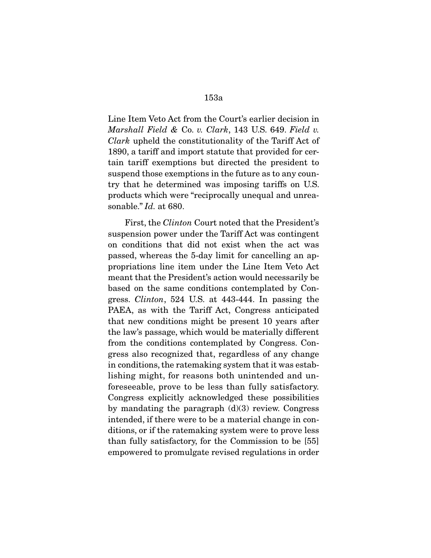Line Item Veto Act from the Court's earlier decision in Marshall Field & Co. v. Clark, 143 U.S. 649. Field v. Clark upheld the constitutionality of the Tariff Act of 1890, a tariff and import statute that provided for certain tariff exemptions but directed the president to suspend those exemptions in the future as to any country that he determined was imposing tariffs on U.S. products which were "reciprocally unequal and unreasonable." Id. at 680.

 First, the Clinton Court noted that the President's suspension power under the Tariff Act was contingent on conditions that did not exist when the act was passed, whereas the 5-day limit for cancelling an appropriations line item under the Line Item Veto Act meant that the President's action would necessarily be based on the same conditions contemplated by Congress. Clinton, 524 U.S. at 443-444. In passing the PAEA, as with the Tariff Act, Congress anticipated that new conditions might be present 10 years after the law's passage, which would be materially different from the conditions contemplated by Congress. Congress also recognized that, regardless of any change in conditions, the ratemaking system that it was establishing might, for reasons both unintended and unforeseeable, prove to be less than fully satisfactory. Congress explicitly acknowledged these possibilities by mandating the paragraph  $(d)(3)$  review. Congress intended, if there were to be a material change in conditions, or if the ratemaking system were to prove less than fully satisfactory, for the Commission to be [55] empowered to promulgate revised regulations in order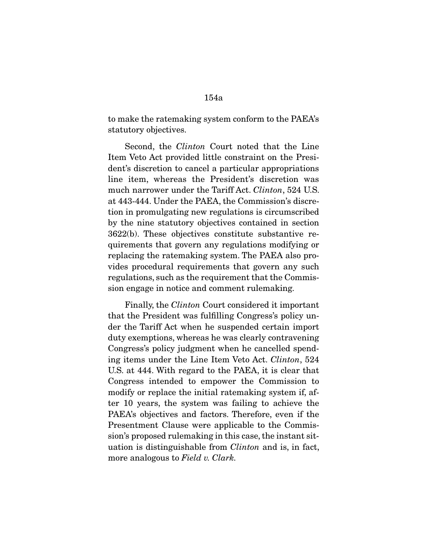to make the ratemaking system conform to the PAEA's statutory objectives.

 Second, the Clinton Court noted that the Line Item Veto Act provided little constraint on the President's discretion to cancel a particular appropriations line item, whereas the President's discretion was much narrower under the Tariff Act. *Clinton*, 524 U.S. at 443-444. Under the PAEA, the Commission's discretion in promulgating new regulations is circumscribed by the nine statutory objectives contained in section 3622(b). These objectives constitute substantive requirements that govern any regulations modifying or replacing the ratemaking system. The PAEA also provides procedural requirements that govern any such regulations, such as the requirement that the Commission engage in notice and comment rulemaking.

 Finally, the Clinton Court considered it important that the President was fulfilling Congress's policy under the Tariff Act when he suspended certain import duty exemptions, whereas he was clearly contravening Congress's policy judgment when he cancelled spending items under the Line Item Veto Act. Clinton, 524 U.S. at 444. With regard to the PAEA, it is clear that Congress intended to empower the Commission to modify or replace the initial ratemaking system if, after 10 years, the system was failing to achieve the PAEA's objectives and factors. Therefore, even if the Presentment Clause were applicable to the Commission's proposed rulemaking in this case, the instant situation is distinguishable from Clinton and is, in fact, more analogous to Field v. Clark.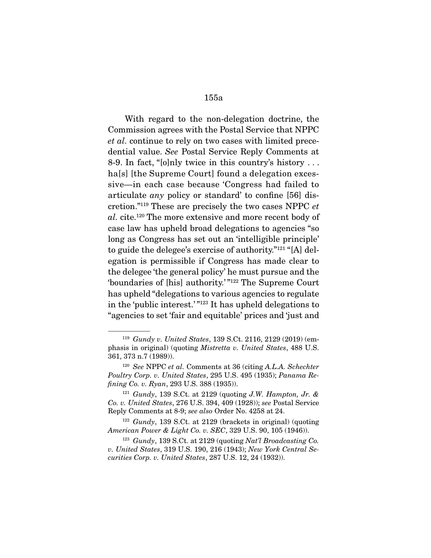With regard to the non-delegation doctrine, the Commission agrees with the Postal Service that NPPC et al. continue to rely on two cases with limited precedential value. See Postal Service Reply Comments at 8-9. In fact, "[o]nly twice in this country's history . . . ha<sup>[s]</sup> [the Supreme Court] found a delegation excessive—in each case because 'Congress had failed to articulate any policy or standard' to confine [56] discretion."119 These are precisely the two cases NPPC et al. cite.<sup>120</sup> The more extensive and more recent body of case law has upheld broad delegations to agencies "so long as Congress has set out an 'intelligible principle' to guide the delegee's exercise of authority."121 "[A] delegation is permissible if Congress has made clear to the delegee 'the general policy' he must pursue and the 'boundaries of [his] authority.' "122 The Supreme Court has upheld "delegations to various agencies to regulate in the 'public interest.' "123 It has upheld delegations to "agencies to set 'fair and equitable' prices and 'just and

<sup>119</sup> Gundy v. United States, 139 S.Ct. 2116, 2129 (2019) (emphasis in original) (quoting Mistretta v. United States, 488 U.S. 361, 373 n.7 (1989)).

 $120$  See NPPC et al. Comments at 36 (citing A.L.A. Schechter Poultry Corp. v. United States, 295 U.S. 495 (1935); Panama Refining Co. v. Ryan, 293 U.S. 388 (1935)).

 $121$  Gundy, 139 S.Ct. at 2129 (quoting J.W. Hampton, Jr. & Co. v. United States, 276 U.S. 394, 409 (1928)); see Postal Service Reply Comments at 8-9; see also Order No. 4258 at 24.

 $122$  Gundy, 139 S.Ct. at 2129 (brackets in original) (quoting American Power & Light Co. v. SEC, 329 U.S. 90, 105 (1946)).

 $123$  Gundy, 139 S.Ct. at 2129 (quoting Nat'l Broadcasting Co. v. United States, 319 U.S. 190, 216 (1943); New York Central Securities Corp. v. United States, 287 U.S. 12, 24 (1932)).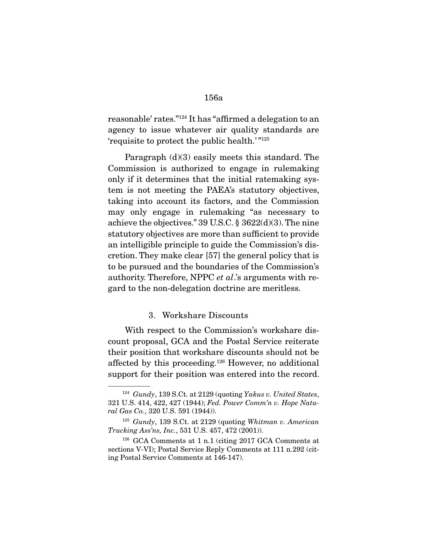reasonable' rates."124 It has "affirmed a delegation to an agency to issue whatever air quality standards are 'requisite to protect the public health.'"<sup>125</sup>

 Paragraph (d)(3) easily meets this standard. The Commission is authorized to engage in rulemaking only if it determines that the initial ratemaking system is not meeting the PAEA's statutory objectives, taking into account its factors, and the Commission may only engage in rulemaking "as necessary to achieve the objectives." 39 U.S.C. § 3622(d)(3). The nine statutory objectives are more than sufficient to provide an intelligible principle to guide the Commission's discretion. They make clear [57] the general policy that is to be pursued and the boundaries of the Commission's authority. Therefore, NPPC et al.'s arguments with regard to the non-delegation doctrine are meritless.

## 3. Workshare Discounts

 With respect to the Commission's workshare discount proposal, GCA and the Postal Service reiterate their position that workshare discounts should not be affected by this proceeding.126 However, no additional support for their position was entered into the record.

 $124$  Gundy, 139 S.Ct. at 2129 (quoting Yakus v. United States, 321 U.S. 414, 422, 427 (1944); Fed. Power Comm'n v. Hope Natural Gas Co., 320 U.S. 591 (1944)).

 $125$  Gundy, 139 S.Ct. at 2129 (quoting Whitman v. American Trucking Ass'ns, Inc., 531 U.S. 457, 472 (2001)).

<sup>126</sup> GCA Comments at 1 n.1 (citing 2017 GCA Comments at sections V-VI); Postal Service Reply Comments at 111 n.292 (citing Postal Service Comments at 146-147).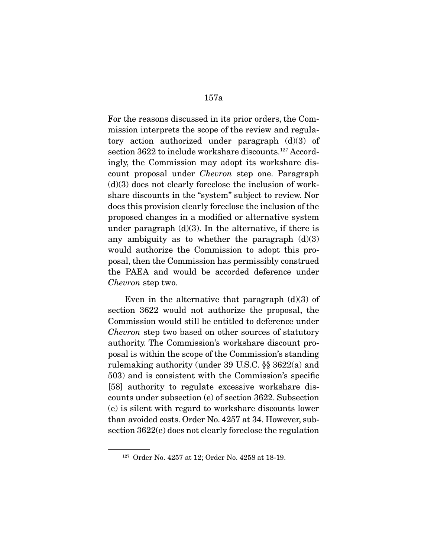For the reasons discussed in its prior orders, the Commission interprets the scope of the review and regulatory action authorized under paragraph (d)(3) of section 3622 to include workshare discounts.<sup>127</sup> Accordingly, the Commission may adopt its workshare discount proposal under Chevron step one. Paragraph  $(d)(3)$  does not clearly foreclose the inclusion of workshare discounts in the "system" subject to review. Nor does this provision clearly foreclose the inclusion of the proposed changes in a modified or alternative system under paragraph  $(d)(3)$ . In the alternative, if there is any ambiguity as to whether the paragraph  $(d)(3)$ would authorize the Commission to adopt this proposal, then the Commission has permissibly construed the PAEA and would be accorded deference under Chevron step two.

Even in the alternative that paragraph  $(d)(3)$  of section 3622 would not authorize the proposal, the Commission would still be entitled to deference under Chevron step two based on other sources of statutory authority. The Commission's workshare discount proposal is within the scope of the Commission's standing rulemaking authority (under 39 U.S.C. §§ 3622(a) and 503) and is consistent with the Commission's specific [58] authority to regulate excessive workshare discounts under subsection (e) of section 3622. Subsection (e) is silent with regard to workshare discounts lower than avoided costs. Order No. 4257 at 34. However, subsection 3622(e) does not clearly foreclose the regulation

<sup>127</sup> Order No. 4257 at 12; Order No. 4258 at 18-19.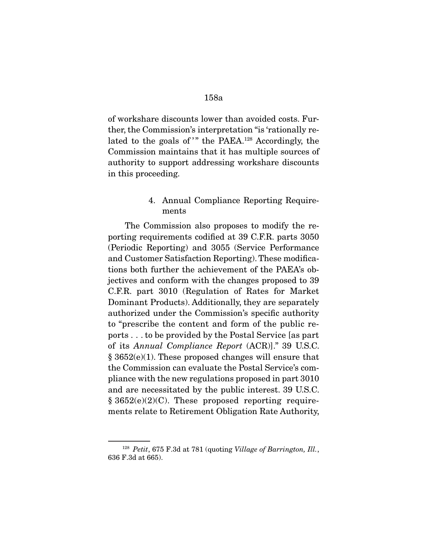of workshare discounts lower than avoided costs. Further, the Commission's interpretation "is 'rationally related to the goals of" the PAEA.<sup>128</sup> Accordingly, the Commission maintains that it has multiple sources of authority to support addressing workshare discounts in this proceeding.

## 4. Annual Compliance Reporting Requirements

 The Commission also proposes to modify the reporting requirements codified at 39 C.F.R. parts 3050 (Periodic Reporting) and 3055 (Service Performance and Customer Satisfaction Reporting). These modifications both further the achievement of the PAEA's objectives and conform with the changes proposed to 39 C.F.R. part 3010 (Regulation of Rates for Market Dominant Products). Additionally, they are separately authorized under the Commission's specific authority to "prescribe the content and form of the public reports . . . to be provided by the Postal Service [as part of its Annual Compliance Report (ACR)]." 39 U.S.C. § 3652(e)(1). These proposed changes will ensure that the Commission can evaluate the Postal Service's compliance with the new regulations proposed in part 3010 and are necessitated by the public interest. 39 U.S.C.  $§ 3652(e)(2)(C)$ . These proposed reporting requirements relate to Retirement Obligation Rate Authority,

<sup>&</sup>lt;sup>128</sup> Petit, 675 F.3d at 781 (quoting Village of Barrington, Ill., 636 F.3d at 665).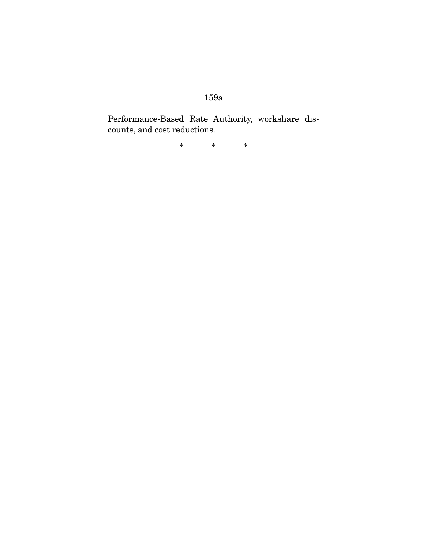Performance-Based Rate Authority, workshare discounts, and cost reductions.

\* \* \*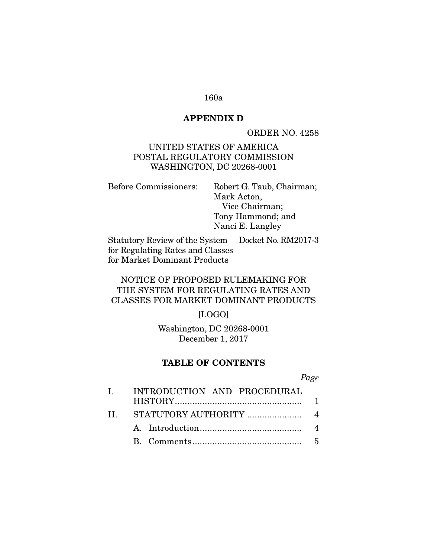### **APPENDIX D**

ORDER NO. 4258

## UNITED STATES OF AMERICA POSTAL REGULATORY COMMISSION WASHINGTON, DC 20268-0001

Before Commissioners: Robert G. Taub, Chairman; Mark Acton, Vice Chairman; Tony Hammond; and Nanci E. Langley

Statutory Review of the System for Regulating Rates and Classes for Market Dominant Products Docket No. RM2017-3

# NOTICE OF PROPOSED RULEMAKING FOR THE SYSTEM FOR REGULATING RATES AND CLASSES FOR MARKET DOMINANT PRODUCTS

## [LOGO]

Washington, DC 20268-0001 December 1, 2017

### **TABLE OF CONTENTS**

### Page

| L | INTRODUCTION AND PROCEDURAL |  |  |
|---|-----------------------------|--|--|
|   |                             |  |  |
|   |                             |  |  |
|   |                             |  |  |
|   |                             |  |  |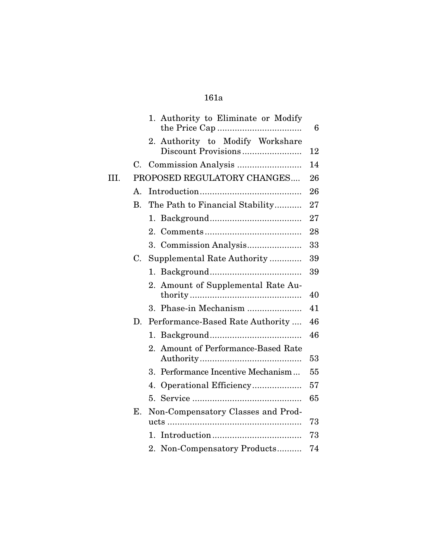|      |                | 1. Authority to Eliminate or Modify                     | 6  |
|------|----------------|---------------------------------------------------------|----|
|      |                | 2. Authority to Modify Workshare<br>Discount Provisions | 12 |
|      |                |                                                         | 14 |
| III. |                | PROPOSED REGULATORY CHANGES                             | 26 |
|      | $\mathbf{A}$ . |                                                         | 26 |
|      | <b>B.</b>      | The Path to Financial Stability                         | 27 |
|      |                | 1.                                                      | 27 |
|      |                | $2_{-}$                                                 | 28 |
|      |                |                                                         | 33 |
|      | C.             | Supplemental Rate Authority                             | 39 |
|      |                |                                                         | 39 |
|      |                | Amount of Supplemental Rate Au-<br>2.                   | 40 |
|      |                | Phase-in Mechanism<br>$3_{-}$                           | 41 |
|      | D.             | Performance-Based Rate Authority                        | 46 |
|      |                | 1.                                                      | 46 |
|      |                | Amount of Performance-Based Rate<br>2.                  | 53 |
|      |                | Performance Incentive Mechanism<br>$3_{-}$              | 55 |
|      |                | Operational Efficiency<br>4.                            | 57 |
|      |                |                                                         | 65 |
|      | Е.             | Non-Compensatory Classes and Prod-                      | 73 |
|      |                | $1_{-}$                                                 | 73 |
|      |                | 2. Non-Compensatory Products                            | 74 |
|      |                |                                                         |    |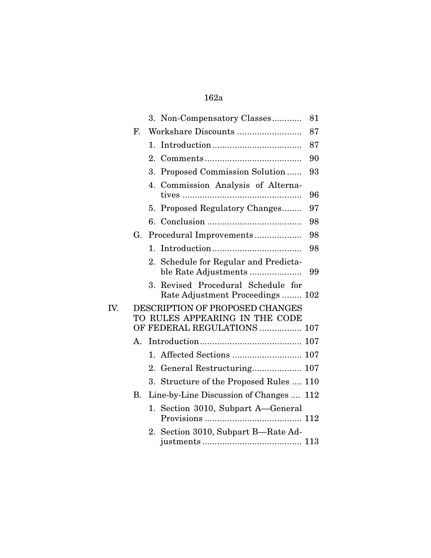|     |                      |                  | 3. Non-Compensatory Classes                                           | 81 |
|-----|----------------------|------------------|-----------------------------------------------------------------------|----|
|     | $\mathbf{F}$         |                  | Workshare Discounts                                                   | 87 |
|     |                      | 1.               |                                                                       | 87 |
|     |                      | 2.               |                                                                       | 90 |
|     |                      | 3.               | Proposed Commission Solution                                          | 93 |
|     |                      | 4.               | Commission Analysis of Alterna-                                       | 96 |
|     |                      | 5.               | Proposed Regulatory Changes                                           | 97 |
|     |                      | 6.               |                                                                       | 98 |
|     | G.                   |                  | Procedural Improvements                                               | 98 |
|     |                      | $\mathbf{1}_{+}$ |                                                                       | 98 |
|     |                      | 2.               | Schedule for Regular and Predicta-<br>ble Rate Adjustments            | 99 |
|     |                      |                  | 3. Revised Procedural Schedule for<br>Rate Adjustment Proceedings 102 |    |
| IV. |                      |                  | DESCRIPTION OF PROPOSED CHANGES                                       |    |
|     |                      |                  | TO RULES APPEARING IN THE CODE<br>OF FEDERAL REGULATIONS  107         |    |
|     | $\mathbf{A}_{\cdot}$ |                  |                                                                       |    |
|     |                      |                  |                                                                       |    |
|     |                      |                  |                                                                       |    |
|     |                      | 2.               |                                                                       |    |
|     |                      |                  | 3. Structure of the Proposed Rules  110                               |    |
|     | В.                   |                  | Line-by-Line Discussion of Changes  112                               |    |
|     |                      |                  | 1. Section 3010, Subpart A—General                                    |    |
|     |                      |                  | 2. Section 3010, Subpart B—Rate Ad-                                   |    |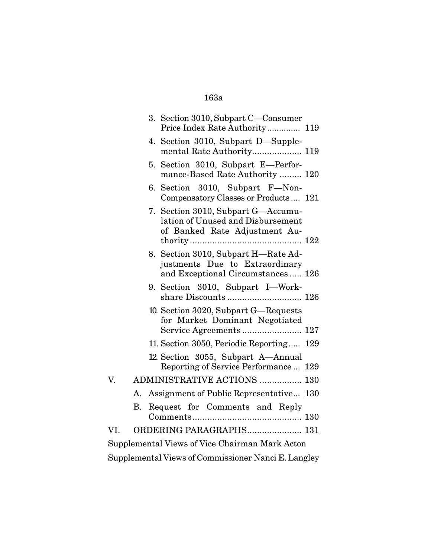|                                                     |    | 3. Section 3010, Subpart C-Consumer<br>Price Index Rate Authority 119                                      |  |  |
|-----------------------------------------------------|----|------------------------------------------------------------------------------------------------------------|--|--|
|                                                     |    | 4. Section 3010, Subpart D-Supple-<br>mental Rate Authority 119                                            |  |  |
|                                                     |    | 5. Section 3010, Subpart E-Perfor-<br>mance-Based Rate Authority  120                                      |  |  |
|                                                     |    | 6. Section 3010, Subpart F-Non-<br>Compensatory Classes or Products 121                                    |  |  |
|                                                     |    | 7. Section 3010, Subpart G—Accumu-<br>lation of Unused and Disbursement<br>of Banked Rate Adjustment Au-   |  |  |
|                                                     |    | 8. Section 3010, Subpart H-Rate Ad-<br>justments Due to Extraordinary<br>and Exceptional Circumstances 126 |  |  |
|                                                     |    | 9. Section 3010, Subpart I-Work-                                                                           |  |  |
|                                                     |    | 10. Section 3020, Subpart G-Requests<br>for Market Dominant Negotiated                                     |  |  |
|                                                     |    | 11. Section 3050, Periodic Reporting 129                                                                   |  |  |
|                                                     |    | 12. Section 3055, Subpart A-Annual<br>Reporting of Service Performance  129                                |  |  |
| V.                                                  |    | <b>ADMINISTRATIVE ACTIONS  130</b>                                                                         |  |  |
|                                                     |    | A. Assignment of Public Representative 130                                                                 |  |  |
|                                                     | B. | Request for Comments and Reply                                                                             |  |  |
| VI.                                                 |    | ORDERING PARAGRAPHS 131                                                                                    |  |  |
| Supplemental Views of Vice Chairman Mark Acton      |    |                                                                                                            |  |  |
| Supplemental Views of Commissioner Nanci E. Langley |    |                                                                                                            |  |  |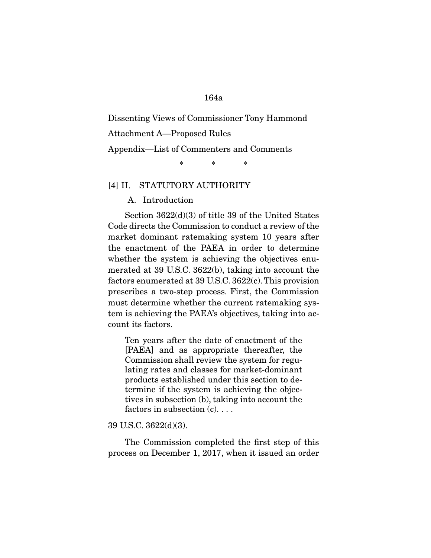Dissenting Views of Commissioner Tony Hammond

Attachment A—Proposed Rules

#### Appendix—List of Commenters and Comments

\* \* \*

### [4] II. STATUTORY AUTHORITY

A. Introduction

 Section 3622(d)(3) of title 39 of the United States Code directs the Commission to conduct a review of the market dominant ratemaking system 10 years after the enactment of the PAEA in order to determine whether the system is achieving the objectives enumerated at 39 U.S.C. 3622(b), taking into account the factors enumerated at 39 U.S.C. 3622(c). This provision prescribes a two-step process. First, the Commission must determine whether the current ratemaking system is achieving the PAEA's objectives, taking into account its factors.

Ten years after the date of enactment of the [PAEA] and as appropriate thereafter, the Commission shall review the system for regulating rates and classes for market-dominant products established under this section to determine if the system is achieving the objectives in subsection (b), taking into account the factors in subsection (c). . . .

#### 39 U.S.C. 3622(d)(3).

 The Commission completed the first step of this process on December 1, 2017, when it issued an order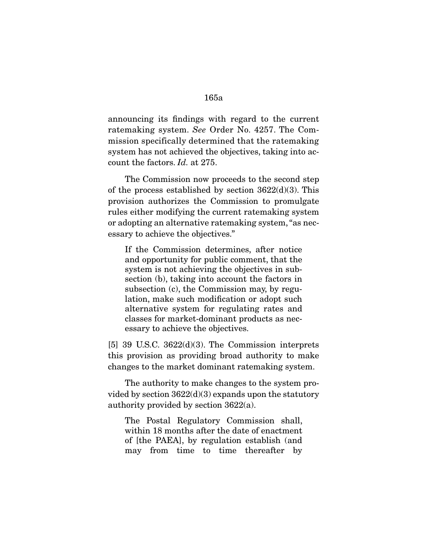announcing its findings with regard to the current ratemaking system. See Order No. 4257. The Commission specifically determined that the ratemaking system has not achieved the objectives, taking into account the factors. Id. at 275.

 The Commission now proceeds to the second step of the process established by section  $3622(d)(3)$ . This provision authorizes the Commission to promulgate rules either modifying the current ratemaking system or adopting an alternative ratemaking system, "as necessary to achieve the objectives."

If the Commission determines, after notice and opportunity for public comment, that the system is not achieving the objectives in subsection (b), taking into account the factors in subsection (c), the Commission may, by regulation, make such modification or adopt such alternative system for regulating rates and classes for market-dominant products as necessary to achieve the objectives.

[5] 39 U.S.C. 3622(d)(3). The Commission interprets this provision as providing broad authority to make changes to the market dominant ratemaking system.

 The authority to make changes to the system provided by section 3622(d)(3) expands upon the statutory authority provided by section 3622(a).

The Postal Regulatory Commission shall, within 18 months after the date of enactment of [the PAEA], by regulation establish (and may from time to time thereafter by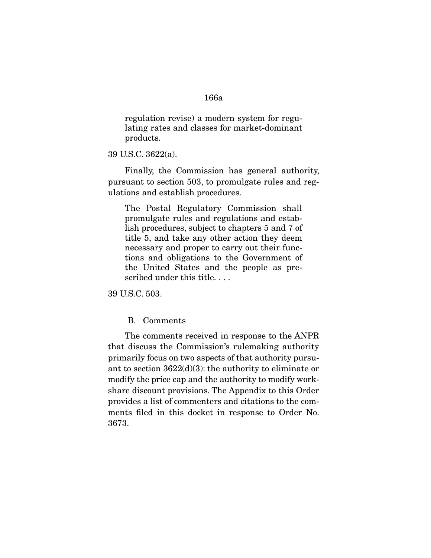regulation revise) a modern system for regulating rates and classes for market-dominant products.

39 U.S.C. 3622(a).

 Finally, the Commission has general authority, pursuant to section 503, to promulgate rules and regulations and establish procedures.

The Postal Regulatory Commission shall promulgate rules and regulations and establish procedures, subject to chapters 5 and 7 of title 5, and take any other action they deem necessary and proper to carry out their functions and obligations to the Government of the United States and the people as prescribed under this title. . . .

39 U.S.C. 503.

B. Comments

 The comments received in response to the ANPR that discuss the Commission's rulemaking authority primarily focus on two aspects of that authority pursuant to section 3622(d)(3): the authority to eliminate or modify the price cap and the authority to modify workshare discount provisions. The Appendix to this Order provides a list of commenters and citations to the comments filed in this docket in response to Order No. 3673.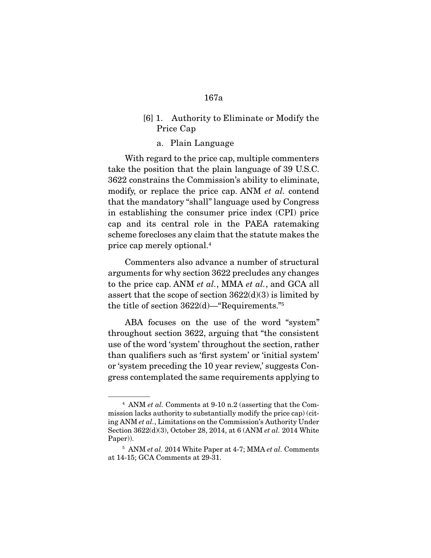- [6] 1. Authority to Eliminate or Modify the Price Cap
	- a. Plain Language

 With regard to the price cap, multiple commenters take the position that the plain language of 39 U.S.C. 3622 constrains the Commission's ability to eliminate, modify, or replace the price cap. ANM et al. contend that the mandatory "shall" language used by Congress in establishing the consumer price index (CPI) price cap and its central role in the PAEA ratemaking scheme forecloses any claim that the statute makes the price cap merely optional.4

 Commenters also advance a number of structural arguments for why section 3622 precludes any changes to the price cap. ANM et al., MMA et al., and GCA all assert that the scope of section  $3622(d)(3)$  is limited by the title of section 3622(d)—"Requirements."5

 ABA focuses on the use of the word "system" throughout section 3622, arguing that "the consistent use of the word 'system' throughout the section, rather than qualifiers such as 'first system' or 'initial system' or 'system preceding the 10 year review,' suggests Congress contemplated the same requirements applying to

<sup>4</sup> ANM et al. Comments at 9-10 n.2 (asserting that the Commission lacks authority to substantially modify the price cap) (citing ANM et al., Limitations on the Commission's Authority Under Section 3622(d)(3), October 28, 2014, at 6 (ANM et al. 2014 White Paper)).

 $5$  ANM et al. 2014 White Paper at 4-7; MMA et al. Comments at 14-15; GCA Comments at 29-31.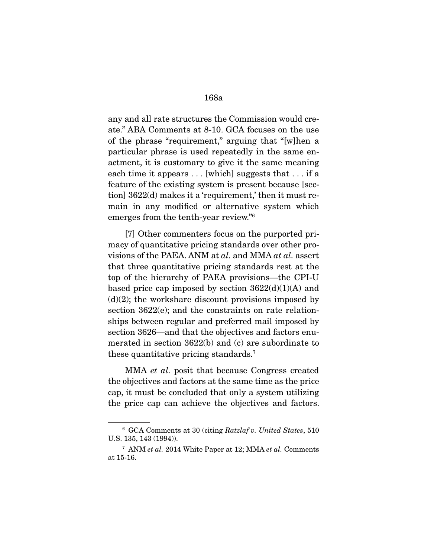any and all rate structures the Commission would create." ABA Comments at 8-10. GCA focuses on the use of the phrase "requirement," arguing that "[w]hen a particular phrase is used repeatedly in the same enactment, it is customary to give it the same meaning each time it appears . . . [which] suggests that . . . if a feature of the existing system is present because [section] 3622(d) makes it a 'requirement,' then it must remain in any modified or alternative system which emerges from the tenth-year review."6

 [7] Other commenters focus on the purported primacy of quantitative pricing standards over other provisions of the PAEA. ANM at al. and MMA at al. assert that three quantitative pricing standards rest at the top of the hierarchy of PAEA provisions—the CPI-U based price cap imposed by section  $3622(d)(1)(A)$  and  $(d)(2)$ ; the workshare discount provisions imposed by section 3622(e); and the constraints on rate relationships between regular and preferred mail imposed by section 3626—and that the objectives and factors enumerated in section 3622(b) and (c) are subordinate to these quantitative pricing standards.7

 MMA et al. posit that because Congress created the objectives and factors at the same time as the price cap, it must be concluded that only a system utilizing the price cap can achieve the objectives and factors.

<sup>6</sup> GCA Comments at 30 (citing Ratzlaf v. United States, 510 U.S. 135, 143 (1994)).

 $7$  ANM et al. 2014 White Paper at 12; MMA et al. Comments at 15-16.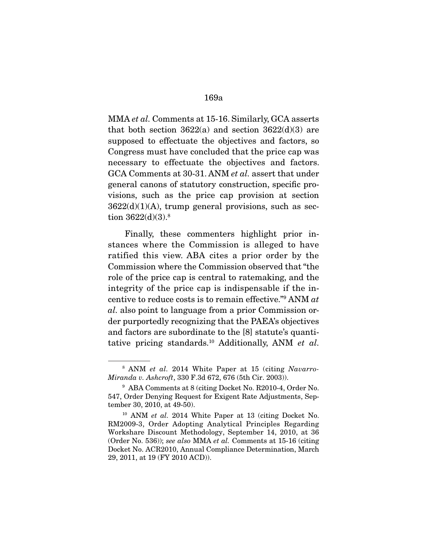MMA et al. Comments at 15-16. Similarly, GCA asserts that both section  $3622(a)$  and section  $3622(d)(3)$  are supposed to effectuate the objectives and factors, so Congress must have concluded that the price cap was necessary to effectuate the objectives and factors. GCA Comments at 30-31. ANM et al. assert that under general canons of statutory construction, specific provisions, such as the price cap provision at section  $3622(d)(1)(A)$ , trump general provisions, such as section 3622(d)(3).<sup>8</sup>

 Finally, these commenters highlight prior instances where the Commission is alleged to have ratified this view. ABA cites a prior order by the Commission where the Commission observed that "the role of the price cap is central to ratemaking, and the integrity of the price cap is indispensable if the incentive to reduce costs is to remain effective."9 ANM at al. also point to language from a prior Commission order purportedly recognizing that the PAEA's objectives and factors are subordinate to the [8] statute's quantitative pricing standards.<sup>10</sup> Additionally, ANM et al.

<sup>&</sup>lt;sup>8</sup> ANM *et al.* 2014 White Paper at 15 (citing Navarro-Miranda v. Ashcroft, 330 F.3d 672, 676 (5th Cir. 2003)).

<sup>9</sup> ABA Comments at 8 (citing Docket No. R2010-4, Order No. 547, Order Denying Request for Exigent Rate Adjustments, September 30, 2010, at 49-50).

<sup>&</sup>lt;sup>10</sup> ANM et al. 2014 White Paper at 13 (citing Docket No. RM2009-3, Order Adopting Analytical Principles Regarding Workshare Discount Methodology, September 14, 2010, at 36 (Order No. 536)); see also MMA et al. Comments at 15-16 (citing Docket No. ACR2010, Annual Compliance Determination, March 29, 2011, at 19 (FY 2010 ACD)).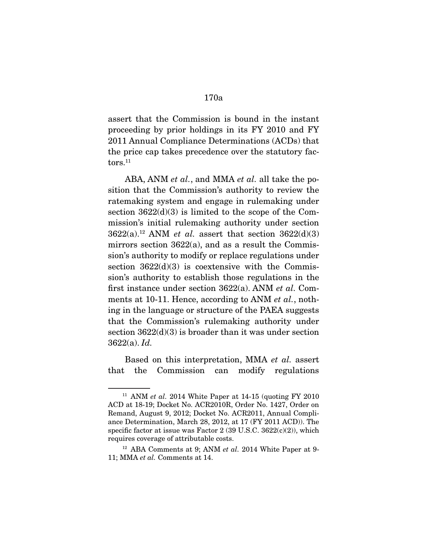assert that the Commission is bound in the instant proceeding by prior holdings in its FY 2010 and FY 2011 Annual Compliance Determinations (ACDs) that the price cap takes precedence over the statutory factors.<sup>11</sup>

ABA, ANM *et al.*, and MMA *et al.* all take the position that the Commission's authority to review the ratemaking system and engage in rulemaking under section  $3622(d)(3)$  is limited to the scope of the Commission's initial rulemaking authority under section  $3622(a).$ <sup>12</sup> ANM *et al.* assert that section  $3622(d)(3)$ mirrors section 3622(a), and as a result the Commission's authority to modify or replace regulations under section  $3622(d)(3)$  is coextensive with the Commission's authority to establish those regulations in the first instance under section 3622(a). ANM et al. Comments at 10-11. Hence, according to ANM *et al.*, nothing in the language or structure of the PAEA suggests that the Commission's rulemaking authority under section  $3622(d)(3)$  is broader than it was under section  $3622(a)$ . *Id.* 

 Based on this interpretation, MMA et al. assert that the Commission can modify regulations

<sup>&</sup>lt;sup>11</sup> ANM *et al.* 2014 White Paper at  $14-15$  (quoting FY 2010) ACD at 18-19; Docket No. ACR2010R, Order No. 1427, Order on Remand, August 9, 2012; Docket No. ACR2011, Annual Compliance Determination, March 28, 2012, at 17 (FY 2011 ACD)). The specific factor at issue was Factor 2 (39 U.S.C. 3622(c)(2)), which requires coverage of attributable costs.

 $12$  ABA Comments at 9; ANM et al. 2014 White Paper at 9-11; MMA et al. Comments at 14.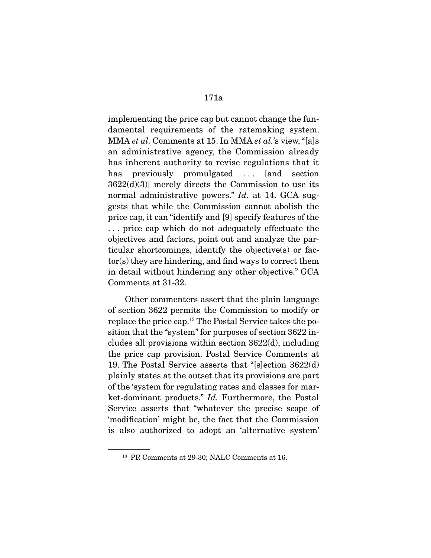implementing the price cap but cannot change the fundamental requirements of the ratemaking system. MMA et al. Comments at 15. In MMA et al.'s view, "[a]s an administrative agency, the Commission already has inherent authority to revise regulations that it has previously promulgated ... [and section  $3622(d)(3)$ ] merely directs the Commission to use its normal administrative powers." Id. at 14. GCA suggests that while the Commission cannot abolish the price cap, it can "identify and [9] specify features of the . . . price cap which do not adequately effectuate the objectives and factors, point out and analyze the particular shortcomings, identify the objective(s) or factor(s) they are hindering, and find ways to correct them in detail without hindering any other objective." GCA Comments at 31-32.

 Other commenters assert that the plain language of section 3622 permits the Commission to modify or replace the price cap.13 The Postal Service takes the position that the "system" for purposes of section 3622 includes all provisions within section 3622(d), including the price cap provision. Postal Service Comments at 19. The Postal Service asserts that "[s]ection 3622(d) plainly states at the outset that its provisions are part of the 'system for regulating rates and classes for market-dominant products." Id. Furthermore, the Postal Service asserts that "whatever the precise scope of 'modification' might be, the fact that the Commission is also authorized to adopt an 'alternative system'

<sup>&</sup>lt;sup>13</sup> PR Comments at 29-30; NALC Comments at 16.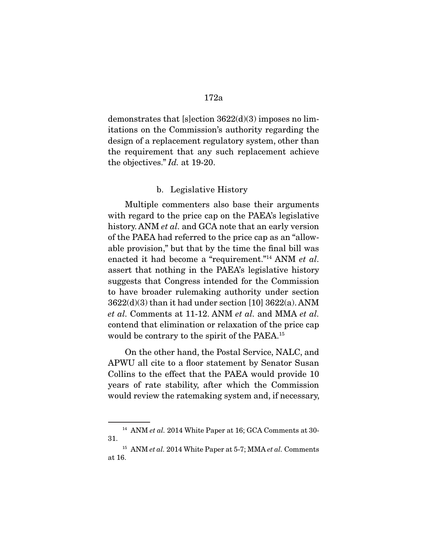demonstrates that [s]ection  $3622(d)(3)$  imposes no limitations on the Commission's authority regarding the design of a replacement regulatory system, other than the requirement that any such replacement achieve the objectives." Id. at 19-20.

### b. Legislative History

 Multiple commenters also base their arguments with regard to the price cap on the PAEA's legislative history. ANM *et al.* and GCA note that an early version of the PAEA had referred to the price cap as an "allowable provision," but that by the time the final bill was enacted it had become a "requirement."<sup>14</sup> ANM et al. assert that nothing in the PAEA's legislative history suggests that Congress intended for the Commission to have broader rulemaking authority under section 3622(d)(3) than it had under section [10] 3622(a). ANM et al. Comments at 11-12. ANM et al. and MMA et al. contend that elimination or relaxation of the price cap would be contrary to the spirit of the PAEA.15

 On the other hand, the Postal Service, NALC, and APWU all cite to a floor statement by Senator Susan Collins to the effect that the PAEA would provide 10 years of rate stability, after which the Commission would review the ratemaking system and, if necessary,

 $14$  ANM et al. 2014 White Paper at 16; GCA Comments at 30-31.

 $15$  ANM et al. 2014 White Paper at 5-7; MMA et al. Comments at 16.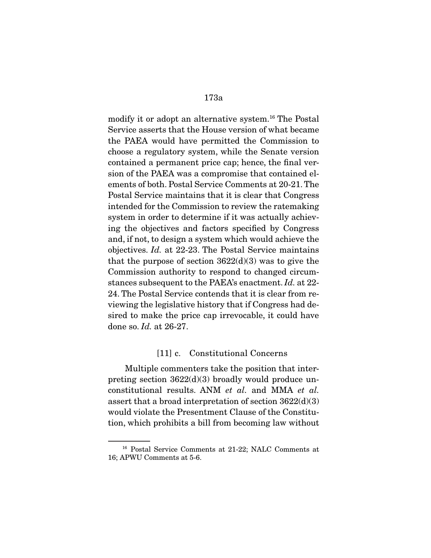modify it or adopt an alternative system.<sup>16</sup> The Postal Service asserts that the House version of what became the PAEA would have permitted the Commission to choose a regulatory system, while the Senate version contained a permanent price cap; hence, the final version of the PAEA was a compromise that contained elements of both. Postal Service Comments at 20-21. The Postal Service maintains that it is clear that Congress intended for the Commission to review the ratemaking system in order to determine if it was actually achieving the objectives and factors specified by Congress and, if not, to design a system which would achieve the objectives. Id. at 22-23. The Postal Service maintains that the purpose of section  $3622(d)(3)$  was to give the Commission authority to respond to changed circumstances subsequent to the PAEA's enactment. Id. at 22- 24. The Postal Service contends that it is clear from reviewing the legislative history that if Congress had desired to make the price cap irrevocable, it could have done so. Id. at 26-27.

### [11] c. Constitutional Concerns

 Multiple commenters take the position that interpreting section 3622(d)(3) broadly would produce unconstitutional results. ANM et al. and MMA et al. assert that a broad interpretation of section 3622(d)(3) would violate the Presentment Clause of the Constitution, which prohibits a bill from becoming law without

<sup>16</sup> Postal Service Comments at 21-22; NALC Comments at 16; APWU Comments at 5-6.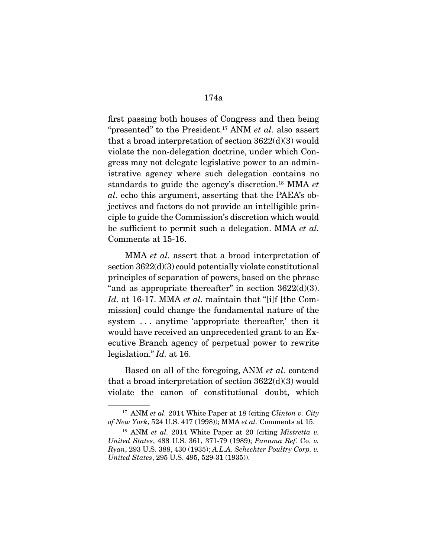first passing both houses of Congress and then being "presented" to the President.<sup>17</sup> ANM *et al.* also assert that a broad interpretation of section 3622(d)(3) would violate the non-delegation doctrine, under which Congress may not delegate legislative power to an administrative agency where such delegation contains no standards to guide the agency's discretion.<sup>18</sup> MMA et al. echo this argument, asserting that the PAEA's objectives and factors do not provide an intelligible principle to guide the Commission's discretion which would be sufficient to permit such a delegation. MMA et al. Comments at 15-16.

MMA *et al.* assert that a broad interpretation of section 3622(d)(3) could potentially violate constitutional principles of separation of powers, based on the phrase "and as appropriate thereafter" in section  $3622(d)(3)$ . Id. at 16-17. MMA et al. maintain that "[ilf [the Commission] could change the fundamental nature of the system . . . anytime 'appropriate thereafter,' then it would have received an unprecedented grant to an Executive Branch agency of perpetual power to rewrite legislation." *Id.* at 16.

 Based on all of the foregoing, ANM et al. contend that a broad interpretation of section  $3622(d)(3)$  would violate the canon of constitutional doubt, which

 $17$  ANM *et al.* 2014 White Paper at 18 (citing *Clinton v. City* of New York, 524 U.S. 417 (1998)); MMA et al. Comments at 15.

 $18$  ANM et al. 2014 White Paper at 20 (citing *Mistretta v.* United States, 488 U.S. 361, 371-79 (1989); Panama Ref. Co. v. Ryan, 293 U.S. 388, 430 (1935); A.L.A. Schechter Poultry Corp. v. United States, 295 U.S. 495, 529-31 (1935)).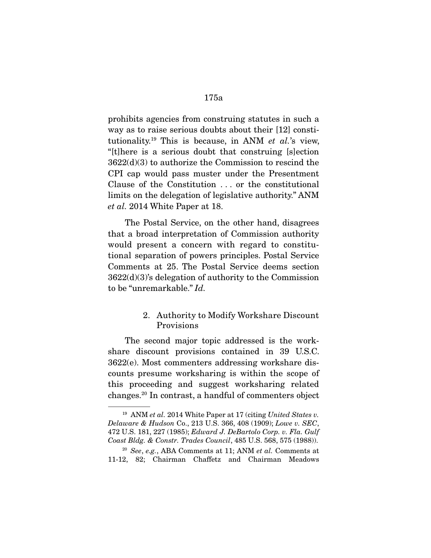prohibits agencies from construing statutes in such a way as to raise serious doubts about their [12] constitutionality.<sup>19</sup> This is because, in ANM *et al.*'s view, "[t]here is a serious doubt that construing [s]ection 3622(d)(3) to authorize the Commission to rescind the CPI cap would pass muster under the Presentment Clause of the Constitution . . . or the constitutional limits on the delegation of legislative authority." ANM et al. 2014 White Paper at 18.

 The Postal Service, on the other hand, disagrees that a broad interpretation of Commission authority would present a concern with regard to constitutional separation of powers principles. Postal Service Comments at 25. The Postal Service deems section 3622(d)(3)'s delegation of authority to the Commission to be "unremarkable." Id.

## 2. Authority to Modify Workshare Discount Provisions

 The second major topic addressed is the workshare discount provisions contained in 39 U.S.C. 3622(e). Most commenters addressing workshare discounts presume worksharing is within the scope of this proceeding and suggest worksharing related changes.20 In contrast, a handful of commenters object

 $19$  ANM et al. 2014 White Paper at 17 (citing United States v. Delaware & Hudson Co., 213 U.S. 366, 408 (1909); Lowe v. SEC, 472 U.S. 181, 227 (1985); Edward J. DeBartolo Corp. v. Fla. Gulf Coast Bldg. & Constr. Trades Council, 485 U.S. 568, 575 (1988)).

 $20$  See, e.g., ABA Comments at 11; ANM et al. Comments at 11-12, 82; Chairman Chaffetz and Chairman Meadows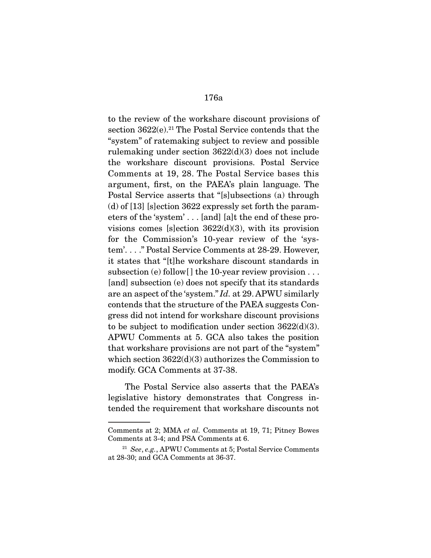to the review of the workshare discount provisions of section  $3622(e).^{21}$  The Postal Service contends that the "system" of ratemaking subject to review and possible rulemaking under section 3622(d)(3) does not include the workshare discount provisions. Postal Service Comments at 19, 28. The Postal Service bases this argument, first, on the PAEA's plain language. The Postal Service asserts that "[s]ubsections (a) through (d) of [13] [s]ection 3622 expressly set forth the parameters of the 'system' . . . [and] [a]t the end of these provisions comes [s]ection  $3622(d)(3)$ , with its provision for the Commission's 10-year review of the 'system'. . . ." Postal Service Comments at 28-29. However, it states that "[t]he workshare discount standards in subsection (e) follow  $\vert \vert$  the 10-year review provision  $\dots$ [and] subsection (e) does not specify that its standards are an aspect of the 'system." Id. at 29. APWU similarly contends that the structure of the PAEA suggests Congress did not intend for workshare discount provisions to be subject to modification under section 3622(d)(3). APWU Comments at 5. GCA also takes the position that workshare provisions are not part of the "system" which section 3622(d)(3) authorizes the Commission to modify. GCA Comments at 37-38.

 The Postal Service also asserts that the PAEA's legislative history demonstrates that Congress intended the requirement that workshare discounts not

Comments at 2; MMA et al. Comments at 19, 71; Pitney Bowes Comments at 3-4; and PSA Comments at 6.

<sup>&</sup>lt;sup>21</sup> See, e.g., APWU Comments at 5; Postal Service Comments at 28-30; and GCA Comments at 36-37.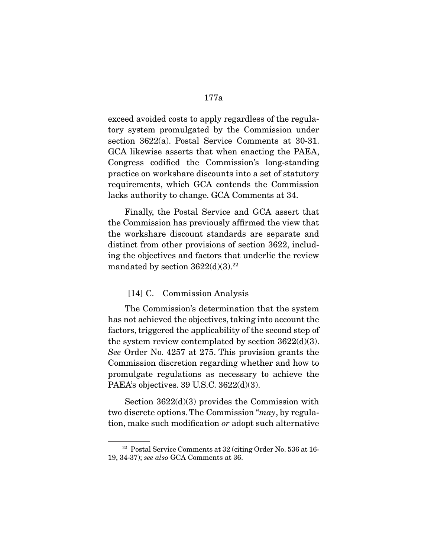exceed avoided costs to apply regardless of the regulatory system promulgated by the Commission under section 3622(a). Postal Service Comments at 30-31. GCA likewise asserts that when enacting the PAEA, Congress codified the Commission's long-standing practice on workshare discounts into a set of statutory requirements, which GCA contends the Commission lacks authority to change. GCA Comments at 34.

 Finally, the Postal Service and GCA assert that the Commission has previously affirmed the view that the workshare discount standards are separate and distinct from other provisions of section 3622, including the objectives and factors that underlie the review mandated by section  $3622(d)(3).^{22}$ 

#### [14] C. Commission Analysis

 The Commission's determination that the system has not achieved the objectives, taking into account the factors, triggered the applicability of the second step of the system review contemplated by section  $3622(d)(3)$ . See Order No. 4257 at 275. This provision grants the Commission discretion regarding whether and how to promulgate regulations as necessary to achieve the PAEA's objectives. 39 U.S.C. 3622(d)(3).

 Section 3622(d)(3) provides the Commission with two discrete options. The Commission "may, by regulation, make such modification or adopt such alternative

<sup>22</sup> Postal Service Comments at 32 (citing Order No. 536 at 16- 19, 34-37); see also GCA Comments at 36.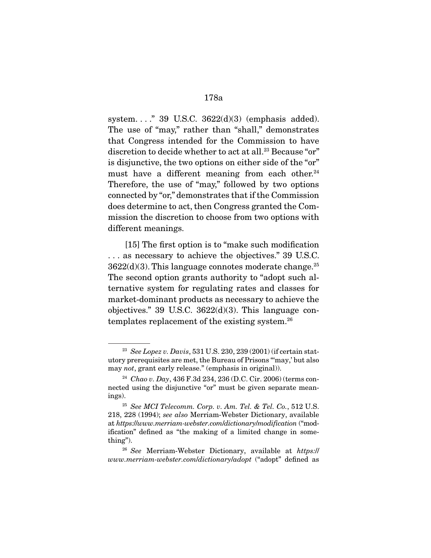system. . . ." 39 U.S.C. 3622(d)(3) (emphasis added). The use of "may," rather than "shall," demonstrates that Congress intended for the Commission to have discretion to decide whether to act at all.<sup>23</sup> Because "or" is disjunctive, the two options on either side of the "or" must have a different meaning from each other.<sup>24</sup> Therefore, the use of "may," followed by two options connected by "or," demonstrates that if the Commission does determine to act, then Congress granted the Commission the discretion to choose from two options with different meanings.

 [15] The first option is to "make such modification . . . as necessary to achieve the objectives." 39 U.S.C.  $3622(d)(3)$ . This language connotes moderate change.<sup>25</sup> The second option grants authority to "adopt such alternative system for regulating rates and classes for market-dominant products as necessary to achieve the objectives." 39 U.S.C.  $3622(d)(3)$ . This language contemplates replacement of the existing system.26

<sup>&</sup>lt;sup>23</sup> See Lopez v. Davis, 531 U.S. 230, 239 (2001) (if certain statutory prerequisites are met, the Bureau of Prisons "'may,' but also may not, grant early release." (emphasis in original)).

<sup>&</sup>lt;sup>24</sup> Chao v. Day, 436 F.3d 234, 236 (D.C. Cir. 2006) (terms connected using the disjunctive "or" must be given separate meanings).

<sup>25</sup> See MCI Telecomm. Corp. v. Am. Tel. & Tel. Co., 512 U.S. 218, 228 (1994); see also Merriam-Webster Dictionary, available at https://www.merriam-webster.com/dictionary/modification ("modification" defined as "the making of a limited change in something").

 $26$  See Merriam-Webster Dictionary, available at https:// www.merriam-webster.com/dictionary/adopt ("adopt" defined as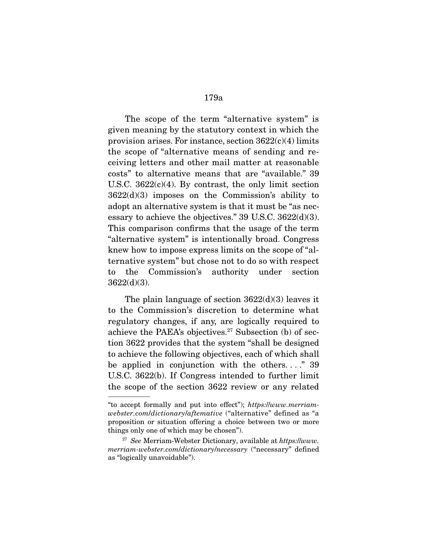The scope of the term "alternative system" is given meaning by the statutory context in which the provision arises. For instance, section  $3622(c)(4)$  limits the scope of "alternative means of sending and receiving letters and other mail matter at reasonable costs" to alternative means that are "available." 39 U.S.C.  $3622(c)(4)$ . By contrast, the only limit section 3622(d)(3) imposes on the Commission's ability to adopt an alternative system is that it must be "as necessary to achieve the objectives." 39 U.S.C. 3622(d)(3). This comparison confirms that the usage of the term "alternative system" is intentionally broad. Congress knew how to impose express limits on the scope of "alternative system" but chose not to do so with respect to the Commission's authority under section 3622(d)(3).

 The plain language of section 3622(d)(3) leaves it to the Commission's discretion to determine what regulatory changes, if any, are logically required to achieve the PAEA's objectives.<sup>27</sup> Subsection (b) of section 3622 provides that the system "shall be designed to achieve the following objectives, each of which shall be applied in conjunction with the others...." 39 U.S.C. 3622(b). If Congress intended to further limit the scope of the section 3622 review or any related

<sup>&</sup>quot;to accept formally and put into effect"); https://www.merriamwebster.com/dictionary/aftemative ("alternative" defined as "a proposition or situation offering a choice between two or more things only one of which may be chosen").

 $27$  See Merriam-Webster Dictionary, available at https://www. merriam-webster.com/dictionary/necessary ("necessary" defined as "logically unavoidable").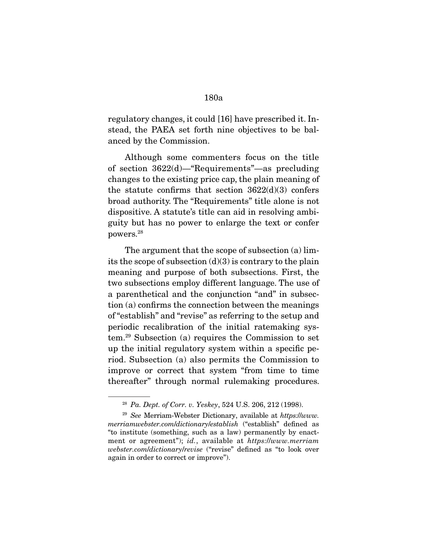regulatory changes, it could [16] have prescribed it. Instead, the PAEA set forth nine objectives to be balanced by the Commission.

 Although some commenters focus on the title of section 3622(d)—"Requirements"—as precluding changes to the existing price cap, the plain meaning of the statute confirms that section  $3622(d)(3)$  confers broad authority. The "Requirements" title alone is not dispositive. A statute's title can aid in resolving ambiguity but has no power to enlarge the text or confer powers.28

 The argument that the scope of subsection (a) limits the scope of subsection  $(d)(3)$  is contrary to the plain meaning and purpose of both subsections. First, the two subsections employ different language. The use of a parenthetical and the conjunction "and" in subsection (a) confirms the connection between the meanings of "establish" and "revise" as referring to the setup and periodic recalibration of the initial ratemaking system.29 Subsection (a) requires the Commission to set up the initial regulatory system within a specific period. Subsection (a) also permits the Commission to improve or correct that system "from time to time thereafter" through normal rulemaking procedures.

<sup>28</sup> Pa. Dept. of Corr. v. Yeskey, 524 U.S. 206, 212 (1998).

 $29$  See Merriam-Webster Dictionary, available at https://www. merriamwebster.com/dictionary/establish ("establish" defined as "to institute (something, such as a law) permanently by enactment or agreement"); id., available at https://www.merriam webster.com/dictionary/revise ("revise" defined as "to look over again in order to correct or improve").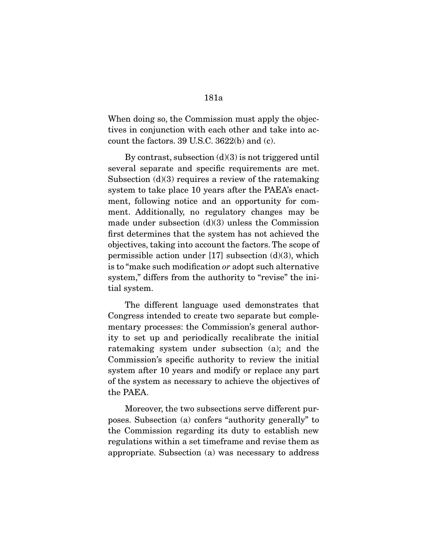When doing so, the Commission must apply the objectives in conjunction with each other and take into account the factors. 39 U.S.C. 3622(b) and (c).

By contrast, subsection  $(d)(3)$  is not triggered until several separate and specific requirements are met. Subsection  $(d)(3)$  requires a review of the ratemaking system to take place 10 years after the PAEA's enactment, following notice and an opportunity for comment. Additionally, no regulatory changes may be made under subsection  $(d)(3)$  unless the Commission first determines that the system has not achieved the objectives, taking into account the factors. The scope of permissible action under  $[17]$  subsection  $(d)(3)$ , which is to "make such modification or adopt such alternative system," differs from the authority to "revise" the initial system.

 The different language used demonstrates that Congress intended to create two separate but complementary processes: the Commission's general authority to set up and periodically recalibrate the initial ratemaking system under subsection (a); and the Commission's specific authority to review the initial system after 10 years and modify or replace any part of the system as necessary to achieve the objectives of the PAEA.

 Moreover, the two subsections serve different purposes. Subsection (a) confers "authority generally" to the Commission regarding its duty to establish new regulations within a set timeframe and revise them as appropriate. Subsection (a) was necessary to address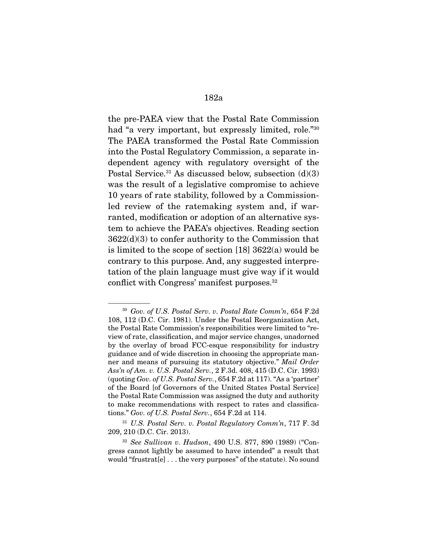the pre-PAEA view that the Postal Rate Commission had "a very important, but expressly limited, role."30 The PAEA transformed the Postal Rate Commission into the Postal Regulatory Commission, a separate independent agency with regulatory oversight of the Postal Service.<sup>31</sup> As discussed below, subsection  $(d)(3)$ was the result of a legislative compromise to achieve 10 years of rate stability, followed by a Commissionled review of the ratemaking system and, if warranted, modification or adoption of an alternative system to achieve the PAEA's objectives. Reading section 3622(d)(3) to confer authority to the Commission that is limited to the scope of section [18] 3622(a) would be contrary to this purpose. And, any suggested interpretation of the plain language must give way if it would conflict with Congress' manifest purposes.<sup>32</sup>

<sup>30</sup> Gov. of U.S. Postal Serv. v. Postal Rate Comm'n, 654 F.2d 108, 112 (D.C. Cir. 1981). Under the Postal Reorganization Act, the Postal Rate Commission's responsibilities were limited to "review of rate, classification, and major service changes, unadorned by the overlay of broad FCC-esque responsibility for industry guidance and of wide discretion in choosing the appropriate manner and means of pursuing its statutory objective." Mail Order Ass'n of Am. v. U.S. Postal Serv., 2 F.3d. 408, 415 (D.C. Cir. 1993) (quoting Gov. of U.S. Postal Serv., 654 F.2d at 117). "As a 'partner' of the Board [of Governors of the United States Postal Service] the Postal Rate Commission was assigned the duty and authority to make recommendations with respect to rates and classifications." Gov. of U.S. Postal Serv., 654 F.2d at 114.

<sup>31</sup> U.S. Postal Serv. v. Postal Regulatory Comm'n, 717 F. 3d 209, 210 (D.C. Cir. 2013).

<sup>32</sup> See Sullivan v. Hudson, 490 U.S. 877, 890 (1989) ("Congress cannot lightly be assumed to have intended" a result that would "frustrat[e] . . . the very purposes" of the statute). No sound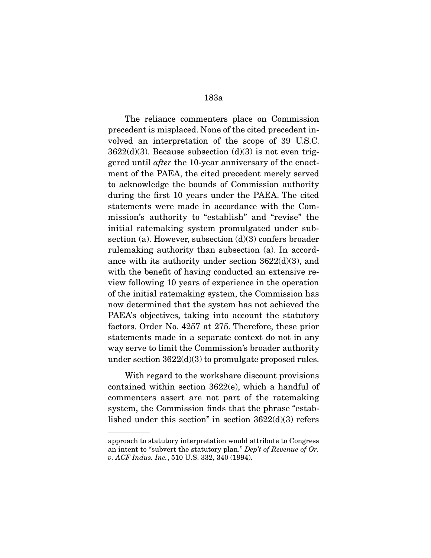The reliance commenters place on Commission precedent is misplaced. None of the cited precedent involved an interpretation of the scope of 39 U.S.C.  $3622(d)(3)$ . Because subsection  $(d)(3)$  is not even triggered until after the 10-year anniversary of the enactment of the PAEA, the cited precedent merely served to acknowledge the bounds of Commission authority during the first 10 years under the PAEA. The cited statements were made in accordance with the Commission's authority to "establish" and "revise" the initial ratemaking system promulgated under subsection (a). However, subsection (d)(3) confers broader rulemaking authority than subsection (a). In accordance with its authority under section 3622(d)(3), and with the benefit of having conducted an extensive review following 10 years of experience in the operation of the initial ratemaking system, the Commission has now determined that the system has not achieved the PAEA's objectives, taking into account the statutory factors. Order No. 4257 at 275. Therefore, these prior statements made in a separate context do not in any way serve to limit the Commission's broader authority under section  $3622(d)(3)$  to promulgate proposed rules.

 With regard to the workshare discount provisions contained within section 3622(e), which a handful of commenters assert are not part of the ratemaking system, the Commission finds that the phrase "established under this section" in section 3622(d)(3) refers

approach to statutory interpretation would attribute to Congress an intent to "subvert the statutory plan." Dep't of Revenue of Or. v. ACF Indus. Inc., 510 U.S. 332, 340 (1994).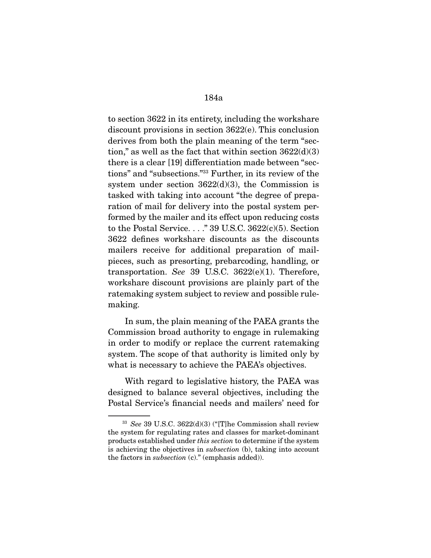to section 3622 in its entirety, including the workshare discount provisions in section 3622(e). This conclusion derives from both the plain meaning of the term "section," as well as the fact that within section  $3622(d)(3)$ there is a clear [19] differentiation made between "sections" and "subsections."33 Further, in its review of the system under section  $3622(d)(3)$ , the Commission is tasked with taking into account "the degree of preparation of mail for delivery into the postal system performed by the mailer and its effect upon reducing costs to the Postal Service. . . ." 39 U.S.C. 3622(c)(5). Section 3622 defines workshare discounts as the discounts mailers receive for additional preparation of mailpieces, such as presorting, prebarcoding, handling, or transportation. See 39 U.S.C.  $3622(e)(1)$ . Therefore, workshare discount provisions are plainly part of the ratemaking system subject to review and possible rulemaking.

 In sum, the plain meaning of the PAEA grants the Commission broad authority to engage in rulemaking in order to modify or replace the current ratemaking system. The scope of that authority is limited only by what is necessary to achieve the PAEA's objectives.

 With regard to legislative history, the PAEA was designed to balance several objectives, including the Postal Service's financial needs and mailers' need for

 $33$  See 39 U.S.C. 3622(d)(3) ("The Commission shall review the system for regulating rates and classes for market-dominant products established under this section to determine if the system is achieving the objectives in subsection (b), taking into account the factors in subsection (c)." (emphasis added)).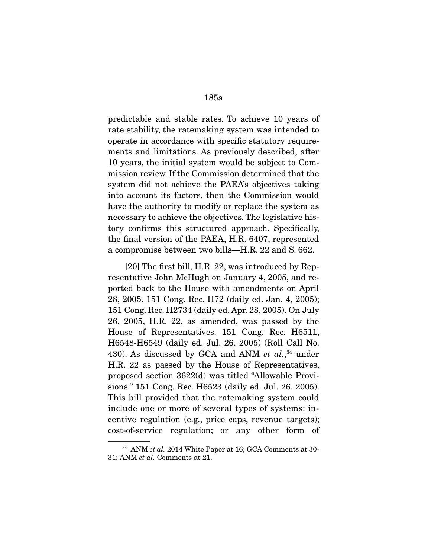predictable and stable rates. To achieve 10 years of rate stability, the ratemaking system was intended to operate in accordance with specific statutory requirements and limitations. As previously described, after 10 years, the initial system would be subject to Commission review. If the Commission determined that the system did not achieve the PAEA's objectives taking into account its factors, then the Commission would have the authority to modify or replace the system as necessary to achieve the objectives. The legislative history confirms this structured approach. Specifically, the final version of the PAEA, H.R. 6407, represented a compromise between two bills—H.R. 22 and S. 662.

 [20] The first bill, H.R. 22, was introduced by Representative John McHugh on January 4, 2005, and reported back to the House with amendments on April 28, 2005. 151 Cong. Rec. H72 (daily ed. Jan. 4, 2005); 151 Cong. Rec. H2734 (daily ed. Apr. 28, 2005). On July 26, 2005, H.R. 22, as amended, was passed by the House of Representatives. 151 Cong. Rec. H6511, H6548-H6549 (daily ed. Jul. 26. 2005) (Roll Call No. 430). As discussed by GCA and ANM *et al.*, $34$  under H.R. 22 as passed by the House of Representatives, proposed section 3622(d) was titled "Allowable Provisions." 151 Cong. Rec. H6523 (daily ed. Jul. 26. 2005). This bill provided that the ratemaking system could include one or more of several types of systems: incentive regulation (e.g., price caps, revenue targets); cost-of-service regulation; or any other form of

<sup>&</sup>lt;sup>34</sup> ANM et al. 2014 White Paper at 16; GCA Comments at 30-31; ANM et al. Comments at 21.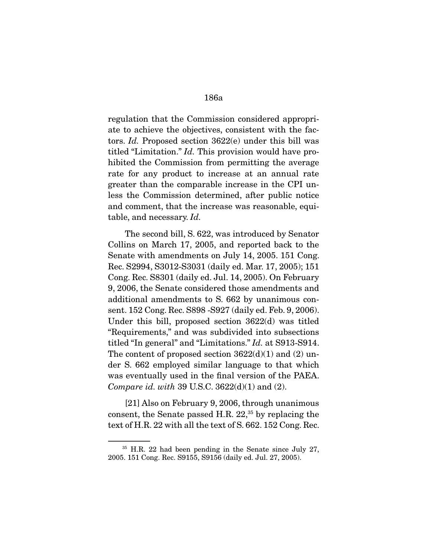regulation that the Commission considered appropriate to achieve the objectives, consistent with the factors. Id. Proposed section 3622(e) under this bill was titled "Limitation." Id. This provision would have prohibited the Commission from permitting the average rate for any product to increase at an annual rate greater than the comparable increase in the CPI unless the Commission determined, after public notice and comment, that the increase was reasonable, equitable, and necessary. Id.

 The second bill, S. 622, was introduced by Senator Collins on March 17, 2005, and reported back to the Senate with amendments on July 14, 2005. 151 Cong. Rec. S2994, S3012-S3031 (daily ed. Mar. 17, 2005); 151 Cong. Rec. S8301 (daily ed. Jul. 14, 2005). On February 9, 2006, the Senate considered those amendments and additional amendments to S. 662 by unanimous consent. 152 Cong. Rec. S898 -S927 (daily ed. Feb. 9, 2006). Under this bill, proposed section 3622(d) was titled "Requirements," and was subdivided into subsections titled "In general" and "Limitations." Id. at S913-S914. The content of proposed section  $3622(d)(1)$  and  $(2)$  under S. 662 employed similar language to that which was eventually used in the final version of the PAEA. *Compare id. with* 39 U.S.C.  $3622(d)(1)$  and  $(2)$ .

 [21] Also on February 9, 2006, through unanimous consent, the Senate passed H.R.  $22<sup>35</sup>$  by replacing the text of H.R. 22 with all the text of S. 662. 152 Cong. Rec.

<sup>&</sup>lt;sup>35</sup> H.R. 22 had been pending in the Senate since July 27, 2005. 151 Cong. Rec. S9155, S9156 (daily ed. Jul. 27, 2005).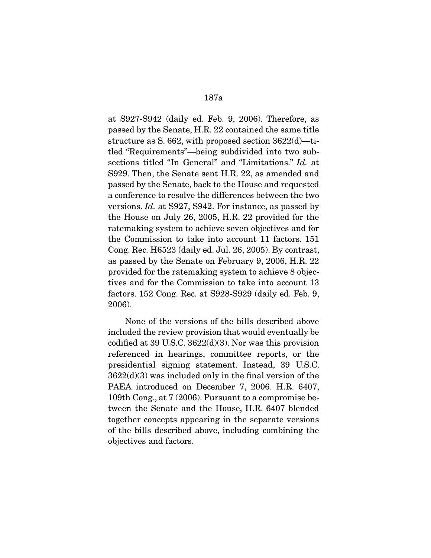at S927-S942 (daily ed. Feb. 9, 2006). Therefore, as passed by the Senate, H.R. 22 contained the same title structure as S. 662, with proposed section 3622(d)—titled "Requirements"—being subdivided into two subsections titled "In General" and "Limitations." Id. at S929. Then, the Senate sent H.R. 22, as amended and passed by the Senate, back to the House and requested a conference to resolve the differences between the two versions. Id. at S927, S942. For instance, as passed by the House on July 26, 2005, H.R. 22 provided for the ratemaking system to achieve seven objectives and for the Commission to take into account 11 factors. 151 Cong. Rec. H6523 (daily ed. Jul. 26, 2005). By contrast, as passed by the Senate on February 9, 2006, H.R. 22 provided for the ratemaking system to achieve 8 objectives and for the Commission to take into account 13 factors. 152 Cong. Rec. at S928-S929 (daily ed. Feb. 9, 2006).

 None of the versions of the bills described above included the review provision that would eventually be codified at 39 U.S.C. 3622(d)(3). Nor was this provision referenced in hearings, committee reports, or the presidential signing statement. Instead, 39 U.S.C. 3622(d)(3) was included only in the final version of the PAEA introduced on December 7, 2006. H.R. 6407, 109th Cong., at 7 (2006). Pursuant to a compromise between the Senate and the House, H.R. 6407 blended together concepts appearing in the separate versions of the bills described above, including combining the objectives and factors.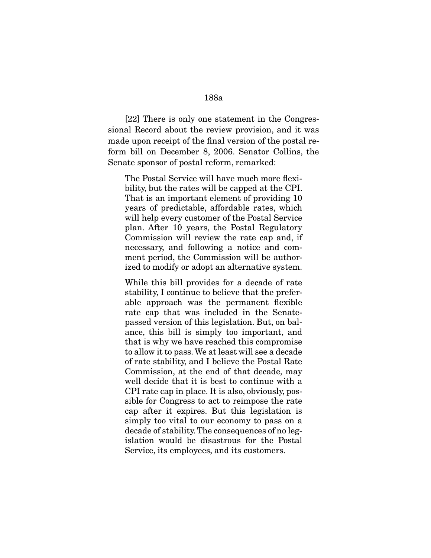[22] There is only one statement in the Congressional Record about the review provision, and it was made upon receipt of the final version of the postal reform bill on December 8, 2006. Senator Collins, the Senate sponsor of postal reform, remarked:

The Postal Service will have much more flexibility, but the rates will be capped at the CPI. That is an important element of providing 10 years of predictable, affordable rates, which will help every customer of the Postal Service plan. After 10 years, the Postal Regulatory Commission will review the rate cap and, if necessary, and following a notice and comment period, the Commission will be authorized to modify or adopt an alternative system.

While this bill provides for a decade of rate stability, I continue to believe that the preferable approach was the permanent flexible rate cap that was included in the Senatepassed version of this legislation. But, on balance, this bill is simply too important, and that is why we have reached this compromise to allow it to pass. We at least will see a decade of rate stability, and I believe the Postal Rate Commission, at the end of that decade, may well decide that it is best to continue with a CPI rate cap in place. It is also, obviously, possible for Congress to act to reimpose the rate cap after it expires. But this legislation is simply too vital to our economy to pass on a decade of stability. The consequences of no legislation would be disastrous for the Postal Service, its employees, and its customers.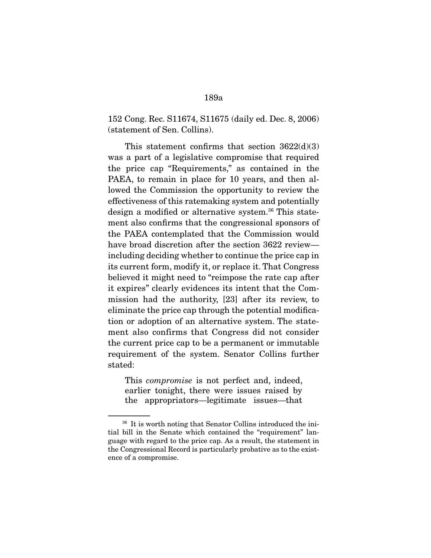152 Cong. Rec. S11674, S11675 (daily ed. Dec. 8, 2006) (statement of Sen. Collins).

This statement confirms that section  $3622(d)(3)$ was a part of a legislative compromise that required the price cap "Requirements," as contained in the PAEA, to remain in place for 10 years, and then allowed the Commission the opportunity to review the effectiveness of this ratemaking system and potentially design a modified or alternative system.<sup>36</sup> This statement also confirms that the congressional sponsors of the PAEA contemplated that the Commission would have broad discretion after the section 3622 review including deciding whether to continue the price cap in its current form, modify it, or replace it. That Congress believed it might need to "reimpose the rate cap after it expires" clearly evidences its intent that the Commission had the authority, [23] after its review, to eliminate the price cap through the potential modification or adoption of an alternative system. The statement also confirms that Congress did not consider the current price cap to be a permanent or immutable requirement of the system. Senator Collins further stated:

This compromise is not perfect and, indeed, earlier tonight, there were issues raised by the appropriators—legitimate issues—that

<sup>&</sup>lt;sup>36</sup> It is worth noting that Senator Collins introduced the initial bill in the Senate which contained the "requirement" language with regard to the price cap. As a result, the statement in the Congressional Record is particularly probative as to the existence of a compromise.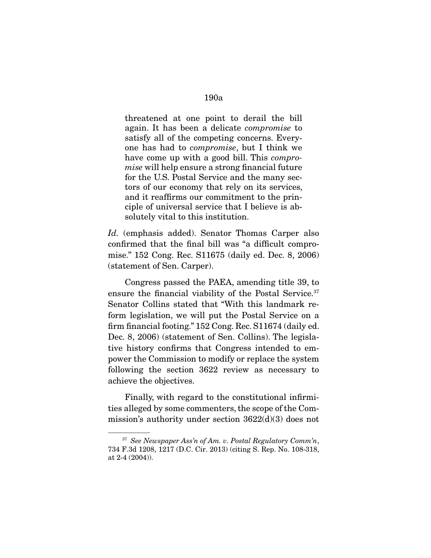threatened at one point to derail the bill again. It has been a delicate compromise to satisfy all of the competing concerns. Everyone has had to compromise, but I think we have come up with a good bill. This *compro*mise will help ensure a strong financial future for the U.S. Postal Service and the many sectors of our economy that rely on its services, and it reaffirms our commitment to the principle of universal service that I believe is absolutely vital to this institution.

Id. (emphasis added). Senator Thomas Carper also confirmed that the final bill was "a difficult compromise." 152 Cong. Rec. S11675 (daily ed. Dec. 8, 2006) (statement of Sen. Carper).

 Congress passed the PAEA, amending title 39, to ensure the financial viability of the Postal Service.<sup>37</sup> Senator Collins stated that "With this landmark reform legislation, we will put the Postal Service on a firm financial footing." 152 Cong. Rec. S11674 (daily ed. Dec. 8, 2006) (statement of Sen. Collins). The legislative history confirms that Congress intended to empower the Commission to modify or replace the system following the section 3622 review as necessary to achieve the objectives.

 Finally, with regard to the constitutional infirmities alleged by some commenters, the scope of the Commission's authority under section 3622(d)(3) does not

 $37$  See Newspaper Ass'n of Am. v. Postal Regulatory Comm'n, 734 F.3d 1208, 1217 (D.C. Cir. 2013) (citing S. Rep. No. 108-318, at 2-4 (2004)).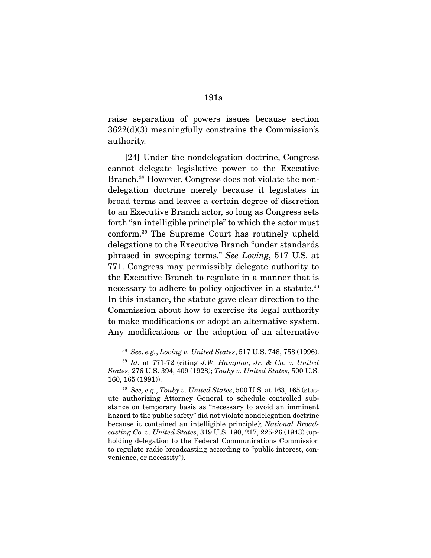raise separation of powers issues because section 3622(d)(3) meaningfully constrains the Commission's authority.

 [24] Under the nondelegation doctrine, Congress cannot delegate legislative power to the Executive Branch.38 However, Congress does not violate the nondelegation doctrine merely because it legislates in broad terms and leaves a certain degree of discretion to an Executive Branch actor, so long as Congress sets forth "an intelligible principle" to which the actor must conform.39 The Supreme Court has routinely upheld delegations to the Executive Branch "under standards phrased in sweeping terms." See Loving, 517 U.S. at 771. Congress may permissibly delegate authority to the Executive Branch to regulate in a manner that is necessary to adhere to policy objectives in a statute.<sup>40</sup> In this instance, the statute gave clear direction to the Commission about how to exercise its legal authority to make modifications or adopt an alternative system. Any modifications or the adoption of an alternative

<sup>38</sup> See, e.g., Loving v. United States, 517 U.S. 748, 758 (1996).

 $39$  Id. at 771-72 (citing J.W. Hampton, Jr. & Co. v. United States, 276 U.S. 394, 409 (1928); Touby v. United States, 500 U.S. 160, 165 (1991)).

 $40$  See, e.g., Touby v. United States, 500 U.S. at 163, 165 (statute authorizing Attorney General to schedule controlled substance on temporary basis as "necessary to avoid an imminent hazard to the public safety" did not violate nondelegation doctrine because it contained an intelligible principle); National Broadcasting Co. v. United States, 319 U.S. 190, 217, 225-26 (1943) (upholding delegation to the Federal Communications Commission to regulate radio broadcasting according to "public interest, convenience, or necessity").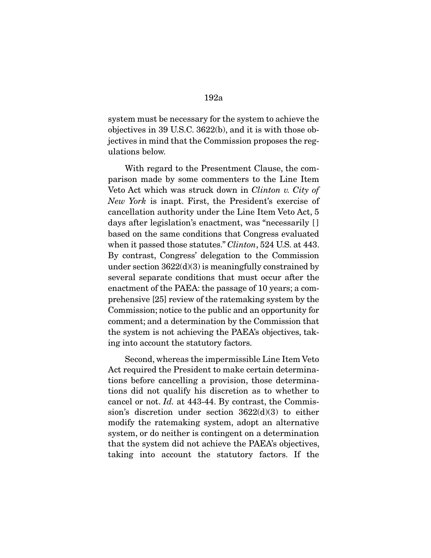system must be necessary for the system to achieve the objectives in 39 U.S.C. 3622(b), and it is with those objectives in mind that the Commission proposes the regulations below.

 With regard to the Presentment Clause, the comparison made by some commenters to the Line Item Veto Act which was struck down in Clinton v. City of New York is inapt. First, the President's exercise of cancellation authority under the Line Item Veto Act, 5 days after legislation's enactment, was "necessarily [] based on the same conditions that Congress evaluated when it passed those statutes." *Clinton*, 524 U.S. at 443. By contrast, Congress' delegation to the Commission under section  $3622(d)(3)$  is meaningfully constrained by several separate conditions that must occur after the enactment of the PAEA: the passage of 10 years; a comprehensive [25] review of the ratemaking system by the Commission; notice to the public and an opportunity for comment; and a determination by the Commission that the system is not achieving the PAEA's objectives, taking into account the statutory factors.

 Second, whereas the impermissible Line Item Veto Act required the President to make certain determinations before cancelling a provision, those determinations did not qualify his discretion as to whether to cancel or not. Id. at 443-44. By contrast, the Commission's discretion under section 3622(d)(3) to either modify the ratemaking system, adopt an alternative system, or do neither is contingent on a determination that the system did not achieve the PAEA's objectives, taking into account the statutory factors. If the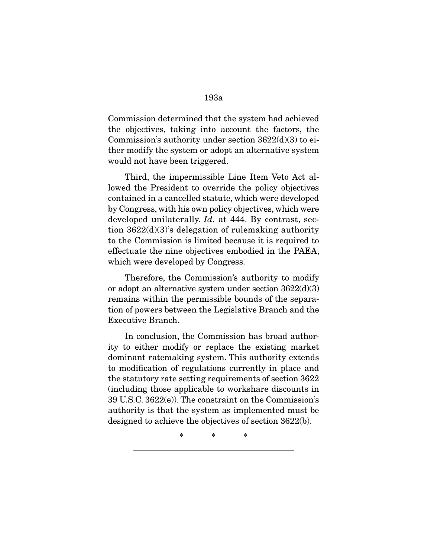Commission determined that the system had achieved the objectives, taking into account the factors, the Commission's authority under section  $3622(d)(3)$  to either modify the system or adopt an alternative system would not have been triggered.

 Third, the impermissible Line Item Veto Act allowed the President to override the policy objectives contained in a cancelled statute, which were developed by Congress, with his own policy objectives, which were developed unilaterally. *Id.* at 444. By contrast, section 3622(d)(3)'s delegation of rulemaking authority to the Commission is limited because it is required to effectuate the nine objectives embodied in the PAEA, which were developed by Congress.

 Therefore, the Commission's authority to modify or adopt an alternative system under section 3622(d)(3) remains within the permissible bounds of the separation of powers between the Legislative Branch and the Executive Branch.

 In conclusion, the Commission has broad authority to either modify or replace the existing market dominant ratemaking system. This authority extends to modification of regulations currently in place and the statutory rate setting requirements of section 3622 (including those applicable to workshare discounts in 39 U.S.C. 3622(e)). The constraint on the Commission's authority is that the system as implemented must be designed to achieve the objectives of section 3622(b).

\* \* \*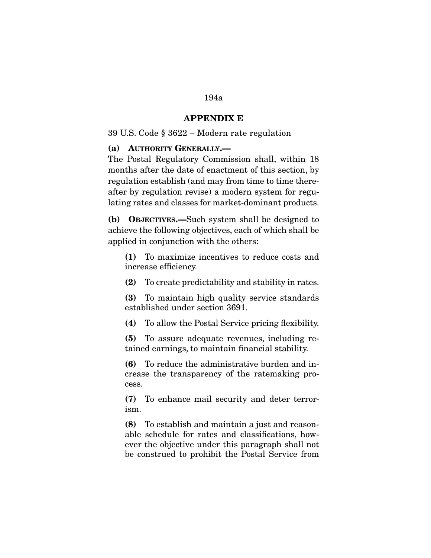### **APPENDIX E**

# 39 U.S. Code § 3622 – Modern rate regulation

#### **(a) AUTHORITY GENERALLY.—**

The Postal Regulatory Commission shall, within 18 months after the date of enactment of this section, by regulation establish (and may from time to time thereafter by regulation revise) a modern system for regulating rates and classes for market-dominant products.

**(b) OBJECTIVES.—**Such system shall be designed to achieve the following objectives, each of which shall be applied in conjunction with the others:

**(1)** To maximize incentives to reduce costs and increase efficiency.

**(2)** To create predictability and stability in rates.

**(3)** To maintain high quality service standards established under section 3691.

**(4)** To allow the Postal Service pricing flexibility.

**(5)** To assure adequate revenues, including retained earnings, to maintain financial stability.

**(6)** To reduce the administrative burden and increase the transparency of the ratemaking process.

**(7)** To enhance mail security and deter terrorism.

**(8)** To establish and maintain a just and reasonable schedule for rates and classifications, however the objective under this paragraph shall not be construed to prohibit the Postal Service from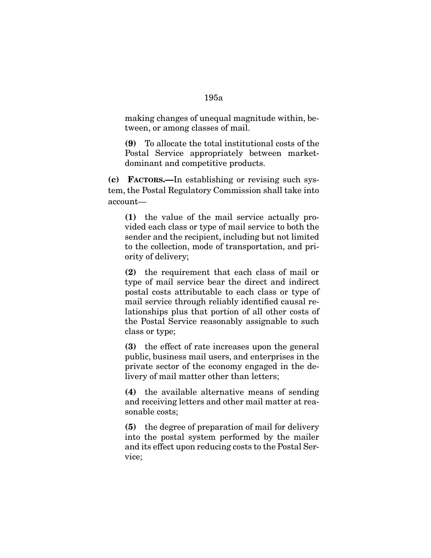making changes of unequal magnitude within, between, or among classes of mail.

**(9)** To allocate the total institutional costs of the Postal Service appropriately between marketdominant and competitive products.

**(c) FACTORS.—**In establishing or revising such system, the Postal Regulatory Commission shall take into account—

**(1)** the value of the mail service actually provided each class or type of mail service to both the sender and the recipient, including but not limited to the collection, mode of transportation, and priority of delivery;

**(2)** the requirement that each class of mail or type of mail service bear the direct and indirect postal costs attributable to each class or type of mail service through reliably identified causal relationships plus that portion of all other costs of the Postal Service reasonably assignable to such class or type;

**(3)** the effect of rate increases upon the general public, business mail users, and enterprises in the private sector of the economy engaged in the delivery of mail matter other than letters;

**(4)** the available alternative means of sending and receiving letters and other mail matter at reasonable costs;

**(5)** the degree of preparation of mail for delivery into the postal system performed by the mailer and its effect upon reducing costs to the Postal Service;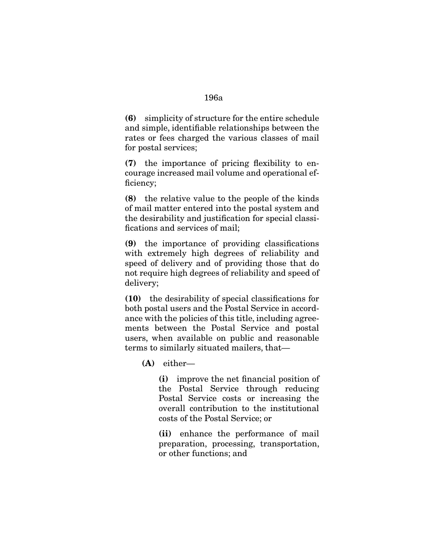**(6)** simplicity of structure for the entire schedule and simple, identifiable relationships between the rates or fees charged the various classes of mail for postal services;

**(7)** the importance of pricing flexibility to encourage increased mail volume and operational efficiency;

**(8)** the relative value to the people of the kinds of mail matter entered into the postal system and the desirability and justification for special classifications and services of mail;

**(9)** the importance of providing classifications with extremely high degrees of reliability and speed of delivery and of providing those that do not require high degrees of reliability and speed of delivery;

**(10)** the desirability of special classifications for both postal users and the Postal Service in accordance with the policies of this title, including agreements between the Postal Service and postal users, when available on public and reasonable terms to similarly situated mailers, that—

**(A)** either—

**(i)** improve the net financial position of the Postal Service through reducing Postal Service costs or increasing the overall contribution to the institutional costs of the Postal Service; or

**(ii)** enhance the performance of mail preparation, processing, transportation, or other functions; and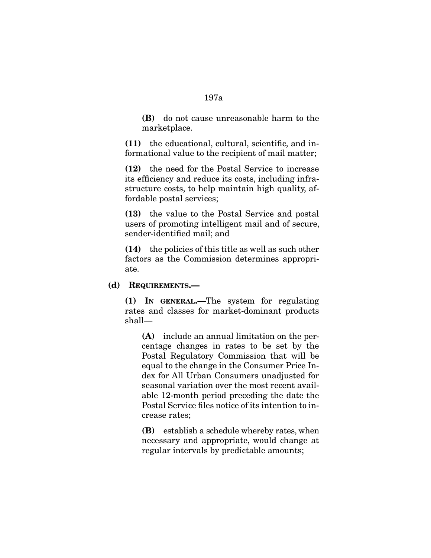**(B)** do not cause unreasonable harm to the marketplace.

**(11)** the educational, cultural, scientific, and informational value to the recipient of mail matter;

**(12)** the need for the Postal Service to increase its efficiency and reduce its costs, including infrastructure costs, to help maintain high quality, affordable postal services;

**(13)** the value to the Postal Service and postal users of promoting intelligent mail and of secure, sender-identified mail; and

**(14)** the policies of this title as well as such other factors as the Commission determines appropriate.

#### **(d) REQUIREMENTS.—**

**(1) IN GENERAL.—**The system for regulating rates and classes for market-dominant products shall—

**(A)** include an annual limitation on the percentage changes in rates to be set by the Postal Regulatory Commission that will be equal to the change in the Consumer Price Index for All Urban Consumers unadjusted for seasonal variation over the most recent available 12-month period preceding the date the Postal Service files notice of its intention to increase rates;

**(B)** establish a schedule whereby rates, when necessary and appropriate, would change at regular intervals by predictable amounts;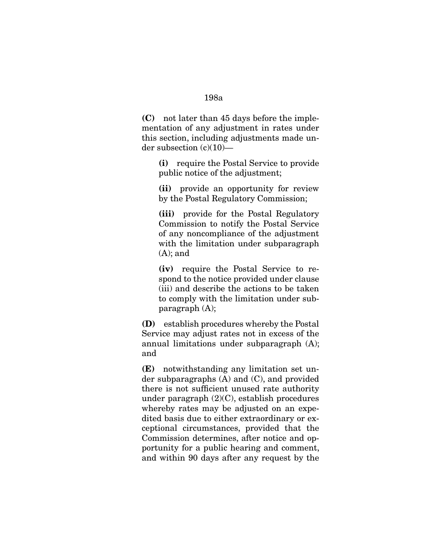**(C)** not later than 45 days before the implementation of any adjustment in rates under this section, including adjustments made under subsection  $(c)(10)$ —

**(i)** require the Postal Service to provide public notice of the adjustment;

**(ii)** provide an opportunity for review by the Postal Regulatory Commission;

**(iii)** provide for the Postal Regulatory Commission to notify the Postal Service of any noncompliance of the adjustment with the limitation under subparagraph  $(A)$ ; and

**(iv)** require the Postal Service to respond to the notice provided under clause (iii) and describe the actions to be taken to comply with the limitation under subparagraph (A);

**(D)** establish procedures whereby the Postal Service may adjust rates not in excess of the annual limitations under subparagraph (A); and

**(E)** notwithstanding any limitation set under subparagraphs (A) and (C), and provided there is not sufficient unused rate authority under paragraph (2)(C), establish procedures whereby rates may be adjusted on an expedited basis due to either extraordinary or exceptional circumstances, provided that the Commission determines, after notice and opportunity for a public hearing and comment, and within 90 days after any request by the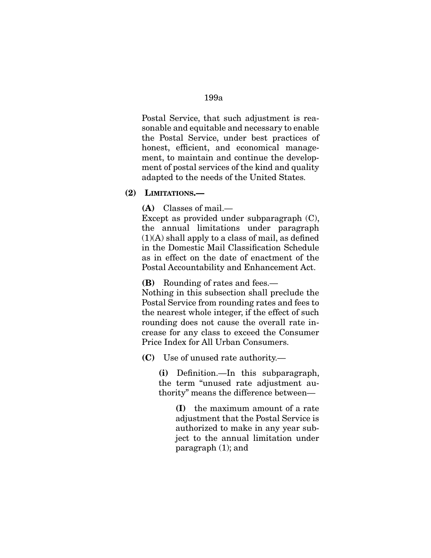Postal Service, that such adjustment is reasonable and equitable and necessary to enable the Postal Service, under best practices of honest, efficient, and economical management, to maintain and continue the development of postal services of the kind and quality adapted to the needs of the United States.

**(2) LIMITATIONS.—** 

**(A)** Classes of mail.—

Except as provided under subparagraph (C), the annual limitations under paragraph  $(1)(A)$  shall apply to a class of mail, as defined in the Domestic Mail Classification Schedule as in effect on the date of enactment of the Postal Accountability and Enhancement Act.

**(B)** Rounding of rates and fees.—

Nothing in this subsection shall preclude the Postal Service from rounding rates and fees to the nearest whole integer, if the effect of such rounding does not cause the overall rate increase for any class to exceed the Consumer Price Index for All Urban Consumers.

**(C)** Use of unused rate authority.—

**(i)** Definition.—In this subparagraph, the term "unused rate adjustment authority" means the difference between—

> **(I)** the maximum amount of a rate adjustment that the Postal Service is authorized to make in any year subject to the annual limitation under paragraph (1); and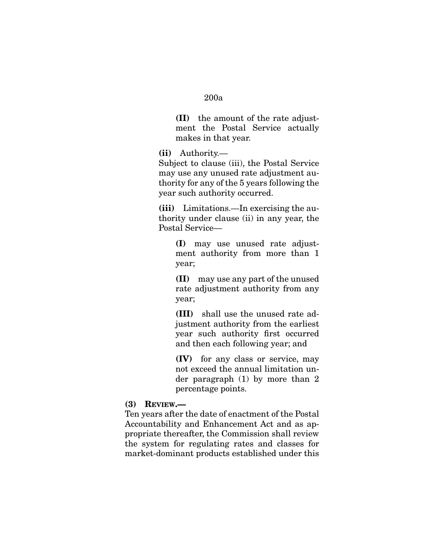**(II)** the amount of the rate adjustment the Postal Service actually makes in that year.

**(ii)** Authority.—

Subject to clause (iii), the Postal Service may use any unused rate adjustment authority for any of the 5 years following the year such authority occurred.

**(iii)** Limitations.—In exercising the authority under clause (ii) in any year, the Postal Service—

> **(I)** may use unused rate adjustment authority from more than 1 year;

> **(II)** may use any part of the unused rate adjustment authority from any year;

> **(III)** shall use the unused rate adjustment authority from the earliest year such authority first occurred and then each following year; and

> **(IV)** for any class or service, may not exceed the annual limitation under paragraph (1) by more than 2 percentage points.

#### **(3) REVIEW.—**

Ten years after the date of enactment of the Postal Accountability and Enhancement Act and as appropriate thereafter, the Commission shall review the system for regulating rates and classes for market-dominant products established under this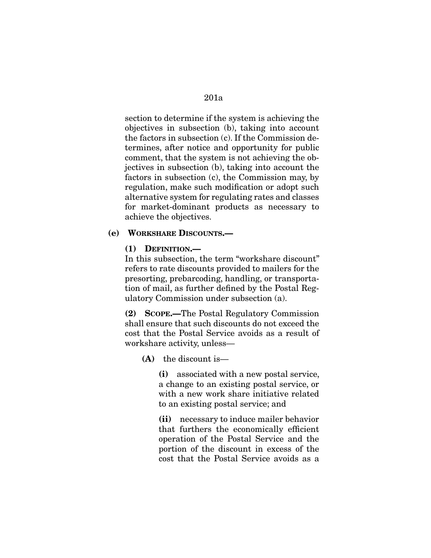section to determine if the system is achieving the objectives in subsection (b), taking into account the factors in subsection (c). If the Commission determines, after notice and opportunity for public comment, that the system is not achieving the objectives in subsection (b), taking into account the factors in subsection (c), the Commission may, by regulation, make such modification or adopt such alternative system for regulating rates and classes for market-dominant products as necessary to achieve the objectives.

### **(e) WORKSHARE DISCOUNTS.—**

#### **(1) DEFINITION.—**

In this subsection, the term "workshare discount" refers to rate discounts provided to mailers for the presorting, prebarcoding, handling, or transportation of mail, as further defined by the Postal Regulatory Commission under subsection (a).

**(2) SCOPE.—**The Postal Regulatory Commission shall ensure that such discounts do not exceed the cost that the Postal Service avoids as a result of workshare activity, unless—

#### **(A)** the discount is—

**(i)** associated with a new postal service, a change to an existing postal service, or with a new work share initiative related to an existing postal service; and

**(ii)** necessary to induce mailer behavior that furthers the economically efficient operation of the Postal Service and the portion of the discount in excess of the cost that the Postal Service avoids as a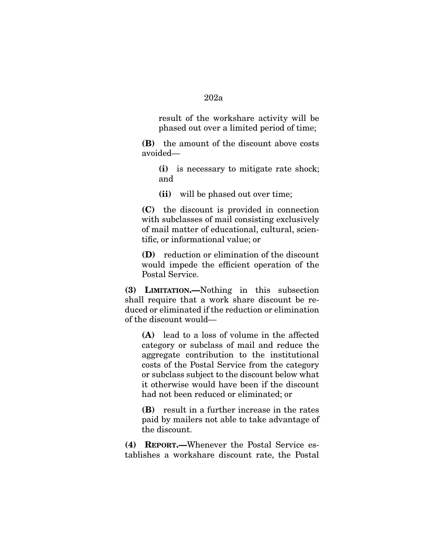result of the workshare activity will be phased out over a limited period of time;

**(B)** the amount of the discount above costs avoided—

**(i)** is necessary to mitigate rate shock; and

**(ii)** will be phased out over time;

**(C)** the discount is provided in connection with subclasses of mail consisting exclusively of mail matter of educational, cultural, scientific, or informational value; or

**(D)** reduction or elimination of the discount would impede the efficient operation of the Postal Service.

**(3) LIMITATION.—**Nothing in this subsection shall require that a work share discount be reduced or eliminated if the reduction or elimination of the discount would—

**(A)** lead to a loss of volume in the affected category or subclass of mail and reduce the aggregate contribution to the institutional costs of the Postal Service from the category or subclass subject to the discount below what it otherwise would have been if the discount had not been reduced or eliminated; or

**(B)** result in a further increase in the rates paid by mailers not able to take advantage of the discount.

**(4) REPORT.—**Whenever the Postal Service establishes a workshare discount rate, the Postal